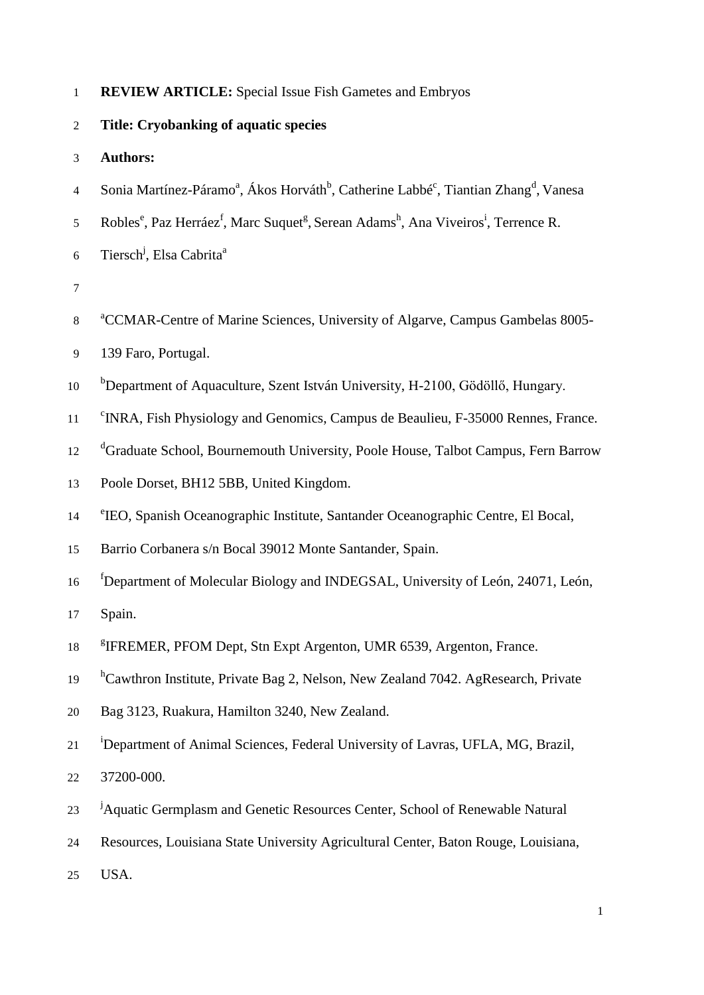|  |  |  |  | <b>REVIEW ARTICLE:</b> Special Issue Fish Gametes and Embryos |
|--|--|--|--|---------------------------------------------------------------|
|--|--|--|--|---------------------------------------------------------------|

- 2 **Title: Cryobanking of aquatic species**
- 3 **Authors:**
- 4 Sonia Martínez-Páramo<sup>a</sup>, Ákos Horváth<sup>b</sup>, Catherine Labbé<sup>c</sup>, Tiantian Zhang<sup>d</sup>, Vanesa
- 5 Robles<sup>e</sup>, Paz Herráez<sup>f</sup>, Marc Suquet<sup>g</sup>, Serean Adams<sup>h</sup>, Ana Viveiros<sup>i</sup>, Terrence R.
- Tiersch<sup>j</sup>, Elsa Cabrita<sup>a</sup> 6
- 7
- <sup>a</sup> CCMAR-Centre of Marine Sciences, University of Algarve, Campus Gambelas 8005-
- 9 139 Faro, Portugal.
- <sup>b</sup>Department of Aquaculture, Szent István University, H-2100, Gödöllő, Hungary.
- <sup>11</sup> <sup>c</sup>INRA, Fish Physiology and Genomics, Campus de Beaulieu, F-35000 Rennes, France.
- <sup>d</sup>Graduate School, Bournemouth University, Poole House, Talbot Campus, Fern Barrow
- 13 Poole Dorset, BH12 5BB, United Kingdom.
- <sup>e</sup> IEO, Spanish Oceanographic Institute, Santander Oceanographic Centre, El Bocal,
- 15 Barrio Corbanera s/n Bocal 39012 Monte Santander, Spain.
- f 16 Department of Molecular Biology and INDEGSAL, University of León, 24071, León,
- 17 Spain.
- 18 <sup>8</sup>IFREMER, PFOM Dept, Stn Expt Argenton, UMR 6539, Argenton, France.
- <sup>h</sup>Cawthron Institute, Private Bag 2, Nelson, New Zealand 7042. AgResearch, Private
- 20 Bag 3123, Ruakura, Hamilton 3240, New Zealand.
- <sup>21</sup> <sup>i</sup>Department of Animal Sciences, Federal University of Lavras, UFLA, MG, Brazil, 22 37200-000.
- <sup>23</sup> <sup>j</sup>Aquatic Germplasm and Genetic Resources Center, School of Renewable Natural
- 24 Resources, Louisiana State University Agricultural Center, Baton Rouge, Louisiana,
- 25 USA.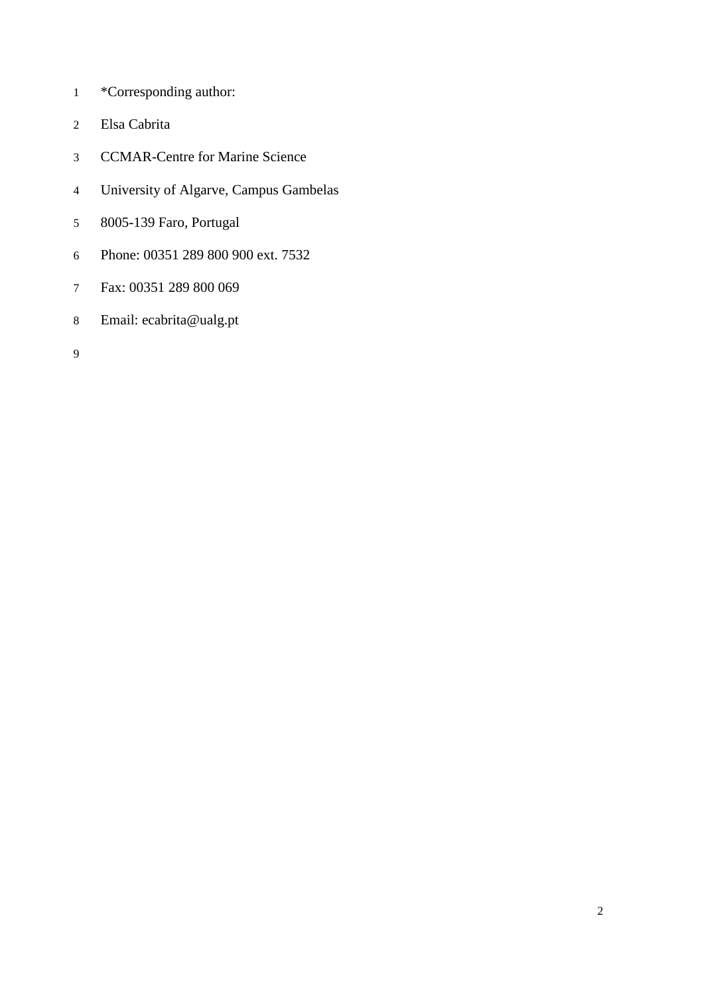- \*Corresponding author:
- Elsa Cabrita
- CCMAR-Centre for Marine Science
- University of Algarve, Campus Gambelas
- 8005-139 Faro, Portugal
- Phone: 00351 289 800 900 ext. 7532
- Fax: 00351 289 800 069
- Email: ecabrita@ualg.pt
-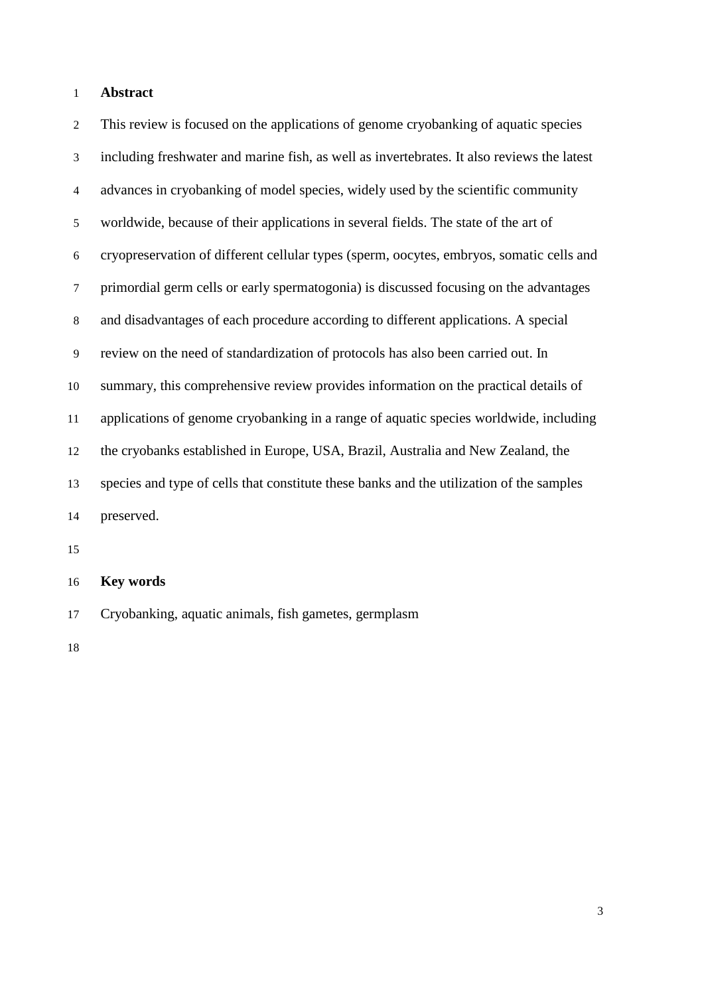### **Abstract**

 This review is focused on the applications of genome cryobanking of aquatic species including freshwater and marine fish, as well as invertebrates. It also reviews the latest advances in cryobanking of model species, widely used by the scientific community worldwide, because of their applications in several fields. The state of the art of cryopreservation of different cellular types (sperm, oocytes, embryos, somatic cells and primordial germ cells or early spermatogonia) is discussed focusing on the advantages and disadvantages of each procedure according to different applications. A special review on the need of standardization of protocols has also been carried out. In summary, this comprehensive review provides information on the practical details of applications of genome cryobanking in a range of aquatic species worldwide, including the cryobanks established in Europe, USA, Brazil, Australia and New Zealand, the species and type of cells that constitute these banks and the utilization of the samples preserved.

# **Key words**

Cryobanking, aquatic animals, fish gametes, germplasm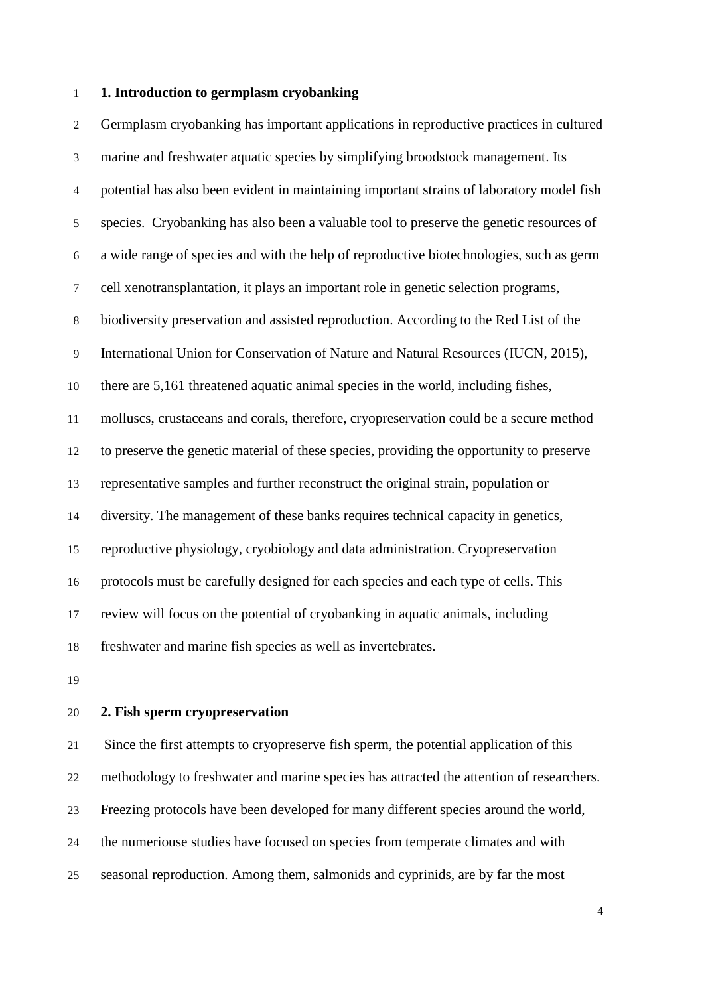### **1. Introduction to germplasm cryobanking**

 Germplasm cryobanking has important applications in reproductive practices in cultured marine and freshwater aquatic species by simplifying broodstock management. Its potential has also been evident in maintaining important strains of laboratory model fish species. Cryobanking has also been a valuable tool to preserve the genetic resources of a wide range of species and with the help of reproductive biotechnologies, such as germ cell xenotransplantation, it plays an important role in genetic selection programs, biodiversity preservation and assisted reproduction. According to the Red List of the International Union for Conservation of Nature and Natural Resources (IUCN, 2015), there are 5,161 threatened aquatic animal species in the world, including fishes, molluscs, crustaceans and corals, therefore, cryopreservation could be a secure method to preserve the genetic material of these species, providing the opportunity to preserve representative samples and further reconstruct the original strain, population or diversity. The management of these banks requires technical capacity in genetics, reproductive physiology, cryobiology and data administration. Cryopreservation protocols must be carefully designed for each species and each type of cells. This review will focus on the potential of cryobanking in aquatic animals, including freshwater and marine fish species as well as invertebrates.

#### **2. Fish sperm cryopreservation**

 Since the first attempts to cryopreserve fish sperm, the potential application of this methodology to freshwater and marine species has attracted the attention of researchers. Freezing protocols have been developed for many different species around the world, the numeriouse studies have focused on species from temperate climates and with seasonal reproduction. Among them, salmonids and cyprinids, are by far the most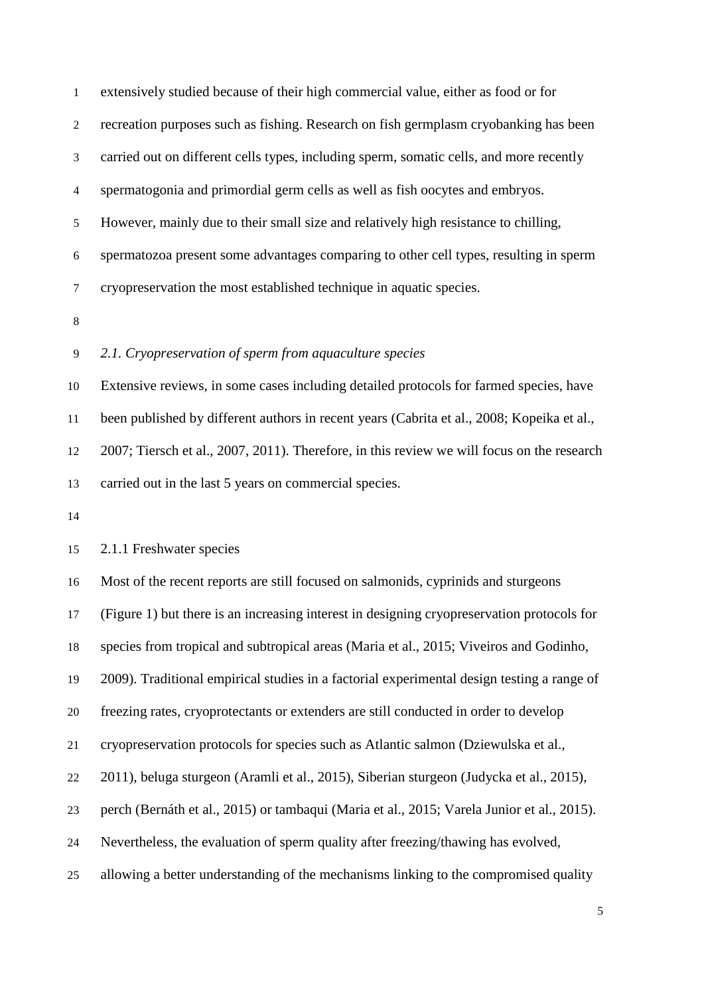extensively studied because of their high commercial value, either as food or for recreation purposes such as fishing. Research on fish germplasm cryobanking has been carried out on different cells types, including sperm, somatic cells, and more recently spermatogonia and primordial germ cells as well as fish oocytes and embryos. However, mainly due to their small size and relatively high resistance to chilling, spermatozoa present some advantages comparing to other cell types, resulting in sperm cryopreservation the most established technique in aquatic species.

## *2.1. Cryopreservation of sperm from aquaculture species*

 Extensive reviews, in some cases including detailed protocols for farmed species, have been published by different authors in recent years (Cabrita et al., 2008; Kopeika et al., 2007; Tiersch et al., 2007, 2011). Therefore, in this review we will focus on the research carried out in the last 5 years on commercial species.

2.1.1 Freshwater species

 Most of the recent reports are still focused on salmonids, cyprinids and sturgeons (Figure 1) but there is an increasing interest in designing cryopreservation protocols for species from tropical and subtropical areas (Maria et al., 2015; Viveiros and Godinho, 2009). Traditional empirical studies in a factorial experimental design testing a range of freezing rates, cryoprotectants or extenders are still conducted in order to develop cryopreservation protocols for species such as Atlantic salmon (Dziewulska et al., 2011), beluga sturgeon (Aramli et al., 2015), Siberian sturgeon (Judycka et al., 2015), perch (Bernáth et al., 2015) or tambaqui (Maria et al., 2015; Varela Junior et al., 2015). Nevertheless, the evaluation of sperm quality after freezing/thawing has evolved, allowing a better understanding of the mechanisms linking to the compromised quality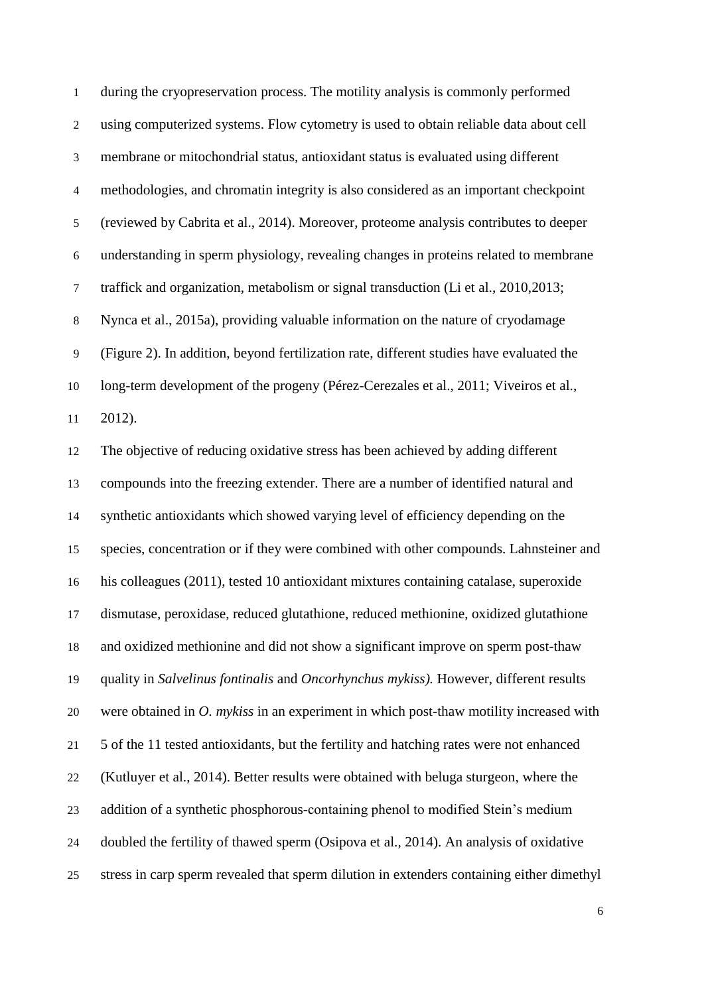during the cryopreservation process. The motility analysis is commonly performed using computerized systems. Flow cytometry is used to obtain reliable data about cell membrane or mitochondrial status, antioxidant status is evaluated using different methodologies, and chromatin integrity is also considered as an important checkpoint (reviewed by Cabrita et al., 2014). Moreover, proteome analysis contributes to deeper understanding in sperm physiology, revealing changes in proteins related to membrane traffick and organization, metabolism or signal transduction (Li et al., 2010,2013; Nynca et al., 2015a), providing valuable information on the nature of cryodamage (Figure 2). In addition, beyond fertilization rate, different studies have evaluated the long-term development of the progeny (Pérez-Cerezales et al., 2011; Viveiros et al., 2012). The objective of reducing oxidative stress has been achieved by adding different compounds into the freezing extender. There are a number of identified natural and synthetic antioxidants which showed varying level of efficiency depending on the species, concentration or if they were combined with other compounds. Lahnsteiner and his colleagues (2011), tested 10 antioxidant mixtures containing catalase, superoxide dismutase, peroxidase, reduced glutathione, reduced methionine, oxidized glutathione and oxidized methionine and did not show a significant improve on sperm post-thaw quality in *Salvelinus fontinalis* and *Oncorhynchus mykiss).* However, different results were obtained in *O. mykiss* in an experiment in which post-thaw motility increased with 5 of the 11 tested antioxidants, but the fertility and hatching rates were not enhanced (Kutluyer et al., 2014). Better results were obtained with beluga sturgeon, where the addition of a synthetic phosphorous-containing phenol to modified Stein's medium doubled the fertility of thawed sperm (Osipova et al., 2014). An analysis of oxidative stress in carp sperm revealed that sperm dilution in extenders containing either dimethyl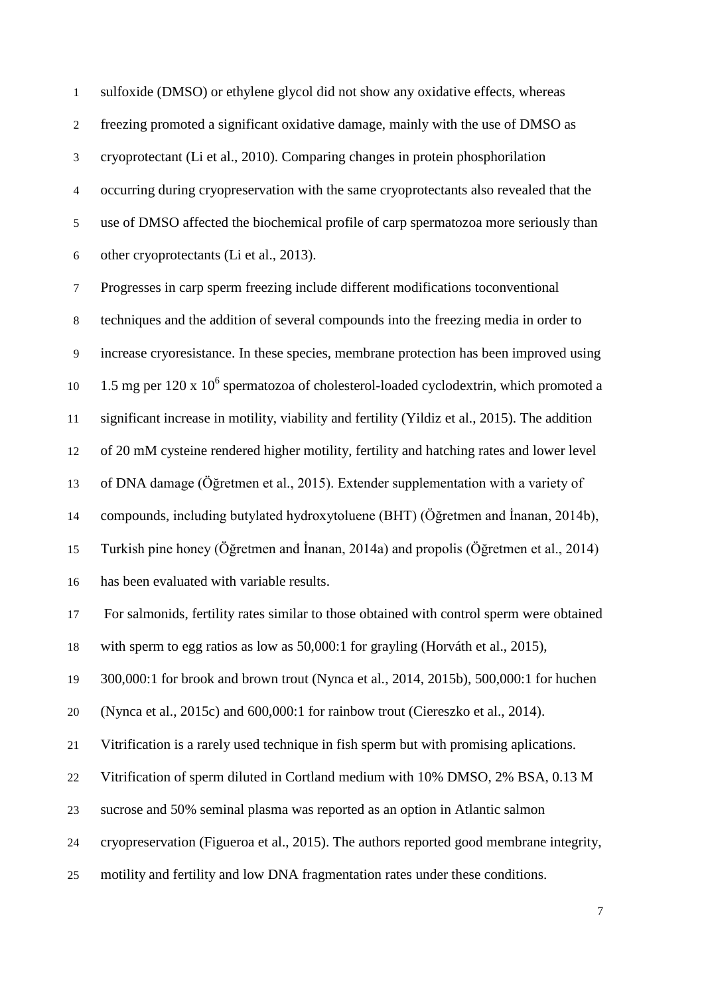sulfoxide (DMSO) or ethylene glycol did not show any oxidative effects, whereas freezing promoted a significant oxidative damage, mainly with the use of DMSO as cryoprotectant (Li et al., 2010). Comparing changes in protein phosphorilation occurring during cryopreservation with the same cryoprotectants also revealed that the use of DMSO affected the biochemical profile of carp spermatozoa more seriously than other cryoprotectants (Li et al., 2013).

 Progresses in carp sperm freezing include different modifications toconventional techniques and the addition of several compounds into the freezing media in order to increase cryoresistance. In these species, membrane protection has been improved using 10 1.5 mg per  $120 \times 10^6$  spermatozoa of cholesterol-loaded cyclodextrin, which promoted a significant increase in motility, viability and fertility (Yildiz et al., 2015). The addition of 20 mM cysteine rendered higher motility, fertility and hatching rates and lower level of DNA damage (Öğretmen et al., 2015). Extender supplementation with a variety of compounds, including butylated hydroxytoluene (BHT) (Öğretmen and İnanan, 2014b), Turkish pine honey (Öğretmen and İnanan, 2014a) and propolis (Öğretmen et al., 2014) has been evaluated with variable results. For salmonids, fertility rates similar to those obtained with control sperm were obtained with sperm to egg ratios as low as 50,000:1 for grayling (Horváth et al., 2015), 300,000:1 for brook and brown trout (Nynca et al., 2014, 2015b), 500,000:1 for huchen (Nynca et al., 2015c) and 600,000:1 for rainbow trout (Ciereszko et al., 2014). Vitrification is a rarely used technique in fish sperm but with promising aplications. Vitrification of sperm diluted in Cortland medium with 10% DMSO, 2% BSA, 0.13 M

sucrose and 50% seminal plasma was reported as an option in Atlantic salmon

cryopreservation (Figueroa et al., 2015). The authors reported good membrane integrity,

motility and fertility and low DNA fragmentation rates under these conditions.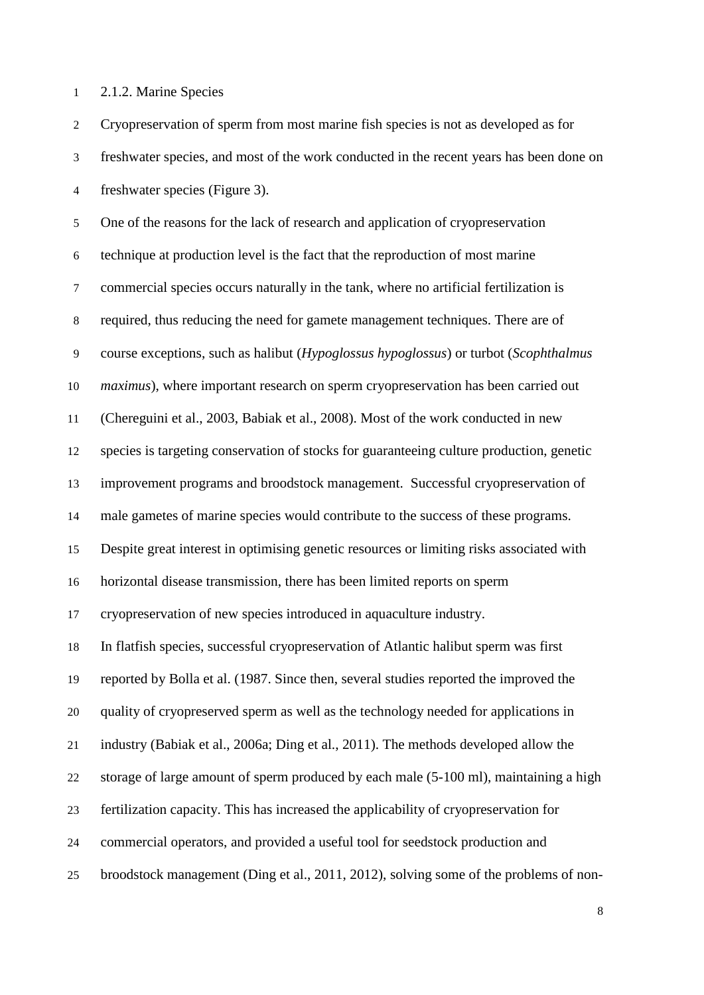2.1.2. Marine Species

 Cryopreservation of sperm from most marine fish species is not as developed as for freshwater species, and most of the work conducted in the recent years has been done on freshwater species (Figure 3). One of the reasons for the lack of research and application of cryopreservation technique at production level is the fact that the reproduction of most marine commercial species occurs naturally in the tank, where no artificial fertilization is required, thus reducing the need for gamete management techniques. There are of course exceptions, such as halibut (*Hypoglossus hypoglossus*) or turbot (*Scophthalmus maximus*), where important research on sperm cryopreservation has been carried out (Chereguini et al., 2003, Babiak et al., 2008). Most of the work conducted in new species is targeting conservation of stocks for guaranteeing culture production, genetic improvement programs and broodstock management. Successful cryopreservation of male gametes of marine species would contribute to the success of these programs. Despite great interest in optimising genetic resources or limiting risks associated with horizontal disease transmission, there has been limited reports on sperm cryopreservation of new species introduced in aquaculture industry. In flatfish species, successful cryopreservation of Atlantic halibut sperm was first reported by Bolla et al. (1987. Since then, several studies reported the improved the quality of cryopreserved sperm as well as the technology needed for applications in industry (Babiak et al., 2006a; Ding et al., 2011). The methods developed allow the storage of large amount of sperm produced by each male (5-100 ml), maintaining a high fertilization capacity. This has increased the applicability of cryopreservation for commercial operators, and provided a useful tool for seedstock production and broodstock management (Ding et al., 2011, 2012), solving some of the problems of non-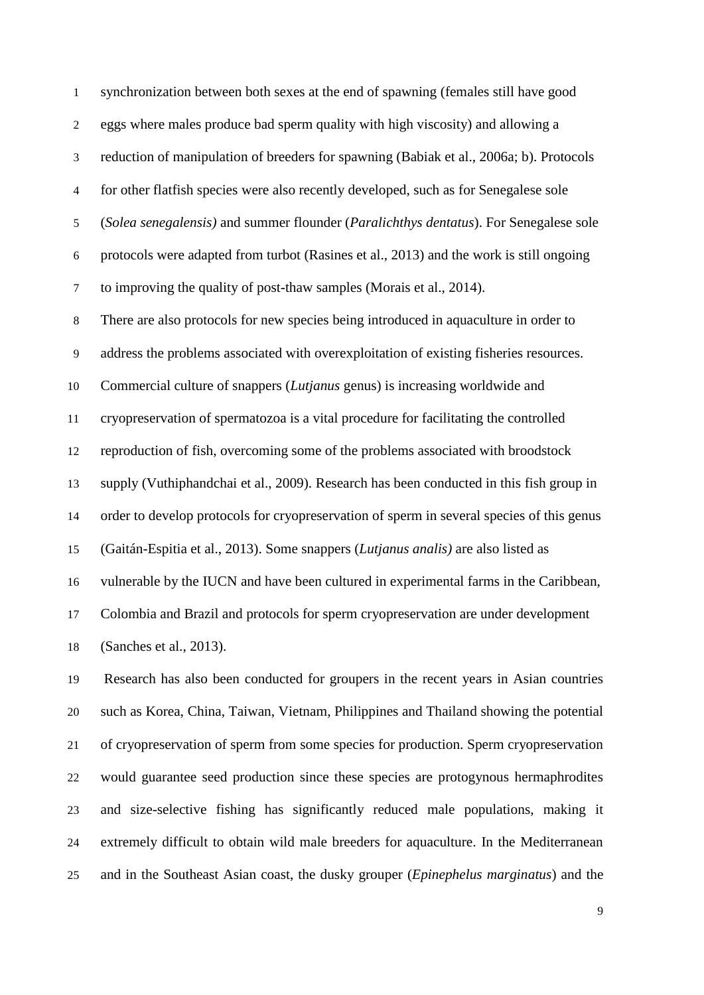synchronization between both sexes at the end of spawning (females still have good eggs where males produce bad sperm quality with high viscosity) and allowing a reduction of manipulation of breeders for spawning (Babiak et al., 2006a; b). Protocols for other flatfish species were also recently developed, such as for Senegalese sole (*Solea senegalensis)* and summer flounder (*Paralichthys dentatus*). For Senegalese sole protocols were adapted from turbot (Rasines et al., 2013) and the work is still ongoing to improving the quality of post-thaw samples (Morais et al., 2014). There are also protocols for new species being introduced in aquaculture in order to address the problems associated with overexploitation of existing fisheries resources. Commercial culture of snappers (*Lutjanus* genus) is increasing worldwide and cryopreservation of spermatozoa is a vital procedure for facilitating the controlled reproduction of fish, overcoming some of the problems associated with broodstock supply (Vuthiphandchai et al., 2009). Research has been conducted in this fish group in order to develop protocols for cryopreservation of sperm in several species of this genus (Gaitán-Espitia et al., 2013). Some snappers (*Lutjanus analis)* are also listed as vulnerable by the IUCN and have been cultured in experimental farms in the Caribbean,

Colombia and Brazil and protocols for sperm cryopreservation are under development

(Sanches et al., 2013).

 Research has also been conducted for groupers in the recent years in Asian countries such as Korea, China, Taiwan, Vietnam, Philippines and Thailand showing the potential of cryopreservation of sperm from some species for production. Sperm cryopreservation would guarantee seed production since these species are protogynous hermaphrodites and size-selective fishing has significantly reduced male populations, making it extremely difficult to obtain wild male breeders for aquaculture. In the Mediterranean and in the Southeast Asian coast, the dusky grouper (*Epinephelus marginatus*) and the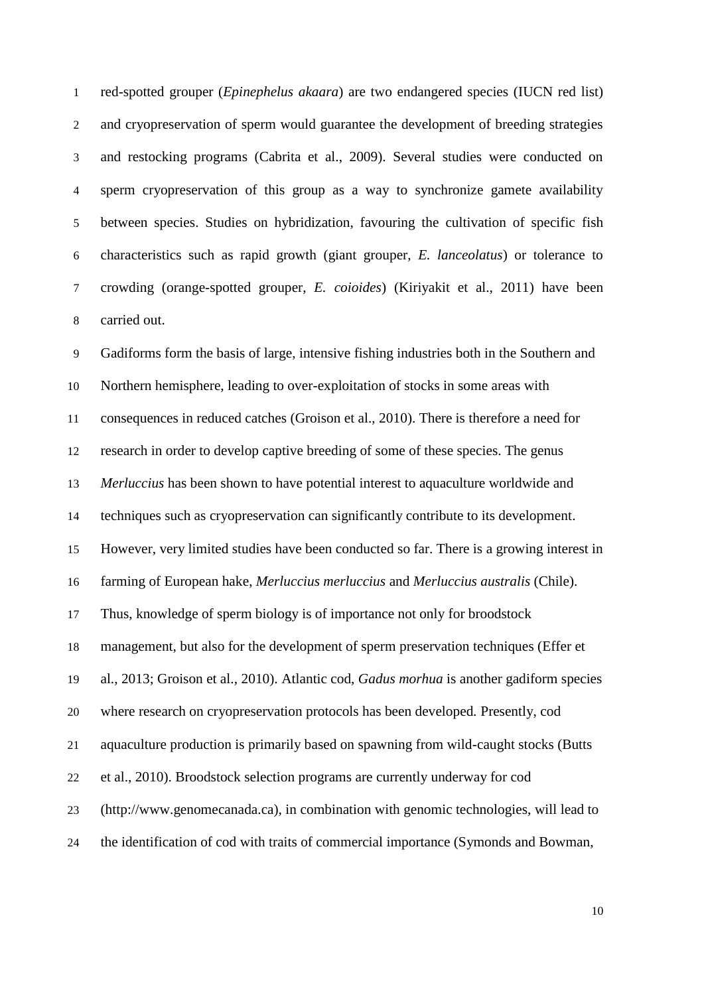red-spotted grouper (*Epinephelus akaara*) are two endangered species (IUCN red list) and cryopreservation of sperm would guarantee the development of breeding strategies and restocking programs (Cabrita et al., 2009). Several studies were conducted on sperm cryopreservation of this group as a way to synchronize gamete availability between species. Studies on hybridization, favouring the cultivation of specific fish characteristics such as rapid growth (giant grouper, *E. lanceolatus*) or tolerance to crowding (orange-spotted grouper, *E. coioides*) (Kiriyakit et al., 2011) have been carried out.

 Gadiforms form the basis of large, intensive fishing industries both in the Southern and Northern hemisphere, leading to over-exploitation of stocks in some areas with consequences in reduced catches (Groison et al., 2010). There is therefore a need for research in order to develop captive breeding of some of these species. The genus *Merluccius* has been shown to have potential interest to aquaculture worldwide and techniques such as cryopreservation can significantly contribute to its development. However, very limited studies have been conducted so far. There is a growing interest in farming of European hake, *Merluccius merluccius* and *Merluccius australis* (Chile). Thus, knowledge of sperm biology is of importance not only for broodstock management, but also for the development of sperm preservation techniques (Effer et al., 2013; Groison et al., 2010). Atlantic cod, *Gadus morhua* is another gadiform species where research on cryopreservation protocols has been developed*.* Presently, cod aquaculture production is primarily based on spawning from wild-caught stocks (Butts et al., 2010). Broodstock selection programs are currently underway for cod (http://www.genomecanada.ca), in combination with genomic technologies, will lead to the identification of cod with traits of commercial importance (Symonds and Bowman,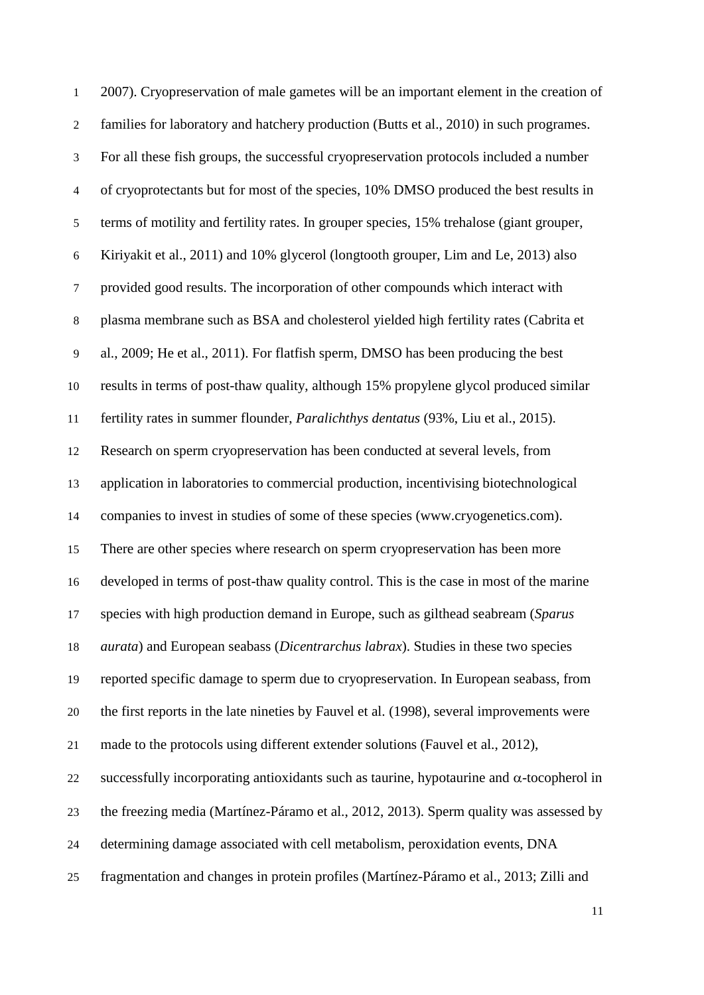2007). Cryopreservation of male gametes will be an important element in the creation of families for laboratory and hatchery production (Butts et al., 2010) in such programes. For all these fish groups, the successful cryopreservation protocols included a number of cryoprotectants but for most of the species, 10% DMSO produced the best results in terms of motility and fertility rates. In grouper species, 15% trehalose (giant grouper, Kiriyakit et al., 2011) and 10% glycerol (longtooth grouper, Lim and Le, 2013) also provided good results. The incorporation of other compounds which interact with plasma membrane such as BSA and cholesterol yielded high fertility rates (Cabrita et al., 2009; He et al., 2011). For flatfish sperm, DMSO has been producing the best results in terms of post-thaw quality, although 15% propylene glycol produced similar fertility rates in summer flounder, *Paralichthys dentatus* (93%, Liu et al., 2015). Research on sperm cryopreservation has been conducted at several levels, from application in laboratories to commercial production, incentivising biotechnological companies to invest in studies of some of these species (www.cryogenetics.com). There are other species where research on sperm cryopreservation has been more developed in terms of post-thaw quality control. This is the case in most of the marine species with high production demand in Europe, such as gilthead seabream (*Sparus aurata*) and European seabass (*Dicentrarchus labrax*). Studies in these two species reported specific damage to sperm due to cryopreservation. In European seabass, from the first reports in the late nineties by Fauvel et al. (1998), several improvements were made to the protocols using different extender solutions (Fauvel et al., 2012), 22 successfully incorporating antioxidants such as taurine, hypotaurine and  $\alpha$ -tocopherol in the freezing media (Martínez-Páramo et al., 2012, 2013). Sperm quality was assessed by determining damage associated with cell metabolism, peroxidation events, DNA fragmentation and changes in protein profiles (Martínez-Páramo et al., 2013; Zilli and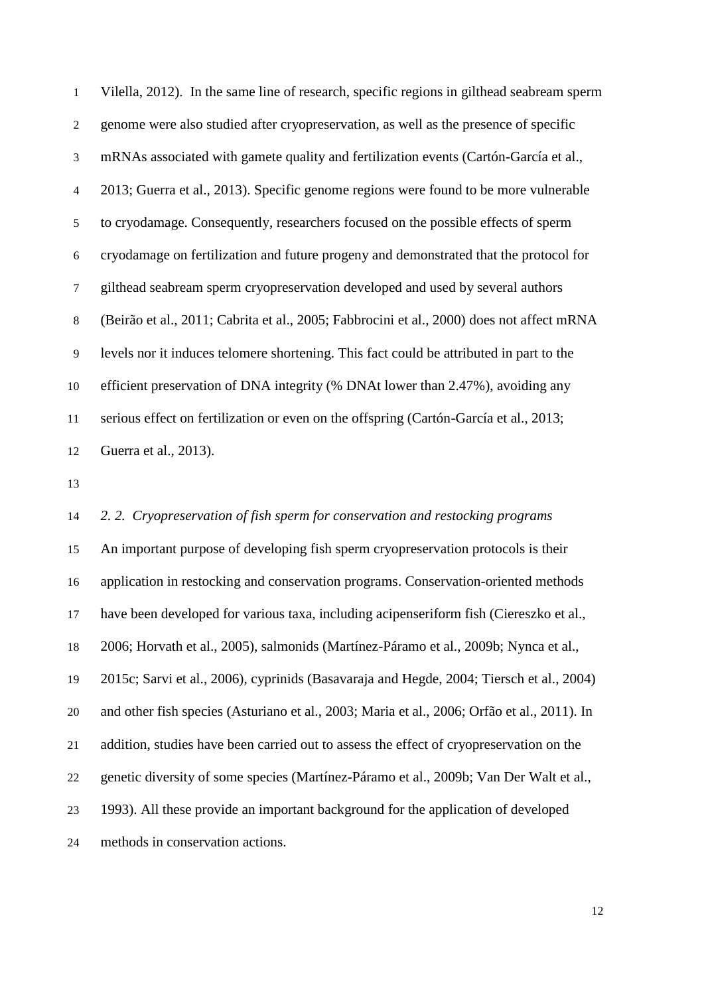Vilella, 2012). In the same line of research, specific regions in gilthead seabream sperm genome were also studied after cryopreservation, as well as the presence of specific mRNAs associated with gamete quality and fertilization events (Cartón-García et al., 2013; Guerra et al., 2013). Specific genome regions were found to be more vulnerable to cryodamage. Consequently, researchers focused on the possible effects of sperm cryodamage on fertilization and future progeny and demonstrated that the protocol for gilthead seabream sperm cryopreservation developed and used by several authors (Beirão et al., 2011; Cabrita et al., 2005; Fabbrocini et al., 2000) does not affect mRNA levels nor it induces telomere shortening. This fact could be attributed in part to the efficient preservation of DNA integrity (% DNAt lower than 2.47%), avoiding any serious effect on fertilization or even on the offspring (Cartón-García et al., 2013; Guerra et al., 2013).

 *2. 2. Cryopreservation of fish sperm for conservation and restocking programs* An important purpose of developing fish sperm cryopreservation protocols is their application in restocking and conservation programs. Conservation-oriented methods have been developed for various taxa, including acipenseriform fish (Ciereszko et al., 2006; Horvath et al., 2005), salmonids (Martínez-Páramo et al., 2009b; Nynca et al., 2015c; Sarvi et al., 2006), cyprinids (Basavaraja and Hegde, 2004; Tiersch et al., 2004) and other fish species (Asturiano et al., 2003; Maria et al., 2006; Orfão et al., 2011). In addition, studies have been carried out to assess the effect of cryopreservation on the genetic diversity of some species (Martínez-Páramo et al., 2009b; Van Der Walt et al., 1993). All these provide an important background for the application of developed methods in conservation actions.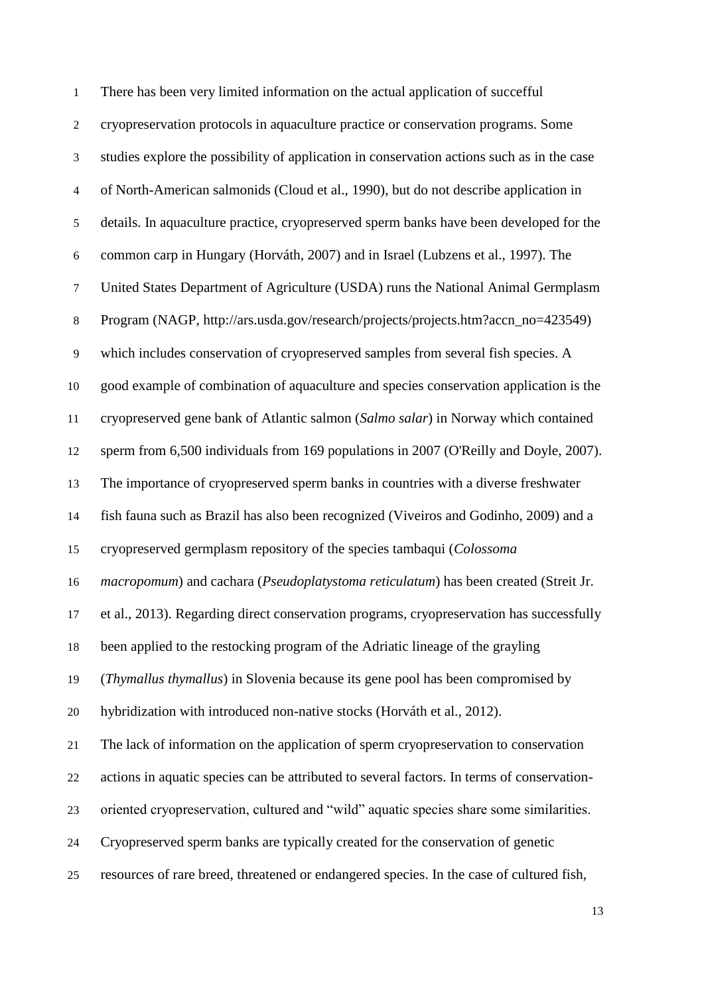| 1              | There has been very limited information on the actual application of succefful             |
|----------------|--------------------------------------------------------------------------------------------|
| $\mathbf{2}$   | cryopreservation protocols in aquaculture practice or conservation programs. Some          |
| $\mathfrak{Z}$ | studies explore the possibility of application in conservation actions such as in the case |
| $\overline{4}$ | of North-American salmonids (Cloud et al., 1990), but do not describe application in       |
| $\mathfrak s$  | details. In aquaculture practice, cryopreserved sperm banks have been developed for the    |
| $\sqrt{6}$     | common carp in Hungary (Horváth, 2007) and in Israel (Lubzens et al., 1997). The           |
| $\tau$         | United States Department of Agriculture (USDA) runs the National Animal Germplasm          |
| $8\,$          | Program (NAGP, http://ars.usda.gov/research/projects/projects.htm?accn_no=423549)          |
| $\mathbf{9}$   | which includes conservation of cryopreserved samples from several fish species. A          |
| 10             | good example of combination of aquaculture and species conservation application is the     |
| 11             | cryopreserved gene bank of Atlantic salmon (Salmo salar) in Norway which contained         |
| 12             | sperm from 6,500 individuals from 169 populations in 2007 (O'Reilly and Doyle, 2007).      |
| 13             | The importance of cryopreserved sperm banks in countries with a diverse freshwater         |
| 14             | fish fauna such as Brazil has also been recognized (Viveiros and Godinho, 2009) and a      |
| 15             | cryopreserved germplasm repository of the species tambaqui (Colossoma                      |
| 16             | macropomum) and cachara (Pseudoplatystoma reticulatum) has been created (Streit Jr.        |
| 17             | et al., 2013). Regarding direct conservation programs, cryopreservation has successfully   |
| 18             | been applied to the restocking program of the Adriatic lineage of the grayling             |
| 19             | (Thymallus thymallus) in Slovenia because its gene pool has been compromised by            |
| 20             | hybridization with introduced non-native stocks (Horváth et al., 2012).                    |
| 21             | The lack of information on the application of sperm cryopreservation to conservation       |
| 22             | actions in aquatic species can be attributed to several factors. In terms of conservation- |
| 23             | oriented cryopreservation, cultured and "wild" aquatic species share some similarities.    |
| 24             | Cryopreserved sperm banks are typically created for the conservation of genetic            |
| 25             | resources of rare breed, threatened or endangered species. In the case of cultured fish,   |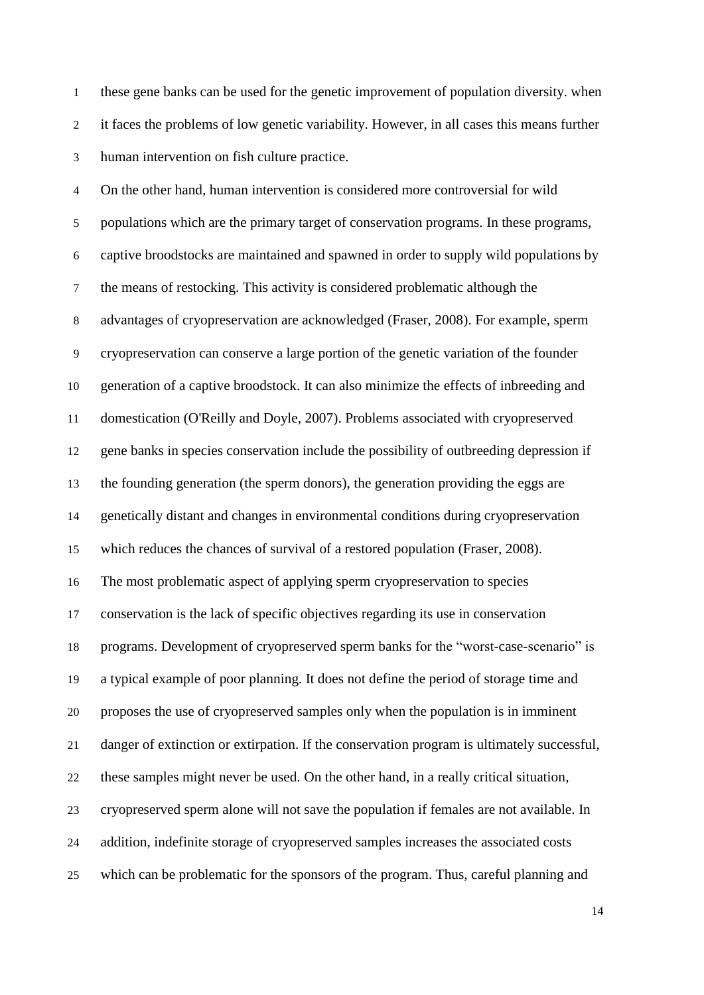these gene banks can be used for the genetic improvement of population diversity. when it faces the problems of low genetic variability. However, in all cases this means further human intervention on fish culture practice.

 On the other hand, human intervention is considered more controversial for wild populations which are the primary target of conservation programs. In these programs, captive broodstocks are maintained and spawned in order to supply wild populations by the means of restocking. This activity is considered problematic although the advantages of cryopreservation are acknowledged (Fraser, 2008). For example, sperm cryopreservation can conserve a large portion of the genetic variation of the founder generation of a captive broodstock. It can also minimize the effects of inbreeding and domestication (O'Reilly and Doyle, 2007). Problems associated with cryopreserved gene banks in species conservation include the possibility of outbreeding depression if the founding generation (the sperm donors), the generation providing the eggs are genetically distant and changes in environmental conditions during cryopreservation which reduces the chances of survival of a restored population (Fraser, 2008). The most problematic aspect of applying sperm cryopreservation to species conservation is the lack of specific objectives regarding its use in conservation programs. Development of cryopreserved sperm banks for the "worst-case-scenario" is a typical example of poor planning. It does not define the period of storage time and proposes the use of cryopreserved samples only when the population is in imminent danger of extinction or extirpation. If the conservation program is ultimately successful, these samples might never be used. On the other hand, in a really critical situation, cryopreserved sperm alone will not save the population if females are not available. In addition, indefinite storage of cryopreserved samples increases the associated costs which can be problematic for the sponsors of the program. Thus, careful planning and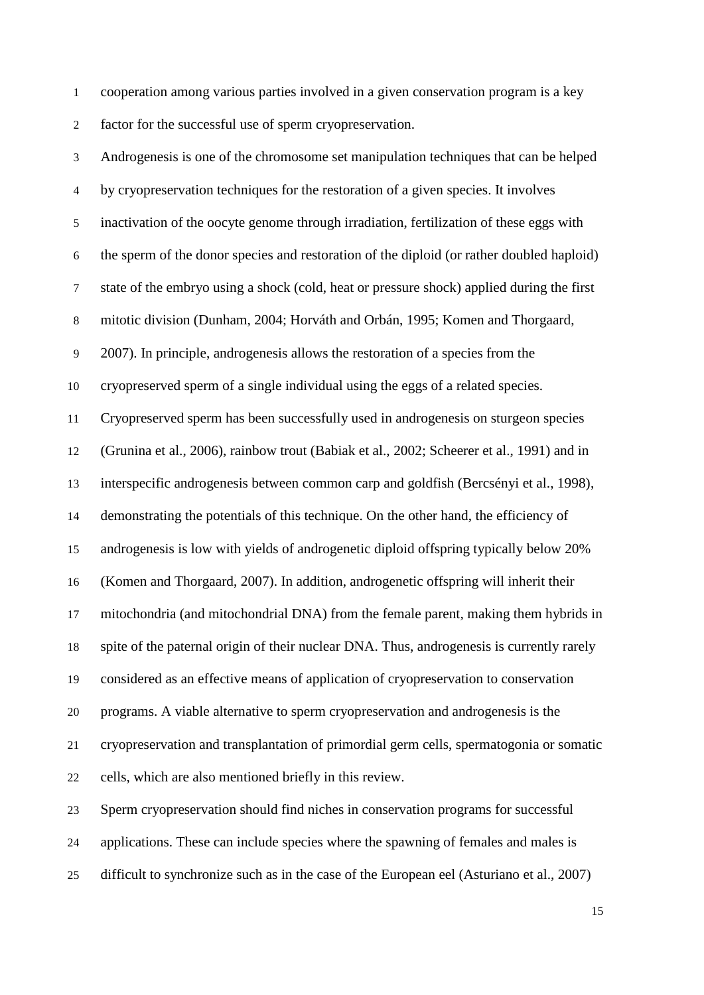cooperation among various parties involved in a given conservation program is a key factor for the successful use of sperm cryopreservation.

 Androgenesis is one of the chromosome set manipulation techniques that can be helped by cryopreservation techniques for the restoration of a given species. It involves inactivation of the oocyte genome through irradiation, fertilization of these eggs with the sperm of the donor species and restoration of the diploid (or rather doubled haploid) state of the embryo using a shock (cold, heat or pressure shock) applied during the first mitotic division (Dunham, 2004; Horváth and Orbán, 1995; Komen and Thorgaard, 2007). In principle, androgenesis allows the restoration of a species from the cryopreserved sperm of a single individual using the eggs of a related species. Cryopreserved sperm has been successfully used in androgenesis on sturgeon species (Grunina et al., 2006), rainbow trout (Babiak et al., 2002; Scheerer et al., 1991) and in interspecific androgenesis between common carp and goldfish (Bercsényi et al., 1998), demonstrating the potentials of this technique. On the other hand, the efficiency of androgenesis is low with yields of androgenetic diploid offspring typically below 20% (Komen and Thorgaard, 2007). In addition, androgenetic offspring will inherit their mitochondria (and mitochondrial DNA) from the female parent, making them hybrids in spite of the paternal origin of their nuclear DNA. Thus, androgenesis is currently rarely considered as an effective means of application of cryopreservation to conservation programs. A viable alternative to sperm cryopreservation and androgenesis is the cryopreservation and transplantation of primordial germ cells, spermatogonia or somatic cells, which are also mentioned briefly in this review. Sperm cryopreservation should find niches in conservation programs for successful

applications. These can include species where the spawning of females and males is

difficult to synchronize such as in the case of the European eel (Asturiano et al., 2007)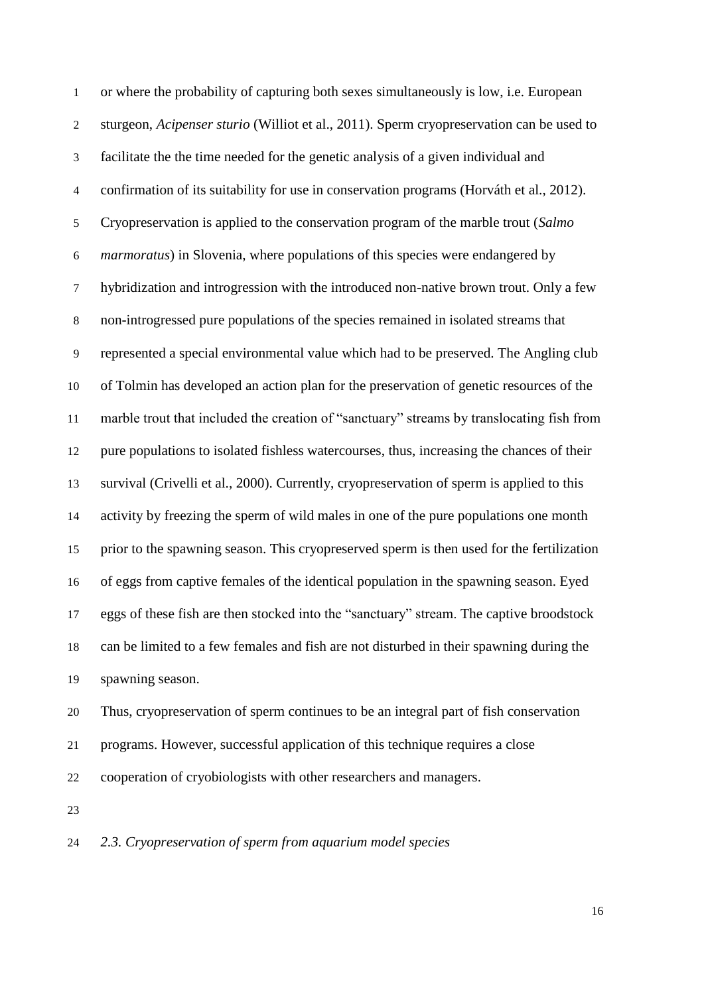or where the probability of capturing both sexes simultaneously is low, i.e. European sturgeon, *Acipenser sturio* (Williot et al., 2011). Sperm cryopreservation can be used to facilitate the the time needed for the genetic analysis of a given individual and confirmation of its suitability for use in conservation programs (Horváth et al., 2012). Cryopreservation is applied to the conservation program of the marble trout (*Salmo marmoratus*) in Slovenia, where populations of this species were endangered by hybridization and introgression with the introduced non-native brown trout. Only a few non-introgressed pure populations of the species remained in isolated streams that represented a special environmental value which had to be preserved. The Angling club of Tolmin has developed an action plan for the preservation of genetic resources of the marble trout that included the creation of "sanctuary" streams by translocating fish from pure populations to isolated fishless watercourses, thus, increasing the chances of their survival (Crivelli et al., 2000). Currently, cryopreservation of sperm is applied to this activity by freezing the sperm of wild males in one of the pure populations one month prior to the spawning season. This cryopreserved sperm is then used for the fertilization of eggs from captive females of the identical population in the spawning season. Eyed eggs of these fish are then stocked into the "sanctuary" stream. The captive broodstock can be limited to a few females and fish are not disturbed in their spawning during the spawning season.

 Thus, cryopreservation of sperm continues to be an integral part of fish conservation programs. However, successful application of this technique requires a close cooperation of cryobiologists with other researchers and managers.

# *2.3. Cryopreservation of sperm from aquarium model species*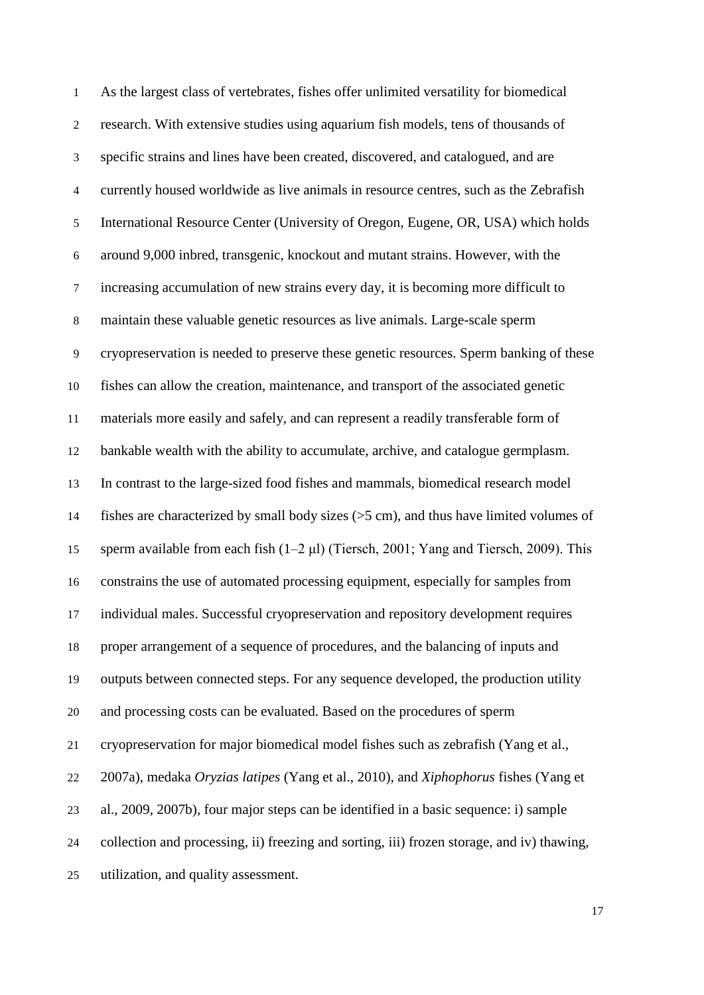As the largest class of vertebrates, fishes offer unlimited versatility for biomedical research. With extensive studies using aquarium fish models, tens of thousands of specific strains and lines have been created, discovered, and catalogued, and are currently housed worldwide as live animals in resource centres, such as the Zebrafish International Resource Center (University of Oregon, Eugene, OR, USA) which holds around 9,000 inbred, transgenic, knockout and mutant strains. However, with the increasing accumulation of new strains every day, it is becoming more difficult to maintain these valuable genetic resources as live animals. Large-scale sperm cryopreservation is needed to preserve these genetic resources. Sperm banking of these fishes can allow the creation, maintenance, and transport of the associated genetic materials more easily and safely, and can represent a readily transferable form of bankable wealth with the ability to accumulate, archive, and catalogue germplasm. In contrast to the large-sized food fishes and mammals, biomedical research model fishes are characterized by small body sizes (>5 cm), and thus have limited volumes of sperm available from each fish (1–2 μl) (Tiersch, 2001; Yang and Tiersch, 2009). This constrains the use of automated processing equipment, especially for samples from individual males. Successful cryopreservation and repository development requires proper arrangement of a sequence of procedures, and the balancing of inputs and outputs between connected steps. For any sequence developed, the production utility and processing costs can be evaluated. Based on the procedures of sperm cryopreservation for major biomedical model fishes such as zebrafish (Yang et al., 2007a), medaka *Oryzias latipes* (Yang et al., 2010), and *Xiphophorus* fishes (Yang et al., 2009, 2007b), four major steps can be identified in a basic sequence: i) sample collection and processing, ii) freezing and sorting, iii) frozen storage, and iv) thawing, utilization, and quality assessment.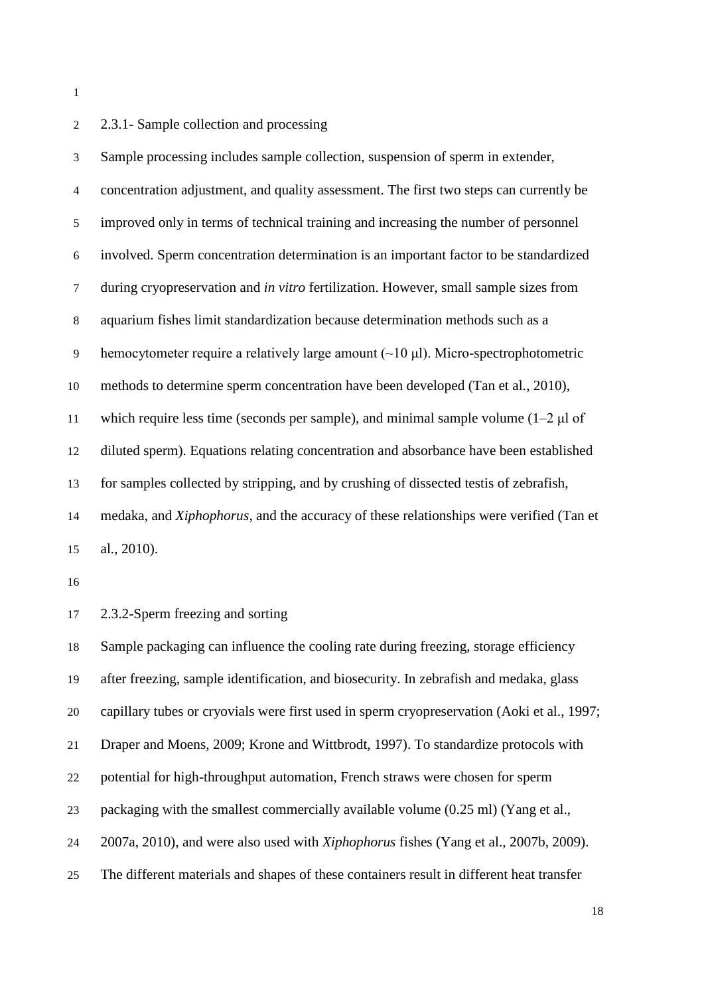# 2 2.3.1- Sample collection and processing

 Sample processing includes sample collection, suspension of sperm in extender, concentration adjustment, and quality assessment. The first two steps can currently be improved only in terms of technical training and increasing the number of personnel involved. Sperm concentration determination is an important factor to be standardized during cryopreservation and *in vitro* fertilization. However, small sample sizes from aquarium fishes limit standardization because determination methods such as a hemocytometer require a relatively large amount (~10 μl). Micro-spectrophotometric methods to determine sperm concentration have been developed (Tan et al., 2010), which require less time (seconds per sample), and minimal sample volume (1–2 μl of diluted sperm). Equations relating concentration and absorbance have been established for samples collected by stripping, and by crushing of dissected testis of zebrafish, medaka, and *Xiphophorus*, and the accuracy of these relationships were verified (Tan et al., 2010).

2.3.2-Sperm freezing and sorting

 Sample packaging can influence the cooling rate during freezing, storage efficiency after freezing, sample identification, and biosecurity. In zebrafish and medaka, glass capillary tubes or cryovials were first used in sperm cryopreservation (Aoki et al., 1997; Draper and Moens, 2009; Krone and Wittbrodt, 1997). To standardize protocols with potential for high-throughput automation, French straws were chosen for sperm packaging with the smallest commercially available volume (0.25 ml) (Yang et al., 2007a, 2010), and were also used with *Xiphophorus* fishes (Yang et al., 2007b, 2009). The different materials and shapes of these containers result in different heat transfer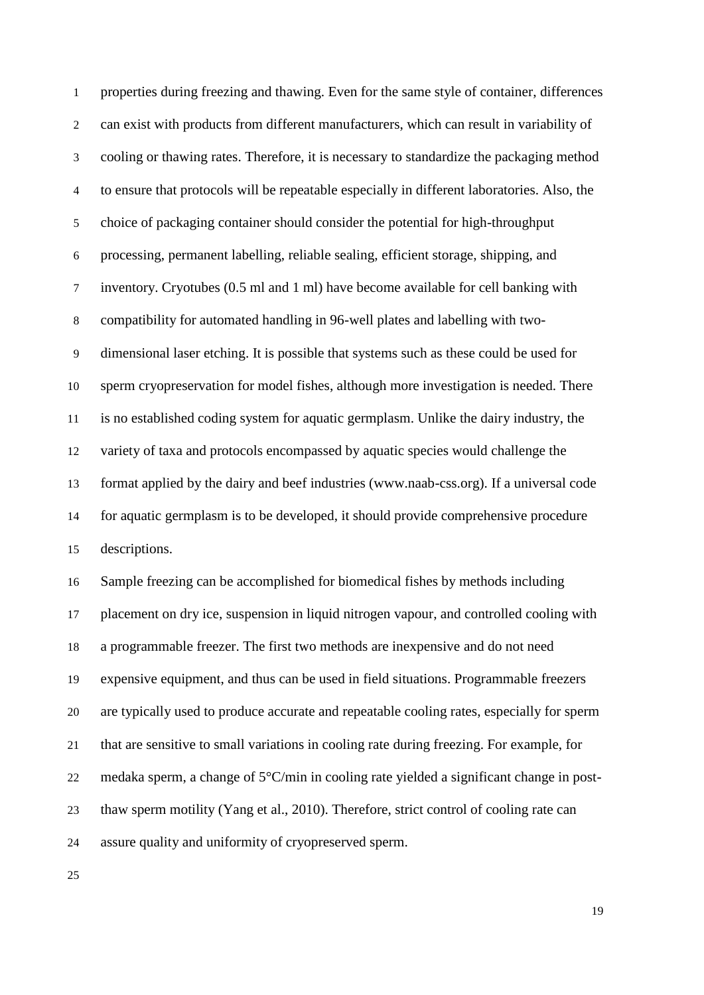properties during freezing and thawing. Even for the same style of container, differences can exist with products from different manufacturers, which can result in variability of cooling or thawing rates. Therefore, it is necessary to standardize the packaging method to ensure that protocols will be repeatable especially in different laboratories. Also, the choice of packaging container should consider the potential for high-throughput processing, permanent labelling, reliable sealing, efficient storage, shipping, and inventory. Cryotubes (0.5 ml and 1 ml) have become available for cell banking with compatibility for automated handling in 96-well plates and labelling with two- dimensional laser etching. It is possible that systems such as these could be used for sperm cryopreservation for model fishes, although more investigation is needed. There is no established coding system for aquatic germplasm. Unlike the dairy industry, the variety of taxa and protocols encompassed by aquatic species would challenge the format applied by the dairy and beef industries (www.naab-css.org). If a universal code for aquatic germplasm is to be developed, it should provide comprehensive procedure descriptions. Sample freezing can be accomplished for biomedical fishes by methods including placement on dry ice, suspension in liquid nitrogen vapour, and controlled cooling with a programmable freezer. The first two methods are inexpensive and do not need expensive equipment, and thus can be used in field situations. Programmable freezers are typically used to produce accurate and repeatable cooling rates, especially for sperm that are sensitive to small variations in cooling rate during freezing. For example, for medaka sperm, a change of 5°C/min in cooling rate yielded a significant change in post-thaw sperm motility (Yang et al., 2010). Therefore, strict control of cooling rate can

assure quality and uniformity of cryopreserved sperm.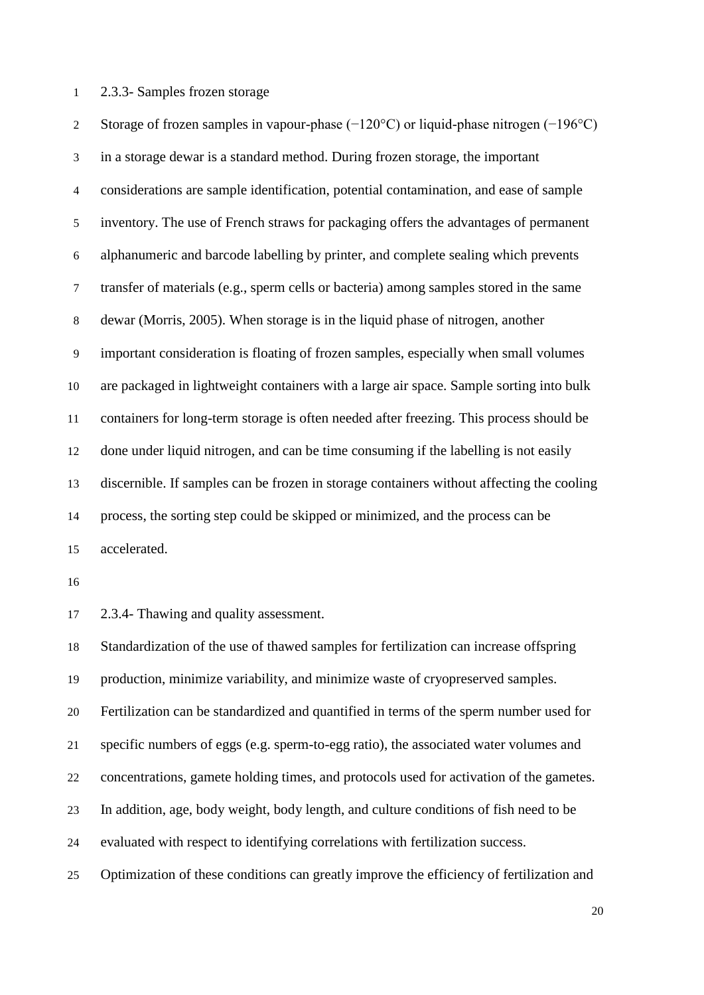### 2.3.3- Samples frozen storage

 Storage of frozen samples in vapour-phase (−120°C) or liquid-phase nitrogen (−196°C) in a storage dewar is a standard method. During frozen storage, the important considerations are sample identification, potential contamination, and ease of sample inventory. The use of French straws for packaging offers the advantages of permanent alphanumeric and barcode labelling by printer, and complete sealing which prevents transfer of materials (e.g., sperm cells or bacteria) among samples stored in the same dewar (Morris, 2005). When storage is in the liquid phase of nitrogen, another important consideration is floating of frozen samples, especially when small volumes are packaged in lightweight containers with a large air space. Sample sorting into bulk containers for long-term storage is often needed after freezing. This process should be done under liquid nitrogen, and can be time consuming if the labelling is not easily discernible. If samples can be frozen in storage containers without affecting the cooling process, the sorting step could be skipped or minimized, and the process can be accelerated.

2.3.4- Thawing and quality assessment.

 Standardization of the use of thawed samples for fertilization can increase offspring production, minimize variability, and minimize waste of cryopreserved samples. Fertilization can be standardized and quantified in terms of the sperm number used for specific numbers of eggs (e.g. sperm-to-egg ratio), the associated water volumes and concentrations, gamete holding times, and protocols used for activation of the gametes. In addition, age, body weight, body length, and culture conditions of fish need to be evaluated with respect to identifying correlations with fertilization success. Optimization of these conditions can greatly improve the efficiency of fertilization and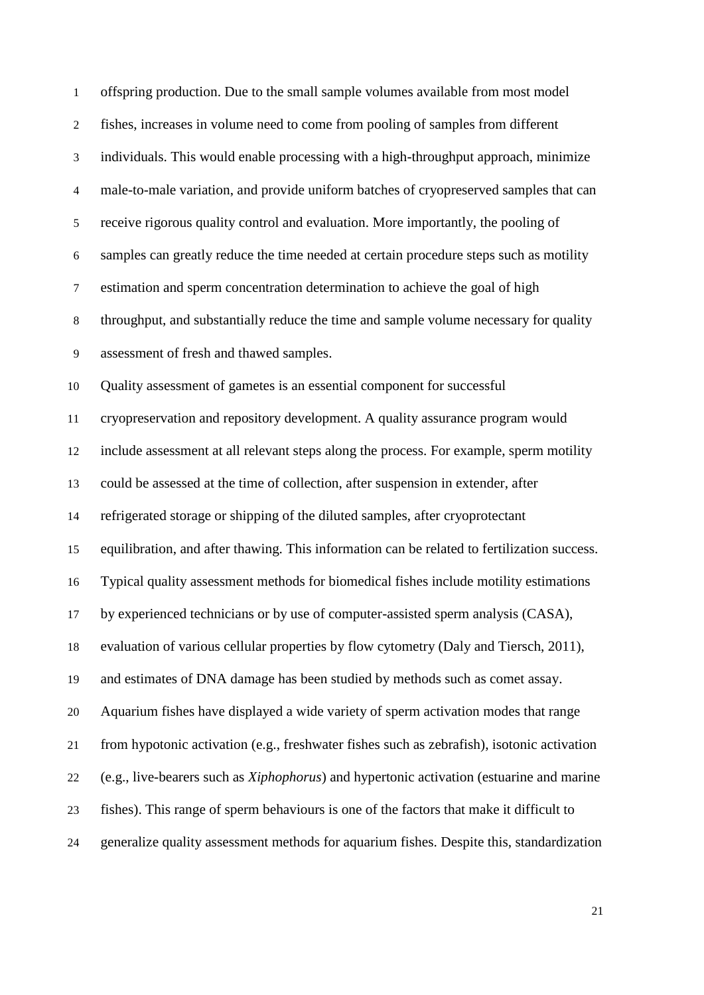| offspring production. Due to the small sample volumes available from most model                  |
|--------------------------------------------------------------------------------------------------|
| fishes, increases in volume need to come from pooling of samples from different                  |
| individuals. This would enable processing with a high-throughput approach, minimize              |
| male-to-male variation, and provide uniform batches of cryopreserved samples that can            |
| receive rigorous quality control and evaluation. More importantly, the pooling of                |
| samples can greatly reduce the time needed at certain procedure steps such as motility           |
| estimation and sperm concentration determination to achieve the goal of high                     |
| throughput, and substantially reduce the time and sample volume necessary for quality            |
| assessment of fresh and thawed samples.                                                          |
| Quality assessment of gametes is an essential component for successful                           |
| cryopreservation and repository development. A quality assurance program would                   |
| include assessment at all relevant steps along the process. For example, sperm motility          |
| could be assessed at the time of collection, after suspension in extender, after                 |
| refrigerated storage or shipping of the diluted samples, after cryoprotectant                    |
| equilibration, and after thawing. This information can be related to fertilization success.      |
| Typical quality assessment methods for biomedical fishes include motility estimations            |
| by experienced technicians or by use of computer-assisted sperm analysis (CASA),                 |
| evaluation of various cellular properties by flow cytometry (Daly and Tiersch, 2011),            |
| and estimates of DNA damage has been studied by methods such as comet assay.                     |
| Aquarium fishes have displayed a wide variety of sperm activation modes that range               |
| from hypotonic activation (e.g., freshwater fishes such as zebrafish), isotonic activation       |
| (e.g., live-bearers such as <i>Xiphophorus</i> ) and hypertonic activation (estuarine and marine |
| fishes). This range of sperm behaviours is one of the factors that make it difficult to          |
| generalize quality assessment methods for aquarium fishes. Despite this, standardization         |
|                                                                                                  |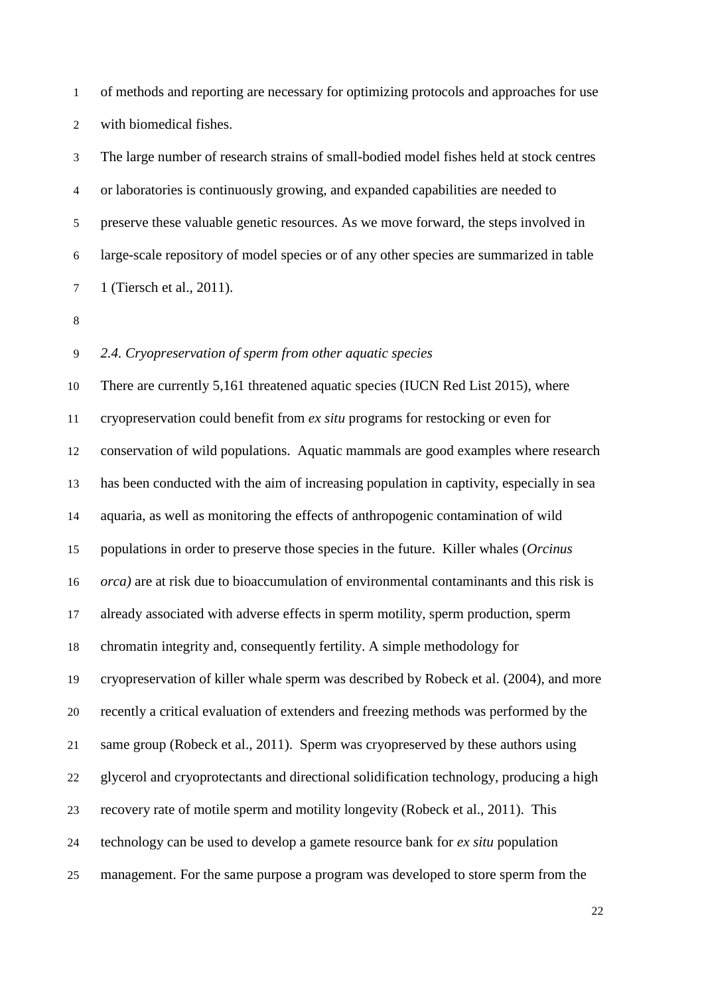of methods and reporting are necessary for optimizing protocols and approaches for use with biomedical fishes.

 The large number of research strains of small-bodied model fishes held at stock centres or laboratories is continuously growing, and expanded capabilities are needed to preserve these valuable genetic resources. As we move forward, the steps involved in large-scale repository of model species or of any other species are summarized in table 1 (Tiersch et al., 2011).

## *2.4. Cryopreservation of sperm from other aquatic species*

 There are currently 5,161 threatened aquatic species (IUCN Red List 2015), where cryopreservation could benefit from *ex situ* programs for restocking or even for conservation of wild populations. Aquatic mammals are good examples where research has been conducted with the aim of increasing population in captivity, especially in sea aquaria, as well as monitoring the effects of anthropogenic contamination of wild populations in order to preserve those species in the future. Killer whales (*Orcinus orca)* are at risk due to bioaccumulation of environmental contaminants and this risk is already associated with adverse effects in sperm motility, sperm production, sperm chromatin integrity and, consequently fertility. A simple methodology for cryopreservation of killer whale sperm was described by Robeck et al. (2004), and more recently a critical evaluation of extenders and freezing methods was performed by the same group (Robeck et al., 2011). Sperm was cryopreserved by these authors using glycerol and cryoprotectants and directional solidification technology, producing a high recovery rate of motile sperm and motility longevity (Robeck et al., 2011). This technology can be used to develop a gamete resource bank for *ex situ* population management. For the same purpose a program was developed to store sperm from the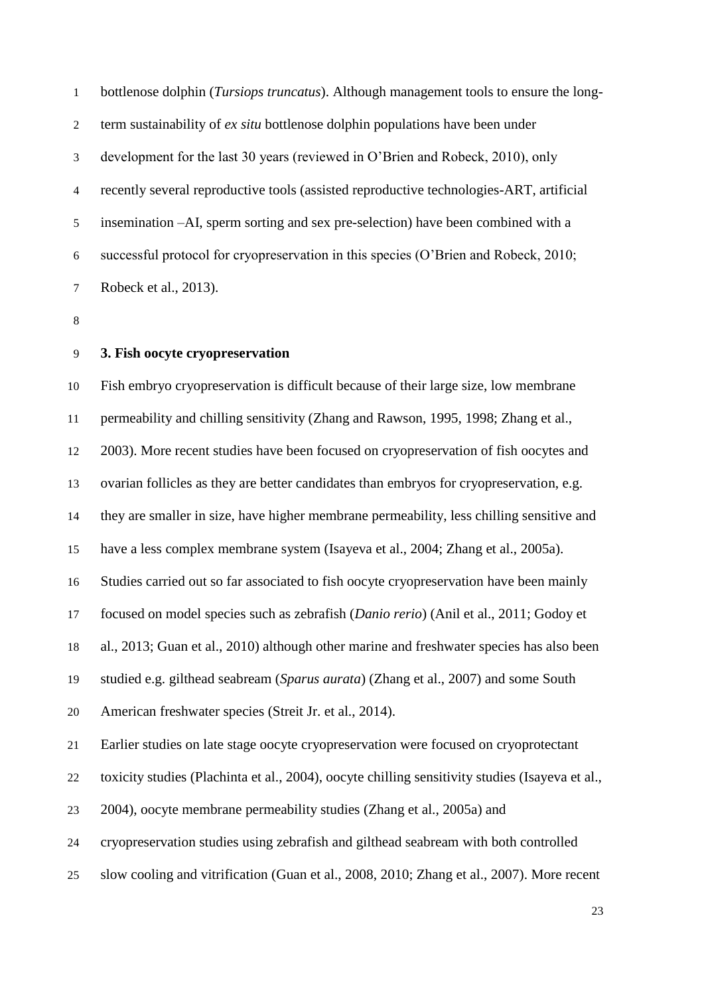bottlenose dolphin (*Tursiops truncatus*). Although management tools to ensure the long- term sustainability of *ex situ* bottlenose dolphin populations have been under development for the last 30 years (reviewed in O'Brien and Robeck, 2010), only recently several reproductive tools (assisted reproductive technologies-ART, artificial insemination –AI, sperm sorting and sex pre-selection) have been combined with a successful protocol for cryopreservation in this species (O'Brien and Robeck, 2010; Robeck et al., 2013).

### **3. Fish oocyte cryopreservation**

 Fish embryo cryopreservation is difficult because of their large size, low membrane permeability and chilling sensitivity (Zhang and Rawson, 1995, 1998; Zhang et al., 2003). More recent studies have been focused on cryopreservation of fish oocytes and ovarian follicles as they are better candidates than embryos for cryopreservation, e.g. they are smaller in size, have higher membrane permeability, less chilling sensitive and have a less complex membrane system (Isayeva et al., 2004; Zhang et al., 2005a). Studies carried out so far associated to fish oocyte cryopreservation have been mainly focused on model species such as zebrafish (*Danio rerio*) (Anil et al., 2011; Godoy et al., 2013; Guan et al., 2010) although other marine and freshwater species has also been studied e.g. gilthead seabream (*Sparus aurata*) (Zhang et al., 2007) and some South American freshwater species (Streit Jr. et al., 2014). Earlier studies on late stage oocyte cryopreservation were focused on cryoprotectant toxicity studies (Plachinta et al., 2004), oocyte chilling sensitivity studies (Isayeva et al., 2004), oocyte membrane permeability studies (Zhang et al., 2005a) and cryopreservation studies using zebrafish and gilthead seabream with both controlled

slow cooling and vitrification (Guan et al., 2008, 2010; Zhang et al., 2007). More recent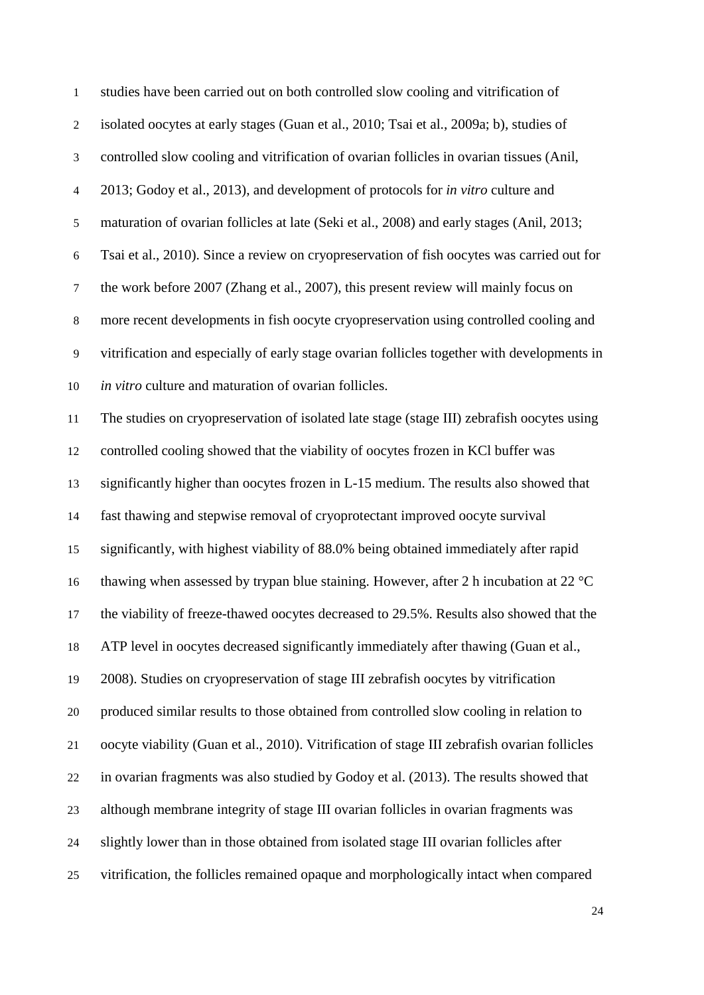| $\mathbf{1}$             | studies have been carried out on both controlled slow cooling and vitrification of              |
|--------------------------|-------------------------------------------------------------------------------------------------|
| $\overline{c}$           | isolated oocytes at early stages (Guan et al., 2010; Tsai et al., 2009a; b), studies of         |
| 3                        | controlled slow cooling and vitrification of ovarian follicles in ovarian tissues (Anil,        |
| $\overline{\mathcal{A}}$ | 2013; Godoy et al., 2013), and development of protocols for in vitro culture and                |
| 5                        | maturation of ovarian follicles at late (Seki et al., 2008) and early stages (Anil, 2013;       |
| $\sqrt{6}$               | Tsai et al., 2010). Since a review on cryopreservation of fish oocytes was carried out for      |
| $\boldsymbol{7}$         | the work before 2007 (Zhang et al., 2007), this present review will mainly focus on             |
| $8\,$                    | more recent developments in fish oocyte cryopreservation using controlled cooling and           |
| $\overline{9}$           | vitrification and especially of early stage ovarian follicles together with developments in     |
| 10                       | in vitro culture and maturation of ovarian follicles.                                           |
| 11                       | The studies on cryopreservation of isolated late stage (stage III) zebrafish oocytes using      |
| 12                       | controlled cooling showed that the viability of oocytes frozen in KCl buffer was                |
| 13                       | significantly higher than oocytes frozen in L-15 medium. The results also showed that           |
| 14                       | fast thawing and stepwise removal of cryoprotectant improved oocyte survival                    |
| 15                       | significantly, with highest viability of 88.0% being obtained immediately after rapid           |
| 16                       | thawing when assessed by trypan blue staining. However, after 2 h incubation at 22 $^{\circ}$ C |
| 17                       | the viability of freeze-thawed oocytes decreased to 29.5%. Results also showed that the         |
| 18                       | ATP level in oocytes decreased significantly immediately after thawing (Guan et al.,            |
| 19                       | 2008). Studies on cryopreservation of stage III zebrafish oocytes by vitrification              |
| 20                       | produced similar results to those obtained from controlled slow cooling in relation to          |
| 21                       | oocyte viability (Guan et al., 2010). Vitrification of stage III zebrafish ovarian follicles    |
| 22                       | in ovarian fragments was also studied by Godoy et al. (2013). The results showed that           |
| 23                       | although membrane integrity of stage III ovarian follicles in ovarian fragments was             |
| 24                       | slightly lower than in those obtained from isolated stage III ovarian follicles after           |
| 25                       | vitrification, the follicles remained opaque and morphologically intact when compared           |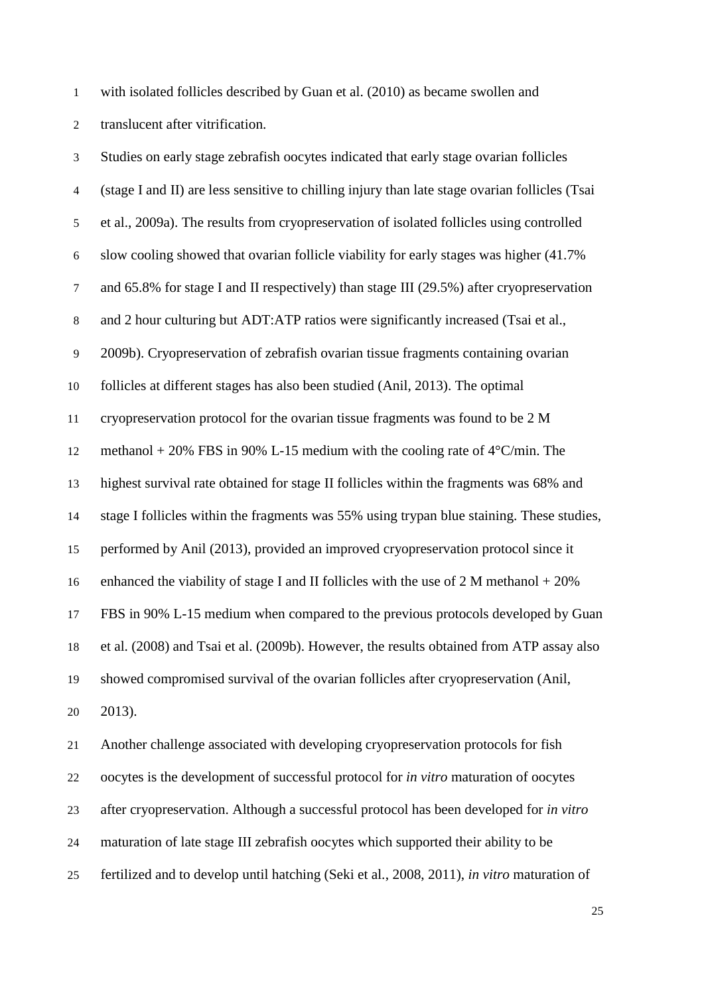with isolated follicles described by Guan et al. (2010) as became swollen and

translucent after vitrification.

 Studies on early stage zebrafish oocytes indicated that early stage ovarian follicles (stage I and II) are less sensitive to chilling injury than late stage ovarian follicles (Tsai et al., 2009a). The results from cryopreservation of isolated follicles using controlled slow cooling showed that ovarian follicle viability for early stages was higher (41.7% and 65.8% for stage I and II respectively) than stage III (29.5%) after cryopreservation and 2 hour culturing but ADT:ATP ratios were significantly increased (Tsai et al., 2009b). Cryopreservation of zebrafish ovarian tissue fragments containing ovarian follicles at different stages has also been studied (Anil, 2013). The optimal cryopreservation protocol for the ovarian tissue fragments was found to be 2 M methanol + 20% FBS in 90% L-15 medium with the cooling rate of 4°C/min. The highest survival rate obtained for stage II follicles within the fragments was 68% and stage I follicles within the fragments was 55% using trypan blue staining. These studies, performed by Anil (2013), provided an improved cryopreservation protocol since it 16 enhanced the viability of stage I and II follicles with the use of 2 M methanol  $+20\%$  FBS in 90% L-15 medium when compared to the previous protocols developed by Guan et al. (2008) and Tsai et al. (2009b). However, the results obtained from ATP assay also showed compromised survival of the ovarian follicles after cryopreservation (Anil, 2013).

 Another challenge associated with developing cryopreservation protocols for fish oocytes is the development of successful protocol for *in vitro* maturation of oocytes after cryopreservation. Although a successful protocol has been developed for *in vitro* maturation of late stage III zebrafish oocytes which supported their ability to be fertilized and to develop until hatching (Seki et al., 2008, 2011), *in vitro* maturation of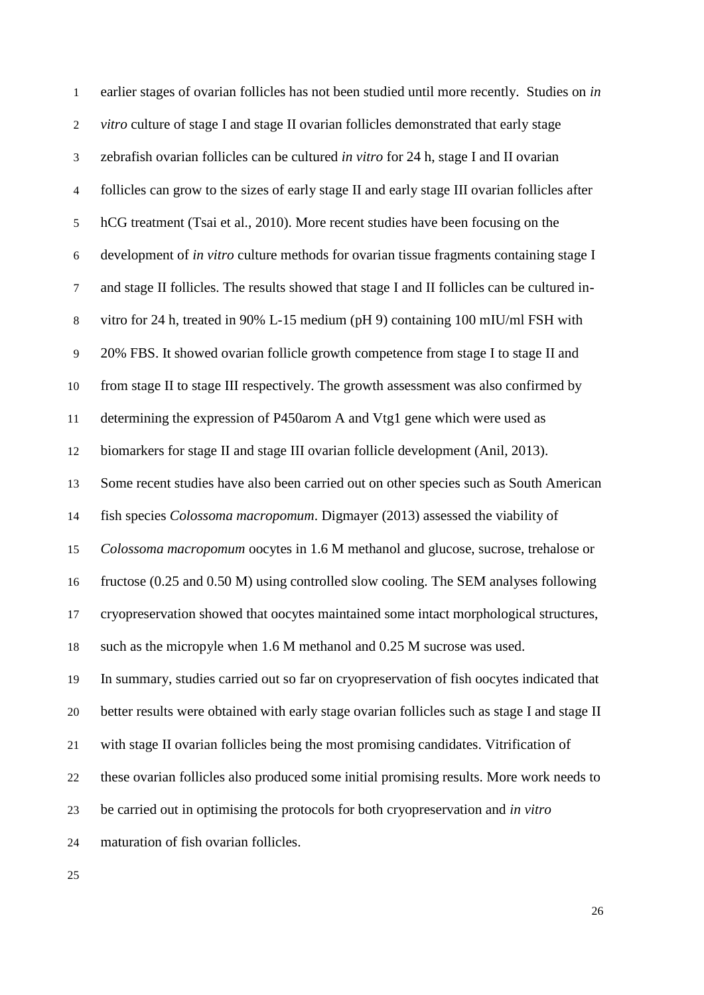| $\mathbf{1}$     | earlier stages of ovarian follicles has not been studied until more recently. Studies on in   |
|------------------|-----------------------------------------------------------------------------------------------|
| $\overline{c}$   | vitro culture of stage I and stage II ovarian follicles demonstrated that early stage         |
| $\mathfrak{Z}$   | zebrafish ovarian follicles can be cultured in vitro for 24 h, stage I and II ovarian         |
| $\overline{4}$   | follicles can grow to the sizes of early stage II and early stage III ovarian follicles after |
| $\sqrt{5}$       | hCG treatment (Tsai et al., 2010). More recent studies have been focusing on the              |
| $\sqrt{6}$       | development of in vitro culture methods for ovarian tissue fragments containing stage I       |
| $\boldsymbol{7}$ | and stage II follicles. The results showed that stage I and II follicles can be cultured in-  |
| $8\,$            | vitro for 24 h, treated in 90% L-15 medium (pH 9) containing 100 mIU/ml FSH with              |
| $\overline{9}$   | 20% FBS. It showed ovarian follicle growth competence from stage I to stage II and            |
| 10               | from stage II to stage III respectively. The growth assessment was also confirmed by          |
| 11               | determining the expression of P450arom A and Vtg1 gene which were used as                     |
| 12               | biomarkers for stage II and stage III ovarian follicle development (Anil, 2013).              |
| 13               | Some recent studies have also been carried out on other species such as South American        |
| 14               | fish species <i>Colossoma macropomum</i> . Digmayer (2013) assessed the viability of          |
| 15               | Colossoma macropomum oocytes in 1.6 M methanol and glucose, sucrose, trehalose or             |
| 16               | fructose (0.25 and 0.50 M) using controlled slow cooling. The SEM analyses following          |
| 17               | cryopreservation showed that oocytes maintained some intact morphological structures,         |
| 18               | such as the micropyle when 1.6 M methanol and 0.25 M sucrose was used.                        |
| 19               | In summary, studies carried out so far on cryopreservation of fish oocytes indicated that     |
| 20               | better results were obtained with early stage ovarian follicles such as stage I and stage II  |
| 21               | with stage II ovarian follicles being the most promising candidates. Vitrification of         |
| 22               | these ovarian follicles also produced some initial promising results. More work needs to      |
| 23               | be carried out in optimising the protocols for both cryopreservation and in vitro             |
| 24               | maturation of fish ovarian follicles.                                                         |
|                  |                                                                                               |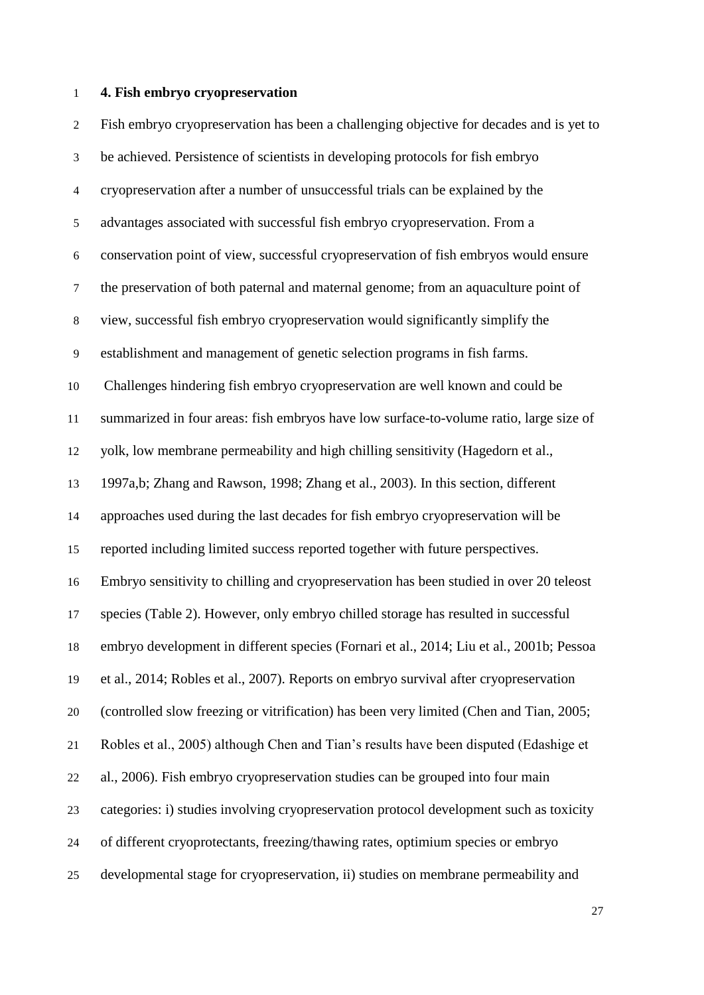#### **4. Fish embryo cryopreservation**

 Fish embryo cryopreservation has been a challenging objective for decades and is yet to be achieved. Persistence of scientists in developing protocols for fish embryo cryopreservation after a number of unsuccessful trials can be explained by the advantages associated with successful fish embryo cryopreservation. From a conservation point of view, successful cryopreservation of fish embryos would ensure the preservation of both paternal and maternal genome; from an aquaculture point of view, successful fish embryo cryopreservation would significantly simplify the establishment and management of genetic selection programs in fish farms. Challenges hindering fish embryo cryopreservation are well known and could be summarized in four areas: fish embryos have low surface-to-volume ratio, large size of yolk, low membrane permeability and high chilling sensitivity (Hagedorn et al., 1997a,b; Zhang and Rawson, 1998; Zhang et al., 2003). In this section, different approaches used during the last decades for fish embryo cryopreservation will be reported including limited success reported together with future perspectives. Embryo sensitivity to chilling and cryopreservation has been studied in over 20 teleost species (Table 2). However, only embryo chilled storage has resulted in successful embryo development in different species (Fornari et al., 2014; Liu et al., 2001b; Pessoa et al., 2014; Robles et al., 2007). Reports on embryo survival after cryopreservation (controlled slow freezing or vitrification) has been very limited (Chen and Tian, 2005; Robles et al., 2005) although Chen and Tian's results have been disputed (Edashige et al., 2006). Fish embryo cryopreservation studies can be grouped into four main categories: i) studies involving cryopreservation protocol development such as toxicity of different cryoprotectants, freezing/thawing rates, optimium species or embryo developmental stage for cryopreservation, ii) studies on membrane permeability and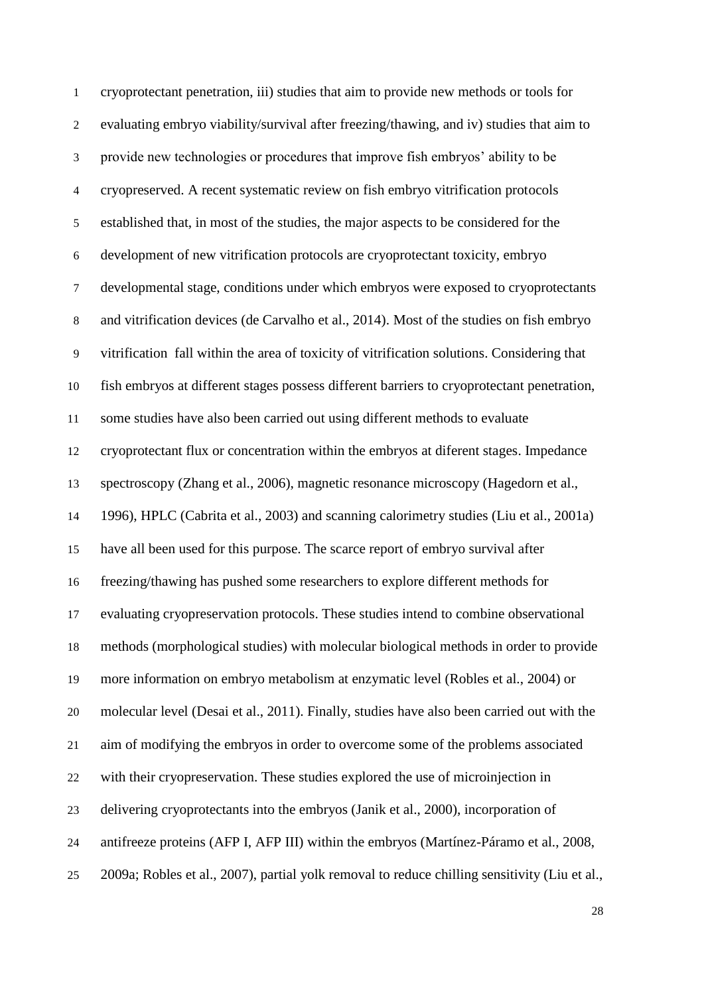cryoprotectant penetration, iii) studies that aim to provide new methods or tools for evaluating embryo viability/survival after freezing/thawing, and iv) studies that aim to provide new technologies or procedures that improve fish embryos' ability to be cryopreserved. A recent systematic review on fish embryo vitrification protocols established that, in most of the studies, the major aspects to be considered for the development of new vitrification protocols are cryoprotectant toxicity, embryo developmental stage, conditions under which embryos were exposed to cryoprotectants and vitrification devices (de Carvalho et al., 2014). Most of the studies on fish embryo vitrification fall within the area of toxicity of vitrification solutions. Considering that fish embryos at different stages possess different barriers to cryoprotectant penetration, some studies have also been carried out using different methods to evaluate cryoprotectant flux or concentration within the embryos at diferent stages. Impedance spectroscopy (Zhang et al., 2006), magnetic resonance microscopy (Hagedorn et al., 1996), HPLC (Cabrita et al., 2003) and scanning calorimetry studies (Liu et al., 2001a) have all been used for this purpose. The scarce report of embryo survival after freezing/thawing has pushed some researchers to explore different methods for evaluating cryopreservation protocols. These studies intend to combine observational methods (morphological studies) with molecular biological methods in order to provide more information on embryo metabolism at enzymatic level (Robles et al., 2004) or molecular level (Desai et al., 2011). Finally, studies have also been carried out with the aim of modifying the embryos in order to overcome some of the problems associated with their cryopreservation. These studies explored the use of microinjection in delivering cryoprotectants into the embryos (Janik et al., 2000), incorporation of antifreeze proteins (AFP I, AFP III) within the embryos (Martínez-Páramo et al., 2008, 2009a; Robles et al., 2007), partial yolk removal to reduce chilling sensitivity (Liu et al.,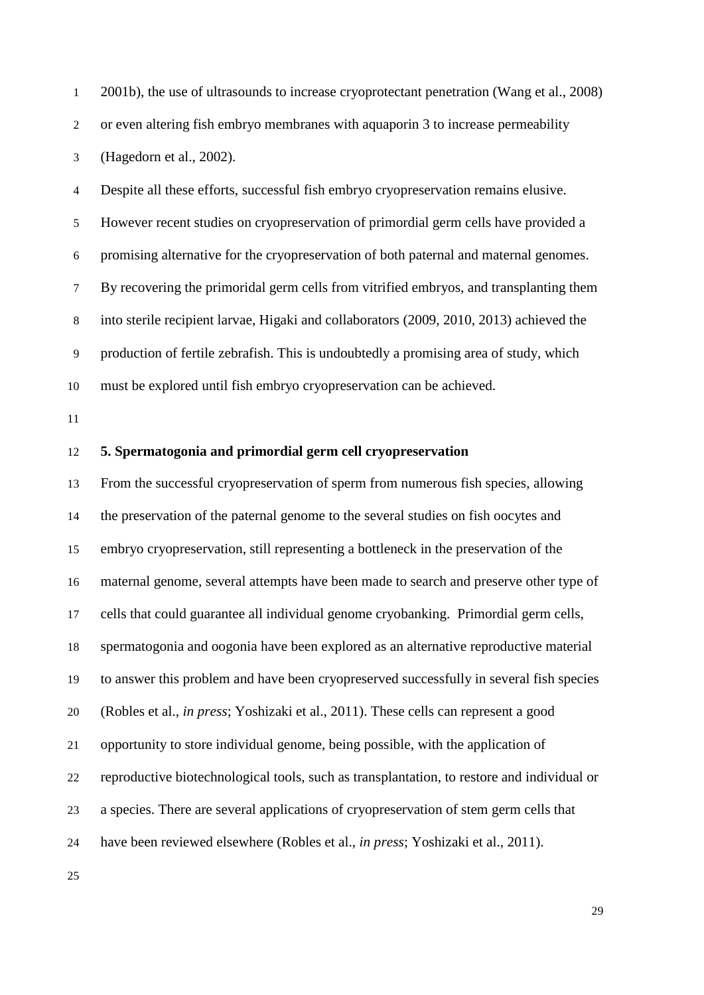2001b), the use of ultrasounds to increase cryoprotectant penetration (Wang et al., 2008) or even altering fish embryo membranes with aquaporin 3 to increase permeability (Hagedorn et al., 2002).

 Despite all these efforts, successful fish embryo cryopreservation remains elusive. However recent studies on cryopreservation of primordial germ cells have provided a promising alternative for the cryopreservation of both paternal and maternal genomes. By recovering the primoridal germ cells from vitrified embryos, and transplanting them into sterile recipient larvae, Higaki and collaborators (2009, 2010, 2013) achieved the production of fertile zebrafish. This is undoubtedly a promising area of study, which must be explored until fish embryo cryopreservation can be achieved.

### **5. Spermatogonia and primordial germ cell cryopreservation**

 From the successful cryopreservation of sperm from numerous fish species, allowing the preservation of the paternal genome to the several studies on fish oocytes and embryo cryopreservation, still representing a bottleneck in the preservation of the maternal genome, several attempts have been made to search and preserve other type of cells that could guarantee all individual genome cryobanking. Primordial germ cells, spermatogonia and oogonia have been explored as an alternative reproductive material to answer this problem and have been cryopreserved successfully in several fish species (Robles et al., *in press*; Yoshizaki et al., 2011). These cells can represent a good opportunity to store individual genome, being possible, with the application of reproductive biotechnological tools, such as transplantation, to restore and individual or a species. There are several applications of cryopreservation of stem germ cells that have been reviewed elsewhere (Robles et al., *in press*; Yoshizaki et al., 2011).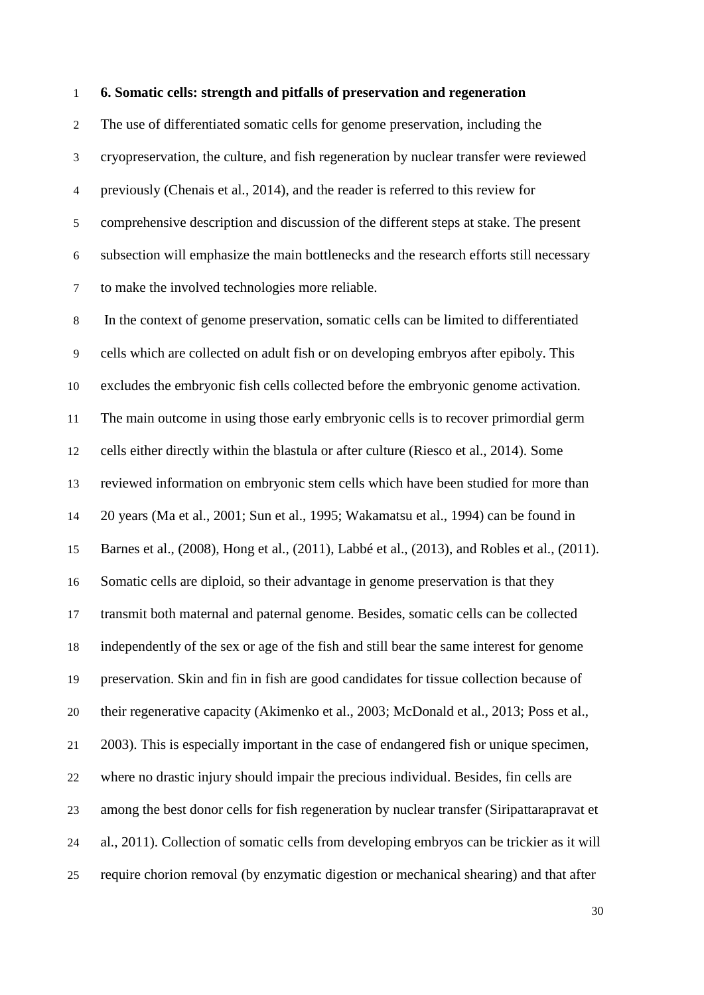#### **6. Somatic cells: strength and pitfalls of preservation and regeneration**

 The use of differentiated somatic cells for genome preservation, including the cryopreservation, the culture, and fish regeneration by nuclear transfer were reviewed previously (Chenais et al., 2014), and the reader is referred to this review for comprehensive description and discussion of the different steps at stake. The present subsection will emphasize the main bottlenecks and the research efforts still necessary to make the involved technologies more reliable.

 In the context of genome preservation, somatic cells can be limited to differentiated cells which are collected on adult fish or on developing embryos after epiboly. This excludes the embryonic fish cells collected before the embryonic genome activation. The main outcome in using those early embryonic cells is to recover primordial germ cells either directly within the blastula or after culture (Riesco et al., 2014). Some reviewed information on embryonic stem cells which have been studied for more than 20 years (Ma et al., 2001; Sun et al., 1995; Wakamatsu et al., 1994) can be found in Barnes et al., (2008), Hong et al., (2011), Labbé et al., (2013), and Robles et al., (2011). Somatic cells are diploid, so their advantage in genome preservation is that they transmit both maternal and paternal genome. Besides, somatic cells can be collected independently of the sex or age of the fish and still bear the same interest for genome preservation. Skin and fin in fish are good candidates for tissue collection because of their regenerative capacity (Akimenko et al., 2003; McDonald et al., 2013; Poss et al., 2003). This is especially important in the case of endangered fish or unique specimen, where no drastic injury should impair the precious individual. Besides, fin cells are among the best donor cells for fish regeneration by nuclear transfer (Siripattarapravat et al., 2011). Collection of somatic cells from developing embryos can be trickier as it will require chorion removal (by enzymatic digestion or mechanical shearing) and that after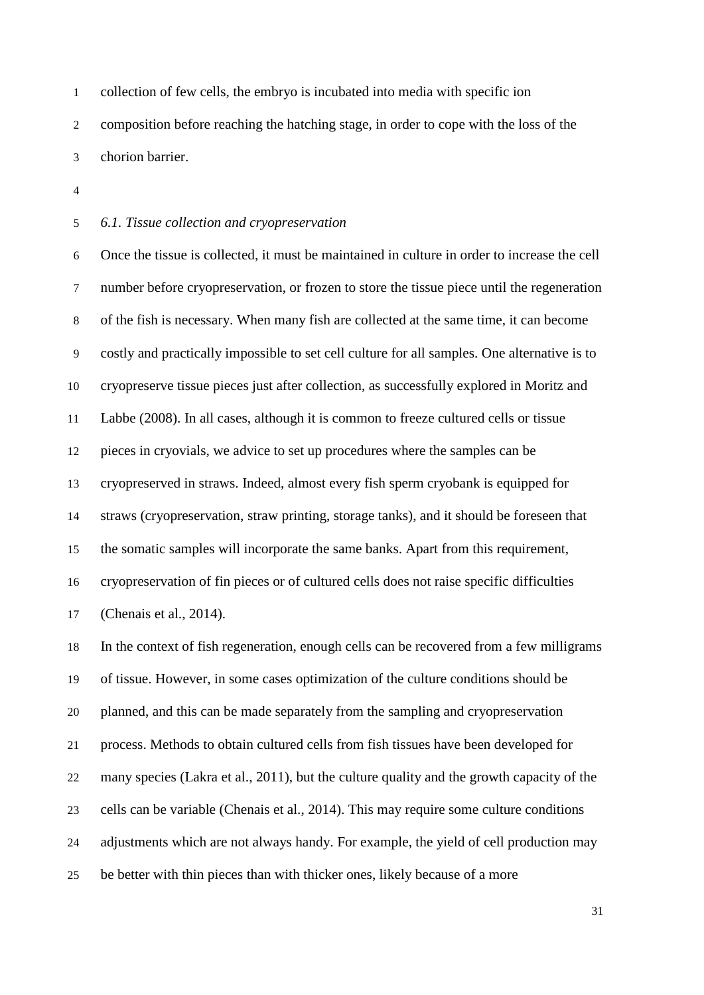collection of few cells, the embryo is incubated into media with specific ion composition before reaching the hatching stage, in order to cope with the loss of the chorion barrier.

*6.1. Tissue collection and cryopreservation*

 Once the tissue is collected, it must be maintained in culture in order to increase the cell number before cryopreservation, or frozen to store the tissue piece until the regeneration of the fish is necessary. When many fish are collected at the same time, it can become costly and practically impossible to set cell culture for all samples. One alternative is to cryopreserve tissue pieces just after collection, as successfully explored in Moritz and Labbe (2008). In all cases, although it is common to freeze cultured cells or tissue pieces in cryovials, we advice to set up procedures where the samples can be cryopreserved in straws. Indeed, almost every fish sperm cryobank is equipped for straws (cryopreservation, straw printing, storage tanks), and it should be foreseen that the somatic samples will incorporate the same banks. Apart from this requirement, cryopreservation of fin pieces or of cultured cells does not raise specific difficulties (Chenais et al., 2014).

 In the context of fish regeneration, enough cells can be recovered from a few milligrams of tissue. However, in some cases optimization of the culture conditions should be planned, and this can be made separately from the sampling and cryopreservation process. Methods to obtain cultured cells from fish tissues have been developed for many species (Lakra et al., 2011), but the culture quality and the growth capacity of the cells can be variable (Chenais et al., 2014). This may require some culture conditions adjustments which are not always handy. For example, the yield of cell production may be better with thin pieces than with thicker ones, likely because of a more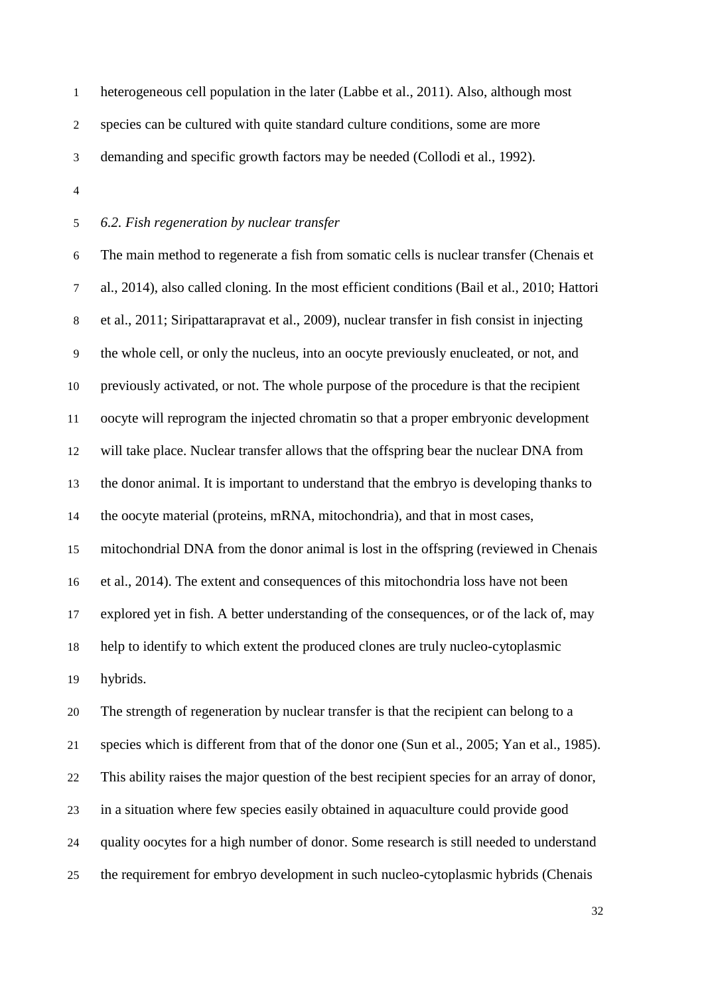heterogeneous cell population in the later (Labbe et al., 2011). Also, although most species can be cultured with quite standard culture conditions, some are more demanding and specific growth factors may be needed (Collodi et al., 1992).

### *6.2. Fish regeneration by nuclear transfer*

 The main method to regenerate a fish from somatic cells is nuclear transfer (Chenais et al., 2014), also called cloning. In the most efficient conditions (Bail et al., 2010; Hattori et al., 2011; Siripattarapravat et al., 2009), nuclear transfer in fish consist in injecting the whole cell, or only the nucleus, into an oocyte previously enucleated, or not, and previously activated, or not. The whole purpose of the procedure is that the recipient oocyte will reprogram the injected chromatin so that a proper embryonic development will take place. Nuclear transfer allows that the offspring bear the nuclear DNA from the donor animal. It is important to understand that the embryo is developing thanks to the oocyte material (proteins, mRNA, mitochondria), and that in most cases, mitochondrial DNA from the donor animal is lost in the offspring (reviewed in Chenais et al., 2014). The extent and consequences of this mitochondria loss have not been explored yet in fish. A better understanding of the consequences, or of the lack of, may help to identify to which extent the produced clones are truly nucleo-cytoplasmic hybrids.

 The strength of regeneration by nuclear transfer is that the recipient can belong to a species which is different from that of the donor one (Sun et al., 2005; Yan et al., 1985). This ability raises the major question of the best recipient species for an array of donor, in a situation where few species easily obtained in aquaculture could provide good quality oocytes for a high number of donor. Some research is still needed to understand the requirement for embryo development in such nucleo-cytoplasmic hybrids (Chenais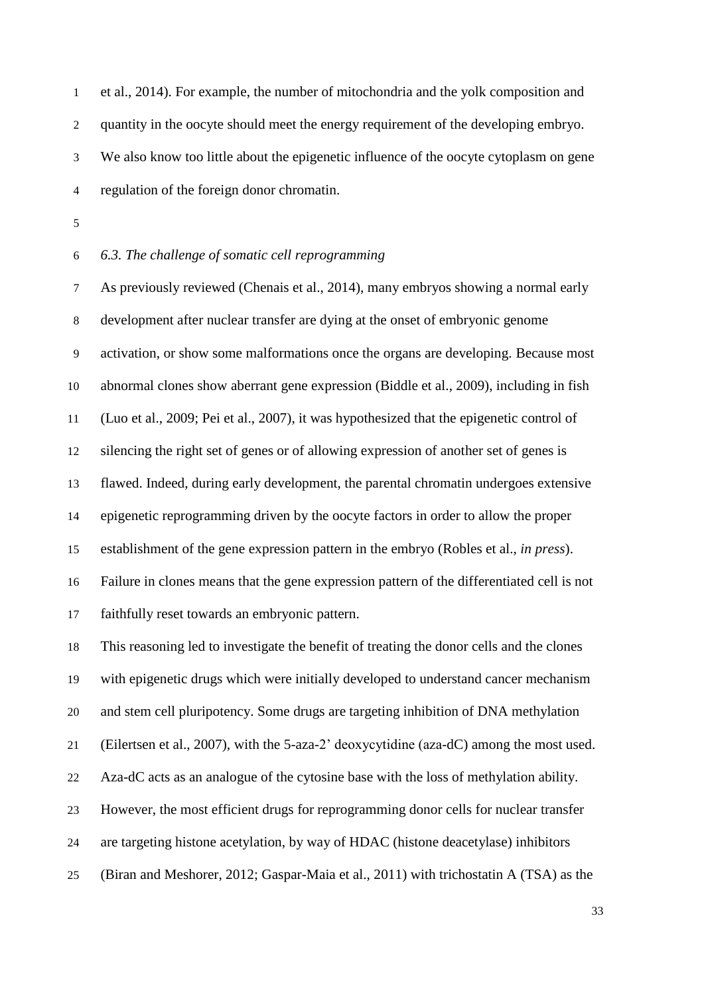et al., 2014). For example, the number of mitochondria and the yolk composition and quantity in the oocyte should meet the energy requirement of the developing embryo. We also know too little about the epigenetic influence of the oocyte cytoplasm on gene regulation of the foreign donor chromatin.

# *6.3. The challenge of somatic cell reprogramming*

 As previously reviewed (Chenais et al., 2014), many embryos showing a normal early development after nuclear transfer are dying at the onset of embryonic genome activation, or show some malformations once the organs are developing. Because most abnormal clones show aberrant gene expression (Biddle et al., 2009), including in fish (Luo et al., 2009; Pei et al., 2007), it was hypothesized that the epigenetic control of silencing the right set of genes or of allowing expression of another set of genes is flawed. Indeed, during early development, the parental chromatin undergoes extensive epigenetic reprogramming driven by the oocyte factors in order to allow the proper establishment of the gene expression pattern in the embryo (Robles et al., *in press*). Failure in clones means that the gene expression pattern of the differentiated cell is not faithfully reset towards an embryonic pattern.

 This reasoning led to investigate the benefit of treating the donor cells and the clones with epigenetic drugs which were initially developed to understand cancer mechanism and stem cell pluripotency. Some drugs are targeting inhibition of DNA methylation (Eilertsen et al., 2007), with the 5-aza-2' deoxycytidine (aza-dC) among the most used. Aza-dC acts as an analogue of the cytosine base with the loss of methylation ability. However, the most efficient drugs for reprogramming donor cells for nuclear transfer are targeting histone acetylation, by way of HDAC (histone deacetylase) inhibitors (Biran and Meshorer, 2012; Gaspar-Maia et al., 2011) with trichostatin A (TSA) as the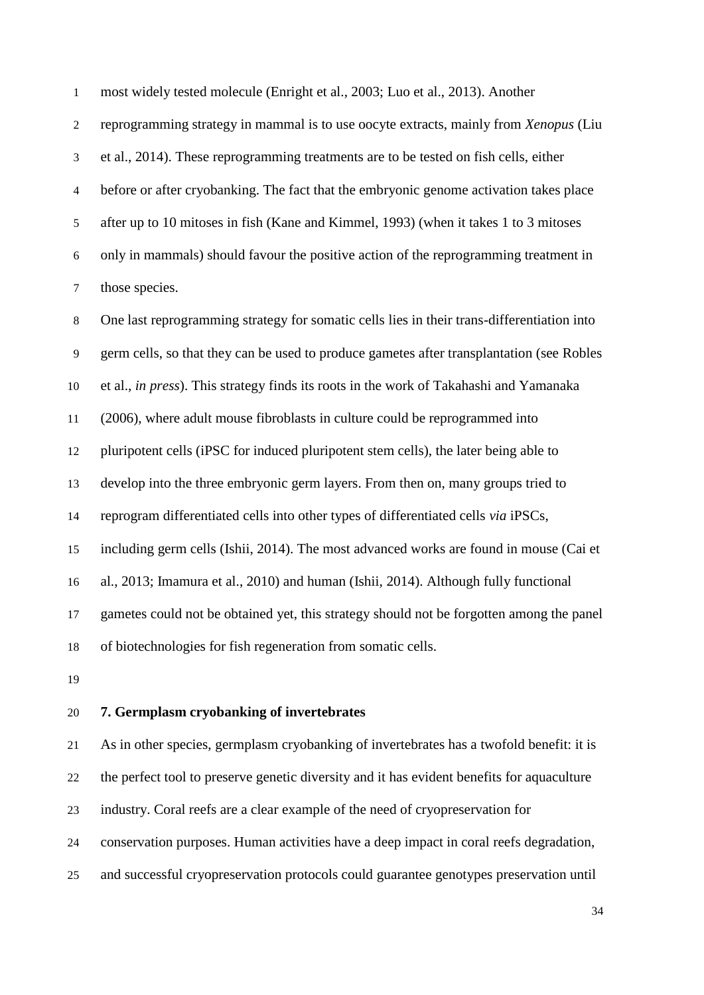most widely tested molecule (Enright et al., 2003; Luo et al., 2013). Another

 reprogramming strategy in mammal is to use oocyte extracts, mainly from *Xenopus* (Liu et al., 2014). These reprogramming treatments are to be tested on fish cells, either before or after cryobanking. The fact that the embryonic genome activation takes place after up to 10 mitoses in fish (Kane and Kimmel, 1993) (when it takes 1 to 3 mitoses only in mammals) should favour the positive action of the reprogramming treatment in those species.

 One last reprogramming strategy for somatic cells lies in their trans-differentiation into germ cells, so that they can be used to produce gametes after transplantation (see Robles et al., *in press*). This strategy finds its roots in the work of Takahashi and Yamanaka (2006), where adult mouse fibroblasts in culture could be reprogrammed into pluripotent cells (iPSC for induced pluripotent stem cells), the later being able to develop into the three embryonic germ layers. From then on, many groups tried to reprogram differentiated cells into other types of differentiated cells *via* iPSCs, including germ cells (Ishii, 2014). The most advanced works are found in mouse (Cai et al., 2013; Imamura et al., 2010) and human (Ishii, 2014). Although fully functional gametes could not be obtained yet, this strategy should not be forgotten among the panel of biotechnologies for fish regeneration from somatic cells.

# **7. Germplasm cryobanking of invertebrates**

 As in other species, germplasm cryobanking of invertebrates has a twofold benefit: it is the perfect tool to preserve genetic diversity and it has evident benefits for aquaculture industry. Coral reefs are a clear example of the need of cryopreservation for conservation purposes. Human activities have a deep impact in coral reefs degradation, and successful cryopreservation protocols could guarantee genotypes preservation until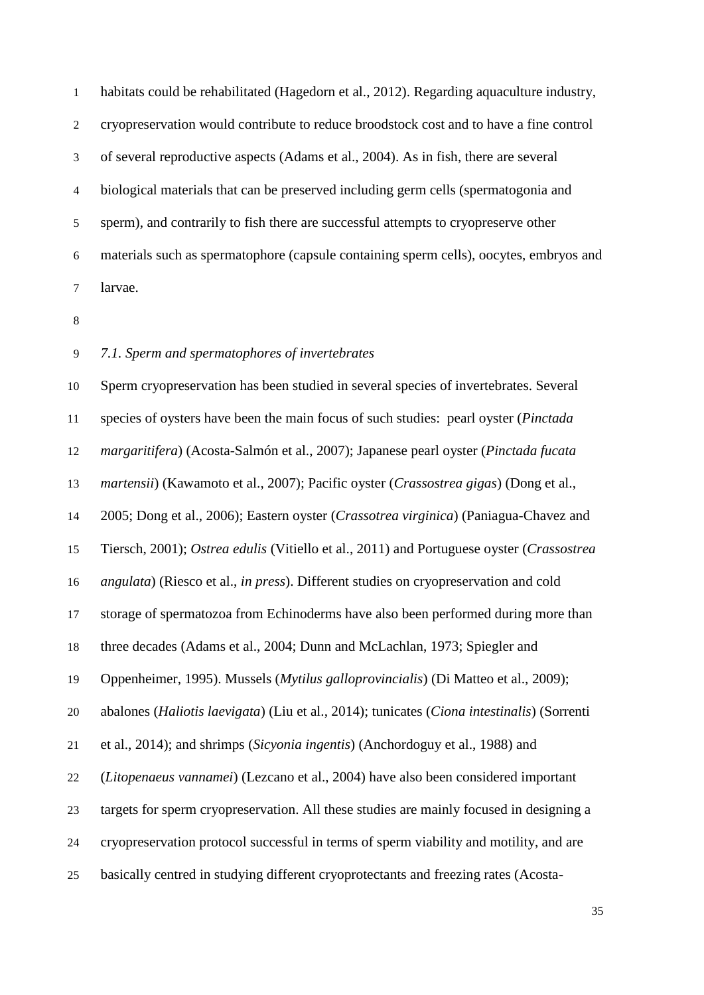habitats could be rehabilitated (Hagedorn et al., 2012). Regarding aquaculture industry, cryopreservation would contribute to reduce broodstock cost and to have a fine control of several reproductive aspects (Adams et al., 2004). As in fish, there are several biological materials that can be preserved including germ cells (spermatogonia and sperm), and contrarily to fish there are successful attempts to cryopreserve other materials such as spermatophore (capsule containing sperm cells), oocytes, embryos and larvae.

### *7.1. Sperm and spermatophores of invertebrates*

 Sperm cryopreservation has been studied in several species of invertebrates. Several species of oysters have been the main focus of such studies: pearl oyster (*Pinctada margaritifera*) (Acosta-Salmón et al., 2007); Japanese pearl oyster (*Pinctada fucata martensii*) (Kawamoto et al., 2007); Pacific oyster (*Crassostrea gigas*) (Dong et al., 2005; Dong et al., 2006); Eastern oyster (*Crassotrea virginica*) (Paniagua-Chavez and Tiersch, 2001); *Ostrea edulis* (Vitiello et al., 2011) and Portuguese oyster (*Crassostrea angulata*) (Riesco et al., *in press*). Different studies on cryopreservation and cold storage of spermatozoa from Echinoderms have also been performed during more than three decades (Adams et al., 2004; Dunn and McLachlan, 1973; Spiegler and Oppenheimer, 1995). Mussels (*Mytilus galloprovincialis*) (Di Matteo et al., 2009); abalones (*Haliotis laevigata*) (Liu et al., 2014); tunicates (*Ciona intestinalis*) (Sorrenti et al., 2014); and shrimps (*Sicyonia ingentis*) (Anchordoguy et al., 1988) and (*Litopenaeus vannamei*) (Lezcano et al., 2004) have also been considered important targets for sperm cryopreservation. All these studies are mainly focused in designing a cryopreservation protocol successful in terms of sperm viability and motility, and are basically centred in studying different cryoprotectants and freezing rates (Acosta-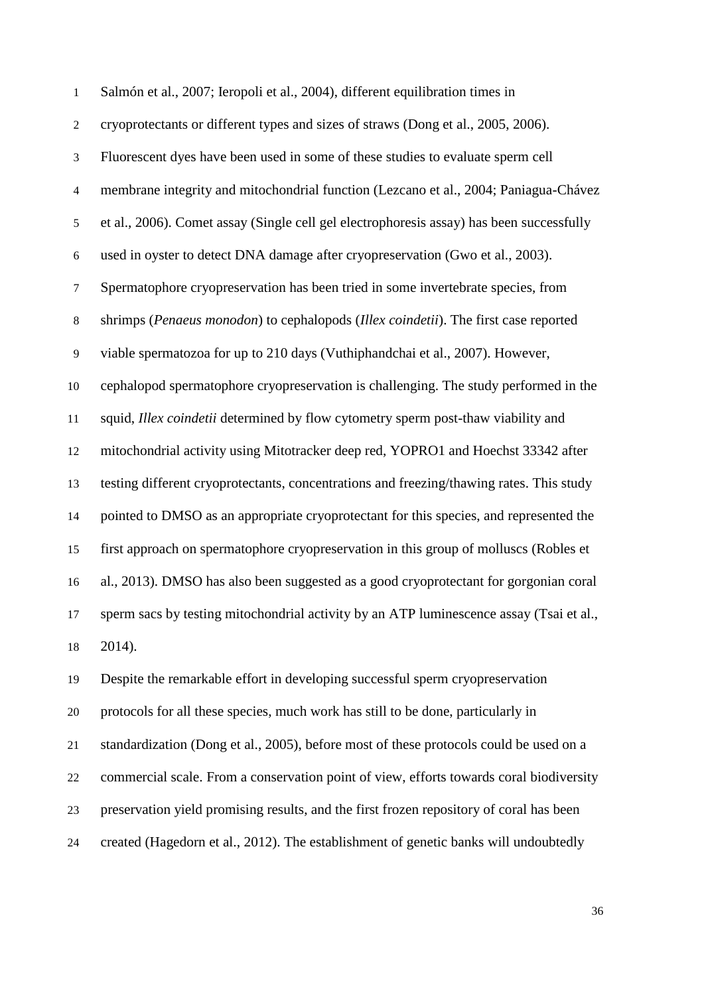| $\mathbf{1}$             | Salmón et al., 2007; Ieropoli et al., 2004), different equilibration times in            |
|--------------------------|------------------------------------------------------------------------------------------|
| $\boldsymbol{2}$         | cryoprotectants or different types and sizes of straws (Dong et al., 2005, 2006).        |
| 3                        | Fluorescent dyes have been used in some of these studies to evaluate sperm cell          |
| $\overline{\mathcal{L}}$ | membrane integrity and mitochondrial function (Lezcano et al., 2004; Paniagua-Chávez     |
| $\mathfrak s$            | et al., 2006). Comet assay (Single cell gel electrophoresis assay) has been successfully |
| $\boldsymbol{6}$         | used in oyster to detect DNA damage after cryopreservation (Gwo et al., 2003).           |
| $\boldsymbol{7}$         | Spermatophore cryopreservation has been tried in some invertebrate species, from         |
| $8\,$                    | shrimps (Penaeus monodon) to cephalopods (Illex coindetii). The first case reported      |
| 9                        | viable spermatozoa for up to 210 days (Vuthiphandchai et al., 2007). However,            |
| 10                       | cephalopod spermatophore cryopreservation is challenging. The study performed in the     |
| 11                       | squid, Illex coindetii determined by flow cytometry sperm post-thaw viability and        |
| 12                       | mitochondrial activity using Mitotracker deep red, YOPRO1 and Hoechst 33342 after        |
| 13                       | testing different cryoprotectants, concentrations and freezing/thawing rates. This study |
| 14                       | pointed to DMSO as an appropriate cryoprotectant for this species, and represented the   |
| 15                       | first approach on spermatophore cryopreservation in this group of molluscs (Robles et    |
| 16                       | al., 2013). DMSO has also been suggested as a good cryoprotectant for gorgonian coral    |
| 17                       | sperm sacs by testing mitochondrial activity by an ATP luminescence assay (Tsai et al.,  |
| 18                       | 2014).                                                                                   |
| 19                       | Despite the remarkable effort in developing successful sperm cryopreservation            |
| $20\,$                   | protocols for all these species, much work has still to be done, particularly in         |
| 21                       | standardization (Dong et al., 2005), before most of these protocols could be used on a   |
| $22\,$                   | commercial scale. From a conservation point of view, efforts towards coral biodiversity  |
| 23                       | preservation yield promising results, and the first frozen repository of coral has been  |
| 24                       | created (Hagedorn et al., 2012). The establishment of genetic banks will undoubtedly     |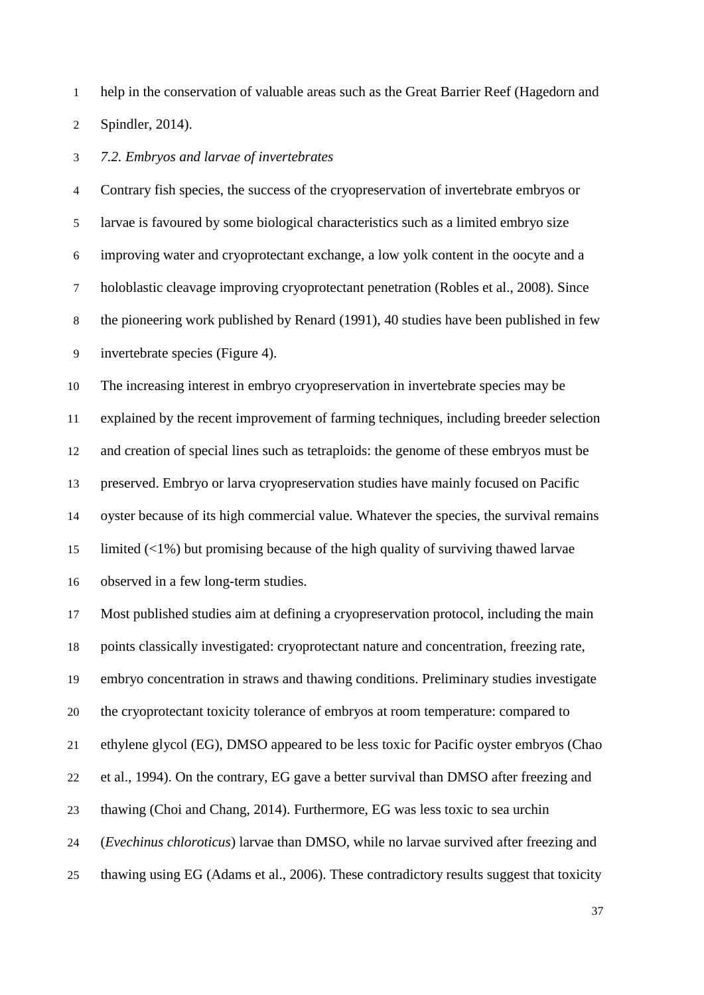help in the conservation of valuable areas such as the Great Barrier Reef (Hagedorn and

Spindler, 2014).

*7.2. Embryos and larvae of invertebrates*

 Contrary fish species, the success of the cryopreservation of invertebrate embryos or larvae is favoured by some biological characteristics such as a limited embryo size improving water and cryoprotectant exchange, a low yolk content in the oocyte and a holoblastic cleavage improving cryoprotectant penetration (Robles et al., 2008). Since the pioneering work published by Renard (1991), 40 studies have been published in few invertebrate species (Figure 4).

 The increasing interest in embryo cryopreservation in invertebrate species may be explained by the recent improvement of farming techniques, including breeder selection and creation of special lines such as tetraploids: the genome of these embryos must be preserved. Embryo or larva cryopreservation studies have mainly focused on Pacific oyster because of its high commercial value. Whatever the species, the survival remains limited (<1%) but promising because of the high quality of surviving thawed larvae observed in a few long-term studies.

 Most published studies aim at defining a cryopreservation protocol, including the main points classically investigated: cryoprotectant nature and concentration, freezing rate, embryo concentration in straws and thawing conditions. Preliminary studies investigate the cryoprotectant toxicity tolerance of embryos at room temperature: compared to ethylene glycol (EG), DMSO appeared to be less toxic for Pacific oyster embryos (Chao et al., 1994). On the contrary, EG gave a better survival than DMSO after freezing and thawing (Choi and Chang, 2014). Furthermore, EG was less toxic to sea urchin (*Evechinus chloroticus*) larvae than DMSO, while no larvae survived after freezing and thawing using EG (Adams et al., 2006). These contradictory results suggest that toxicity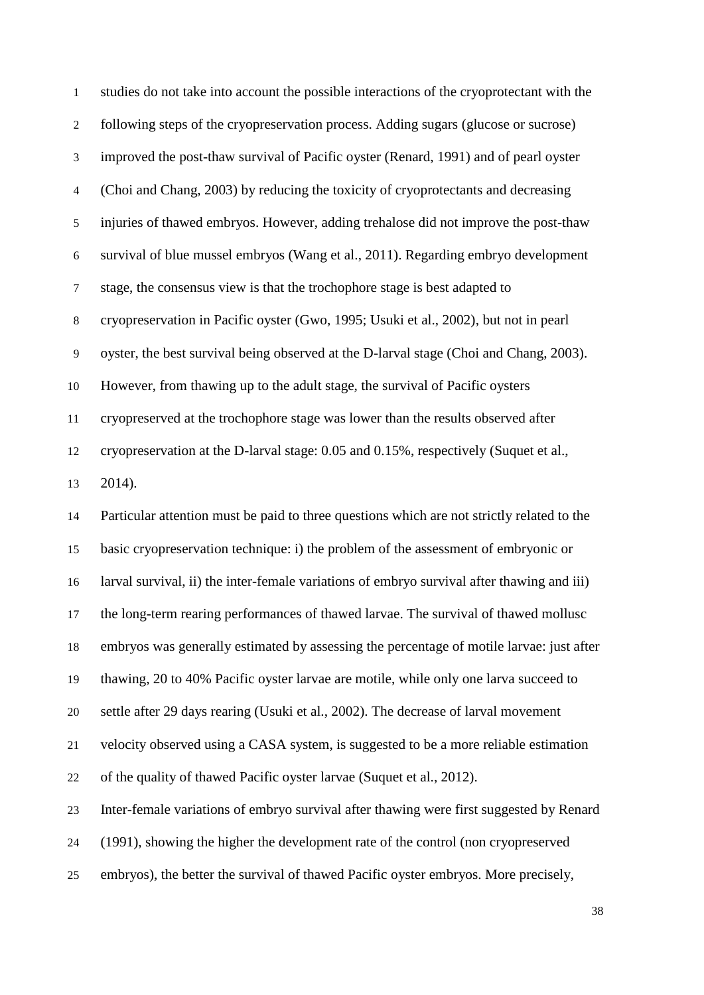| $\mathbf{1}$   | studies do not take into account the possible interactions of the cryoprotectant with the  |
|----------------|--------------------------------------------------------------------------------------------|
| $\overline{c}$ | following steps of the cryopreservation process. Adding sugars (glucose or sucrose)        |
| 3              | improved the post-thaw survival of Pacific oyster (Renard, 1991) and of pearl oyster       |
| $\overline{4}$ | (Choi and Chang, 2003) by reducing the toxicity of cryoprotectants and decreasing          |
| $\mathfrak s$  | injuries of thawed embryos. However, adding trehalose did not improve the post-thaw        |
| $\sqrt{6}$     | survival of blue mussel embryos (Wang et al., 2011). Regarding embryo development          |
| $\tau$         | stage, the consensus view is that the trochophore stage is best adapted to                 |
| $\,8\,$        | cryopreservation in Pacific oyster (Gwo, 1995; Usuki et al., 2002), but not in pearl       |
| $\overline{9}$ | oyster, the best survival being observed at the D-larval stage (Choi and Chang, 2003).     |
| 10             | However, from thawing up to the adult stage, the survival of Pacific oysters               |
| 11             | cryopreserved at the trochophore stage was lower than the results observed after           |
| 12             | cryopreservation at the D-larval stage: 0.05 and 0.15%, respectively (Suquet et al.,       |
| 13             | 2014).                                                                                     |
| 14             | Particular attention must be paid to three questions which are not strictly related to the |
| 15             | basic cryopreservation technique: i) the problem of the assessment of embryonic or         |
| 16             | larval survival, ii) the inter-female variations of embryo survival after thawing and iii) |
| 17             | the long-term rearing performances of thawed larvae. The survival of thawed mollusc        |
| 18             | embryos was generally estimated by assessing the percentage of motile larvae: just after   |
| 19             | thawing, 20 to 40% Pacific oyster larvae are motile, while only one larva succeed to       |
| 20             | settle after 29 days rearing (Usuki et al., 2002). The decrease of larval movement         |
| 21             | velocity observed using a CASA system, is suggested to be a more reliable estimation       |
| 22             | of the quality of thawed Pacific oyster larvae (Suquet et al., 2012).                      |
| 23             | Inter-female variations of embryo survival after thawing were first suggested by Renard    |
| 24             | (1991), showing the higher the development rate of the control (non cryopreserved          |
| 25             | embryos), the better the survival of thawed Pacific oyster embryos. More precisely,        |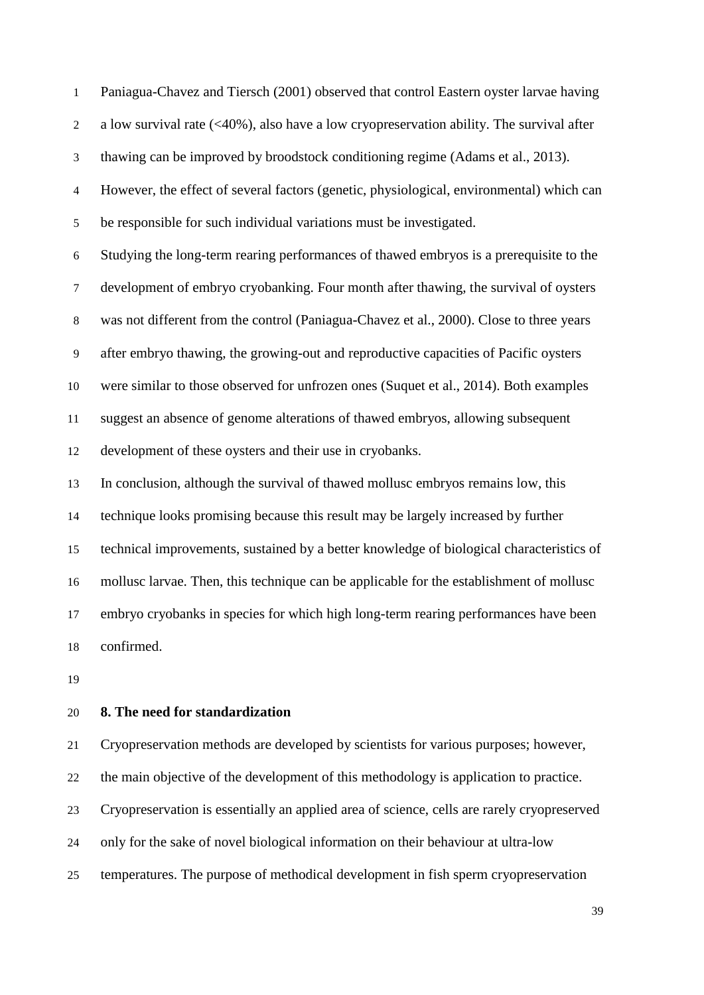Paniagua-Chavez and Tiersch (2001) observed that control Eastern oyster larvae having a low survival rate (<40%), also have a low cryopreservation ability. The survival after thawing can be improved by broodstock conditioning regime (Adams et al., 2013). However, the effect of several factors (genetic, physiological, environmental) which can be responsible for such individual variations must be investigated. Studying the long-term rearing performances of thawed embryos is a prerequisite to the development of embryo cryobanking. Four month after thawing, the survival of oysters was not different from the control (Paniagua-Chavez et al., 2000). Close to three years after embryo thawing, the growing-out and reproductive capacities of Pacific oysters were similar to those observed for unfrozen ones (Suquet et al., 2014). Both examples suggest an absence of genome alterations of thawed embryos, allowing subsequent development of these oysters and their use in cryobanks. In conclusion, although the survival of thawed mollusc embryos remains low, this technique looks promising because this result may be largely increased by further technical improvements, sustained by a better knowledge of biological characteristics of mollusc larvae. Then, this technique can be applicable for the establishment of mollusc embryo cryobanks in species for which high long-term rearing performances have been confirmed.

## **8. The need for standardization**

 Cryopreservation methods are developed by scientists for various purposes; however, the main objective of the development of this methodology is application to practice. Cryopreservation is essentially an applied area of science, cells are rarely cryopreserved only for the sake of novel biological information on their behaviour at ultra-low temperatures. The purpose of methodical development in fish sperm cryopreservation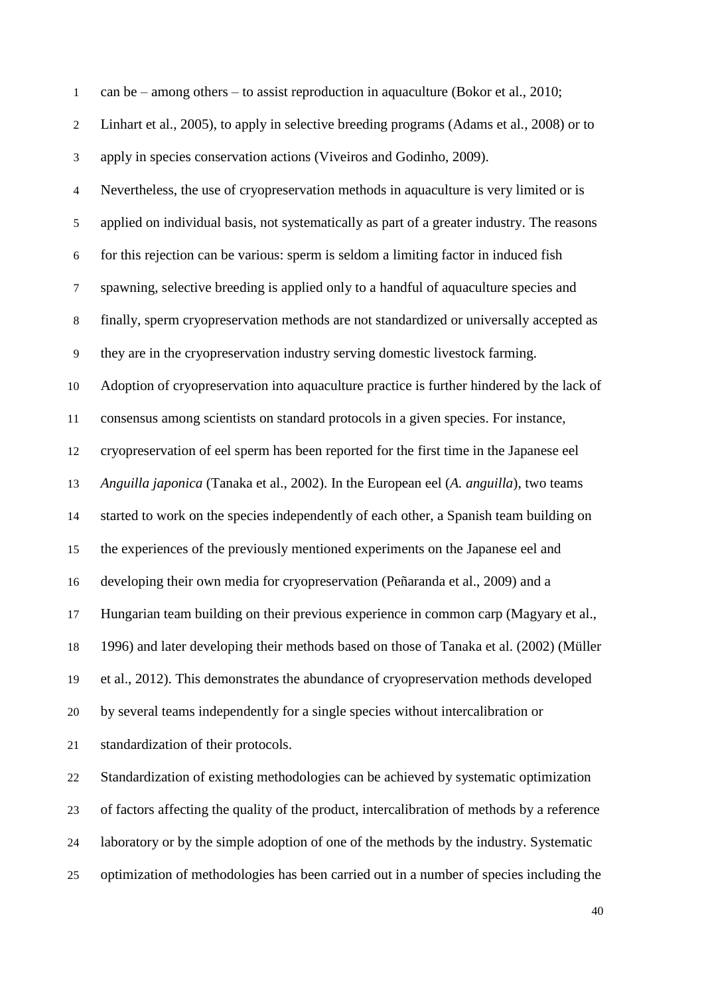| $\mathbf{1}$             | can be $-$ among others $-$ to assist reproduction in aquaculture (Bokor et al., 2010;      |
|--------------------------|---------------------------------------------------------------------------------------------|
| $\mathbf{2}$             | Linhart et al., 2005), to apply in selective breeding programs (Adams et al., 2008) or to   |
| 3                        | apply in species conservation actions (Viveiros and Godinho, 2009).                         |
| $\overline{\mathcal{A}}$ | Nevertheless, the use of cryopreservation methods in aquaculture is very limited or is      |
| $\mathfrak s$            | applied on individual basis, not systematically as part of a greater industry. The reasons  |
| $\boldsymbol{6}$         | for this rejection can be various: sperm is seldom a limiting factor in induced fish        |
| $\tau$                   | spawning, selective breeding is applied only to a handful of aquaculture species and        |
| $8\,$                    | finally, sperm cryopreservation methods are not standardized or universally accepted as     |
| 9                        | they are in the cryopreservation industry serving domestic livestock farming.               |
| 10                       | Adoption of cryopreservation into aquaculture practice is further hindered by the lack of   |
| 11                       | consensus among scientists on standard protocols in a given species. For instance,          |
| 12                       | cryopreservation of eel sperm has been reported for the first time in the Japanese eel      |
| 13                       | Anguilla japonica (Tanaka et al., 2002). In the European eel (A. anguilla), two teams       |
| 14                       | started to work on the species independently of each other, a Spanish team building on      |
| 15                       | the experiences of the previously mentioned experiments on the Japanese eel and             |
| 16                       | developing their own media for cryopreservation (Peñaranda et al., 2009) and a              |
| 17                       | Hungarian team building on their previous experience in common carp (Magyary et al.,        |
| 18                       | 1996) and later developing their methods based on those of Tanaka et al. (2002) (Müller     |
| 19                       | et al., 2012). This demonstrates the abundance of cryopreservation methods developed        |
| 20                       | by several teams independently for a single species without intercalibration or             |
| 21                       | standardization of their protocols.                                                         |
| $22\,$                   | Standardization of existing methodologies can be achieved by systematic optimization        |
| 23                       | of factors affecting the quality of the product, intercalibration of methods by a reference |
| 24                       | laboratory or by the simple adoption of one of the methods by the industry. Systematic      |
| 25                       | optimization of methodologies has been carried out in a number of species including the     |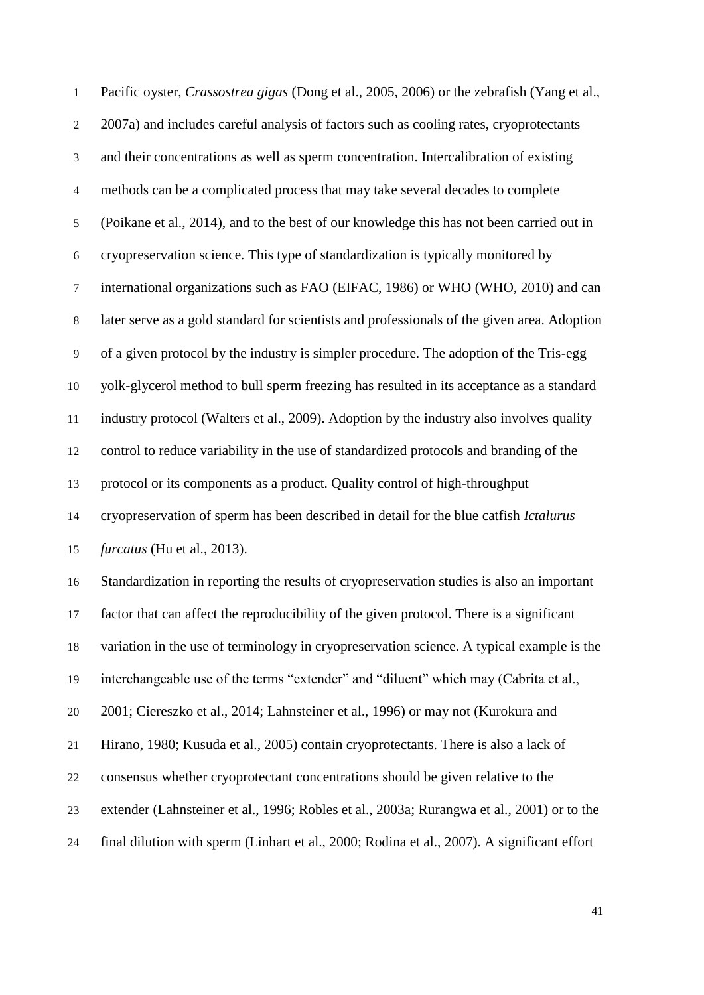Pacific oyster, *Crassostrea gigas* (Dong et al., 2005, 2006) or the zebrafish (Yang et al., 2007a) and includes careful analysis of factors such as cooling rates, cryoprotectants and their concentrations as well as sperm concentration. Intercalibration of existing methods can be a complicated process that may take several decades to complete (Poikane et al., 2014), and to the best of our knowledge this has not been carried out in cryopreservation science. This type of standardization is typically monitored by international organizations such as FAO (EIFAC, 1986) or WHO (WHO, 2010) and can later serve as a gold standard for scientists and professionals of the given area. Adoption of a given protocol by the industry is simpler procedure. The adoption of the Tris-egg yolk-glycerol method to bull sperm freezing has resulted in its acceptance as a standard industry protocol (Walters et al., 2009). Adoption by the industry also involves quality control to reduce variability in the use of standardized protocols and branding of the protocol or its components as a product. Quality control of high-throughput cryopreservation of sperm has been described in detail for the blue catfish *Ictalurus furcatus* (Hu et al., 2013). Standardization in reporting the results of cryopreservation studies is also an important factor that can affect the reproducibility of the given protocol. There is a significant variation in the use of terminology in cryopreservation science. A typical example is the interchangeable use of the terms "extender" and "diluent" which may (Cabrita et al., 2001; Ciereszko et al., 2014; Lahnsteiner et al., 1996) or may not (Kurokura and Hirano, 1980; Kusuda et al., 2005) contain cryoprotectants. There is also a lack of consensus whether cryoprotectant concentrations should be given relative to the extender (Lahnsteiner et al., 1996; Robles et al., 2003a; Rurangwa et al., 2001) or to the final dilution with sperm (Linhart et al., 2000; Rodina et al., 2007). A significant effort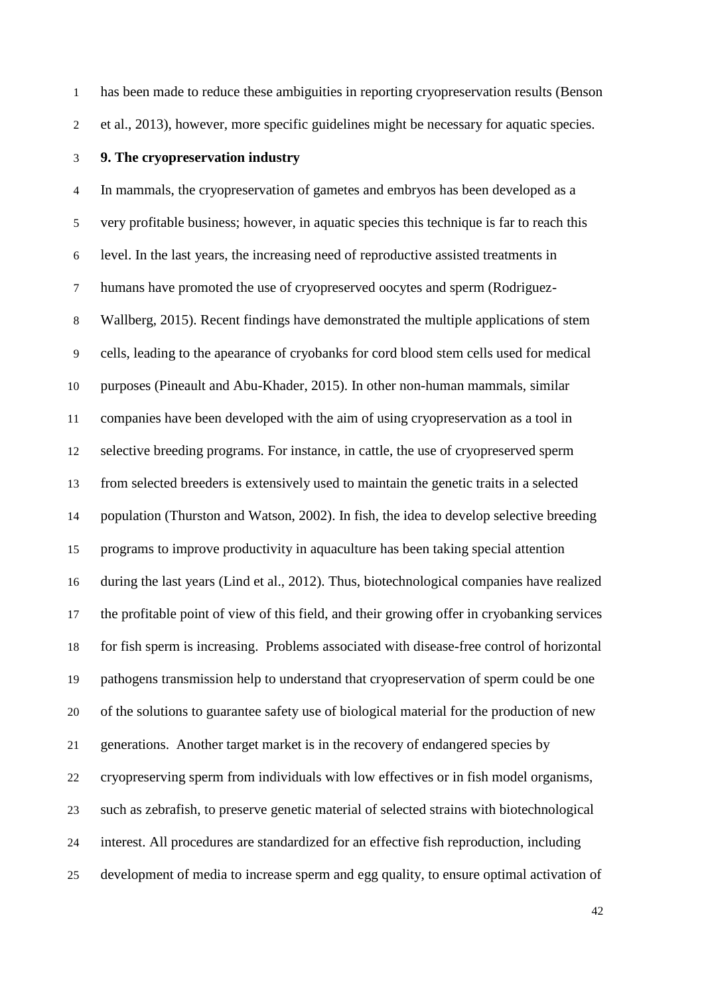has been made to reduce these ambiguities in reporting cryopreservation results (Benson

et al., 2013), however, more specific guidelines might be necessary for aquatic species.

#### **9. The cryopreservation industry**

 In mammals, the cryopreservation of gametes and embryos has been developed as a very profitable business; however, in aquatic species this technique is far to reach this level. In the last years, the increasing need of reproductive assisted treatments in humans have promoted the use of cryopreserved oocytes and sperm (Rodriguez- Wallberg, 2015). Recent findings have demonstrated the multiple applications of stem cells, leading to the apearance of cryobanks for cord blood stem cells used for medical purposes (Pineault and Abu-Khader, 2015). In other non-human mammals, similar companies have been developed with the aim of using cryopreservation as a tool in selective breeding programs. For instance, in cattle, the use of cryopreserved sperm from selected breeders is extensively used to maintain the genetic traits in a selected population (Thurston and Watson, 2002). In fish, the idea to develop selective breeding programs to improve productivity in aquaculture has been taking special attention during the last years (Lind et al., 2012). Thus, biotechnological companies have realized the profitable point of view of this field, and their growing offer in cryobanking services for fish sperm is increasing. Problems associated with disease-free control of horizontal pathogens transmission help to understand that cryopreservation of sperm could be one of the solutions to guarantee safety use of biological material for the production of new generations. Another target market is in the recovery of endangered species by cryopreserving sperm from individuals with low effectives or in fish model organisms, such as zebrafish, to preserve genetic material of selected strains with biotechnological interest. All procedures are standardized for an effective fish reproduction, including development of media to increase sperm and egg quality, to ensure optimal activation of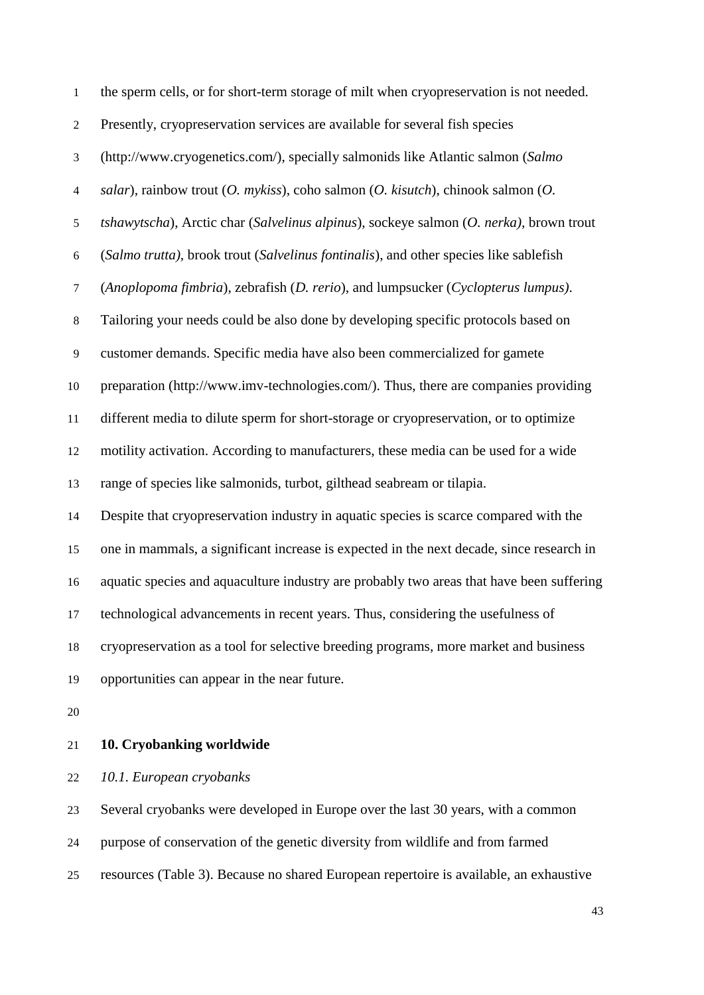| $\mathbf{1}$             | the sperm cells, or for short-term storage of milt when cryopreservation is not needed.  |
|--------------------------|------------------------------------------------------------------------------------------|
| $\overline{c}$           | Presently, cryopreservation services are available for several fish species              |
| 3                        | (http://www.cryogenetics.com/), specially salmonids like Atlantic salmon (Salmo          |
| $\overline{\mathcal{A}}$ | salar), rainbow trout $(O.$ mykiss), coho salmon $(O.$ kisutch), chinook salmon $(O.$    |
| 5                        | tshawytscha), Arctic char (Salvelinus alpinus), sockeye salmon (O. nerka), brown trout   |
| 6                        | (Salmo trutta), brook trout (Salvelinus fontinalis), and other species like sablefish    |
| $\tau$                   | (Anoplopoma fimbria), zebrafish (D. rerio), and lumpsucker (Cyclopterus lumpus).         |
| $8\,$                    | Tailoring your needs could be also done by developing specific protocols based on        |
| 9                        | customer demands. Specific media have also been commercialized for gamete                |
| 10                       | preparation (http://www.imv-technologies.com/). Thus, there are companies providing      |
| 11                       | different media to dilute sperm for short-storage or cryopreservation, or to optimize    |
| 12                       | motility activation. According to manufacturers, these media can be used for a wide      |
| 13                       | range of species like salmonids, turbot, gilthead seabream or tilapia.                   |
| 14                       | Despite that cryopreservation industry in aquatic species is scarce compared with the    |
| 15                       | one in mammals, a significant increase is expected in the next decade, since research in |
| 16                       | aquatic species and aquaculture industry are probably two areas that have been suffering |
|                          | 17 technological advancements in recent years. Thus, considering the usefulness of       |
| 18                       | cryopreservation as a tool for selective breeding programs, more market and business     |
| 19                       | opportunities can appear in the near future.                                             |
|                          |                                                                                          |

## **10. Cryobanking worldwide**

*10.1. European cryobanks* 

Several cryobanks were developed in Europe over the last 30 years, with a common

purpose of conservation of the genetic diversity from wildlife and from farmed

resources (Table 3). Because no shared European repertoire is available, an exhaustive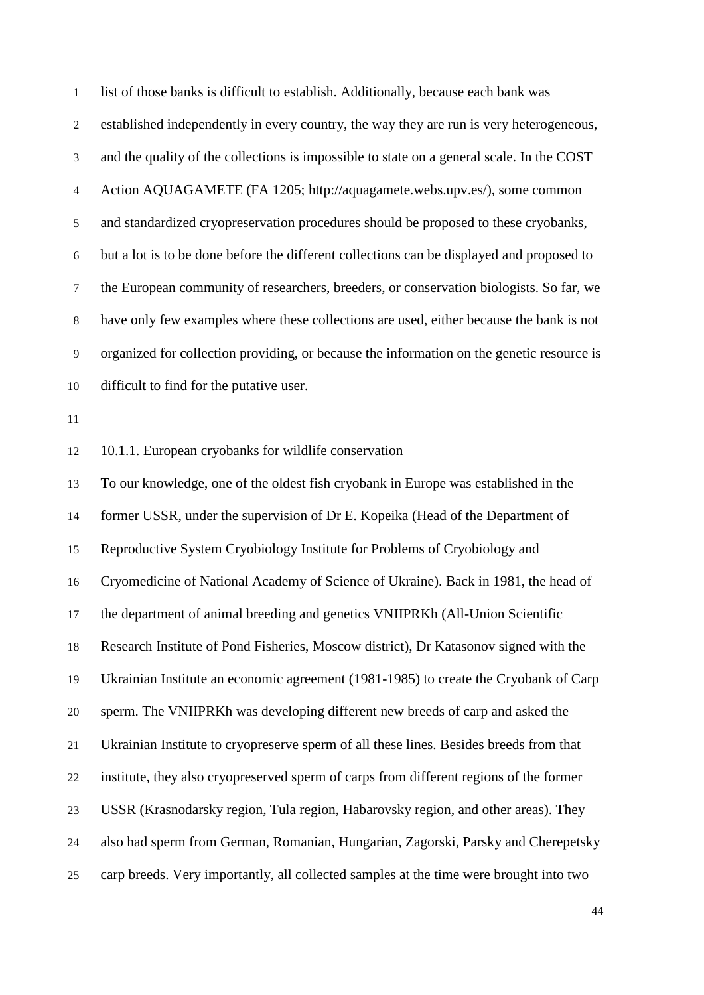list of those banks is difficult to establish. Additionally, because each bank was established independently in every country, the way they are run is very heterogeneous, and the quality of the collections is impossible to state on a general scale. In the COST Action AQUAGAMETE (FA 1205; http://aquagamete.webs.upv.es/), some common and standardized cryopreservation procedures should be proposed to these cryobanks, but a lot is to be done before the different collections can be displayed and proposed to the European community of researchers, breeders, or conservation biologists. So far, we have only few examples where these collections are used, either because the bank is not organized for collection providing, or because the information on the genetic resource is difficult to find for the putative user. 10.1.1. European cryobanks for wildlife conservation To our knowledge, one of the oldest fish cryobank in Europe was established in the former USSR, under the supervision of Dr E. Kopeika (Head of the Department of Reproductive System Cryobiology Institute for Problems of Cryobiology and Cryomedicine of National Academy of Science of Ukraine). Back in 1981, the head of the department of animal breeding and genetics VNIIPRKh (All-Union Scientific Research Institute of Pond Fisheries, Moscow district), Dr Katasonov signed with the Ukrainian Institute an economic agreement (1981-1985) to create the Cryobank of Carp sperm. The VNIIPRKh was developing different new breeds of carp and asked the Ukrainian Institute to cryopreserve sperm of all these lines. Besides breeds from that institute, they also cryopreserved sperm of carps from different regions of the former USSR (Krasnodarsky region, Tula region, Habarovsky region, and other areas). They also had sperm from German, Romanian, Hungarian, Zagorski, Parsky and Cherepetsky carp breeds. Very importantly, all collected samples at the time were brought into two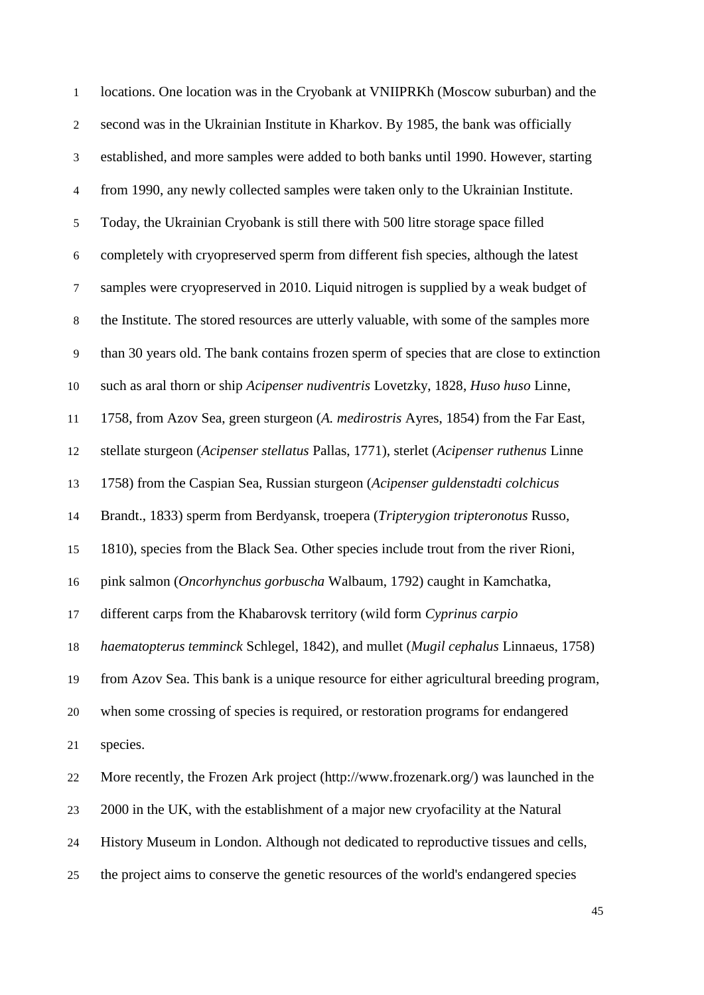| $\mathbf{1}$   | locations. One location was in the Cryobank at VNIIPRKh (Moscow suburban) and the         |
|----------------|-------------------------------------------------------------------------------------------|
| $\mathbf{2}$   | second was in the Ukrainian Institute in Kharkov. By 1985, the bank was officially        |
| $\mathfrak{Z}$ | established, and more samples were added to both banks until 1990. However, starting      |
| $\overline{4}$ | from 1990, any newly collected samples were taken only to the Ukrainian Institute.        |
| $\mathfrak s$  | Today, the Ukrainian Cryobank is still there with 500 litre storage space filled          |
| $\sqrt{6}$     | completely with cryopreserved sperm from different fish species, although the latest      |
| $\tau$         | samples were cryopreserved in 2010. Liquid nitrogen is supplied by a weak budget of       |
| $\,8\,$        | the Institute. The stored resources are utterly valuable, with some of the samples more   |
| $\overline{9}$ | than 30 years old. The bank contains frozen sperm of species that are close to extinction |
| 10             | such as aral thorn or ship Acipenser nudiventris Lovetzky, 1828, Huso huso Linne,         |
| 11             | 1758, from Azov Sea, green sturgeon (A. medirostris Ayres, 1854) from the Far East,       |
| 12             | stellate sturgeon (Acipenser stellatus Pallas, 1771), sterlet (Acipenser ruthenus Linne   |
| 13             | 1758) from the Caspian Sea, Russian sturgeon (Acipenser guldenstadti colchicus            |
| 14             | Brandt., 1833) sperm from Berdyansk, troepera (Tripterygion tripteronotus Russo,          |
| 15             | 1810), species from the Black Sea. Other species include trout from the river Rioni,      |
| 16             | pink salmon (Oncorhynchus gorbuscha Walbaum, 1792) caught in Kamchatka,                   |
| 17             | different carps from the Khabarovsk territory (wild form Cyprinus carpio                  |
| 18             | haematopterus temminck Schlegel, 1842), and mullet (Mugil cephalus Linnaeus, 1758)        |
| 19             | from Azov Sea. This bank is a unique resource for either agricultural breeding program,   |
| 20             | when some crossing of species is required, or restoration programs for endangered         |
| 21             | species.                                                                                  |
| 22             | More recently, the Frozen Ark project (http://www.frozenark.org/) was launched in the     |
| 23             | 2000 in the UK, with the establishment of a major new cryofacility at the Natural         |
| 24             | History Museum in London. Although not dedicated to reproductive tissues and cells,       |
| 25             | the project aims to conserve the genetic resources of the world's endangered species      |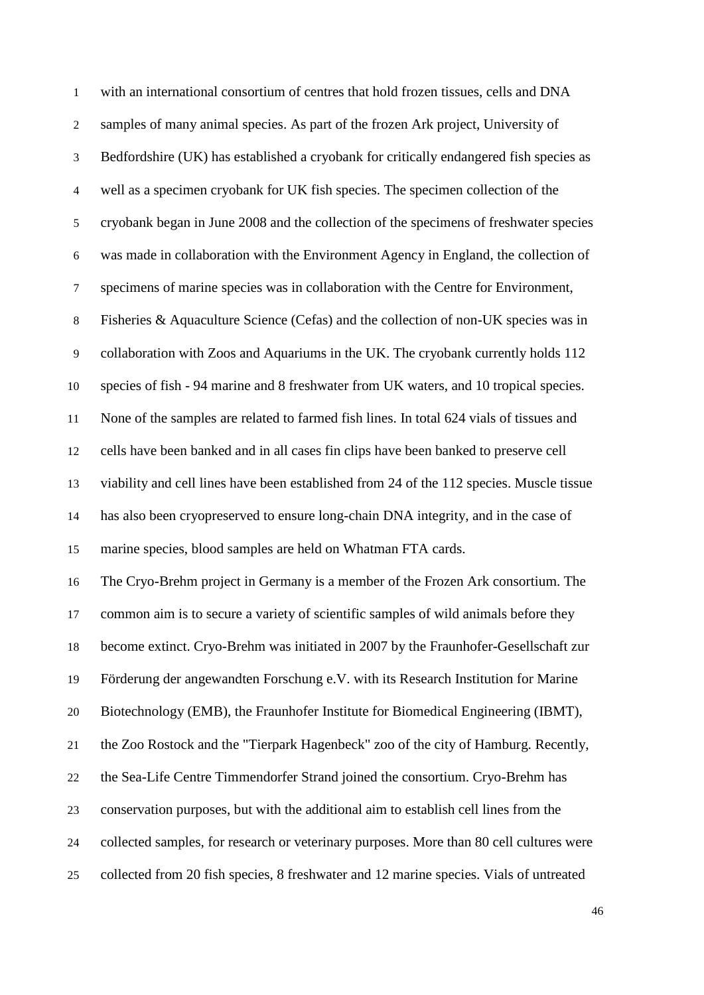| $\mathbf{1}$   | with an international consortium of centres that hold frozen tissues, cells and DNA      |
|----------------|------------------------------------------------------------------------------------------|
| $\overline{2}$ | samples of many animal species. As part of the frozen Ark project, University of         |
| $\mathfrak{Z}$ | Bedfordshire (UK) has established a cryobank for critically endangered fish species as   |
| $\overline{4}$ | well as a specimen cryobank for UK fish species. The specimen collection of the          |
| $\sqrt{5}$     | cryobank began in June 2008 and the collection of the specimens of freshwater species    |
| $\sqrt{6}$     | was made in collaboration with the Environment Agency in England, the collection of      |
| $\tau$         | specimens of marine species was in collaboration with the Centre for Environment,        |
| $\,8\,$        | Fisheries & Aquaculture Science (Cefas) and the collection of non-UK species was in      |
| $\overline{9}$ | collaboration with Zoos and Aquariums in the UK. The cryobank currently holds 112        |
| 10             | species of fish - 94 marine and 8 freshwater from UK waters, and 10 tropical species.    |
| 11             | None of the samples are related to farmed fish lines. In total 624 vials of tissues and  |
| 12             | cells have been banked and in all cases fin clips have been banked to preserve cell      |
| 13             | viability and cell lines have been established from 24 of the 112 species. Muscle tissue |
| 14             | has also been cryopreserved to ensure long-chain DNA integrity, and in the case of       |
| 15             | marine species, blood samples are held on Whatman FTA cards.                             |
| 16             | The Cryo-Brehm project in Germany is a member of the Frozen Ark consortium. The          |
| 17             | common aim is to secure a variety of scientific samples of wild animals before they      |
| 18             | become extinct. Cryo-Brehm was initiated in 2007 by the Fraunhofer-Gesellschaft zur      |
| 19             | Förderung der angewandten Forschung e.V. with its Research Institution for Marine        |
| 20             | Biotechnology (EMB), the Fraunhofer Institute for Biomedical Engineering (IBMT),         |
| 21             | the Zoo Rostock and the "Tierpark Hagenbeck" zoo of the city of Hamburg. Recently,       |
| 22             | the Sea-Life Centre Timmendorfer Strand joined the consortium. Cryo-Brehm has            |
| 23             | conservation purposes, but with the additional aim to establish cell lines from the      |
| 24             | collected samples, for research or veterinary purposes. More than 80 cell cultures were  |
| 25             | collected from 20 fish species, 8 freshwater and 12 marine species. Vials of untreated   |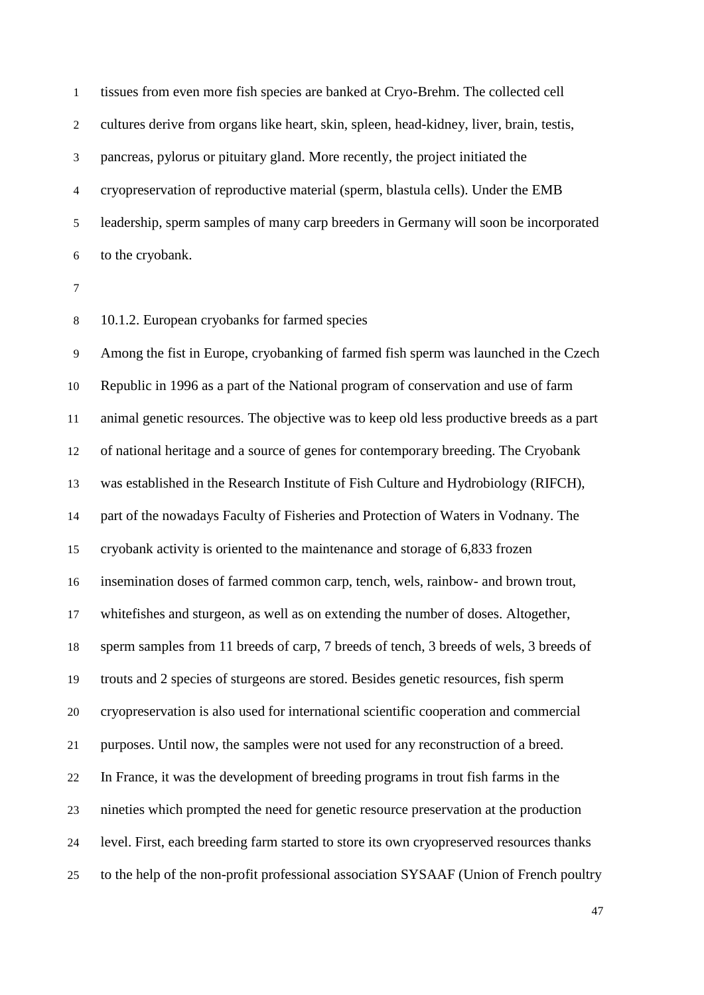tissues from even more fish species are banked at Cryo-Brehm. The collected cell cultures derive from organs like heart, skin, spleen, head-kidney, liver, brain, testis, pancreas, pylorus or pituitary gland. More recently, the project initiated the cryopreservation of reproductive material (sperm, blastula cells). Under the EMB leadership, sperm samples of many carp breeders in Germany will soon be incorporated to the cryobank.

10.1.2. European cryobanks for farmed species

 Among the fist in Europe, cryobanking of farmed fish sperm was launched in the Czech Republic in 1996 as a part of the National program of conservation and use of farm animal genetic resources. The objective was to keep old less productive breeds as a part of national heritage and a source of genes for contemporary breeding. The Cryobank was established in the Research Institute of Fish Culture and Hydrobiology (RIFCH), part of the nowadays Faculty of Fisheries and Protection of Waters in Vodnany. The cryobank activity is oriented to the maintenance and storage of 6,833 frozen insemination doses of farmed common carp, tench, wels, rainbow- and brown trout, whitefishes and sturgeon, as well as on extending the number of doses. Altogether, sperm samples from 11 breeds of carp, 7 breeds of tench, 3 breeds of wels, 3 breeds of trouts and 2 species of sturgeons are stored. Besides genetic resources, fish sperm cryopreservation is also used for international scientific cooperation and commercial purposes. Until now, the samples were not used for any reconstruction of a breed. In France, it was the development of breeding programs in trout fish farms in the nineties which prompted the need for genetic resource preservation at the production level. First, each breeding farm started to store its own cryopreserved resources thanks to the help of the non-profit professional association SYSAAF (Union of French poultry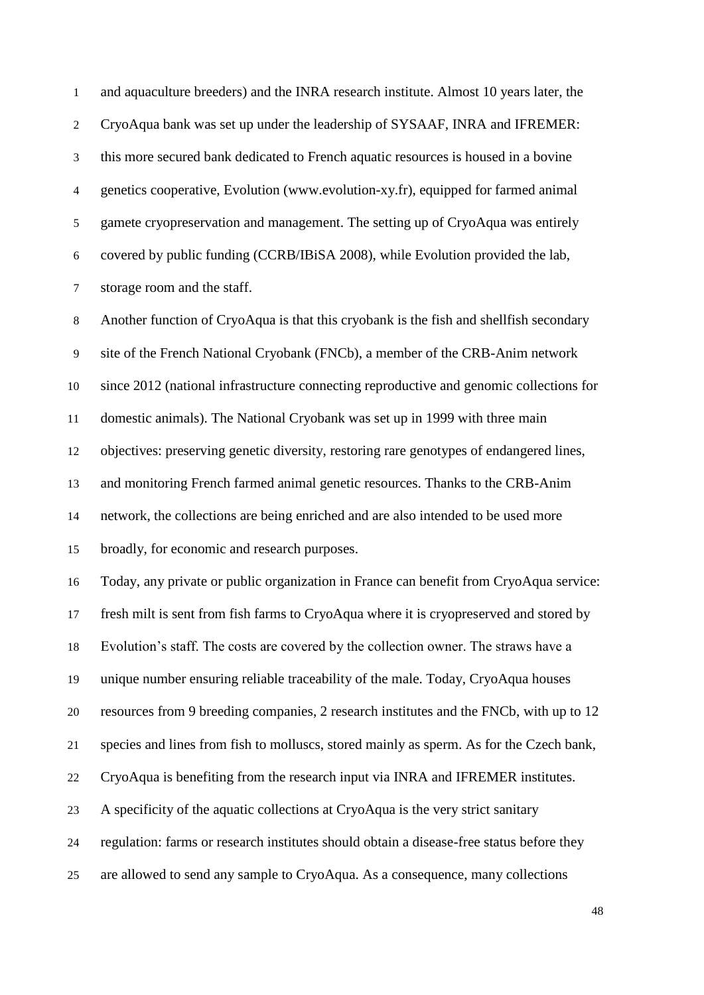and aquaculture breeders) and the INRA research institute. Almost 10 years later, the CryoAqua bank was set up under the leadership of SYSAAF, INRA and IFREMER: this more secured bank dedicated to French aquatic resources is housed in a bovine genetics cooperative, Evolution (www.evolution-xy.fr), equipped for farmed animal gamete cryopreservation and management. The setting up of CryoAqua was entirely covered by public funding (CCRB/IBiSA 2008), while Evolution provided the lab, storage room and the staff.

 Another function of CryoAqua is that this cryobank is the fish and shellfish secondary site of the French National Cryobank (FNCb), a member of the CRB-Anim network since 2012 (national infrastructure connecting reproductive and genomic collections for domestic animals). The National Cryobank was set up in 1999 with three main objectives: preserving genetic diversity, restoring rare genotypes of endangered lines, and monitoring French farmed animal genetic resources. Thanks to the CRB-Anim network, the collections are being enriched and are also intended to be used more broadly, for economic and research purposes.

 Today, any private or public organization in France can benefit from CryoAqua service: fresh milt is sent from fish farms to CryoAqua where it is cryopreserved and stored by

Evolution's staff. The costs are covered by the collection owner. The straws have a

unique number ensuring reliable traceability of the male. Today, CryoAqua houses

resources from 9 breeding companies, 2 research institutes and the FNCb, with up to 12

species and lines from fish to molluscs, stored mainly as sperm. As for the Czech bank,

CryoAqua is benefiting from the research input via INRA and IFREMER institutes.

A specificity of the aquatic collections at CryoAqua is the very strict sanitary

regulation: farms or research institutes should obtain a disease-free status before they

are allowed to send any sample to CryoAqua. As a consequence, many collections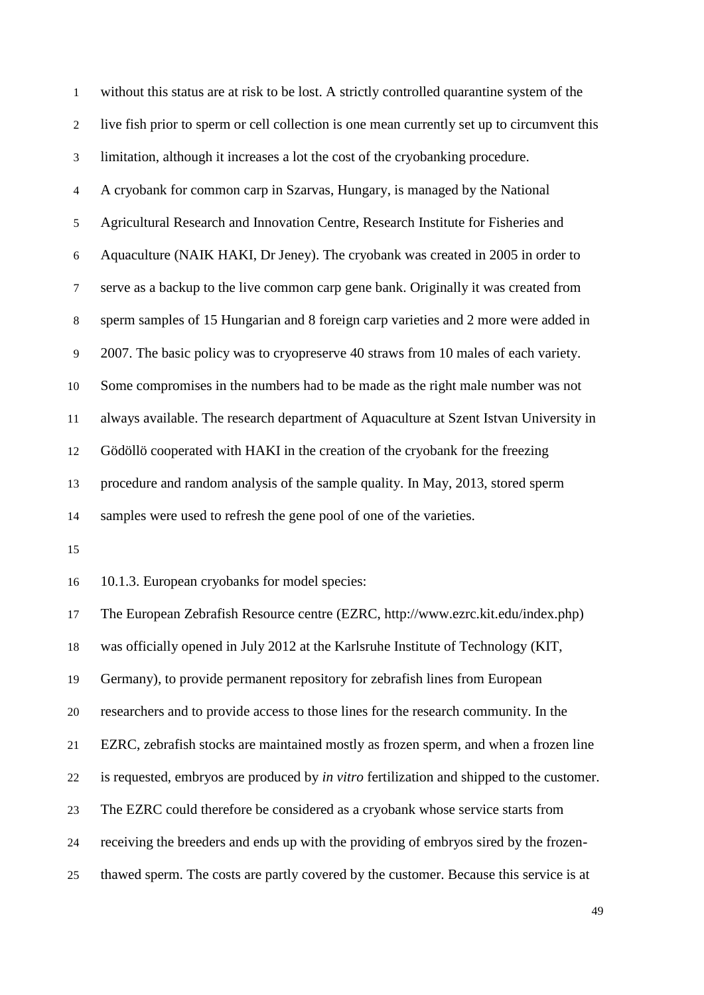| $\mathbf{1}$   | without this status are at risk to be lost. A strictly controlled quarantine system of the       |
|----------------|--------------------------------------------------------------------------------------------------|
| $\overline{2}$ | live fish prior to sperm or cell collection is one mean currently set up to circumvent this      |
| 3              | limitation, although it increases a lot the cost of the cryobanking procedure.                   |
| $\overline{4}$ | A cryobank for common carp in Szarvas, Hungary, is managed by the National                       |
| 5              | Agricultural Research and Innovation Centre, Research Institute for Fisheries and                |
| 6              | Aquaculture (NAIK HAKI, Dr Jeney). The cryobank was created in 2005 in order to                  |
| $\tau$         | serve as a backup to the live common carp gene bank. Originally it was created from              |
| $8\,$          | sperm samples of 15 Hungarian and 8 foreign carp varieties and 2 more were added in              |
| 9              | 2007. The basic policy was to cryopreserve 40 straws from 10 males of each variety.              |
| 10             | Some compromises in the numbers had to be made as the right male number was not                  |
| $11\,$         | always available. The research department of Aquaculture at Szent Istvan University in           |
| 12             | Gödöllö cooperated with HAKI in the creation of the cryobank for the freezing                    |
| 13             | procedure and random analysis of the sample quality. In May, 2013, stored sperm                  |
| 14             | samples were used to refresh the gene pool of one of the varieties.                              |
| 15             |                                                                                                  |
| 16             | 10.1.3. European cryobanks for model species:                                                    |
| 17             | The European Zebrafish Resource centre (EZRC, http://www.ezrc.kit.edu/index.php)                 |
| 18             | was officially opened in July 2012 at the Karlsruhe Institute of Technology (KIT,                |
| 19             | Germany), to provide permanent repository for zebrafish lines from European                      |
| $20\,$         | researchers and to provide access to those lines for the research community. In the              |
| 21             | EZRC, zebrafish stocks are maintained mostly as frozen sperm, and when a frozen line             |
| 22             | is requested, embryos are produced by <i>in vitro</i> fertilization and shipped to the customer. |
| 23             | The EZRC could therefore be considered as a cryobank whose service starts from                   |
| 24             | receiving the breeders and ends up with the providing of embryos sired by the frozen-            |
| 25             | thawed sperm. The costs are partly covered by the customer. Because this service is at           |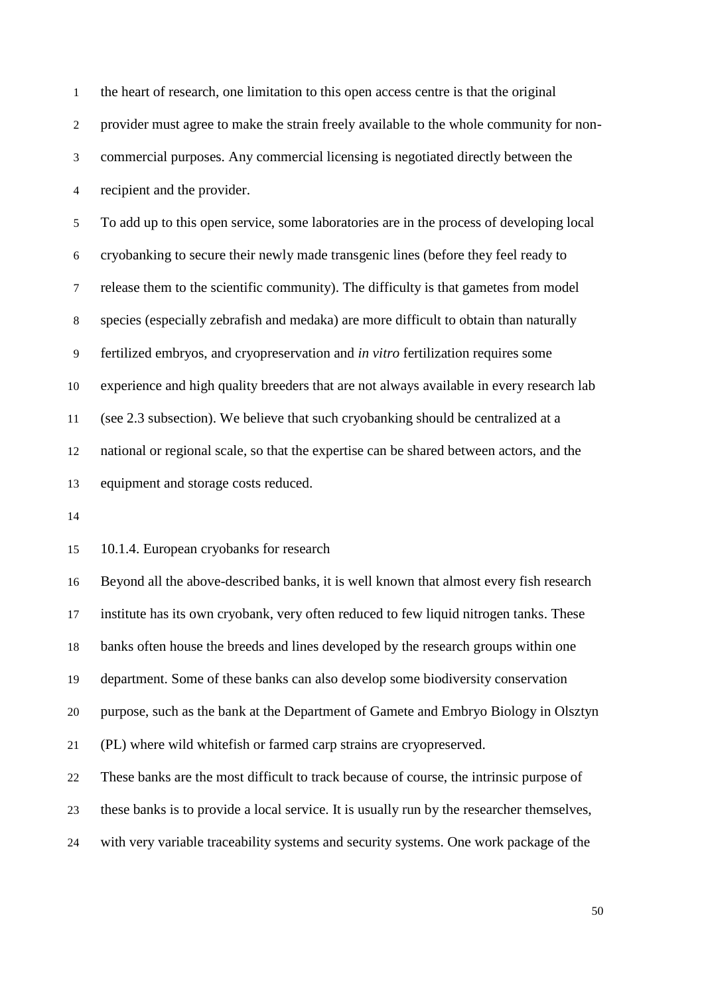the heart of research, one limitation to this open access centre is that the original provider must agree to make the strain freely available to the whole community for non- commercial purposes. Any commercial licensing is negotiated directly between the recipient and the provider. To add up to this open service, some laboratories are in the process of developing local cryobanking to secure their newly made transgenic lines (before they feel ready to release them to the scientific community). The difficulty is that gametes from model species (especially zebrafish and medaka) are more difficult to obtain than naturally fertilized embryos, and cryopreservation and *in vitro* fertilization requires some experience and high quality breeders that are not always available in every research lab (see 2.3 subsection). We believe that such cryobanking should be centralized at a national or regional scale, so that the expertise can be shared between actors, and the equipment and storage costs reduced.

10.1.4. European cryobanks for research

 Beyond all the above-described banks, it is well known that almost every fish research institute has its own cryobank, very often reduced to few liquid nitrogen tanks. These banks often house the breeds and lines developed by the research groups within one department. Some of these banks can also develop some biodiversity conservation purpose, such as the bank at the Department of Gamete and Embryo Biology in Olsztyn (PL) where wild whitefish or farmed carp strains are cryopreserved. These banks are the most difficult to track because of course, the intrinsic purpose of these banks is to provide a local service. It is usually run by the researcher themselves, with very variable traceability systems and security systems. One work package of the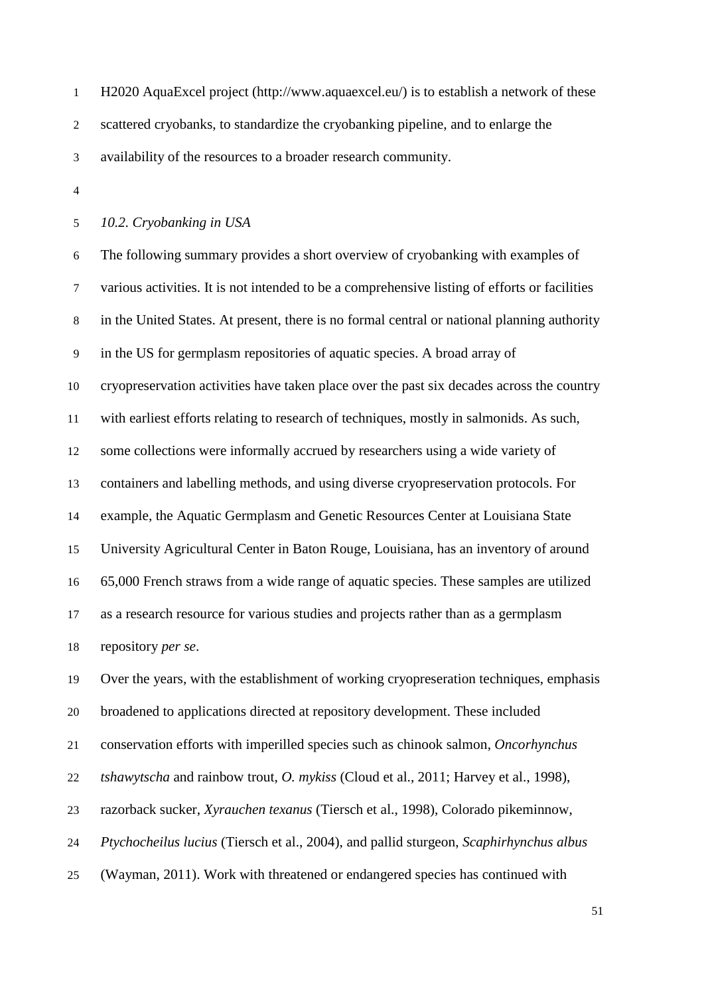H2020 AquaExcel project (http://www.aquaexcel.eu/) is to establish a network of these scattered cryobanks, to standardize the cryobanking pipeline, and to enlarge the availability of the resources to a broader research community.

*10.2. Cryobanking in USA* 

 The following summary provides a short overview of cryobanking with examples of various activities. It is not intended to be a comprehensive listing of efforts or facilities in the United States. At present, there is no formal central or national planning authority in the US for germplasm repositories of aquatic species. A broad array of cryopreservation activities have taken place over the past six decades across the country with earliest efforts relating to research of techniques, mostly in salmonids. As such, some collections were informally accrued by researchers using a wide variety of containers and labelling methods, and using diverse cryopreservation protocols. For example, the Aquatic Germplasm and Genetic Resources Center at Louisiana State University Agricultural Center in Baton Rouge, Louisiana, has an inventory of around 65,000 French straws from a wide range of aquatic species. These samples are utilized as a research resource for various studies and projects rather than as a germplasm repository *per se*. Over the years, with the establishment of working cryopreseration techniques, emphasis

broadened to applications directed at repository development. These included

conservation efforts with imperilled species such as chinook salmon, *Oncorhynchus* 

*tshawytscha* and rainbow trout, *O. mykiss* (Cloud et al., 2011; Harvey et al., 1998),

razorback sucker, *Xyrauchen texanus* (Tiersch et al., 1998), Colorado pikeminnow,

*Ptychocheilus lucius* (Tiersch et al., 2004), and pallid sturgeon, *Scaphirhynchus albus*

(Wayman, 2011). Work with threatened or endangered species has continued with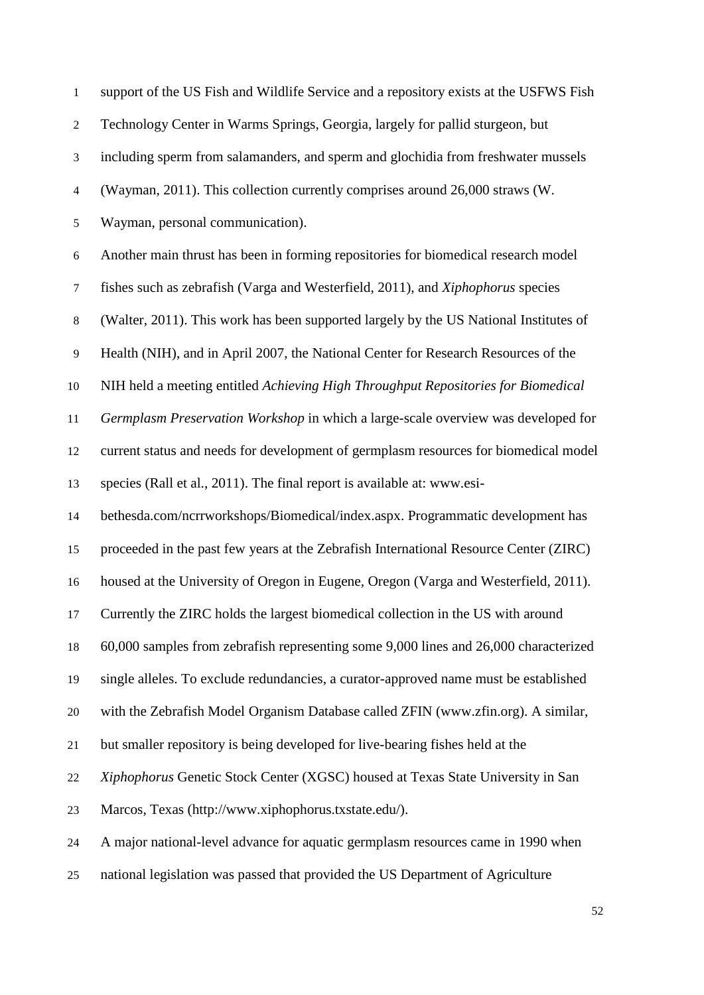| $\mathbf{1}$             | support of the US Fish and Wildlife Service and a repository exists at the USFWS Fish  |
|--------------------------|----------------------------------------------------------------------------------------|
| $\boldsymbol{2}$         | Technology Center in Warms Springs, Georgia, largely for pallid sturgeon, but          |
| 3                        | including sperm from salamanders, and sperm and glochidia from freshwater mussels      |
| $\overline{\mathcal{A}}$ | (Wayman, 2011). This collection currently comprises around 26,000 straws (W.           |
| 5                        | Wayman, personal communication).                                                       |
| 6                        | Another main thrust has been in forming repositories for biomedical research model     |
| $\tau$                   | fishes such as zebrafish (Varga and Westerfield, 2011), and <i>Xiphophorus</i> species |
| 8                        | (Walter, 2011). This work has been supported largely by the US National Institutes of  |
| $\overline{9}$           | Health (NIH), and in April 2007, the National Center for Research Resources of the     |
| 10                       | NIH held a meeting entitled Achieving High Throughput Repositories for Biomedical      |
| 11                       | Germplasm Preservation Workshop in which a large-scale overview was developed for      |
| 12                       | current status and needs for development of germplasm resources for biomedical model   |
| 13                       | species (Rall et al., 2011). The final report is available at: www.esi-                |
| 14                       | bethesda.com/ncrrworkshops/Biomedical/index.aspx. Programmatic development has         |
| 15                       | proceeded in the past few years at the Zebrafish International Resource Center (ZIRC)  |
| 16                       | housed at the University of Oregon in Eugene, Oregon (Varga and Westerfield, 2011).    |
| 17                       | Currently the ZIRC holds the largest biomedical collection in the US with around       |
| 18                       | 60,000 samples from zebrafish representing some 9,000 lines and 26,000 characterized   |
| 19                       | single alleles. To exclude redundancies, a curator-approved name must be established   |
| $20\,$                   | with the Zebrafish Model Organism Database called ZFIN (www.zfin.org). A similar,      |
| 21                       | but smaller repository is being developed for live-bearing fishes held at the          |
| 22                       | Xiphophorus Genetic Stock Center (XGSC) housed at Texas State University in San        |
| 23                       | Marcos, Texas (http://www.xiphophorus.txstate.edu/).                                   |
| 24                       | A major national-level advance for aquatic germplasm resources came in 1990 when       |
| 25                       | national legislation was passed that provided the US Department of Agriculture         |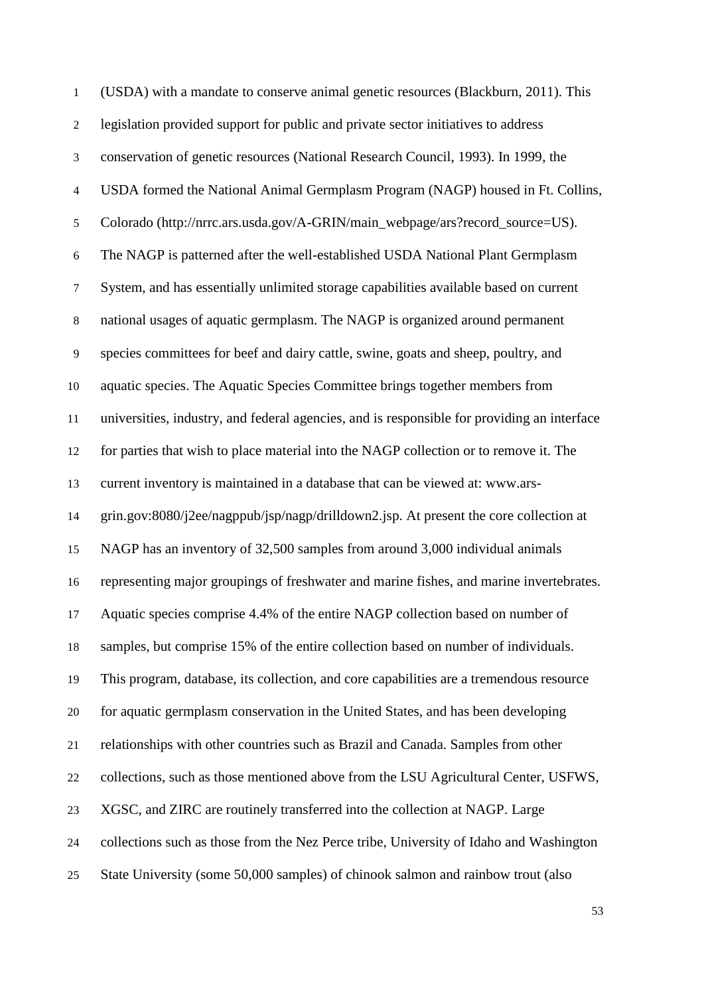(USDA) with a mandate to conserve animal genetic resources (Blackburn, 2011). This legislation provided support for public and private sector initiatives to address conservation of genetic resources (National Research Council, 1993). In 1999, the USDA formed the National Animal Germplasm Program (NAGP) housed in Ft. Collins, 5 Colorado (http://nrrc.ars.usda.gov/A-GRIN/main\_webpage/ars?record\_source=US). The NAGP is patterned after the well-established USDA National Plant Germplasm System, and has essentially unlimited storage capabilities available based on current national usages of aquatic germplasm. The NAGP is organized around permanent species committees for beef and dairy cattle, swine, goats and sheep, poultry, and aquatic species. The Aquatic Species Committee brings together members from universities, industry, and federal agencies, and is responsible for providing an interface for parties that wish to place material into the NAGP collection or to remove it. The current inventory is maintained in a database that can be viewed at: www.ars- grin.gov:8080/j2ee/nagppub/jsp/nagp/drilldown2.jsp. At present the core collection at NAGP has an inventory of 32,500 samples from around 3,000 individual animals representing major groupings of freshwater and marine fishes, and marine invertebrates. Aquatic species comprise 4.4% of the entire NAGP collection based on number of samples, but comprise 15% of the entire collection based on number of individuals. This program, database, its collection, and core capabilities are a tremendous resource for aquatic germplasm conservation in the United States, and has been developing relationships with other countries such as Brazil and Canada. Samples from other collections, such as those mentioned above from the LSU Agricultural Center, USFWS, XGSC, and ZIRC are routinely transferred into the collection at NAGP. Large collections such as those from the Nez Perce tribe, University of Idaho and Washington State University (some 50,000 samples) of chinook salmon and rainbow trout (also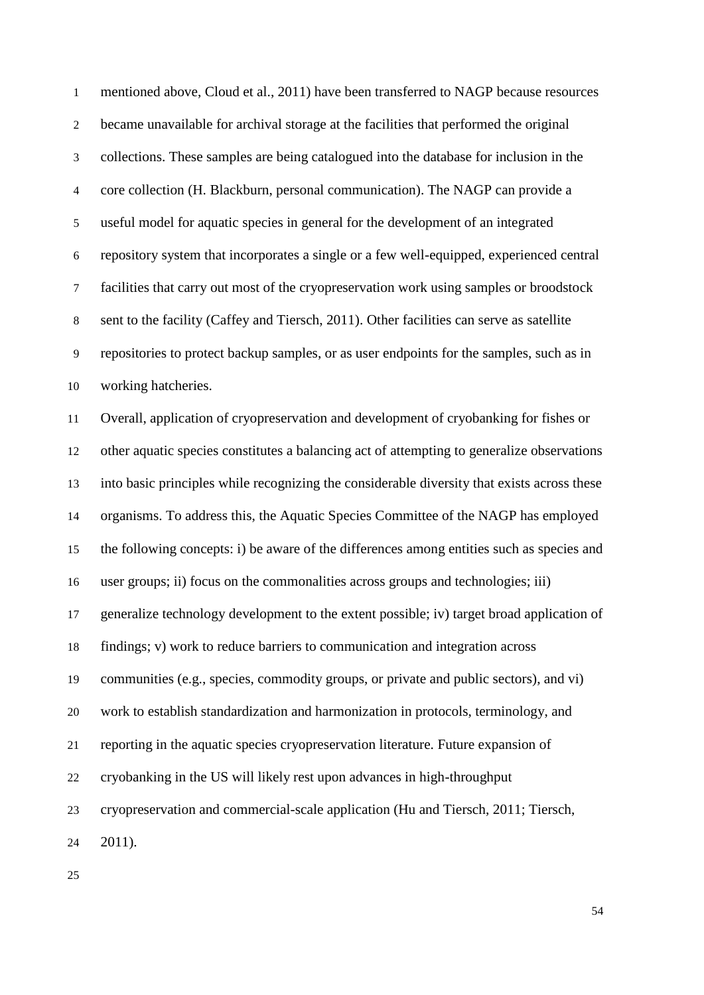| $\mathbf{1}$     | mentioned above, Cloud et al., 2011) have been transferred to NAGP because resources        |
|------------------|---------------------------------------------------------------------------------------------|
| $\boldsymbol{2}$ | became unavailable for archival storage at the facilities that performed the original       |
| $\mathfrak 3$    | collections. These samples are being catalogued into the database for inclusion in the      |
| $\overline{4}$   | core collection (H. Blackburn, personal communication). The NAGP can provide a              |
| $\mathfrak{S}$   | useful model for aquatic species in general for the development of an integrated            |
| 6                | repository system that incorporates a single or a few well-equipped, experienced central    |
| $\boldsymbol{7}$ | facilities that carry out most of the cryopreservation work using samples or broodstock     |
| $\,8\,$          | sent to the facility (Caffey and Tiersch, 2011). Other facilities can serve as satellite    |
| 9                | repositories to protect backup samples, or as user endpoints for the samples, such as in    |
| 10               | working hatcheries.                                                                         |
| 11               | Overall, application of cryopreservation and development of cryobanking for fishes or       |
| 12               | other aquatic species constitutes a balancing act of attempting to generalize observations  |
| 13               | into basic principles while recognizing the considerable diversity that exists across these |
| 14               | organisms. To address this, the Aquatic Species Committee of the NAGP has employed          |
| 15               | the following concepts: i) be aware of the differences among entities such as species and   |
| 16               | user groups; ii) focus on the commonalities across groups and technologies; iii)            |
| 17               | generalize technology development to the extent possible; iv) target broad application of   |
| 18               | findings; v) work to reduce barriers to communication and integration across                |
| 19               | communities (e.g., species, commodity groups, or private and public sectors), and vi)       |
| 20               | work to establish standardization and harmonization in protocols, terminology, and          |
| 21               | reporting in the aquatic species cryopreservation literature. Future expansion of           |
| 22               | cryobanking in the US will likely rest upon advances in high-throughput                     |
| 23               | cryopreservation and commercial-scale application (Hu and Tiersch, 2011; Tiersch,           |
| 24               | 2011).                                                                                      |
|                  |                                                                                             |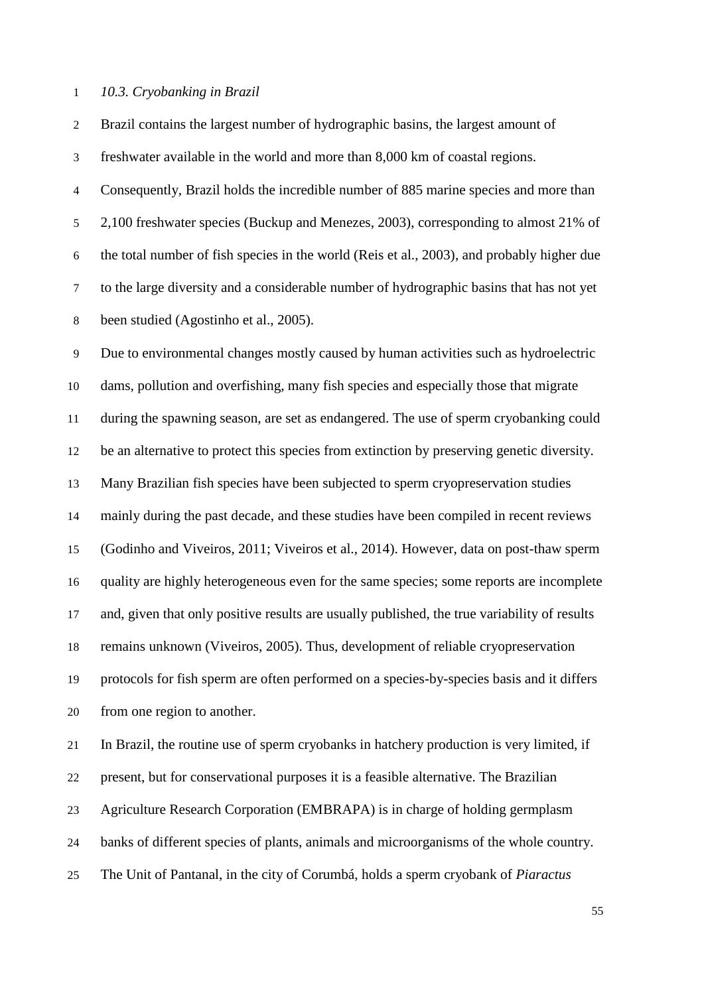### *10.3. Cryobanking in Brazil*

Brazil contains the largest number of hydrographic basins, the largest amount of

freshwater available in the world and more than 8,000 km of coastal regions.

 Consequently, Brazil holds the incredible number of 885 marine species and more than 2,100 freshwater species (Buckup and Menezes, 2003), corresponding to almost 21% of the total number of fish species in the world (Reis et al., 2003), and probably higher due to the large diversity and a considerable number of hydrographic basins that has not yet been studied (Agostinho et al., 2005).

 Due to environmental changes mostly caused by human activities such as hydroelectric dams, pollution and overfishing, many fish species and especially those that migrate during the spawning season, are set as endangered. The use of sperm cryobanking could be an alternative to protect this species from extinction by preserving genetic diversity. Many Brazilian fish species have been subjected to sperm cryopreservation studies mainly during the past decade, and these studies have been compiled in recent reviews (Godinho and Viveiros, 2011; Viveiros et al., 2014). However, data on post-thaw sperm quality are highly heterogeneous even for the same species; some reports are incomplete and, given that only positive results are usually published, the true variability of results remains unknown (Viveiros, 2005). Thus, development of reliable cryopreservation protocols for fish sperm are often performed on a species-by-species basis and it differs from one region to another.

 In Brazil, the routine use of sperm cryobanks in hatchery production is very limited, if present, but for conservational purposes it is a feasible alternative. The Brazilian Agriculture Research Corporation (EMBRAPA) is in charge of holding germplasm banks of different species of plants, animals and microorganisms of the whole country. The Unit of Pantanal, in the city of Corumbá, holds a sperm cryobank of *Piaractus*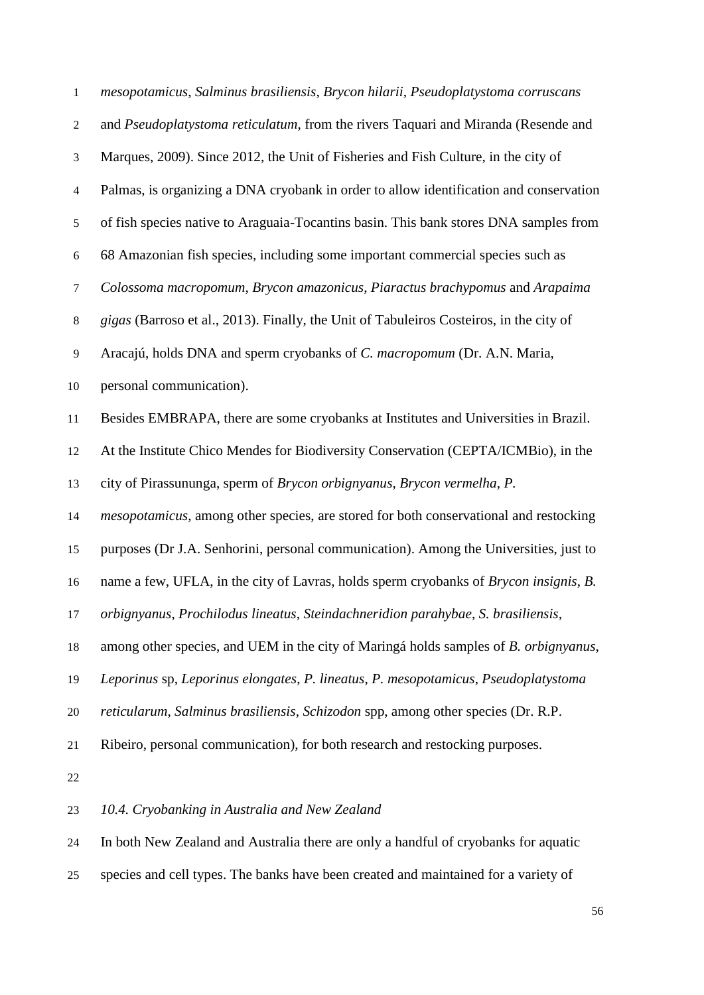| $\mathbf{1}$             | mesopotamicus, Salminus brasiliensis, Brycon hilarii, Pseudoplatystoma corruscans                     |
|--------------------------|-------------------------------------------------------------------------------------------------------|
| $\boldsymbol{2}$         | and Pseudoplatystoma reticulatum, from the rivers Taquari and Miranda (Resende and                    |
| 3                        | Marques, 2009). Since 2012, the Unit of Fisheries and Fish Culture, in the city of                    |
| $\overline{\mathcal{L}}$ | Palmas, is organizing a DNA cryobank in order to allow identification and conservation                |
| 5                        | of fish species native to Araguaia-Tocantins basin. This bank stores DNA samples from                 |
| 6                        | 68 Amazonian fish species, including some important commercial species such as                        |
| $\tau$                   | Colossoma macropomum, Brycon amazonicus, Piaractus brachypomus and Arapaima                           |
| $\,8\,$                  | gigas (Barroso et al., 2013). Finally, the Unit of Tabuleiros Costeiros, in the city of               |
| $\overline{9}$           | Aracajú, holds DNA and sperm cryobanks of C. macropomum (Dr. A.N. Maria,                              |
| 10                       | personal communication).                                                                              |
| 11                       | Besides EMBRAPA, there are some cryobanks at Institutes and Universities in Brazil.                   |
| 12                       | At the Institute Chico Mendes for Biodiversity Conservation (CEPTA/ICMBio), in the                    |
| 13                       | city of Pirassununga, sperm of Brycon orbignyanus, Brycon vermelha, P.                                |
| 14                       | <i>mesopotamicus</i> , among other species, are stored for both conservational and restocking         |
| 15                       | purposes (Dr J.A. Senhorini, personal communication). Among the Universities, just to                 |
| 16                       | name a few, UFLA, in the city of Lavras, holds sperm cryobanks of <i>Brycon insignis</i> , <i>B</i> . |
| 17                       | orbignyanus, Prochilodus lineatus, Steindachneridion parahybae, S. brasiliensis,                      |
| 18                       | among other species, and UEM in the city of Maringá holds samples of B. orbignyanus,                  |
| 19                       | Leporinus sp, Leporinus elongates, P. lineatus, P. mesopotamicus, Pseudoplatystoma                    |
| 20                       | reticularum, Salminus brasiliensis, Schizodon spp, among other species (Dr. R.P.                      |
| 21                       | Ribeiro, personal communication), for both research and restocking purposes.                          |
| 22                       |                                                                                                       |
| 23                       | 10.4. Cryobanking in Australia and New Zealand                                                        |
| 24                       | In both New Zealand and Australia there are only a handful of cryobanks for aquatic                   |

species and cell types. The banks have been created and maintained for a variety of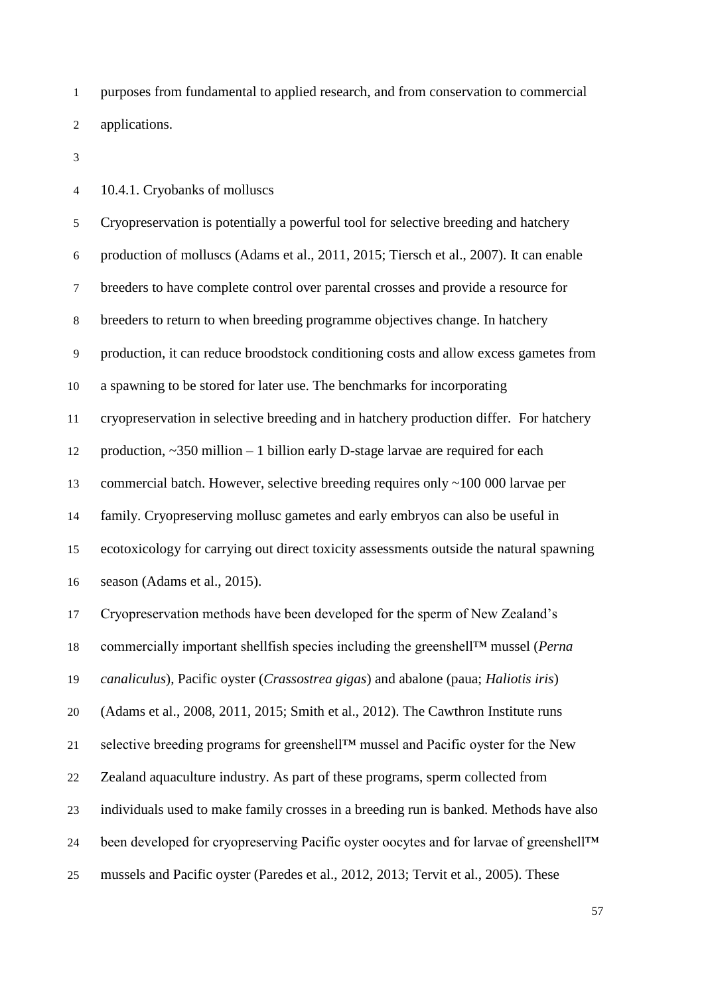purposes from fundamental to applied research, and from conservation to commercial applications.

10.4.1. Cryobanks of molluscs

 Cryopreservation is potentially a powerful tool for selective breeding and hatchery production of molluscs (Adams et al., 2011, 2015; Tiersch et al., 2007). It can enable breeders to have complete control over parental crosses and provide a resource for breeders to return to when breeding programme objectives change. In hatchery production, it can reduce broodstock conditioning costs and allow excess gametes from a spawning to be stored for later use. The benchmarks for incorporating cryopreservation in selective breeding and in hatchery production differ. For hatchery 12 production,  $\sim$ 350 million – 1 billion early D-stage larvae are required for each commercial batch. However, selective breeding requires only ~100 000 larvae per family. Cryopreserving mollusc gametes and early embryos can also be useful in ecotoxicology for carrying out direct toxicity assessments outside the natural spawning season (Adams et al., 2015). Cryopreservation methods have been developed for the sperm of New Zealand's commercially important shellfish species including the greenshell™ mussel (*Perna canaliculus*), Pacific oyster (*Crassostrea gigas*) and abalone (paua; *Haliotis iris*) (Adams et al., 2008, 2011, 2015; Smith et al., 2012). The Cawthron Institute runs selective breeding programs for greenshell™ mussel and Pacific oyster for the New Zealand aquaculture industry. As part of these programs, sperm collected from individuals used to make family crosses in a breeding run is banked. Methods have also been developed for cryopreserving Pacific oyster oocytes and for larvae of greenshell™ mussels and Pacific oyster (Paredes et al., 2012, 2013; Tervit et al., 2005). These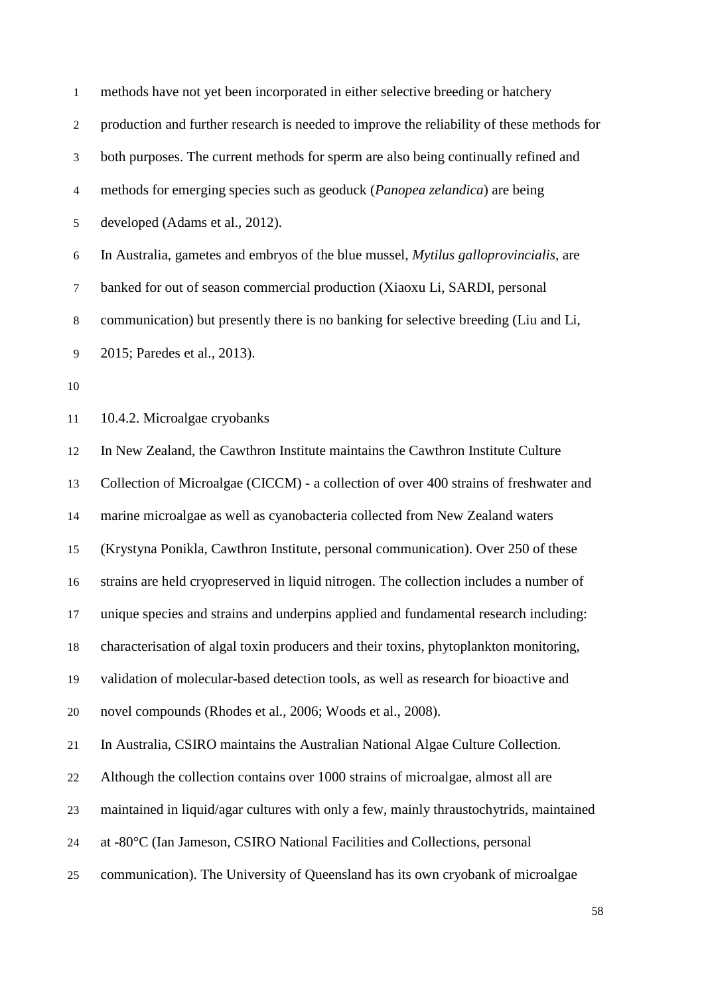| $\mathbf{1}$ | methods have not yet been incorporated in either selective breeding or hatchery              |
|--------------|----------------------------------------------------------------------------------------------|
| 2            | production and further research is needed to improve the reliability of these methods for    |
| 3            | both purposes. The current methods for sperm are also being continually refined and          |
| 4            | methods for emerging species such as geoduck (Panopea zelandica) are being                   |
| 5            | developed (Adams et al., 2012).                                                              |
| 6            | In Australia, gametes and embryos of the blue mussel, <i>Mytilus galloprovincialis</i> , are |
| $\tau$       | banked for out of season commercial production (Xiaoxu Li, SARDI, personal                   |
| 8            | communication) but presently there is no banking for selective breeding (Liu and Li,         |
| 9            | 2015; Paredes et al., 2013).                                                                 |
| 10           |                                                                                              |
| 11           | 10.4.2. Microalgae cryobanks                                                                 |
| 12           | In New Zealand, the Cawthron Institute maintains the Cawthron Institute Culture              |
| 13           | Collection of Microalgae (CICCM) - a collection of over 400 strains of freshwater and        |
| 14           | marine microalgae as well as cyanobacteria collected from New Zealand waters                 |
| 15           | (Krystyna Ponikla, Cawthron Institute, personal communication). Over 250 of these            |
| 16           | strains are held cryopreserved in liquid nitrogen. The collection includes a number of       |
| 17           | unique species and strains and underpins applied and fundamental research including:         |
| 18           | characterisation of algal toxin producers and their toxins, phytoplankton monitoring,        |
| 19           | validation of molecular-based detection tools, as well as research for bioactive and         |
| 20           | novel compounds (Rhodes et al., 2006; Woods et al., 2008).                                   |
| 21           | In Australia, CSIRO maintains the Australian National Algae Culture Collection.              |
| 22           | Although the collection contains over 1000 strains of microalgae, almost all are             |
| 23           | maintained in liquid/agar cultures with only a few, mainly thraustochytrids, maintained      |
| 24           | at -80°C (Ian Jameson, CSIRO National Facilities and Collections, personal                   |
| 25           | communication). The University of Queensland has its own cryobank of microalgae              |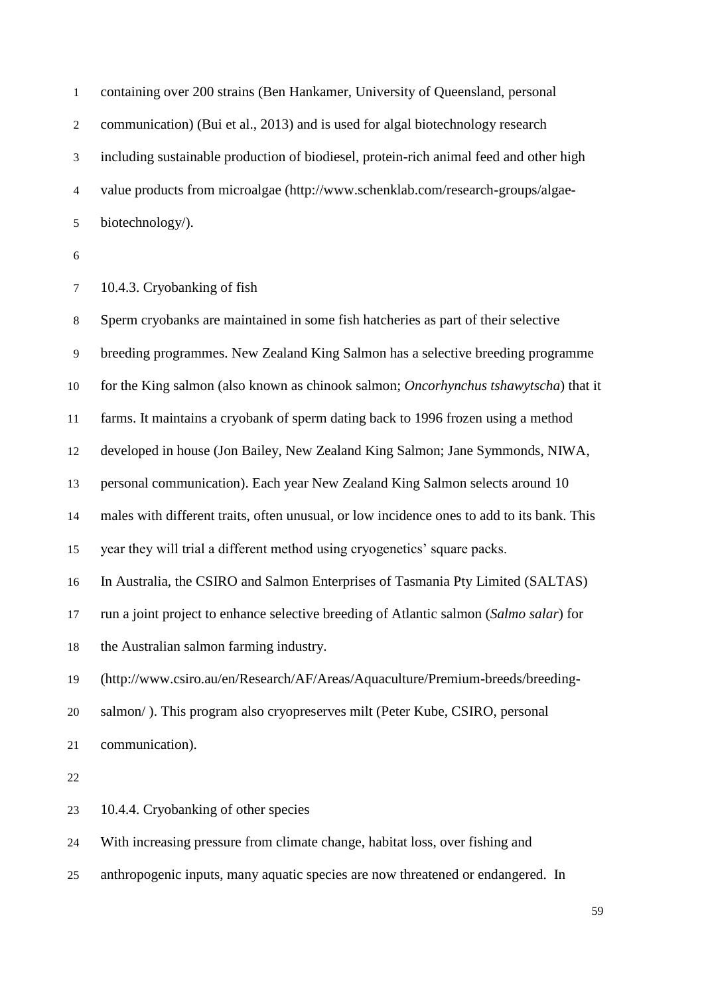| $\mathbf{1}$   | containing over 200 strains (Ben Hankamer, University of Queensland, personal              |
|----------------|--------------------------------------------------------------------------------------------|
| $\overline{2}$ | communication) (Bui et al., 2013) and is used for algal biotechnology research             |
| 3              | including sustainable production of biodiesel, protein-rich animal feed and other high     |
| 4              | value products from microalgae (http://www.schenklab.com/research-groups/algae-            |
| $\mathfrak s$  | biotechnology/).                                                                           |
| $\sqrt{6}$     |                                                                                            |
| $\tau$         | 10.4.3. Cryobanking of fish                                                                |
| 8              | Sperm cryobanks are maintained in some fish hatcheries as part of their selective          |
| 9              | breeding programmes. New Zealand King Salmon has a selective breeding programme            |
| 10             | for the King salmon (also known as chinook salmon; Oncorhynchus tshawytscha) that it       |
| 11             | farms. It maintains a cryobank of sperm dating back to 1996 frozen using a method          |
| 12             | developed in house (Jon Bailey, New Zealand King Salmon; Jane Symmonds, NIWA,              |
| 13             | personal communication). Each year New Zealand King Salmon selects around 10               |
| 14             | males with different traits, often unusual, or low incidence ones to add to its bank. This |
| 15             | year they will trial a different method using cryogenetics' square packs.                  |
| 16             | In Australia, the CSIRO and Salmon Enterprises of Tasmania Pty Limited (SALTAS)            |
| 17             | run a joint project to enhance selective breeding of Atlantic salmon (Salmo salar) for     |
| 18             | the Australian salmon farming industry.                                                    |
| 19             | (http://www.csiro.au/en/Research/AF/Areas/Aquaculture/Premium-breeds/breeding-             |

- salmon/ ). This program also cryopreserves milt (Peter Kube, CSIRO, personal
- communication).

10.4.4. Cryobanking of other species

With increasing pressure from climate change, habitat loss, over fishing and

anthropogenic inputs, many aquatic species are now threatened or endangered. In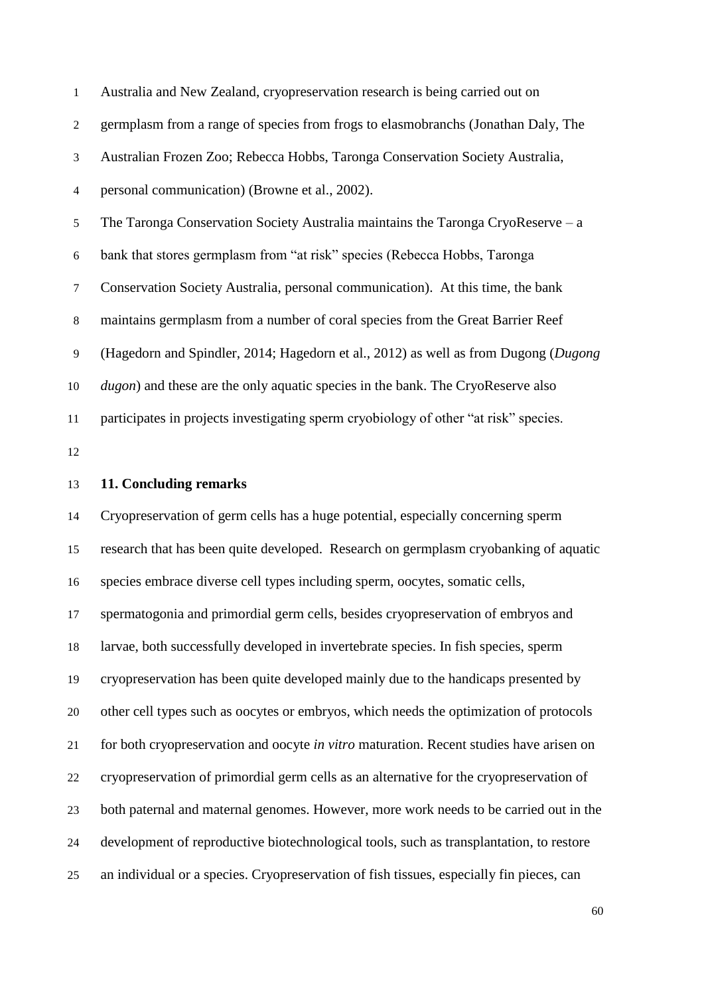| $\mathbf{1}$ | Australia and New Zealand, cryopreservation research is being carried out on            |
|--------------|-----------------------------------------------------------------------------------------|
| 2            | germplasm from a range of species from frogs to elasmobranchs (Jonathan Daly, The       |
| 3            | Australian Frozen Zoo; Rebecca Hobbs, Taronga Conservation Society Australia,           |
| 4            | personal communication) (Browne et al., 2002).                                          |
| 5            | The Taronga Conservation Society Australia maintains the Taronga CryoReserve $-a$       |
| 6            | bank that stores germplasm from "at risk" species (Rebecca Hobbs, Taronga               |
| 7            | Conservation Society Australia, personal communication). At this time, the bank         |
| 8            | maintains germplasm from a number of coral species from the Great Barrier Reef          |
| 9            | (Hagedorn and Spindler, 2014; Hagedorn et al., 2012) as well as from Dugong (Dugong     |
| 10           | <i>dugon</i> ) and these are the only aquatic species in the bank. The CryoReserve also |
| 11           | participates in projects investigating sperm cryobiology of other "at risk" species.    |
| 12           |                                                                                         |
| 13           | 11. Concluding remarks                                                                  |

 Cryopreservation of germ cells has a huge potential, especially concerning sperm research that has been quite developed. Research on germplasm cryobanking of aquatic species embrace diverse cell types including sperm, oocytes, somatic cells, spermatogonia and primordial germ cells, besides cryopreservation of embryos and larvae, both successfully developed in invertebrate species. In fish species, sperm cryopreservation has been quite developed mainly due to the handicaps presented by other cell types such as oocytes or embryos, which needs the optimization of protocols for both cryopreservation and oocyte *in vitro* maturation. Recent studies have arisen on cryopreservation of primordial germ cells as an alternative for the cryopreservation of both paternal and maternal genomes. However, more work needs to be carried out in the development of reproductive biotechnological tools, such as transplantation, to restore an individual or a species. Cryopreservation of fish tissues, especially fin pieces, can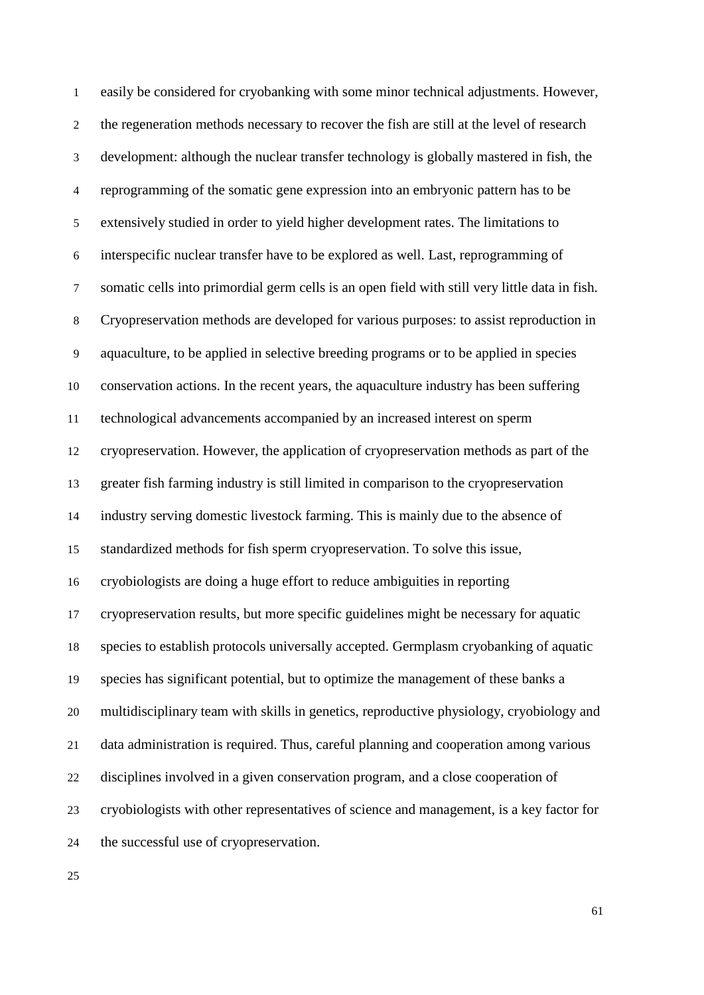easily be considered for cryobanking with some minor technical adjustments. However, the regeneration methods necessary to recover the fish are still at the level of research development: although the nuclear transfer technology is globally mastered in fish, the reprogramming of the somatic gene expression into an embryonic pattern has to be extensively studied in order to yield higher development rates. The limitations to interspecific nuclear transfer have to be explored as well. Last, reprogramming of somatic cells into primordial germ cells is an open field with still very little data in fish. Cryopreservation methods are developed for various purposes: to assist reproduction in aquaculture, to be applied in selective breeding programs or to be applied in species conservation actions. In the recent years, the aquaculture industry has been suffering technological advancements accompanied by an increased interest on sperm cryopreservation. However, the application of cryopreservation methods as part of the greater fish farming industry is still limited in comparison to the cryopreservation industry serving domestic livestock farming. This is mainly due to the absence of standardized methods for fish sperm cryopreservation. To solve this issue, cryobiologists are doing a huge effort to reduce ambiguities in reporting cryopreservation results, but more specific guidelines might be necessary for aquatic species to establish protocols universally accepted. Germplasm cryobanking of aquatic species has significant potential, but to optimize the management of these banks a multidisciplinary team with skills in genetics, reproductive physiology, cryobiology and data administration is required. Thus, careful planning and cooperation among various disciplines involved in a given conservation program, and a close cooperation of cryobiologists with other representatives of science and management, is a key factor for the successful use of cryopreservation.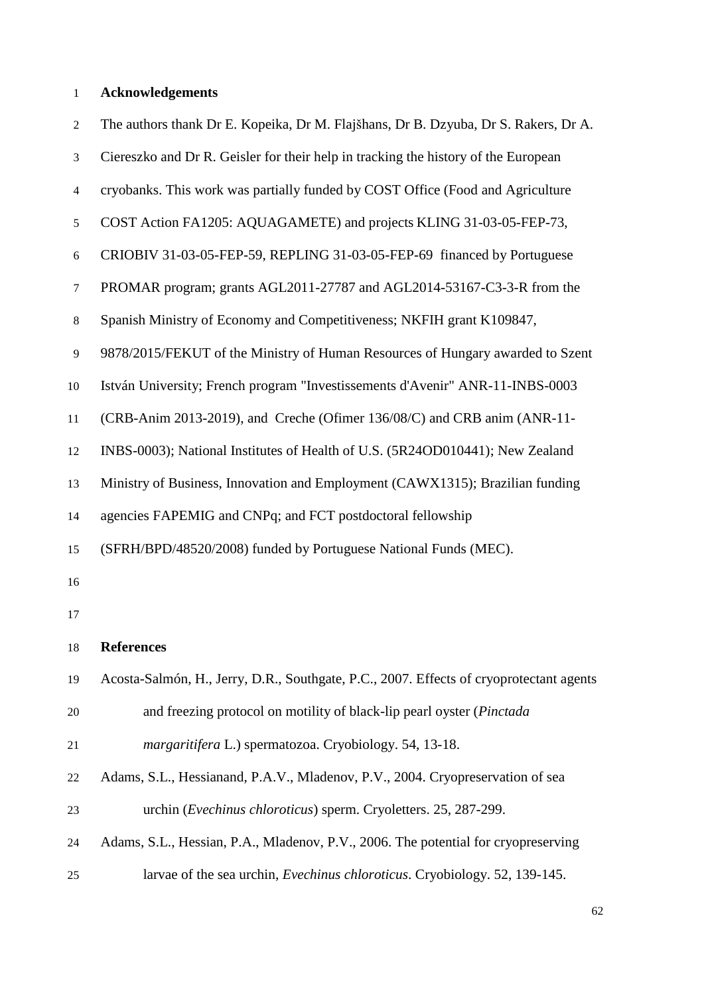# **Acknowledgements**

| 2  | The authors thank Dr E. Kopeika, Dr M. Flajšhans, Dr B. Dzyuba, Dr S. Rakers, Dr A.     |
|----|-----------------------------------------------------------------------------------------|
| 3  | Ciereszko and Dr R. Geisler for their help in tracking the history of the European      |
| 4  | cryobanks. This work was partially funded by COST Office (Food and Agriculture          |
| 5  | COST Action FA1205: AQUAGAMETE) and projects KLING 31-03-05-FEP-73,                     |
| 6  | CRIOBIV 31-03-05-FEP-59, REPLING 31-03-05-FEP-69 financed by Portuguese                 |
| 7  | PROMAR program; grants AGL2011-27787 and AGL2014-53167-C3-3-R from the                  |
| 8  | Spanish Ministry of Economy and Competitiveness; NKFIH grant K109847,                   |
| 9  | 9878/2015/FEKUT of the Ministry of Human Resources of Hungary awarded to Szent          |
| 10 | István University; French program "Investissements d'Avenir" ANR-11-INBS-0003           |
| 11 | (CRB-Anim 2013-2019), and Creche (Ofimer 136/08/C) and CRB anim (ANR-11-                |
| 12 | INBS-0003); National Institutes of Health of U.S. (5R24OD010441); New Zealand           |
| 13 | Ministry of Business, Innovation and Employment (CAWX1315); Brazilian funding           |
| 14 | agencies FAPEMIG and CNPq; and FCT postdoctoral fellowship                              |
| 15 | (SFRH/BPD/48520/2008) funded by Portuguese National Funds (MEC).                        |
| 16 |                                                                                         |
| 17 |                                                                                         |
| 18 | <b>References</b>                                                                       |
| 19 | Acosta-Salmón, H., Jerry, D.R., Southgate, P.C., 2007. Effects of cryoprotectant agents |
| 20 | and freezing protocol on motility of black-lip pearl oyster (Pinctada                   |
| 21 | margaritifera L.) spermatozoa. Cryobiology. 54, 13-18.                                  |
| 22 | Adams, S.L., Hessianand, P.A.V., Mladenov, P.V., 2004. Cryopreservation of sea          |
| 23 | urchin (Evechinus chloroticus) sperm. Cryoletters. 25, 287-299.                         |
| 24 | Adams, S.L., Hessian, P.A., Mladenov, P.V., 2006. The potential for cryopreserving      |
| 25 | larvae of the sea urchin, <i>Evechinus chloroticus</i> . Cryobiology. 52, 139-145.      |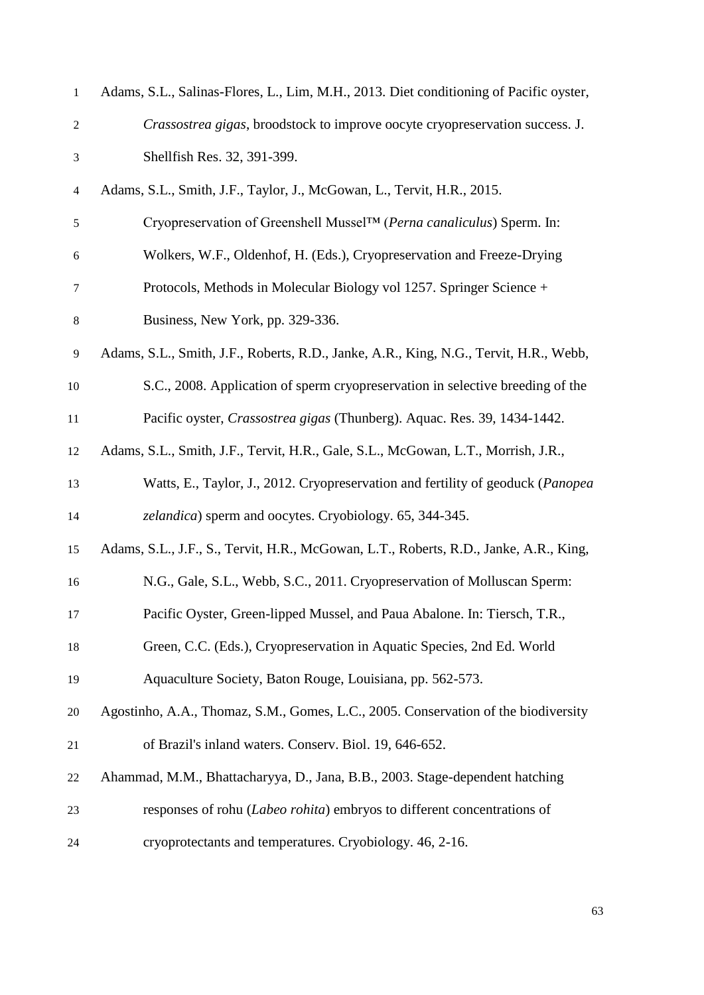| $\mathbf{1}$   | Adams, S.L., Salinas-Flores, L., Lim, M.H., 2013. Diet conditioning of Pacific oyster, |
|----------------|----------------------------------------------------------------------------------------|
| $\overline{c}$ | Crassostrea gigas, broodstock to improve oocyte cryopreservation success. J.           |
| 3              | Shellfish Res. 32, 391-399.                                                            |
| $\overline{4}$ | Adams, S.L., Smith, J.F., Taylor, J., McGowan, L., Tervit, H.R., 2015.                 |
| 5              | Cryopreservation of Greenshell Mussel™ (Perna canaliculus) Sperm. In:                  |
| 6              | Wolkers, W.F., Oldenhof, H. (Eds.), Cryopreservation and Freeze-Drying                 |
| 7              | Protocols, Methods in Molecular Biology vol 1257. Springer Science +                   |
| $8\,$          | Business, New York, pp. 329-336.                                                       |
| $\mathbf{9}$   | Adams, S.L., Smith, J.F., Roberts, R.D., Janke, A.R., King, N.G., Tervit, H.R., Webb,  |
| 10             | S.C., 2008. Application of sperm cryopreservation in selective breeding of the         |
| 11             | Pacific oyster, Crassostrea gigas (Thunberg). Aquac. Res. 39, 1434-1442.               |
| 12             | Adams, S.L., Smith, J.F., Tervit, H.R., Gale, S.L., McGowan, L.T., Morrish, J.R.,      |
| 13             | Watts, E., Taylor, J., 2012. Cryopreservation and fertility of geoduck (Panopea        |
| 14             | zelandica) sperm and oocytes. Cryobiology. 65, 344-345.                                |
| 15             | Adams, S.L., J.F., S., Tervit, H.R., McGowan, L.T., Roberts, R.D., Janke, A.R., King,  |
| 16             | N.G., Gale, S.L., Webb, S.C., 2011. Cryopreservation of Molluscan Sperm:               |
| 17             | Pacific Oyster, Green-lipped Mussel, and Paua Abalone. In: Tiersch, T.R.,              |
| 18             | Green, C.C. (Eds.), Cryopreservation in Aquatic Species, 2nd Ed. World                 |
| 19             | Aquaculture Society, Baton Rouge, Louisiana, pp. 562-573.                              |
| 20             | Agostinho, A.A., Thomaz, S.M., Gomes, L.C., 2005. Conservation of the biodiversity     |
| 21             | of Brazil's inland waters. Conserv. Biol. 19, 646-652.                                 |
| 22             | Ahammad, M.M., Bhattacharyya, D., Jana, B.B., 2003. Stage-dependent hatching           |
| 23             | responses of rohu (Labeo rohita) embryos to different concentrations of                |
| 24             | cryoprotectants and temperatures. Cryobiology. 46, 2-16.                               |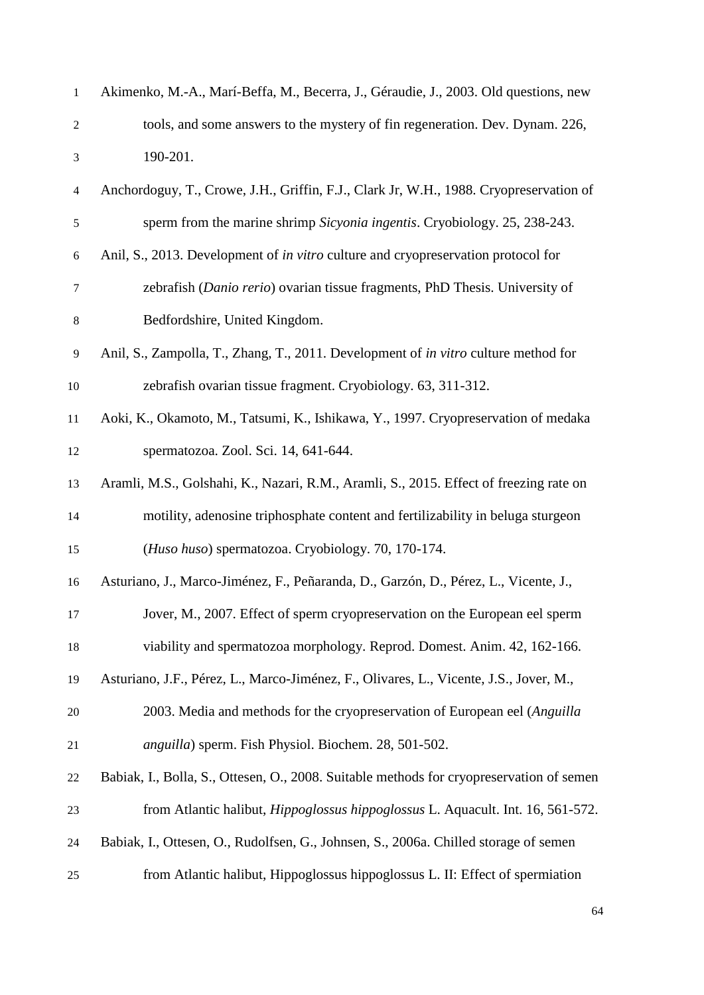| $\mathbf{1}$             | Akimenko, M.-A., Marí-Beffa, M., Becerra, J., Géraudie, J., 2003. Old questions, new       |
|--------------------------|--------------------------------------------------------------------------------------------|
| $\boldsymbol{2}$         | tools, and some answers to the mystery of fin regeneration. Dev. Dynam. 226,               |
| 3                        | 190-201.                                                                                   |
| $\overline{\mathcal{A}}$ | Anchordoguy, T., Crowe, J.H., Griffin, F.J., Clark Jr, W.H., 1988. Cryopreservation of     |
| $\sqrt{5}$               | sperm from the marine shrimp Sicyonia ingentis. Cryobiology. 25, 238-243.                  |
| 6                        | Anil, S., 2013. Development of <i>in vitro</i> culture and cryopreservation protocol for   |
| $\tau$                   | zebrafish (Danio rerio) ovarian tissue fragments, PhD Thesis. University of                |
| $\,8$                    | Bedfordshire, United Kingdom.                                                              |
| 9                        | Anil, S., Zampolla, T., Zhang, T., 2011. Development of <i>in vitro</i> culture method for |
| 10                       | zebrafish ovarian tissue fragment. Cryobiology. 63, 311-312.                               |
| 11                       | Aoki, K., Okamoto, M., Tatsumi, K., Ishikawa, Y., 1997. Cryopreservation of medaka         |
| 12                       | spermatozoa. Zool. Sci. 14, 641-644.                                                       |
| 13                       | Aramli, M.S., Golshahi, K., Nazari, R.M., Aramli, S., 2015. Effect of freezing rate on     |
| 14                       | motility, adenosine triphosphate content and fertilizability in beluga sturgeon            |
| 15                       | (Huso huso) spermatozoa. Cryobiology. 70, 170-174.                                         |
| 16                       | Asturiano, J., Marco-Jiménez, F., Peñaranda, D., Garzón, D., Pérez, L., Vicente, J.,       |
| 17                       | Jover, M., 2007. Effect of sperm cryopreservation on the European eel sperm                |
| 18                       | viability and spermatozoa morphology. Reprod. Domest. Anim. 42, 162-166.                   |
| 19                       | Asturiano, J.F., Pérez, L., Marco-Jiménez, F., Olivares, L., Vicente, J.S., Jover, M.,     |
| 20                       | 2003. Media and methods for the cryopreservation of European eel (Anguilla                 |
| 21                       | anguilla) sperm. Fish Physiol. Biochem. 28, 501-502.                                       |
| 22                       | Babiak, I., Bolla, S., Ottesen, O., 2008. Suitable methods for cryopreservation of semen   |
| 23                       | from Atlantic halibut, <i>Hippoglossus hippoglossus</i> L. Aquacult. Int. 16, 561-572.     |
| 24                       | Babiak, I., Ottesen, O., Rudolfsen, G., Johnsen, S., 2006a. Chilled storage of semen       |
| 25                       | from Atlantic halibut, Hippoglossus hippoglossus L. II: Effect of spermiation              |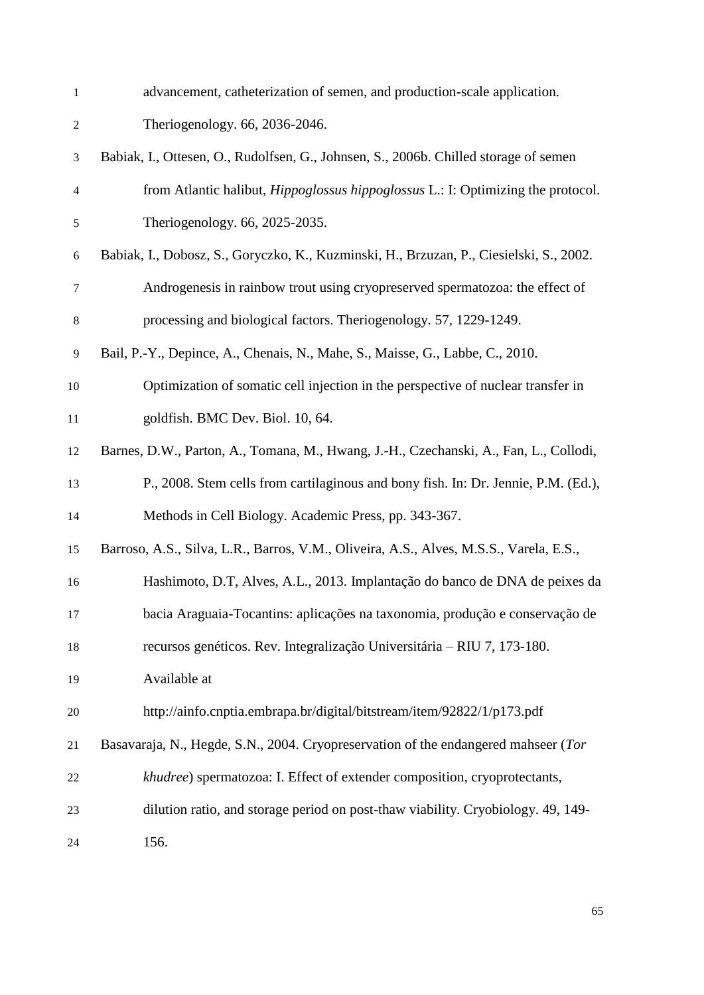| $\mathbf{1}$             | advancement, catheterization of semen, and production-scale application.                |
|--------------------------|-----------------------------------------------------------------------------------------|
| $\overline{c}$           | Theriogenology. 66, 2036-2046.                                                          |
| 3                        | Babiak, I., Ottesen, O., Rudolfsen, G., Johnsen, S., 2006b. Chilled storage of semen    |
| $\overline{\mathcal{L}}$ | from Atlantic halibut, <i>Hippoglossus hippoglossus</i> L.: I: Optimizing the protocol. |
| 5                        | Theriogenology. 66, 2025-2035.                                                          |
| $\boldsymbol{6}$         | Babiak, I., Dobosz, S., Goryczko, K., Kuzminski, H., Brzuzan, P., Ciesielski, S., 2002. |
| $\tau$                   | Androgenesis in rainbow trout using cryopreserved spermatozoa: the effect of            |
| $8\,$                    | processing and biological factors. Theriogenology. 57, 1229-1249.                       |
| $\mathbf{9}$             | Bail, P.-Y., Depince, A., Chenais, N., Mahe, S., Maisse, G., Labbe, C., 2010.           |
| 10                       | Optimization of somatic cell injection in the perspective of nuclear transfer in        |
| 11                       | goldfish. BMC Dev. Biol. 10, 64.                                                        |
| 12                       | Barnes, D.W., Parton, A., Tomana, M., Hwang, J.-H., Czechanski, A., Fan, L., Collodi,   |
| 13                       | P., 2008. Stem cells from cartilaginous and bony fish. In: Dr. Jennie, P.M. (Ed.),      |
| 14                       | Methods in Cell Biology. Academic Press, pp. 343-367.                                   |
| 15                       | Barroso, A.S., Silva, L.R., Barros, V.M., Oliveira, A.S., Alves, M.S.S., Varela, E.S.,  |
| 16                       | Hashimoto, D.T, Alves, A.L., 2013. Implantação do banco de DNA de peixes da             |
| 17                       | bacia Araguaia-Tocantins: aplicações na taxonomia, produção e conservação de            |
| 18                       | recursos genéticos. Rev. Integralização Universitária - RIU 7, 173-180.                 |
| 19                       | Available at                                                                            |
| 20                       | http://ainfo.cnptia.embrapa.br/digital/bitstream/item/92822/1/p173.pdf                  |
| 21                       | Basavaraja, N., Hegde, S.N., 2004. Cryopreservation of the endangered mahseer (Tor      |
| 22                       | khudree) spermatozoa: I. Effect of extender composition, cryoprotectants,               |
| 23                       | dilution ratio, and storage period on post-thaw viability. Cryobiology. 49, 149-        |
| 24                       | 156.                                                                                    |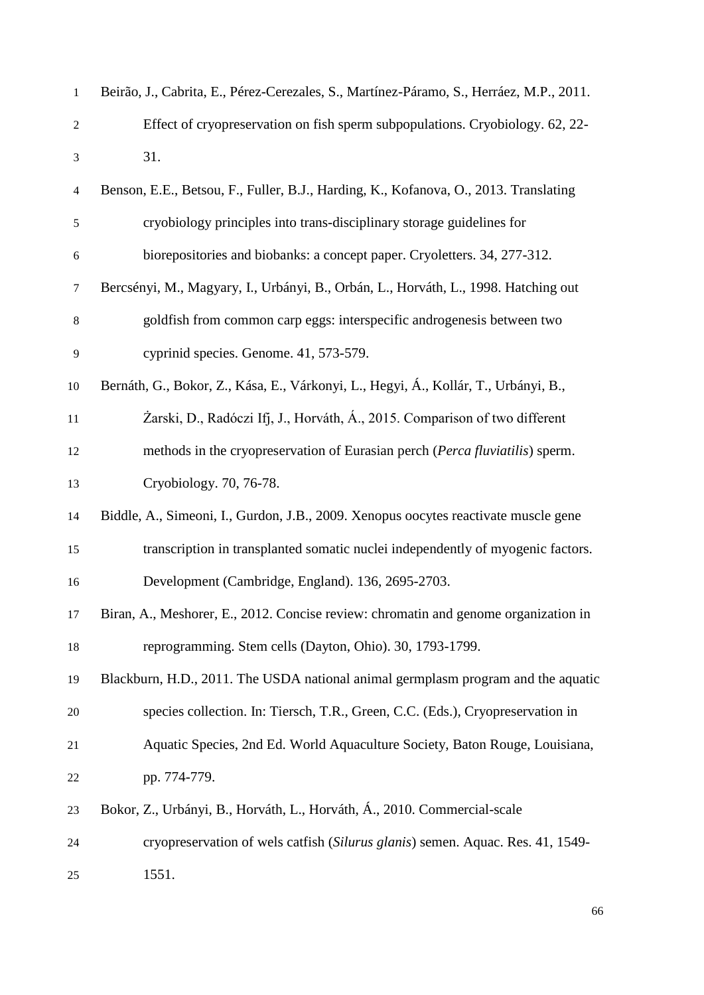| $\mathbf{1}$     | Beirão, J., Cabrita, E., Pérez-Cerezales, S., Martínez-Páramo, S., Herráez, M.P., 2011. |
|------------------|-----------------------------------------------------------------------------------------|
| $\boldsymbol{2}$ | Effect of cryopreservation on fish sperm subpopulations. Cryobiology. 62, 22-           |
| $\mathfrak{Z}$   | 31.                                                                                     |
| $\overline{4}$   | Benson, E.E., Betsou, F., Fuller, B.J., Harding, K., Kofanova, O., 2013. Translating    |
| $\mathfrak s$    | cryobiology principles into trans-disciplinary storage guidelines for                   |
| $\sqrt{6}$       | biorepositories and biobanks: a concept paper. Cryoletters. 34, 277-312.                |
| $\tau$           | Bercsényi, M., Magyary, I., Urbányi, B., Orbán, L., Horváth, L., 1998. Hatching out     |
| $8\,$            | goldfish from common carp eggs: interspecific androgenesis between two                  |
| 9                | cyprinid species. Genome. 41, 573-579.                                                  |
| 10               | Bernáth, G., Bokor, Z., Kása, E., Várkonyi, L., Hegyi, Á., Kollár, T., Urbányi, B.,     |
| 11               | Żarski, D., Radóczi Ifj, J., Horváth, Á., 2015. Comparison of two different             |
| 12               | methods in the cryopreservation of Eurasian perch (Perca fluviatilis) sperm.            |
| 13               | Cryobiology. 70, 76-78.                                                                 |
| 14               | Biddle, A., Simeoni, I., Gurdon, J.B., 2009. Xenopus oocytes reactivate muscle gene     |
| 15               | transcription in transplanted somatic nuclei independently of myogenic factors.         |
| 16               | Development (Cambridge, England). 136, 2695-2703.                                       |
| 17               | Biran, A., Meshorer, E., 2012. Concise review: chromatin and genome organization in     |
| 18               | reprogramming. Stem cells (Dayton, Ohio). 30, 1793-1799.                                |
| 19               | Blackburn, H.D., 2011. The USDA national animal germplasm program and the aquatic       |
| 20               | species collection. In: Tiersch, T.R., Green, C.C. (Eds.), Cryopreservation in          |
| 21               | Aquatic Species, 2nd Ed. World Aquaculture Society, Baton Rouge, Louisiana,             |
| 22               | pp. 774-779.                                                                            |
| 23               | Bokor, Z., Urbányi, B., Horváth, L., Horváth, Á., 2010. Commercial-scale                |
| 24               | cryopreservation of wels catfish (Silurus glanis) semen. Aquac. Res. 41, 1549-          |
| 25               | 1551.                                                                                   |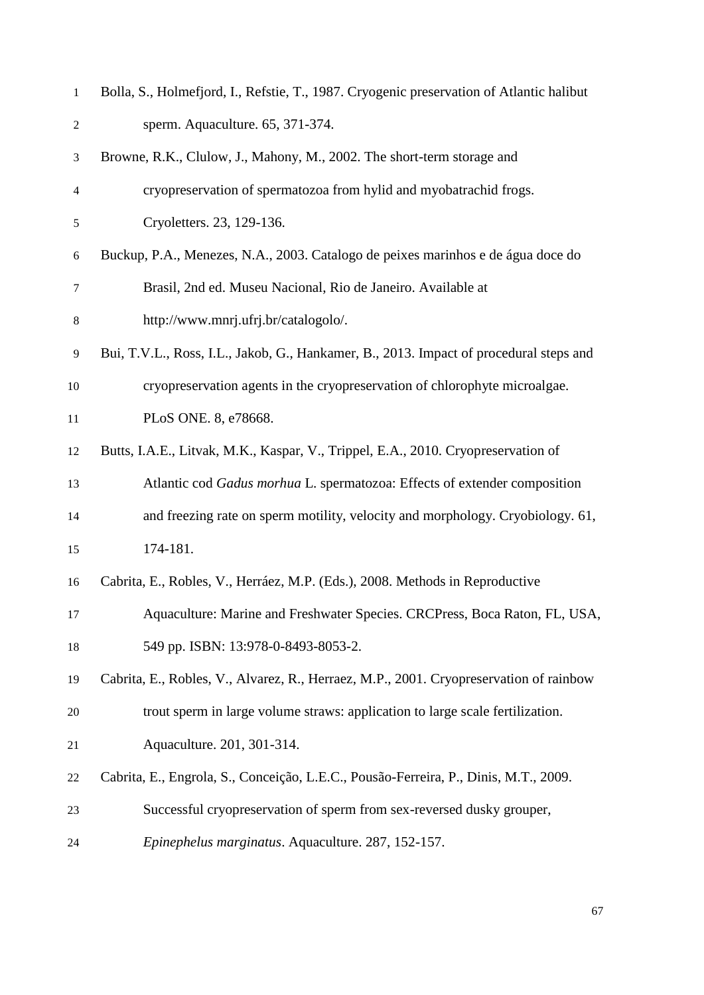| $\mathbf{1}$   | Bolla, S., Holmefjord, I., Refstie, T., 1987. Cryogenic preservation of Atlantic halibut |
|----------------|------------------------------------------------------------------------------------------|
| $\overline{c}$ | sperm. Aquaculture. 65, 371-374.                                                         |
| 3              | Browne, R.K., Clulow, J., Mahony, M., 2002. The short-term storage and                   |
| 4              | cryopreservation of spermatozoa from hylid and myobatrachid frogs.                       |
| 5              | Cryoletters. 23, 129-136.                                                                |
| 6              | Buckup, P.A., Menezes, N.A., 2003. Catalogo de peixes marinhos e de água doce do         |
| $\tau$         | Brasil, 2nd ed. Museu Nacional, Rio de Janeiro. Available at                             |
| 8              | http://www.mnrj.ufrj.br/catalogolo/.                                                     |
| 9              | Bui, T.V.L., Ross, I.L., Jakob, G., Hankamer, B., 2013. Impact of procedural steps and   |
| 10             | cryopreservation agents in the cryopreservation of chlorophyte microalgae.               |
| 11             | PLoS ONE. 8, e78668.                                                                     |
| 12             | Butts, I.A.E., Litvak, M.K., Kaspar, V., Trippel, E.A., 2010. Cryopreservation of        |
| 13             | Atlantic cod Gadus morhua L. spermatozoa: Effects of extender composition                |
| 14             | and freezing rate on sperm motility, velocity and morphology. Cryobiology. 61,           |
| 15             | 174-181.                                                                                 |
| 16             | Cabrita, E., Robles, V., Herráez, M.P. (Eds.), 2008. Methods in Reproductive             |
| 17             | Aquaculture: Marine and Freshwater Species. CRCPress, Boca Raton, FL, USA,               |
| 18             | 549 pp. ISBN: 13:978-0-8493-8053-2.                                                      |
| 19             | Cabrita, E., Robles, V., Alvarez, R., Herraez, M.P., 2001. Cryopreservation of rainbow   |
| 20             | trout sperm in large volume straws: application to large scale fertilization.            |
| 21             | Aquaculture. 201, 301-314.                                                               |
| 22             | Cabrita, E., Engrola, S., Conceição, L.E.C., Pousão-Ferreira, P., Dinis, M.T., 2009.     |
| 23             | Successful cryopreservation of sperm from sex-reversed dusky grouper,                    |
| 24             | Epinephelus marginatus. Aquaculture. 287, 152-157.                                       |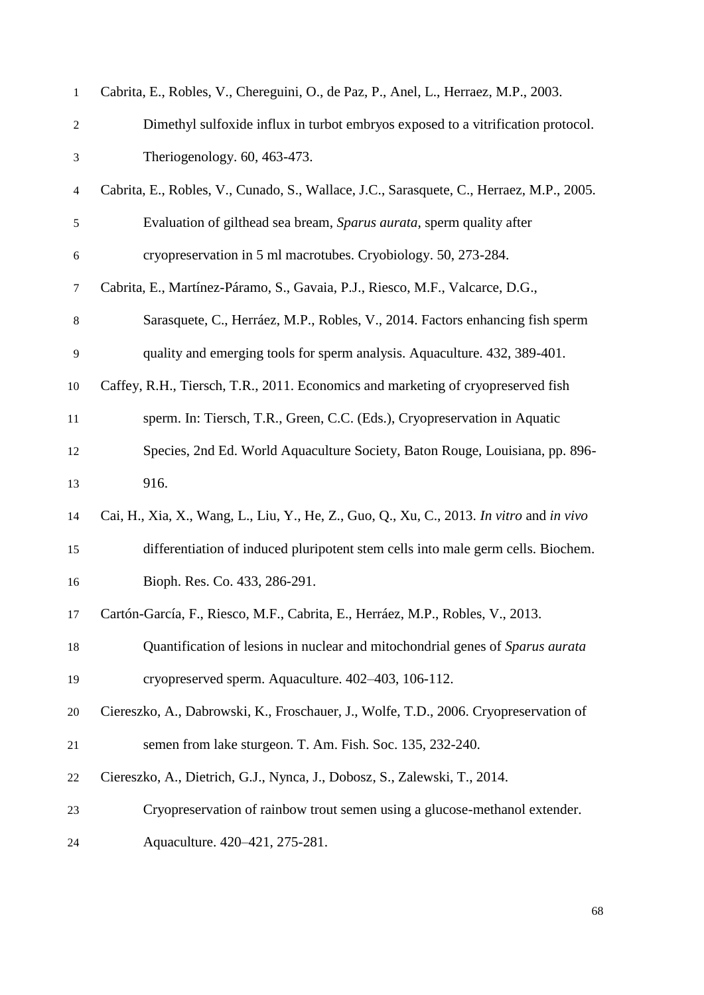| $\mathbf{1}$             | Cabrita, E., Robles, V., Chereguini, O., de Paz, P., Anel, L., Herraez, M.P., 2003.      |
|--------------------------|------------------------------------------------------------------------------------------|
| $\overline{c}$           | Dimethyl sulfoxide influx in turbot embryos exposed to a vitrification protocol.         |
| 3                        | Theriogenology. 60, 463-473.                                                             |
| $\overline{\mathcal{A}}$ | Cabrita, E., Robles, V., Cunado, S., Wallace, J.C., Sarasquete, C., Herraez, M.P., 2005. |
| $\mathfrak s$            | Evaluation of gilthead sea bream, Sparus aurata, sperm quality after                     |
| 6                        | cryopreservation in 5 ml macrotubes. Cryobiology. 50, 273-284.                           |
| $\boldsymbol{7}$         | Cabrita, E., Martínez-Páramo, S., Gavaia, P.J., Riesco, M.F., Valcarce, D.G.,            |
| $8\,$                    | Sarasquete, C., Herráez, M.P., Robles, V., 2014. Factors enhancing fish sperm            |
| $\mathbf{9}$             | quality and emerging tools for sperm analysis. Aquaculture. 432, 389-401.                |
| 10                       | Caffey, R.H., Tiersch, T.R., 2011. Economics and marketing of cryopreserved fish         |
| 11                       | sperm. In: Tiersch, T.R., Green, C.C. (Eds.), Cryopreservation in Aquatic                |
| 12                       | Species, 2nd Ed. World Aquaculture Society, Baton Rouge, Louisiana, pp. 896-             |
| 13                       | 916.                                                                                     |
| 14                       | Cai, H., Xia, X., Wang, L., Liu, Y., He, Z., Guo, Q., Xu, C., 2013. In vitro and in vivo |
| 15                       | differentiation of induced pluripotent stem cells into male germ cells. Biochem.         |
| 16                       | Bioph. Res. Co. 433, 286-291.                                                            |
| 17                       | Cartón-García, F., Riesco, M.F., Cabrita, E., Herráez, M.P., Robles, V., 2013.           |
| 18                       | Quantification of lesions in nuclear and mitochondrial genes of Sparus aurata            |
| 19                       | cryopreserved sperm. Aquaculture. 402-403, 106-112.                                      |
| 20                       | Ciereszko, A., Dabrowski, K., Froschauer, J., Wolfe, T.D., 2006. Cryopreservation of     |
| 21                       | semen from lake sturgeon. T. Am. Fish. Soc. 135, 232-240.                                |
| 22                       | Ciereszko, A., Dietrich, G.J., Nynca, J., Dobosz, S., Zalewski, T., 2014.                |
| 23                       | Cryopreservation of rainbow trout semen using a glucose-methanol extender.               |
| 24                       | Aquaculture. 420-421, 275-281.                                                           |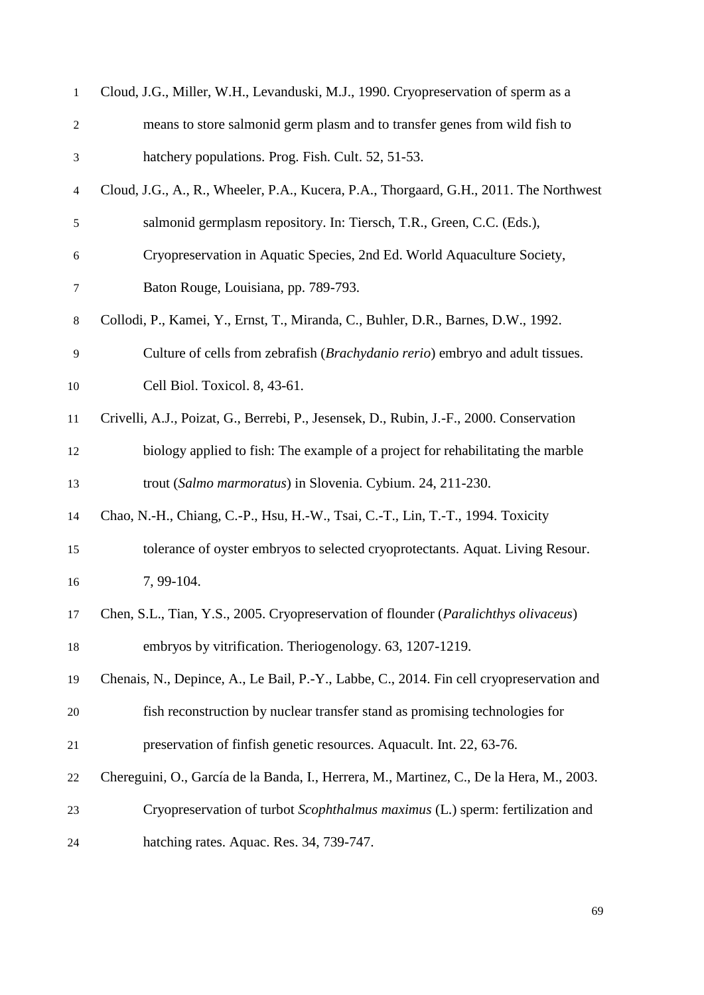| $\mathbf{1}$   | Cloud, J.G., Miller, W.H., Levanduski, M.J., 1990. Cryopreservation of sperm as a        |
|----------------|------------------------------------------------------------------------------------------|
| $\overline{c}$ | means to store salmonid germ plasm and to transfer genes from wild fish to               |
| $\mathfrak{Z}$ | hatchery populations. Prog. Fish. Cult. 52, 51-53.                                       |
| $\overline{4}$ | Cloud, J.G., A., R., Wheeler, P.A., Kucera, P.A., Thorgaard, G.H., 2011. The Northwest   |
| $\sqrt{5}$     | salmonid germplasm repository. In: Tiersch, T.R., Green, C.C. (Eds.),                    |
| 6              | Cryopreservation in Aquatic Species, 2nd Ed. World Aquaculture Society,                  |
| $\tau$         | Baton Rouge, Louisiana, pp. 789-793.                                                     |
| $\,8\,$        | Collodi, P., Kamei, Y., Ernst, T., Miranda, C., Buhler, D.R., Barnes, D.W., 1992.        |
| 9              | Culture of cells from zebrafish ( <i>Brachydanio rerio</i> ) embryo and adult tissues.   |
| 10             | Cell Biol. Toxicol. 8, 43-61.                                                            |
| 11             | Crivelli, A.J., Poizat, G., Berrebi, P., Jesensek, D., Rubin, J.-F., 2000. Conservation  |
| 12             | biology applied to fish: The example of a project for rehabilitating the marble          |
| 13             | trout (Salmo marmoratus) in Slovenia. Cybium. 24, 211-230.                               |
| 14             | Chao, N.-H., Chiang, C.-P., Hsu, H.-W., Tsai, C.-T., Lin, T.-T., 1994. Toxicity          |
| 15             | tolerance of oyster embryos to selected cryoprotectants. Aquat. Living Resour.           |
| 16             | 7, 99-104.                                                                               |
| 17             | Chen, S.L., Tian, Y.S., 2005. Cryopreservation of flounder (Paralichthys olivaceus)      |
| 18             | embryos by vitrification. Theriogenology. 63, 1207-1219.                                 |
| 19             | Chenais, N., Depince, A., Le Bail, P.-Y., Labbe, C., 2014. Fin cell cryopreservation and |
| 20             | fish reconstruction by nuclear transfer stand as promising technologies for              |
| 21             | preservation of finfish genetic resources. Aquacult. Int. 22, 63-76.                     |
| 22             | Chereguini, O., García de la Banda, I., Herrera, M., Martinez, C., De la Hera, M., 2003. |
| 23             | Cryopreservation of turbot Scophthalmus maximus (L.) sperm: fertilization and            |
| 24             | hatching rates. Aquac. Res. 34, 739-747.                                                 |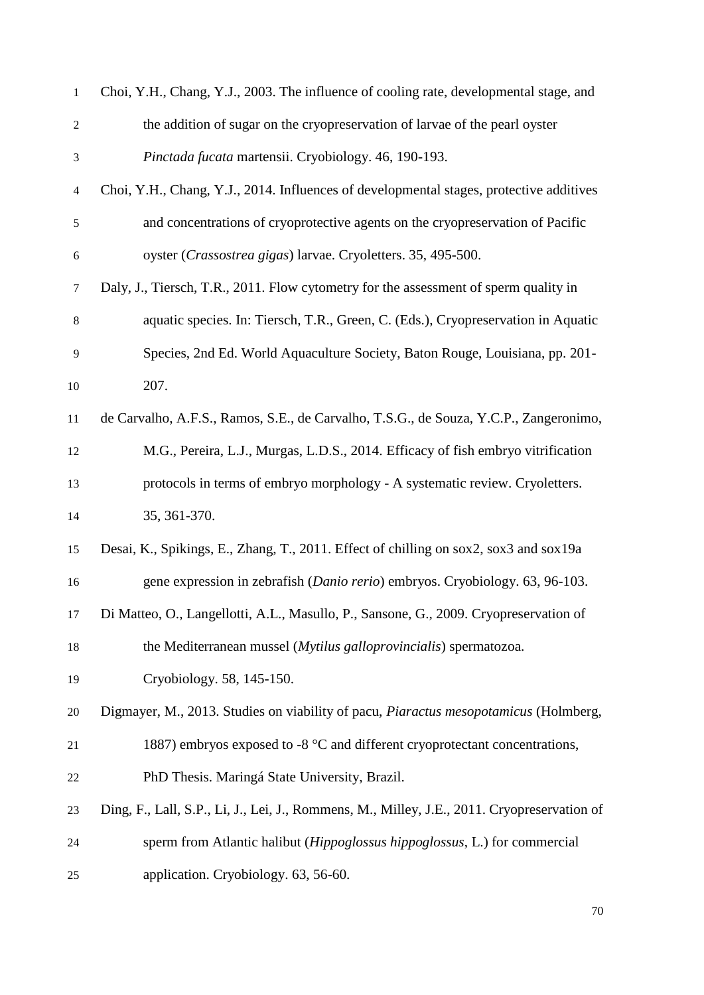| $\mathbf{1}$  | Choi, Y.H., Chang, Y.J., 2003. The influence of cooling rate, developmental stage, and      |
|---------------|---------------------------------------------------------------------------------------------|
| $\mathbf{2}$  | the addition of sugar on the cryopreservation of larvae of the pearl oyster                 |
| 3             | Pinctada fucata martensii. Cryobiology. 46, 190-193.                                        |
| 4             | Choi, Y.H., Chang, Y.J., 2014. Influences of developmental stages, protective additives     |
| $\mathfrak s$ | and concentrations of cryoprotective agents on the cryopreservation of Pacific              |
| 6             | oyster (Crassostrea gigas) larvae. Cryoletters. 35, 495-500.                                |
| 7             | Daly, J., Tiersch, T.R., 2011. Flow cytometry for the assessment of sperm quality in        |
| $8\,$         | aquatic species. In: Tiersch, T.R., Green, C. (Eds.), Cryopreservation in Aquatic           |
| 9             | Species, 2nd Ed. World Aquaculture Society, Baton Rouge, Louisiana, pp. 201-                |
| 10            | 207.                                                                                        |
| 11            | de Carvalho, A.F.S., Ramos, S.E., de Carvalho, T.S.G., de Souza, Y.C.P., Zangeronimo,       |
| 12            | M.G., Pereira, L.J., Murgas, L.D.S., 2014. Efficacy of fish embryo vitrification            |
| 13            | protocols in terms of embryo morphology - A systematic review. Cryoletters.                 |
| 14            | 35, 361-370.                                                                                |
| 15            | Desai, K., Spikings, E., Zhang, T., 2011. Effect of chilling on sox2, sox3 and sox19a       |
| 16            | gene expression in zebrafish (Danio rerio) embryos. Cryobiology. 63, 96-103.                |
| 17            | Di Matteo, O., Langellotti, A.L., Masullo, P., Sansone, G., 2009. Cryopreservation of       |
| 18            | the Mediterranean mussel ( <i>Mytilus galloprovincialis</i> ) spermatozoa.                  |
| 19            | Cryobiology. 58, 145-150.                                                                   |
| $20\,$        | Digmayer, M., 2013. Studies on viability of pacu, <i>Piaractus mesopotamicus</i> (Holmberg, |
| 21            | 1887) embryos exposed to -8 $^{\circ}$ C and different cryoprotectant concentrations,       |
| 22            | PhD Thesis. Maringá State University, Brazil.                                               |
| 23            | Ding, F., Lall, S.P., Li, J., Lei, J., Rommens, M., Milley, J.E., 2011. Cryopreservation of |
| 24            | sperm from Atlantic halibut ( <i>Hippoglossus hippoglossus</i> , L.) for commercial         |
| 25            | application. Cryobiology. 63, 56-60.                                                        |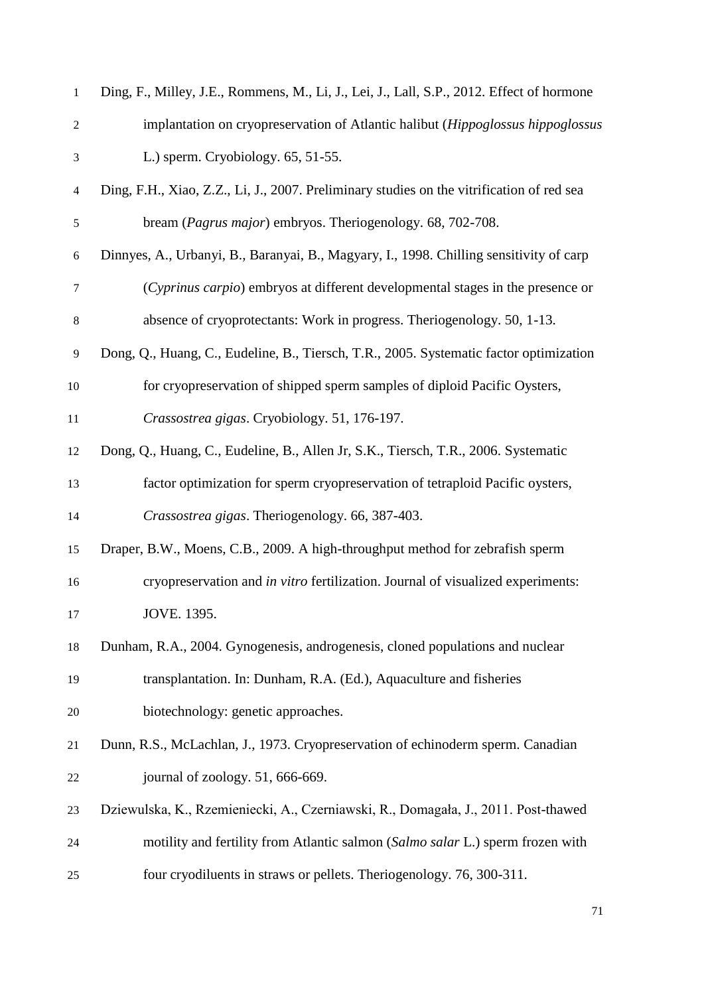| $\mathbf{1}$                | Ding, F., Milley, J.E., Rommens, M., Li, J., Lei, J., Lall, S.P., 2012. Effect of hormone |
|-----------------------------|-------------------------------------------------------------------------------------------|
| $\boldsymbol{2}$            | implantation on cryopreservation of Atlantic halibut (Hippoglossus hippoglossus           |
| $\ensuremath{\mathfrak{Z}}$ | L.) sperm. Cryobiology. 65, 51-55.                                                        |
| $\overline{\mathcal{A}}$    | Ding, F.H., Xiao, Z.Z., Li, J., 2007. Preliminary studies on the vitrification of red sea |
| 5                           | bream (Pagrus major) embryos. Theriogenology. 68, 702-708.                                |
| 6                           | Dinnyes, A., Urbanyi, B., Baranyai, B., Magyary, I., 1998. Chilling sensitivity of carp   |
| $\tau$                      | (Cyprinus carpio) embryos at different developmental stages in the presence or            |
| $8\,$                       | absence of cryoprotectants: Work in progress. Theriogenology. 50, 1-13.                   |
| 9                           | Dong, Q., Huang, C., Eudeline, B., Tiersch, T.R., 2005. Systematic factor optimization    |
| 10                          | for cryopreservation of shipped sperm samples of diploid Pacific Oysters,                 |
| 11                          | Crassostrea gigas. Cryobiology. 51, 176-197.                                              |
| 12                          | Dong, Q., Huang, C., Eudeline, B., Allen Jr, S.K., Tiersch, T.R., 2006. Systematic        |
| 13                          | factor optimization for sperm cryopreservation of tetraploid Pacific oysters,             |
| 14                          | Crassostrea gigas. Theriogenology. 66, 387-403.                                           |
| 15                          | Draper, B.W., Moens, C.B., 2009. A high-throughput method for zebrafish sperm             |
| 16                          | cryopreservation and in vitro fertilization. Journal of visualized experiments:           |
| 17                          | JOVE. 1395.                                                                               |
| 18                          | Dunham, R.A., 2004. Gynogenesis, androgenesis, cloned populations and nuclear             |
| 19                          | transplantation. In: Dunham, R.A. (Ed.), Aquaculture and fisheries                        |
| 20                          | biotechnology: genetic approaches.                                                        |
| 21                          | Dunn, R.S., McLachlan, J., 1973. Cryopreservation of echinoderm sperm. Canadian           |
| 22                          | journal of zoology. 51, 666-669.                                                          |
| 23                          | Dziewulska, K., Rzemieniecki, A., Czerniawski, R., Domagała, J., 2011. Post-thawed        |
| 24                          | motility and fertility from Atlantic salmon (Salmo salar L.) sperm frozen with            |
| 25                          | four cryodiluents in straws or pellets. Theriogenology. 76, 300-311.                      |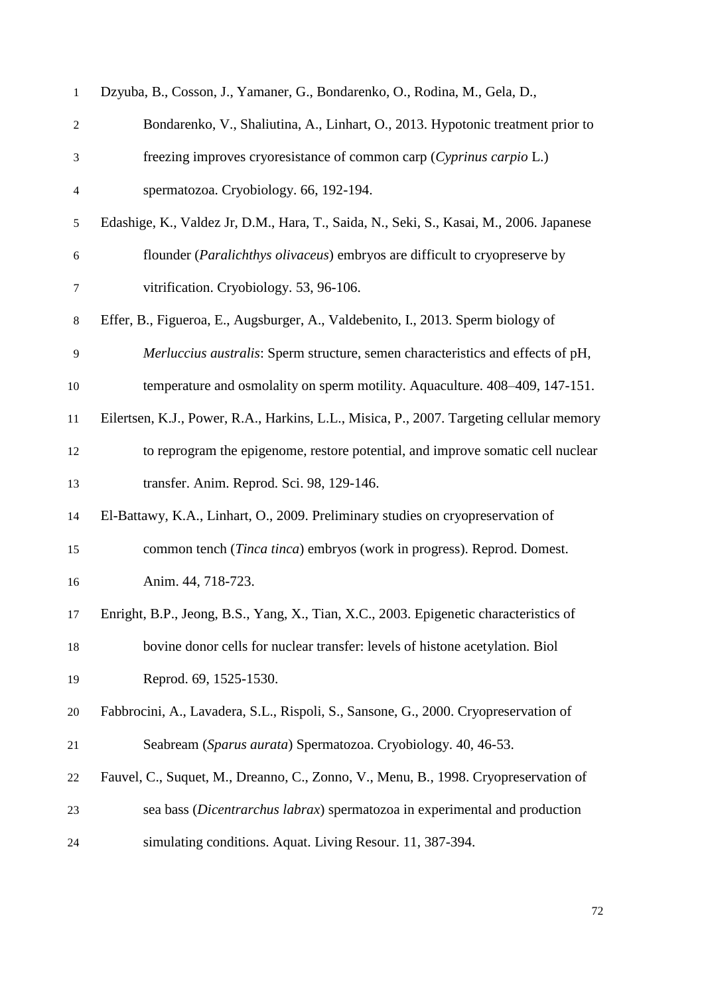| $\mathbf{1}$     | Dzyuba, B., Cosson, J., Yamaner, G., Bondarenko, O., Rodina, M., Gela, D.,               |
|------------------|------------------------------------------------------------------------------------------|
| $\overline{c}$   | Bondarenko, V., Shaliutina, A., Linhart, O., 2013. Hypotonic treatment prior to          |
| $\mathfrak{Z}$   | freezing improves cryoresistance of common carp (Cyprinus carpio L.)                     |
| $\overline{4}$   | spermatozoa. Cryobiology. 66, 192-194.                                                   |
| $\sqrt{5}$       | Edashige, K., Valdez Jr, D.M., Hara, T., Saida, N., Seki, S., Kasai, M., 2006. Japanese  |
| $\boldsymbol{6}$ | flounder ( <i>Paralichthys olivaceus</i> ) embryos are difficult to cryopreserve by      |
| 7                | vitrification. Cryobiology. 53, 96-106.                                                  |
| $8\,$            | Effer, B., Figueroa, E., Augsburger, A., Valdebenito, I., 2013. Sperm biology of         |
| 9                | Merluccius australis: Sperm structure, semen characteristics and effects of pH,          |
| 10               | temperature and osmolality on sperm motility. Aquaculture. 408-409, 147-151.             |
| 11               | Eilertsen, K.J., Power, R.A., Harkins, L.L., Misica, P., 2007. Targeting cellular memory |
| 12               | to reprogram the epigenome, restore potential, and improve somatic cell nuclear          |
| 13               | transfer. Anim. Reprod. Sci. 98, 129-146.                                                |
| 14               | El-Battawy, K.A., Linhart, O., 2009. Preliminary studies on cryopreservation of          |
| 15               | common tench (Tinca tinca) embryos (work in progress). Reprod. Domest.                   |
| 16               | Anim. 44, 718-723.                                                                       |
| 17               | Enright, B.P., Jeong, B.S., Yang, X., Tian, X.C., 2003. Epigenetic characteristics of    |
| 18               | bovine donor cells for nuclear transfer: levels of histone acetylation. Biol             |
| 19               | Reprod. 69, 1525-1530.                                                                   |
| 20               | Fabbrocini, A., Lavadera, S.L., Rispoli, S., Sansone, G., 2000. Cryopreservation of      |
| 21               | Seabream (Sparus aurata) Spermatozoa. Cryobiology. 40, 46-53.                            |
| 22               | Fauvel, C., Suquet, M., Dreanno, C., Zonno, V., Menu, B., 1998. Cryopreservation of      |
| 23               | sea bass (Dicentrarchus labrax) spermatozoa in experimental and production               |
| 24               | simulating conditions. Aquat. Living Resour. 11, 387-394.                                |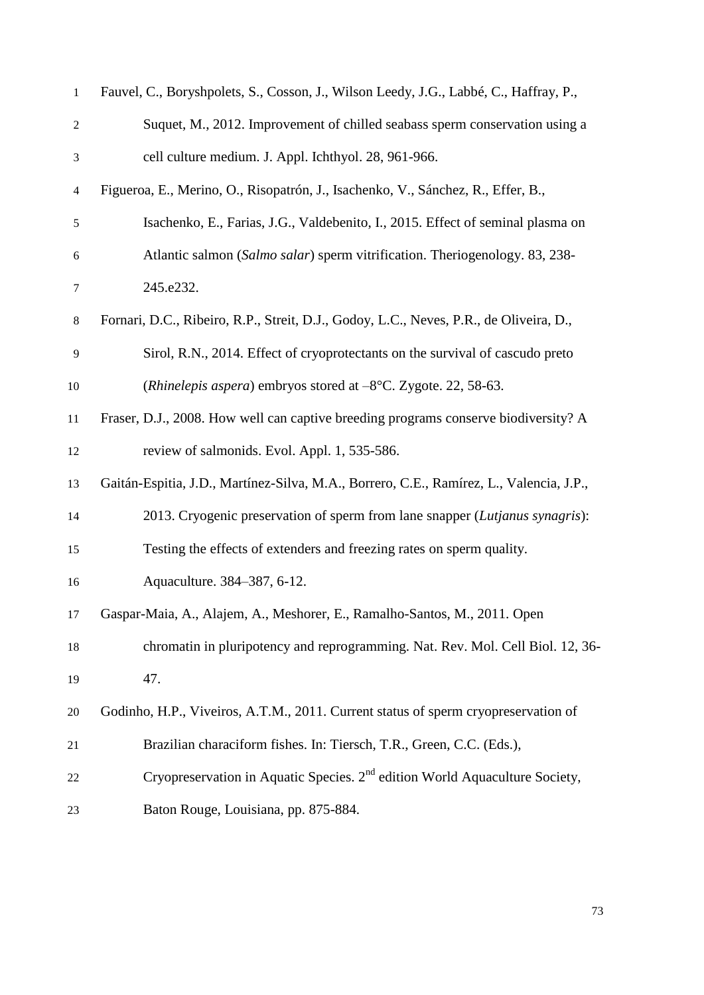| 1              | Fauvel, C., Boryshpolets, S., Cosson, J., Wilson Leedy, J.G., Labbé, C., Haffray, P.,   |
|----------------|-----------------------------------------------------------------------------------------|
| $\overline{c}$ | Suquet, M., 2012. Improvement of chilled seabass sperm conservation using a             |
| 3              | cell culture medium. J. Appl. Ichthyol. 28, 961-966.                                    |
| 4              | Figueroa, E., Merino, O., Risopatrón, J., Isachenko, V., Sánchez, R., Effer, B.,        |
| 5              | Isachenko, E., Farias, J.G., Valdebenito, I., 2015. Effect of seminal plasma on         |
| 6              | Atlantic salmon (Salmo salar) sperm vitrification. Theriogenology. 83, 238-             |
| 7              | 245.e232.                                                                               |
| 8              | Fornari, D.C., Ribeiro, R.P., Streit, D.J., Godoy, L.C., Neves, P.R., de Oliveira, D.,  |
| 9              | Sirol, R.N., 2014. Effect of cryoprotectants on the survival of cascudo preto           |
| 10             | ( <i>Rhinelepis aspera</i> ) embryos stored at $-8$ °C. Zygote. 22, 58-63.              |
| 11             | Fraser, D.J., 2008. How well can captive breeding programs conserve biodiversity? A     |
| 12             | review of salmonids. Evol. Appl. 1, 535-586.                                            |
| 13             | Gaitán-Espitia, J.D., Martínez-Silva, M.A., Borrero, C.E., Ramírez, L., Valencia, J.P., |
| 14             | 2013. Cryogenic preservation of sperm from lane snapper (Lutjanus synagris):            |
| 15             | Testing the effects of extenders and freezing rates on sperm quality.                   |
| 16             | Aquaculture. 384-387, 6-12.                                                             |
| 17             | Gaspar-Maia, A., Alajem, A., Meshorer, E., Ramalho-Santos, M., 2011. Open               |
| 18             | chromatin in pluripotency and reprogramming. Nat. Rev. Mol. Cell Biol. 12, 36-          |
| 19             | 47.                                                                                     |
| 20             | Godinho, H.P., Viveiros, A.T.M., 2011. Current status of sperm cryopreservation of      |
| 21             | Brazilian characiform fishes. In: Tiersch, T.R., Green, C.C. (Eds.),                    |
| 22             | Cryopreservation in Aquatic Species. 2 <sup>nd</sup> edition World Aquaculture Society, |
| 23             | Baton Rouge, Louisiana, pp. 875-884.                                                    |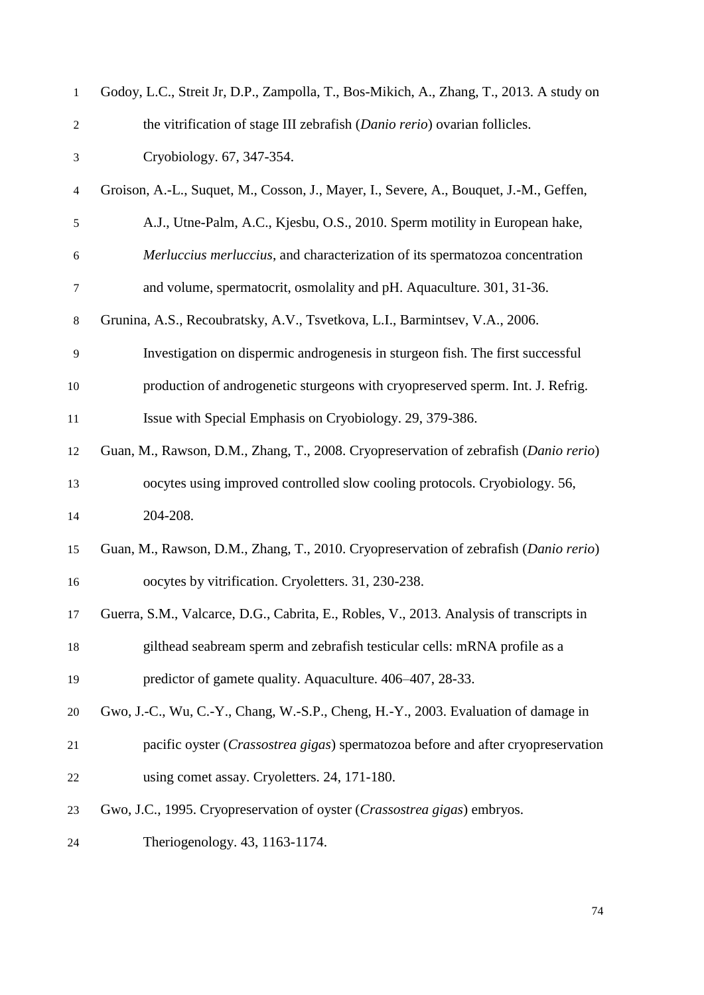| $\mathbf{1}$             | Godoy, L.C., Streit Jr, D.P., Zampolla, T., Bos-Mikich, A., Zhang, T., 2013. A study on |
|--------------------------|-----------------------------------------------------------------------------------------|
| $\overline{c}$           | the vitrification of stage III zebrafish (Danio rerio) ovarian follicles.               |
| 3                        | Cryobiology. 67, 347-354.                                                               |
| $\overline{\mathcal{A}}$ | Groison, A.-L., Suquet, M., Cosson, J., Mayer, I., Severe, A., Bouquet, J.-M., Geffen,  |
| 5                        | A.J., Utne-Palm, A.C., Kjesbu, O.S., 2010. Sperm motility in European hake,             |
| 6                        | Merluccius merluccius, and characterization of its spermatozoa concentration            |
| 7                        | and volume, spermatocrit, osmolality and pH. Aquaculture. 301, 31-36.                   |
| 8                        | Grunina, A.S., Recoubratsky, A.V., Tsvetkova, L.I., Barmintsev, V.A., 2006.             |
| 9                        | Investigation on dispermic androgenesis in sturgeon fish. The first successful          |
| 10                       | production of androgenetic sturgeons with cryopreserved sperm. Int. J. Refrig.          |
| $11\,$                   | Issue with Special Emphasis on Cryobiology. 29, 379-386.                                |
| 12                       | Guan, M., Rawson, D.M., Zhang, T., 2008. Cryopreservation of zebrafish (Danio rerio)    |
| 13                       | oocytes using improved controlled slow cooling protocols. Cryobiology. 56,              |
| 14                       | 204-208.                                                                                |
| 15                       | Guan, M., Rawson, D.M., Zhang, T., 2010. Cryopreservation of zebrafish (Danio rerio)    |
| 16                       | oocytes by vitrification. Cryoletters. 31, 230-238.                                     |
| 17                       | Guerra, S.M., Valcarce, D.G., Cabrita, E., Robles, V., 2013. Analysis of transcripts in |
| 18                       | gilthead seabream sperm and zebrafish testicular cells: mRNA profile as a               |
| 19                       | predictor of gamete quality. Aquaculture. 406–407, 28-33.                               |
| $20\,$                   | Gwo, J.-C., Wu, C.-Y., Chang, W.-S.P., Cheng, H.-Y., 2003. Evaluation of damage in      |
| 21                       | pacific oyster (Crassostrea gigas) spermatozoa before and after cryopreservation        |
| 22                       | using comet assay. Cryoletters. 24, 171-180.                                            |
| 23                       | Gwo, J.C., 1995. Cryopreservation of oyster (Crassostrea gigas) embryos.                |
| 24                       | Theriogenology. 43, 1163-1174.                                                          |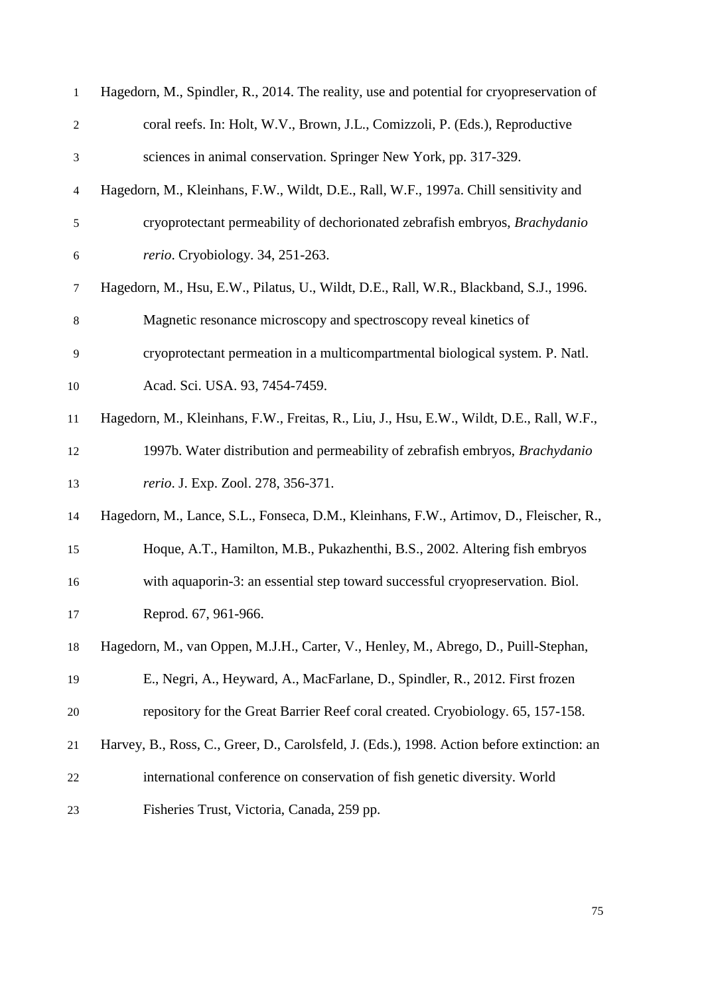| $\mathbf{1}$   | Hagedorn, M., Spindler, R., 2014. The reality, use and potential for cryopreservation of   |
|----------------|--------------------------------------------------------------------------------------------|
| $\overline{c}$ | coral reefs. In: Holt, W.V., Brown, J.L., Comizzoli, P. (Eds.), Reproductive               |
| $\mathfrak{Z}$ | sciences in animal conservation. Springer New York, pp. 317-329.                           |
| $\overline{4}$ | Hagedorn, M., Kleinhans, F.W., Wildt, D.E., Rall, W.F., 1997a. Chill sensitivity and       |
| $\sqrt{5}$     | cryoprotectant permeability of dechorionated zebrafish embryos, Brachydanio                |
| $\sqrt{6}$     | rerio. Cryobiology. 34, 251-263.                                                           |
| $\tau$         | Hagedorn, M., Hsu, E.W., Pilatus, U., Wildt, D.E., Rall, W.R., Blackband, S.J., 1996.      |
| $\,8$          | Magnetic resonance microscopy and spectroscopy reveal kinetics of                          |
| 9              | cryoprotectant permeation in a multicompartmental biological system. P. Natl.              |
| 10             | Acad. Sci. USA. 93, 7454-7459.                                                             |
| 11             | Hagedorn, M., Kleinhans, F.W., Freitas, R., Liu, J., Hsu, E.W., Wildt, D.E., Rall, W.F.,   |
| 12             | 1997b. Water distribution and permeability of zebrafish embryos, Brachydanio               |
| 13             | rerio. J. Exp. Zool. 278, 356-371.                                                         |
| 14             | Hagedorn, M., Lance, S.L., Fonseca, D.M., Kleinhans, F.W., Artimov, D., Fleischer, R.,     |
| 15             | Hoque, A.T., Hamilton, M.B., Pukazhenthi, B.S., 2002. Altering fish embryos                |
| 16             | with aquaporin-3: an essential step toward successful cryopreservation. Biol.              |
| 17             | Reprod. 67, 961-966.                                                                       |
| 18             | Hagedorn, M., van Oppen, M.J.H., Carter, V., Henley, M., Abrego, D., Puill-Stephan,        |
| 19             | E., Negri, A., Heyward, A., MacFarlane, D., Spindler, R., 2012. First frozen               |
| 20             | repository for the Great Barrier Reef coral created. Cryobiology. 65, 157-158.             |
| 21             | Harvey, B., Ross, C., Greer, D., Carolsfeld, J. (Eds.), 1998. Action before extinction: an |
| 22             | international conference on conservation of fish genetic diversity. World                  |
| 23             | Fisheries Trust, Victoria, Canada, 259 pp.                                                 |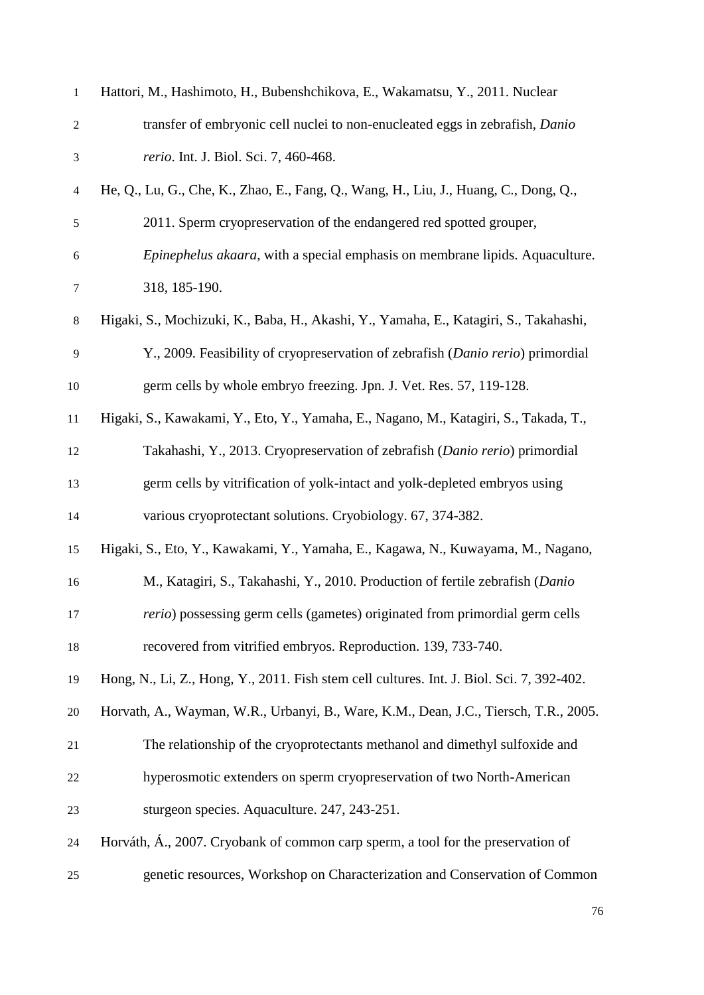| $\mathbf{1}$   | Hattori, M., Hashimoto, H., Bubenshchikova, E., Wakamatsu, Y., 2011. Nuclear              |
|----------------|-------------------------------------------------------------------------------------------|
| $\overline{2}$ | transfer of embryonic cell nuclei to non-enucleated eggs in zebrafish, Danio              |
| $\mathfrak{Z}$ | rerio. Int. J. Biol. Sci. 7, 460-468.                                                     |
| $\overline{4}$ | He, Q., Lu, G., Che, K., Zhao, E., Fang, Q., Wang, H., Liu, J., Huang, C., Dong, Q.,      |
| $\sqrt{5}$     | 2011. Sperm cryopreservation of the endangered red spotted grouper,                       |
| 6              | Epinephelus akaara, with a special emphasis on membrane lipids. Aquaculture.              |
| $\tau$         | 318, 185-190.                                                                             |
| $8\,$          | Higaki, S., Mochizuki, K., Baba, H., Akashi, Y., Yamaha, E., Katagiri, S., Takahashi,     |
| 9              | Y., 2009. Feasibility of cryopreservation of zebrafish (Danio rerio) primordial           |
| 10             | germ cells by whole embryo freezing. Jpn. J. Vet. Res. 57, 119-128.                       |
| 11             | Higaki, S., Kawakami, Y., Eto, Y., Yamaha, E., Nagano, M., Katagiri, S., Takada, T.,      |
| 12             | Takahashi, Y., 2013. Cryopreservation of zebrafish (Danio rerio) primordial               |
| 13             | germ cells by vitrification of yolk-intact and yolk-depleted embryos using                |
| 14             | various cryoprotectant solutions. Cryobiology. 67, 374-382.                               |
| 15             | Higaki, S., Eto, Y., Kawakami, Y., Yamaha, E., Kagawa, N., Kuwayama, M., Nagano,          |
| 16             | M., Katagiri, S., Takahashi, Y., 2010. Production of fertile zebrafish (Danio             |
| 17             | rerio) possessing germ cells (gametes) originated from primordial germ cells              |
| 18             | recovered from vitrified embryos. Reproduction. 139, 733-740.                             |
| 19             | Hong, N., Li, Z., Hong, Y., 2011. Fish stem cell cultures. Int. J. Biol. Sci. 7, 392-402. |
| 20             | Horvath, A., Wayman, W.R., Urbanyi, B., Ware, K.M., Dean, J.C., Tiersch, T.R., 2005.      |
| 21             | The relationship of the cryoprotectants methanol and dimethyl sulfoxide and               |
| 22             | hyperosmotic extenders on sperm cryopreservation of two North-American                    |
| 23             | sturgeon species. Aquaculture. 247, 243-251.                                              |
| 24             | Horváth, Á., 2007. Cryobank of common carp sperm, a tool for the preservation of          |
| 25             | genetic resources, Workshop on Characterization and Conservation of Common                |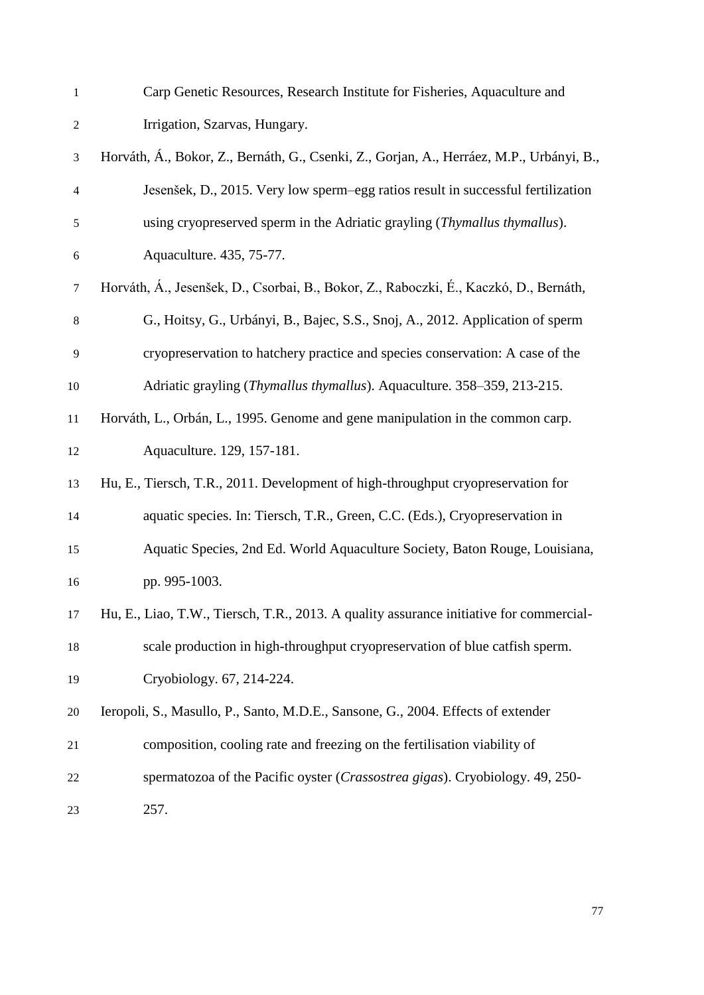Carp Genetic Resources, Research Institute for Fisheries, Aquaculture and Irrigation, Szarvas, Hungary.

 Horváth, Á., Bokor, Z., Bernáth, G., Csenki, Z., Gorjan, A., Herráez, M.P., Urbányi, B., Jesenšek, D., 2015. Very low sperm–egg ratios result in successful fertilization using cryopreserved sperm in the Adriatic grayling (*Thymallus thymallus*). Aquaculture. 435, 75-77. Horváth, Á., Jesenšek, D., Csorbai, B., Bokor, Z., Raboczki, É., Kaczkó, D., Bernáth, G., Hoitsy, G., Urbányi, B., Bajec, S.S., Snoj, A., 2012. Application of sperm cryopreservation to hatchery practice and species conservation: A case of the Adriatic grayling (*Thymallus thymallus*). Aquaculture. 358–359, 213-215. Horváth, L., Orbán, L., 1995. Genome and gene manipulation in the common carp. Aquaculture. 129, 157-181. Hu, E., Tiersch, T.R., 2011. Development of high-throughput cryopreservation for aquatic species. In: Tiersch, T.R., Green, C.C. (Eds.), Cryopreservation in Aquatic Species, 2nd Ed. World Aquaculture Society, Baton Rouge, Louisiana, pp. 995-1003. Hu, E., Liao, T.W., Tiersch, T.R., 2013. A quality assurance initiative for commercial- scale production in high-throughput cryopreservation of blue catfish sperm. Cryobiology. 67, 214-224. Ieropoli, S., Masullo, P., Santo, M.D.E., Sansone, G., 2004. Effects of extender composition, cooling rate and freezing on the fertilisation viability of spermatozoa of the Pacific oyster (*Crassostrea gigas*). Cryobiology. 49, 250- 257.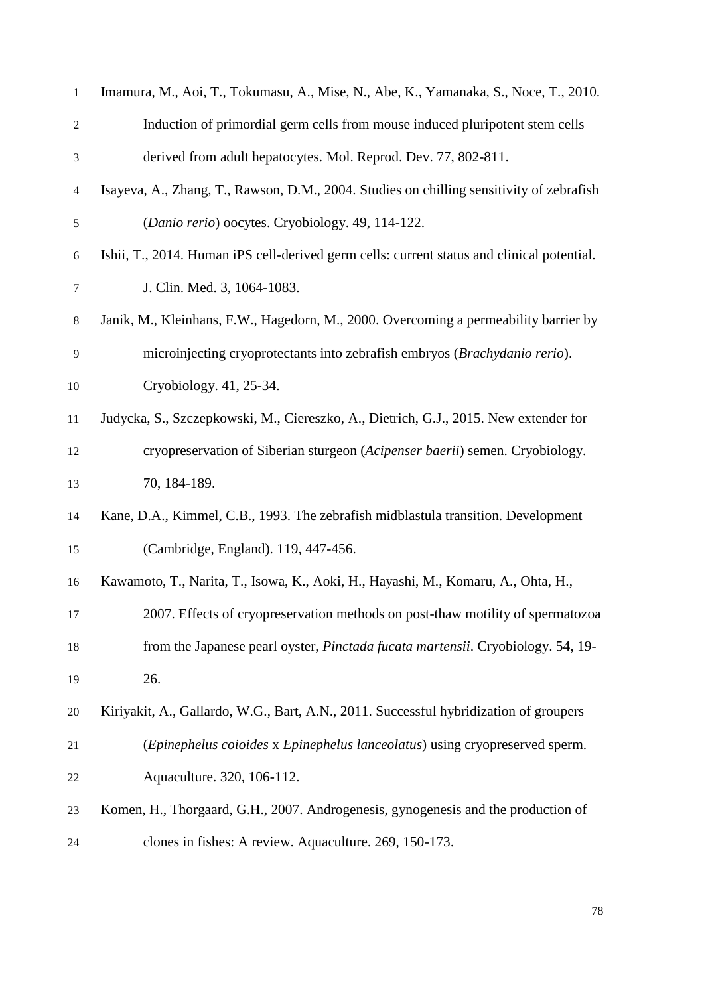| $\mathbf{1}$     | Imamura, M., Aoi, T., Tokumasu, A., Mise, N., Abe, K., Yamanaka, S., Noce, T., 2010.       |
|------------------|--------------------------------------------------------------------------------------------|
| $\overline{c}$   | Induction of primordial germ cells from mouse induced pluripotent stem cells               |
| 3                | derived from adult hepatocytes. Mol. Reprod. Dev. 77, 802-811.                             |
| 4                | Isayeva, A., Zhang, T., Rawson, D.M., 2004. Studies on chilling sensitivity of zebrafish   |
| $\mathfrak s$    | (Danio rerio) oocytes. Cryobiology. 49, 114-122.                                           |
| $\boldsymbol{6}$ | Ishii, T., 2014. Human iPS cell-derived germ cells: current status and clinical potential. |
| $\tau$           | J. Clin. Med. 3, 1064-1083.                                                                |
| $8\,$            | Janik, M., Kleinhans, F.W., Hagedorn, M., 2000. Overcoming a permeability barrier by       |
| 9                | microinjecting cryoprotectants into zebrafish embryos (Brachydanio rerio).                 |
| 10               | Cryobiology. 41, 25-34.                                                                    |
| 11               | Judycka, S., Szczepkowski, M., Ciereszko, A., Dietrich, G.J., 2015. New extender for       |
| 12               | cryopreservation of Siberian sturgeon (Acipenser baerii) semen. Cryobiology.               |
| 13               | 70, 184-189.                                                                               |
| 14               | Kane, D.A., Kimmel, C.B., 1993. The zebrafish midblastula transition. Development          |
| 15               | (Cambridge, England). 119, 447-456.                                                        |
| 16               | Kawamoto, T., Narita, T., Isowa, K., Aoki, H., Hayashi, M., Komaru, A., Ohta, H.,          |
| 17               | 2007. Effects of cryopreservation methods on post-thaw motility of spermatozoa             |
| 18               | from the Japanese pearl oyster, Pinctada fucata martensii. Cryobiology. 54, 19-            |
| 19               | 26.                                                                                        |
| 20               | Kiriyakit, A., Gallardo, W.G., Bart, A.N., 2011. Successful hybridization of groupers      |
| 21               | (Epinephelus coioides x Epinephelus lanceolatus) using cryopreserved sperm.                |
| 22               | Aquaculture. 320, 106-112.                                                                 |
| 23               | Komen, H., Thorgaard, G.H., 2007. Androgenesis, gynogenesis and the production of          |
| 24               | clones in fishes: A review. Aquaculture. 269, 150-173.                                     |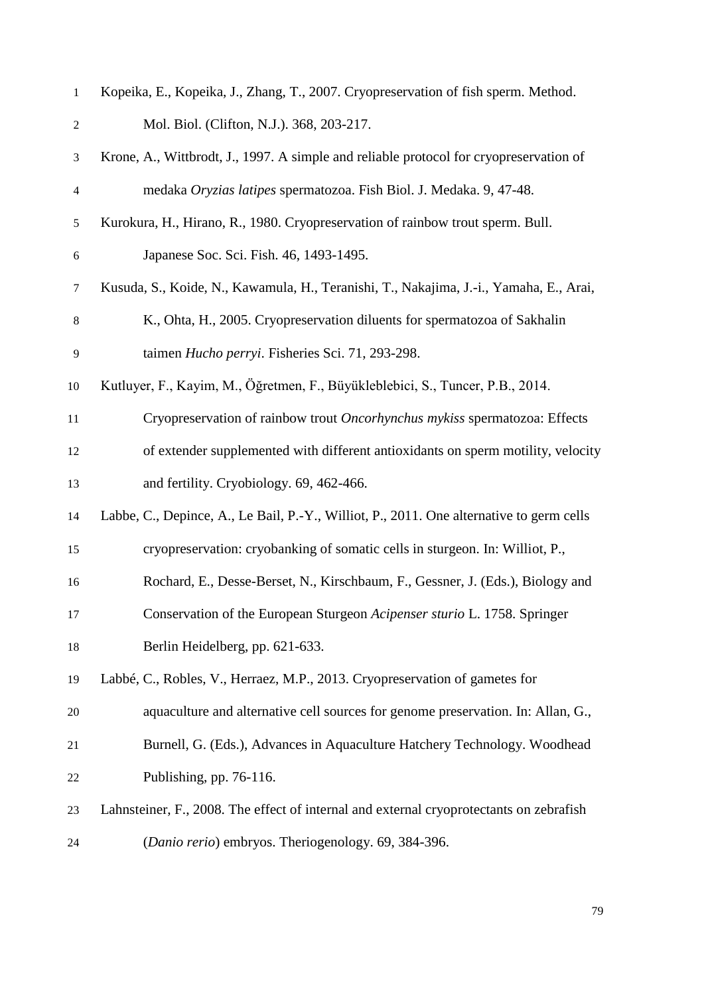| $\mathbf{1}$  | Kopeika, E., Kopeika, J., Zhang, T., 2007. Cryopreservation of fish sperm. Method.       |
|---------------|------------------------------------------------------------------------------------------|
| $\mathbf{2}$  | Mol. Biol. (Clifton, N.J.). 368, 203-217.                                                |
| 3             | Krone, A., Wittbrodt, J., 1997. A simple and reliable protocol for cryopreservation of   |
| 4             | medaka Oryzias latipes spermatozoa. Fish Biol. J. Medaka. 9, 47-48.                      |
| $\mathfrak s$ | Kurokura, H., Hirano, R., 1980. Cryopreservation of rainbow trout sperm. Bull.           |
| 6             | Japanese Soc. Sci. Fish. 46, 1493-1495.                                                  |
| $\tau$        | Kusuda, S., Koide, N., Kawamula, H., Teranishi, T., Nakajima, J.-i., Yamaha, E., Arai,   |
| $8\,$         | K., Ohta, H., 2005. Cryopreservation diluents for spermatozoa of Sakhalin                |
| 9             | taimen Hucho perryi. Fisheries Sci. 71, 293-298.                                         |
| 10            | Kutluyer, F., Kayim, M., Öğretmen, F., Büyükleblebici, S., Tuncer, P.B., 2014.           |
| 11            | Cryopreservation of rainbow trout Oncorhynchus mykiss spermatozoa: Effects               |
| 12            | of extender supplemented with different antioxidants on sperm motility, velocity         |
| 13            | and fertility. Cryobiology. 69, 462-466.                                                 |
| 14            | Labbe, C., Depince, A., Le Bail, P.-Y., Williot, P., 2011. One alternative to germ cells |
| 15            | cryopreservation: cryobanking of somatic cells in sturgeon. In: Williot, P.,             |
| 16            | Rochard, E., Desse-Berset, N., Kirschbaum, F., Gessner, J. (Eds.), Biology and           |
| 17            | Conservation of the European Sturgeon Acipenser sturio L. 1758. Springer                 |
| 18            | Berlin Heidelberg, pp. 621-633.                                                          |
| 19            | Labbé, C., Robles, V., Herraez, M.P., 2013. Cryopreservation of gametes for              |
| 20            | aquaculture and alternative cell sources for genome preservation. In: Allan, G.,         |
| 21            | Burnell, G. (Eds.), Advances in Aquaculture Hatchery Technology. Woodhead                |
| 22            | Publishing, pp. 76-116.                                                                  |
| 23            | Lahnsteiner, F., 2008. The effect of internal and external cryoprotectants on zebrafish  |
| 24            | (Danio rerio) embryos. Theriogenology. 69, 384-396.                                      |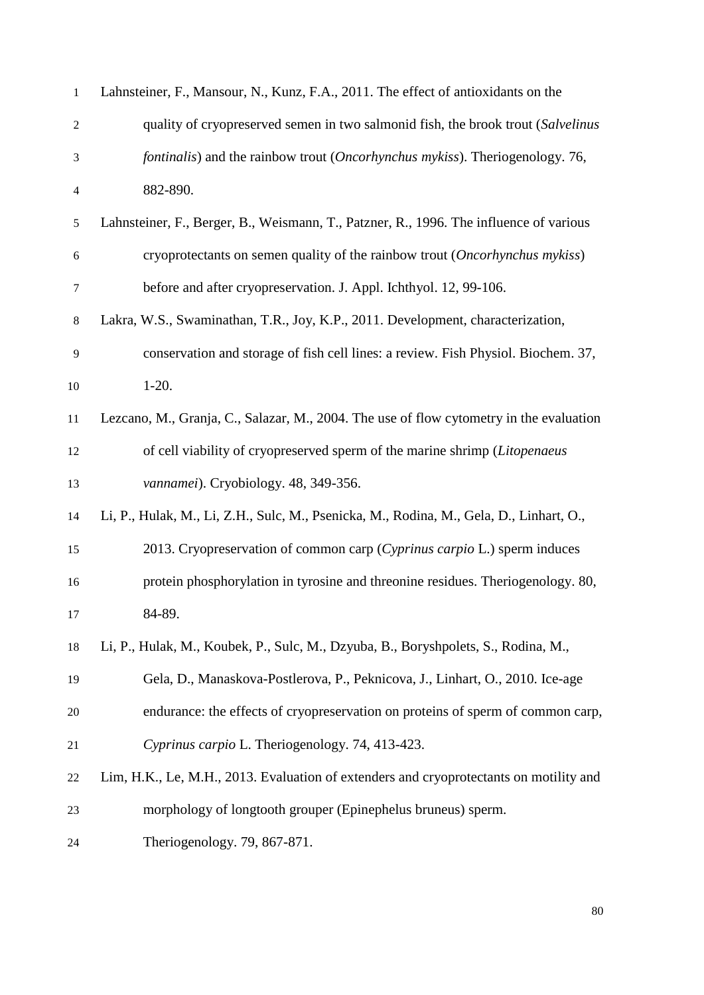| $\mathbf{1}$             | Lahnsteiner, F., Mansour, N., Kunz, F.A., 2011. The effect of antioxidants on the            |
|--------------------------|----------------------------------------------------------------------------------------------|
| $\overline{c}$           | quality of cryopreserved semen in two salmonid fish, the brook trout (Salvelinus             |
| 3                        | <i>fontinalis</i> ) and the rainbow trout <i>(Oncorhynchus mykiss)</i> . Theriogenology. 76, |
| $\overline{\mathcal{A}}$ | 882-890.                                                                                     |
| 5                        | Lahnsteiner, F., Berger, B., Weismann, T., Patzner, R., 1996. The influence of various       |
| $\epsilon$               | cryoprotectants on semen quality of the rainbow trout (Oncorhynchus mykiss)                  |
| $\tau$                   | before and after cryopreservation. J. Appl. Ichthyol. 12, 99-106.                            |
| 8                        | Lakra, W.S., Swaminathan, T.R., Joy, K.P., 2011. Development, characterization,              |
| 9                        | conservation and storage of fish cell lines: a review. Fish Physiol. Biochem. 37,            |
| 10                       | $1-20.$                                                                                      |
| 11                       | Lezcano, M., Granja, C., Salazar, M., 2004. The use of flow cytometry in the evaluation      |
| 12                       | of cell viability of cryopreserved sperm of the marine shrimp (Litopenaeus                   |
| 13                       | vannamei). Cryobiology. 48, 349-356.                                                         |
| 14                       | Li, P., Hulak, M., Li, Z.H., Sulc, M., Psenicka, M., Rodina, M., Gela, D., Linhart, O.,      |
| 15                       | 2013. Cryopreservation of common carp (Cyprinus carpio L.) sperm induces                     |
| 16                       | protein phosphorylation in tyrosine and threonine residues. Theriogenology. 80,              |
| 17                       | 84-89.                                                                                       |
| 18                       | Li, P., Hulak, M., Koubek, P., Sulc, M., Dzyuba, B., Boryshpolets, S., Rodina, M.,           |
| 19                       | Gela, D., Manaskova-Postlerova, P., Peknicova, J., Linhart, O., 2010. Ice-age                |
| 20                       | endurance: the effects of cryopreservation on proteins of sperm of common carp,              |
| 21                       | Cyprinus carpio L. Theriogenology. 74, 413-423.                                              |
| 22                       | Lim, H.K., Le, M.H., 2013. Evaluation of extenders and cryoprotectants on motility and       |
| 23                       | morphology of longtooth grouper (Epinephelus bruneus) sperm.                                 |
| 24                       | Theriogenology. 79, 867-871.                                                                 |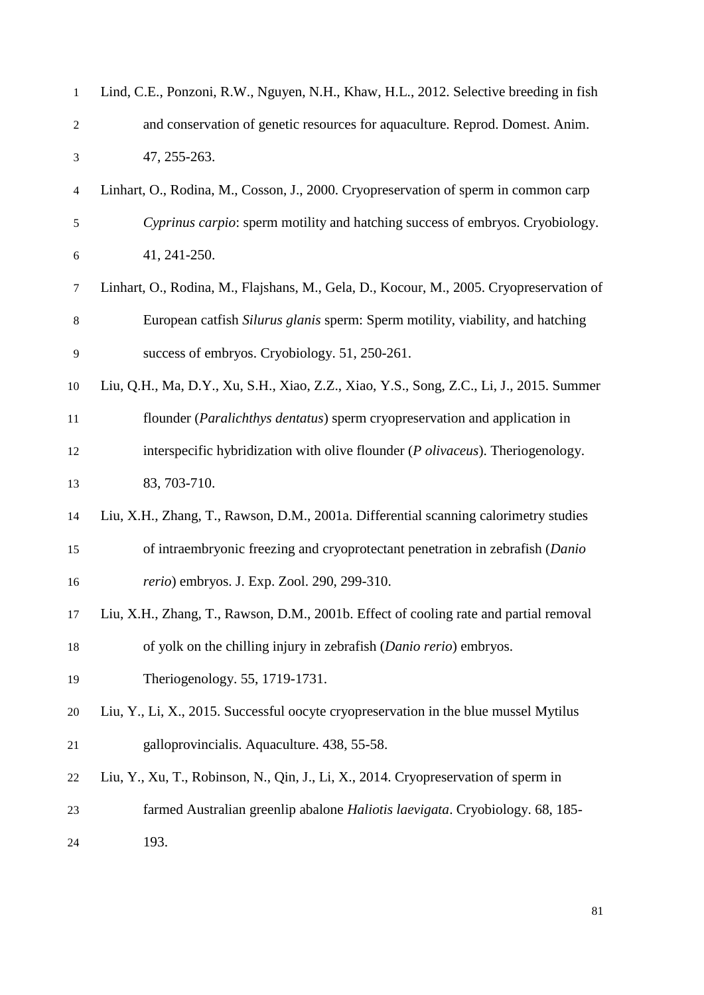| $\mathbf{1}$     | Lind, C.E., Ponzoni, R.W., Nguyen, N.H., Khaw, H.L., 2012. Selective breeding in fish   |
|------------------|-----------------------------------------------------------------------------------------|
| $\overline{c}$   | and conservation of genetic resources for aquaculture. Reprod. Domest. Anim.            |
| 3                | 47, 255-263.                                                                            |
| $\overline{4}$   | Linhart, O., Rodina, M., Cosson, J., 2000. Cryopreservation of sperm in common carp     |
| $\mathfrak s$    | Cyprinus carpio: sperm motility and hatching success of embryos. Cryobiology.           |
| $\boldsymbol{6}$ | 41, 241-250.                                                                            |
| $\tau$           | Linhart, O., Rodina, M., Flajshans, M., Gela, D., Kocour, M., 2005. Cryopreservation of |
| $\,8$            | European catfish Silurus glanis sperm: Sperm motility, viability, and hatching          |
| 9                | success of embryos. Cryobiology. 51, 250-261.                                           |
| 10               | Liu, Q.H., Ma, D.Y., Xu, S.H., Xiao, Z.Z., Xiao, Y.S., Song, Z.C., Li, J., 2015. Summer |
| 11               | flounder (Paralichthys dentatus) sperm cryopreservation and application in              |
| 12               | interspecific hybridization with olive flounder ( <i>P olivaceus</i> ). Theriogenology. |
| 13               | 83, 703-710.                                                                            |
| 14               | Liu, X.H., Zhang, T., Rawson, D.M., 2001a. Differential scanning calorimetry studies    |
| 15               | of intraembryonic freezing and cryoprotectant penetration in zebrafish (Danio           |
| 16               | rerio) embryos. J. Exp. Zool. 290, 299-310.                                             |
| 17               | Liu, X.H., Zhang, T., Rawson, D.M., 2001b. Effect of cooling rate and partial removal   |
| 18               | of yolk on the chilling injury in zebrafish (Danio rerio) embryos.                      |
| 19               | Theriogenology. 55, 1719-1731.                                                          |
| 20               | Liu, Y., Li, X., 2015. Successful oocyte cryopreservation in the blue mussel Mytilus    |
| 21               | galloprovincialis. Aquaculture. 438, 55-58.                                             |
| 22               | Liu, Y., Xu, T., Robinson, N., Qin, J., Li, X., 2014. Cryopreservation of sperm in      |
| 23               | farmed Australian greenlip abalone Haliotis laevigata. Cryobiology. 68, 185-            |
| 24               | 193.                                                                                    |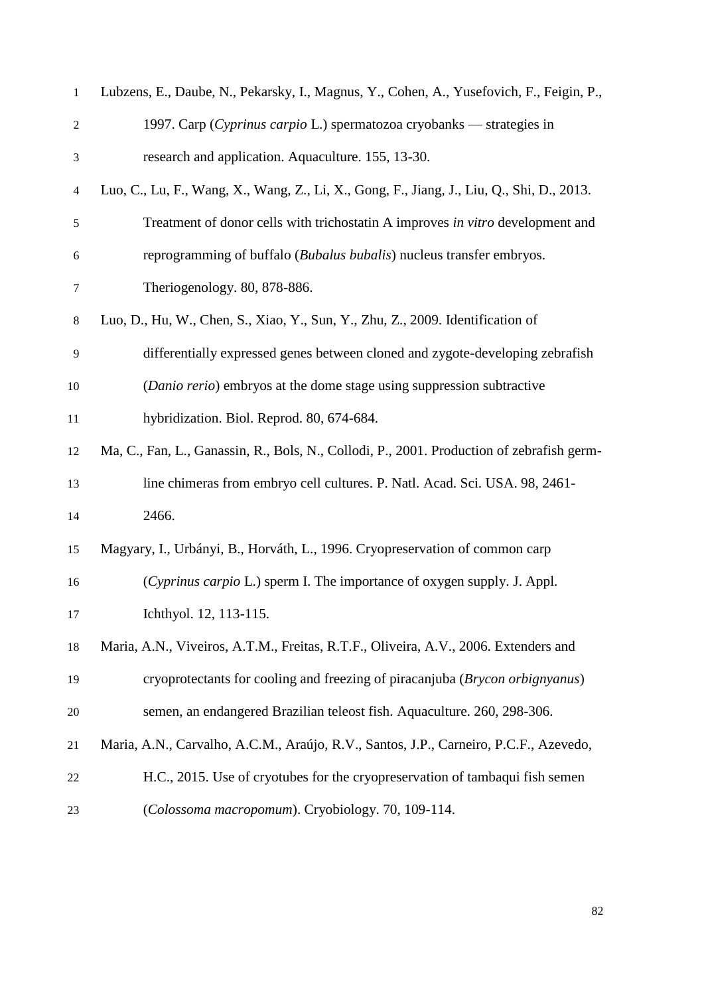| $\mathbf{1}$     | Lubzens, E., Daube, N., Pekarsky, I., Magnus, Y., Cohen, A., Yusefovich, F., Feigin, P.,  |
|------------------|-------------------------------------------------------------------------------------------|
| $\overline{c}$   | 1997. Carp (Cyprinus carpio L.) spermatozoa cryobanks — strategies in                     |
| $\mathfrak{Z}$   | research and application. Aquaculture. 155, 13-30.                                        |
| $\overline{4}$   | Luo, C., Lu, F., Wang, X., Wang, Z., Li, X., Gong, F., Jiang, J., Liu, Q., Shi, D., 2013. |
| $\sqrt{5}$       | Treatment of donor cells with trichostatin A improves in vitro development and            |
| $\boldsymbol{6}$ | reprogramming of buffalo (Bubalus bubalis) nucleus transfer embryos.                      |
| 7                | Theriogenology. 80, 878-886.                                                              |
| $\,8\,$          | Luo, D., Hu, W., Chen, S., Xiao, Y., Sun, Y., Zhu, Z., 2009. Identification of            |
| 9                | differentially expressed genes between cloned and zygote-developing zebrafish             |
| 10               | (Danio rerio) embryos at the dome stage using suppression subtractive                     |
| 11               | hybridization. Biol. Reprod. 80, 674-684.                                                 |
| 12               | Ma, C., Fan, L., Ganassin, R., Bols, N., Collodi, P., 2001. Production of zebrafish germ- |
| 13               | line chimeras from embryo cell cultures. P. Natl. Acad. Sci. USA. 98, 2461-               |
| 14               | 2466.                                                                                     |
| 15               | Magyary, I., Urbányi, B., Horváth, L., 1996. Cryopreservation of common carp              |
| 16               | (Cyprinus carpio L.) sperm I. The importance of oxygen supply. J. Appl.                   |
| 17               | Ichthyol. 12, 113-115.                                                                    |
| 18               | Maria, A.N., Viveiros, A.T.M., Freitas, R.T.F., Oliveira, A.V., 2006. Extenders and       |
| 19               | cryoprotectants for cooling and freezing of piracanjuba (Brycon orbignyanus)              |
| 20               | semen, an endangered Brazilian teleost fish. Aquaculture. 260, 298-306.                   |
| 21               | Maria, A.N., Carvalho, A.C.M., Araújo, R.V., Santos, J.P., Carneiro, P.C.F., Azevedo,     |
| 22               | H.C., 2015. Use of cryotubes for the cryopreservation of tambaqui fish semen              |
| 23               | (Colossoma macropomum). Cryobiology. 70, 109-114.                                         |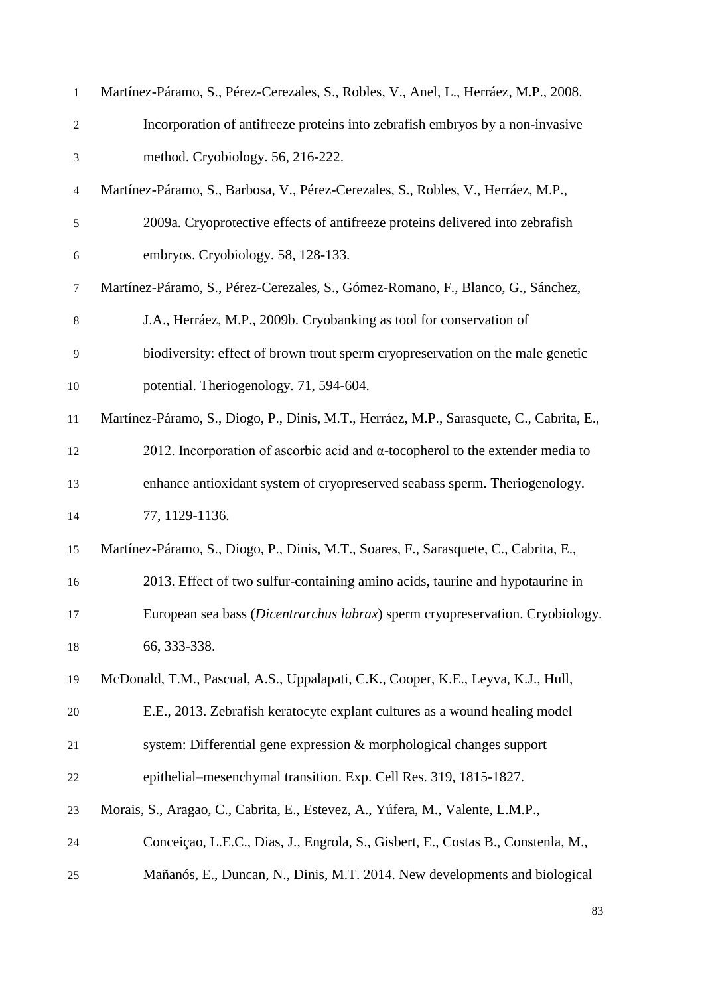| $\mathbf{1}$             | Martínez-Páramo, S., Pérez-Cerezales, S., Robles, V., Anel, L., Herráez, M.P., 2008.     |
|--------------------------|------------------------------------------------------------------------------------------|
| $\overline{c}$           | Incorporation of antifreeze proteins into zebrafish embryos by a non-invasive            |
| 3                        | method. Cryobiology. 56, 216-222.                                                        |
| $\overline{\mathcal{A}}$ | Martínez-Páramo, S., Barbosa, V., Pérez-Cerezales, S., Robles, V., Herráez, M.P.,        |
| $\mathfrak s$            | 2009a. Cryoprotective effects of antifreeze proteins delivered into zebrafish            |
| 6                        | embryos. Cryobiology. 58, 128-133.                                                       |
| $\tau$                   | Martínez-Páramo, S., Pérez-Cerezales, S., Gómez-Romano, F., Blanco, G., Sánchez,         |
| $8\,$                    | J.A., Herráez, M.P., 2009b. Cryobanking as tool for conservation of                      |
| 9                        | biodiversity: effect of brown trout sperm cryopreservation on the male genetic           |
| 10                       | potential. Theriogenology. 71, 594-604.                                                  |
| $11\,$                   | Martínez-Páramo, S., Diogo, P., Dinis, M.T., Herráez, M.P., Sarasquete, C., Cabrita, E., |
| 12                       | 2012. Incorporation of ascorbic acid and $\alpha$ -tocopherol to the extender media to   |
| 13                       | enhance antioxidant system of cryopreserved seabass sperm. Theriogenology.               |
| 14                       | 77, 1129-1136.                                                                           |
| 15                       | Martínez-Páramo, S., Diogo, P., Dinis, M.T., Soares, F., Sarasquete, C., Cabrita, E.,    |
| 16                       | 2013. Effect of two sulfur-containing amino acids, taurine and hypotaurine in            |
| 17                       | European sea bass (Dicentrarchus labrax) sperm cryopreservation. Cryobiology.            |
| 18                       | 66, 333-338.                                                                             |
| 19                       | McDonald, T.M., Pascual, A.S., Uppalapati, C.K., Cooper, K.E., Leyva, K.J., Hull,        |
| 20                       | E.E., 2013. Zebrafish keratocyte explant cultures as a wound healing model               |
| 21                       | system: Differential gene expression & morphological changes support                     |
| 22                       | epithelial–mesenchymal transition. Exp. Cell Res. 319, 1815-1827.                        |
| 23                       | Morais, S., Aragao, C., Cabrita, E., Estevez, A., Yúfera, M., Valente, L.M.P.,           |
| 24                       | Conceiçao, L.E.C., Dias, J., Engrola, S., Gisbert, E., Costas B., Constenla, M.,         |
| 25                       | Mañanós, E., Duncan, N., Dinis, M.T. 2014. New developments and biological               |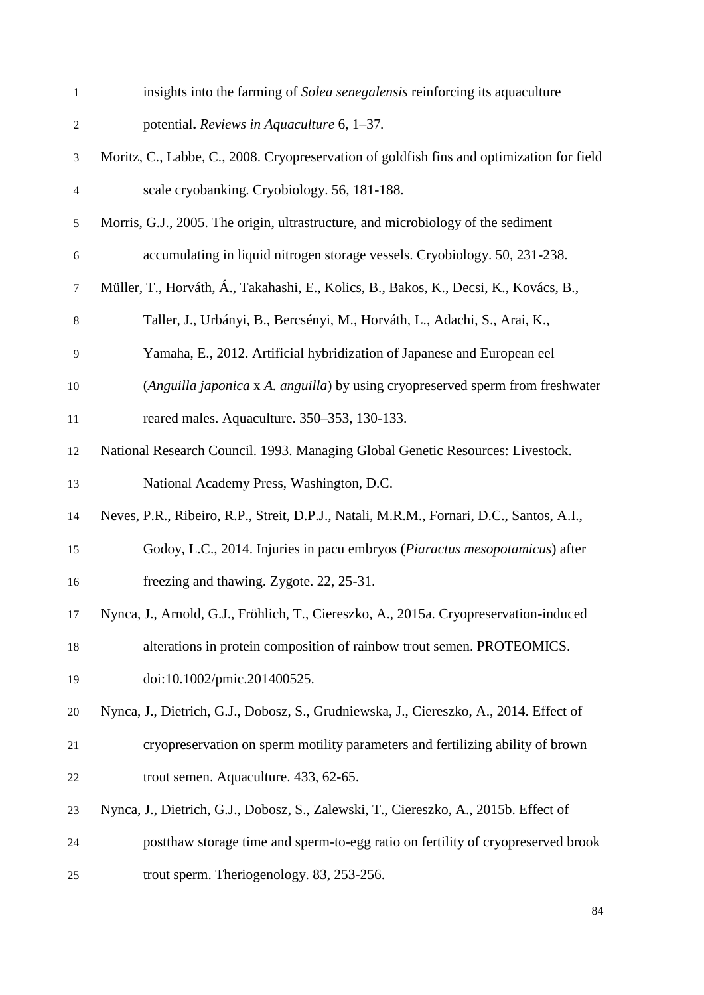| $\mathbf{1}$             | insights into the farming of Solea senegalensis reinforcing its aquaculture               |
|--------------------------|-------------------------------------------------------------------------------------------|
| $\boldsymbol{2}$         | potential. Reviews in Aquaculture 6, 1-37.                                                |
| 3                        | Moritz, C., Labbe, C., 2008. Cryopreservation of goldfish fins and optimization for field |
| $\overline{\mathcal{L}}$ | scale cryobanking. Cryobiology. 56, 181-188.                                              |
| 5                        | Morris, G.J., 2005. The origin, ultrastructure, and microbiology of the sediment          |
| $\boldsymbol{6}$         | accumulating in liquid nitrogen storage vessels. Cryobiology. 50, 231-238.                |
| $\tau$                   | Müller, T., Horváth, Á., Takahashi, E., Kolics, B., Bakos, K., Decsi, K., Kovács, B.,     |
| $8\,$                    | Taller, J., Urbányi, B., Bercsényi, M., Horváth, L., Adachi, S., Arai, K.,                |
| 9                        | Yamaha, E., 2012. Artificial hybridization of Japanese and European eel                   |
| 10                       | (Anguilla japonica x A. anguilla) by using cryopreserved sperm from freshwater            |
| 11                       | reared males. Aquaculture. 350–353, 130-133.                                              |
| 12                       | National Research Council. 1993. Managing Global Genetic Resources: Livestock.            |
| 13                       | National Academy Press, Washington, D.C.                                                  |
| 14                       | Neves, P.R., Ribeiro, R.P., Streit, D.P.J., Natali, M.R.M., Fornari, D.C., Santos, A.I.,  |
| 15                       | Godoy, L.C., 2014. Injuries in pacu embryos (Piaractus mesopotamicus) after               |
| 16                       | freezing and thawing. Zygote. 22, 25-31.                                                  |
| 17                       | Nynca, J., Arnold, G.J., Fröhlich, T., Ciereszko, A., 2015a. Cryopreservation-induced     |
| 18                       | alterations in protein composition of rainbow trout semen. PROTEOMICS.                    |
| 19                       | doi:10.1002/pmic.201400525.                                                               |
| 20                       | Nynca, J., Dietrich, G.J., Dobosz, S., Grudniewska, J., Ciereszko, A., 2014. Effect of    |
| 21                       | cryopreservation on sperm motility parameters and fertilizing ability of brown            |
| 22                       | trout semen. Aquaculture. 433, 62-65.                                                     |
| 23                       | Nynca, J., Dietrich, G.J., Dobosz, S., Zalewski, T., Ciereszko, A., 2015b. Effect of      |
| 24                       | postthaw storage time and sperm-to-egg ratio on fertility of cryopreserved brook          |
| 25                       | trout sperm. Theriogenology. 83, 253-256.                                                 |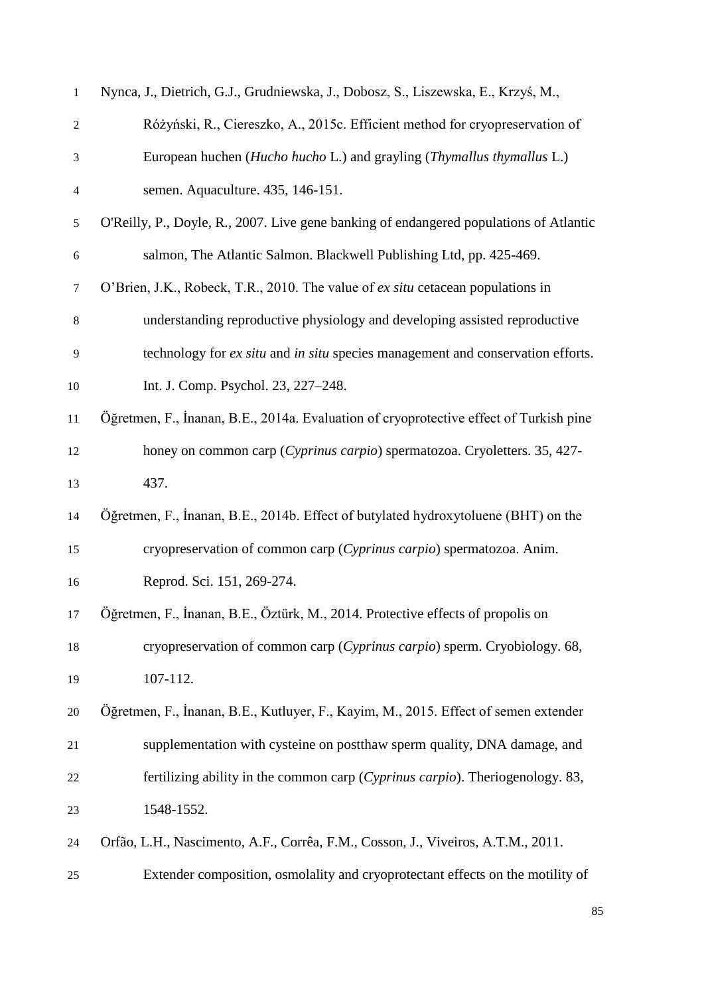| $\mathbf{1}$             | Nynca, J., Dietrich, G.J., Grudniewska, J., Dobosz, S., Liszewska, E., Krzyś, M.,      |
|--------------------------|----------------------------------------------------------------------------------------|
| $\mathfrak 2$            | Różyński, R., Ciereszko, A., 2015c. Efficient method for cryopreservation of           |
| 3                        | European huchen (Hucho hucho L.) and grayling (Thymallus thymallus L.)                 |
| $\overline{\mathcal{A}}$ | semen. Aquaculture. 435, 146-151.                                                      |
| $\mathfrak{S}$           | O'Reilly, P., Doyle, R., 2007. Live gene banking of endangered populations of Atlantic |
| $\sqrt{6}$               | salmon, The Atlantic Salmon. Blackwell Publishing Ltd, pp. 425-469.                    |
| $\tau$                   | O'Brien, J.K., Robeck, T.R., 2010. The value of <i>ex situ</i> cetacean populations in |
| $\,8$                    | understanding reproductive physiology and developing assisted reproductive             |
| 9                        | technology for ex situ and in situ species management and conservation efforts.        |
| 10                       | Int. J. Comp. Psychol. 23, 227-248.                                                    |
| 11                       | Öğretmen, F., İnanan, B.E., 2014a. Evaluation of cryoprotective effect of Turkish pine |
| 12                       | honey on common carp (Cyprinus carpio) spermatozoa. Cryoletters. 35, 427-              |
| 13                       | 437.                                                                                   |
| 14                       | Öğretmen, F., İnanan, B.E., 2014b. Effect of butylated hydroxytoluene (BHT) on the     |
| 15                       | cryopreservation of common carp (Cyprinus carpio) spermatozoa. Anim.                   |
| 16                       | Reprod. Sci. 151, 269-274.                                                             |
| 17                       | Öğretmen, F., İnanan, B.E., Öztürk, M., 2014. Protective effects of propolis on        |
| 18                       | cryopreservation of common carp (Cyprinus carpio) sperm. Cryobiology. 68,              |
| 19                       | 107-112.                                                                               |
| 20                       | Öğretmen, F., İnanan, B.E., Kutluyer, F., Kayim, M., 2015. Effect of semen extender    |
| 21                       | supplementation with cysteine on postthaw sperm quality, DNA damage, and               |
| 22                       | fertilizing ability in the common carp (Cyprinus carpio). Theriogenology. 83,          |
| 23                       | 1548-1552.                                                                             |
| 24                       | Orfão, L.H., Nascimento, A.F., Corrêa, F.M., Cosson, J., Viveiros, A.T.M., 2011.       |
| 25                       | Extender composition, osmolality and cryoprotectant effects on the motility of         |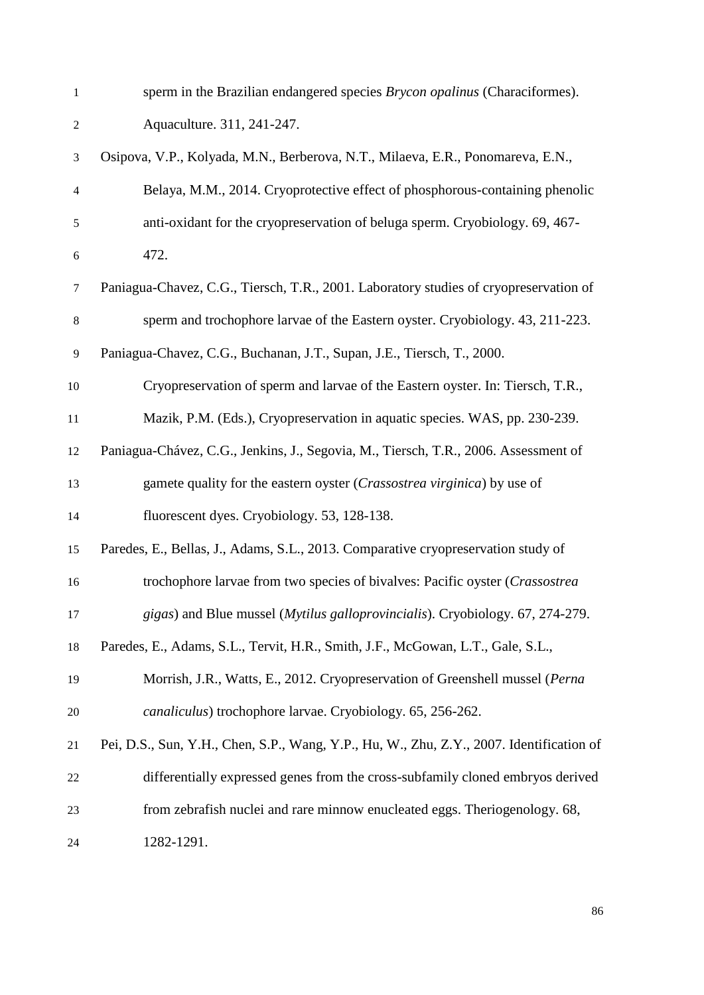| 1                | sperm in the Brazilian endangered species Brycon opalinus (Characiformes).               |
|------------------|------------------------------------------------------------------------------------------|
| $\boldsymbol{2}$ | Aquaculture. 311, 241-247.                                                               |
| 3                | Osipova, V.P., Kolyada, M.N., Berberova, N.T., Milaeva, E.R., Ponomareva, E.N.,          |
| 4                | Belaya, M.M., 2014. Cryoprotective effect of phosphorous-containing phenolic             |
| 5                | anti-oxidant for the cryopreservation of beluga sperm. Cryobiology. 69, 467-             |
| $\boldsymbol{6}$ | 472.                                                                                     |
| $\tau$           | Paniagua-Chavez, C.G., Tiersch, T.R., 2001. Laboratory studies of cryopreservation of    |
| $8\,$            | sperm and trochophore larvae of the Eastern oyster. Cryobiology. 43, 211-223.            |
| 9                | Paniagua-Chavez, C.G., Buchanan, J.T., Supan, J.E., Tiersch, T., 2000.                   |
| 10               | Cryopreservation of sperm and larvae of the Eastern oyster. In: Tiersch, T.R.,           |
| 11               | Mazik, P.M. (Eds.), Cryopreservation in aquatic species. WAS, pp. 230-239.               |
| 12               | Paniagua-Chávez, C.G., Jenkins, J., Segovia, M., Tiersch, T.R., 2006. Assessment of      |
| 13               | gamete quality for the eastern oyster (Crassostrea virginica) by use of                  |
| 14               | fluorescent dyes. Cryobiology. 53, 128-138.                                              |
| 15               | Paredes, E., Bellas, J., Adams, S.L., 2013. Comparative cryopreservation study of        |
| 16               | trochophore larvae from two species of bivalves: Pacific oyster (Crassostrea             |
| 17               | gigas) and Blue mussel (Mytilus galloprovincialis). Cryobiology. 67, 274-279.            |
| 18               | Paredes, E., Adams, S.L., Tervit, H.R., Smith, J.F., McGowan, L.T., Gale, S.L.,          |
| 19               | Morrish, J.R., Watts, E., 2012. Cryopreservation of Greenshell mussel (Perna             |
| 20               | canaliculus) trochophore larvae. Cryobiology. 65, 256-262.                               |
| 21               | Pei, D.S., Sun, Y.H., Chen, S.P., Wang, Y.P., Hu, W., Zhu, Z.Y., 2007. Identification of |
| 22               | differentially expressed genes from the cross-subfamily cloned embryos derived           |
| 23               | from zebrafish nuclei and rare minnow enucleated eggs. Theriogenology. 68,               |
| 24               | 1282-1291.                                                                               |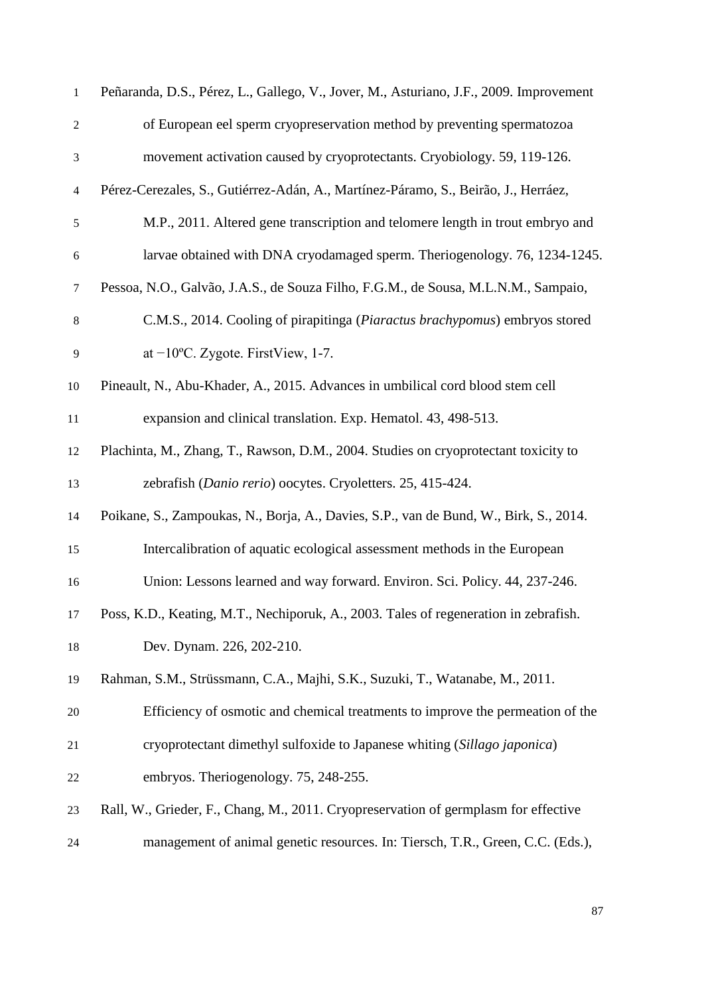| $\mathbf{1}$   | Peñaranda, D.S., Pérez, L., Gallego, V., Jover, M., Asturiano, J.F., 2009. Improvement |
|----------------|----------------------------------------------------------------------------------------|
| $\sqrt{2}$     | of European eel sperm cryopreservation method by preventing spermatozoa                |
| $\mathfrak 3$  | movement activation caused by cryoprotectants. Cryobiology. 59, 119-126.               |
| $\overline{4}$ | Pérez-Cerezales, S., Gutiérrez-Adán, A., Martínez-Páramo, S., Beirão, J., Herráez,     |
| $\mathfrak s$  | M.P., 2011. Altered gene transcription and telomere length in trout embryo and         |
| $\sqrt{6}$     | larvae obtained with DNA cryodamaged sperm. Theriogenology. 76, 1234-1245.             |
| 7              | Pessoa, N.O., Galvão, J.A.S., de Souza Filho, F.G.M., de Sousa, M.L.N.M., Sampaio,     |
| $\,8\,$        | C.M.S., 2014. Cooling of pirapitinga (Piaractus brachypomus) embryos stored            |
| 9              | at $-10$ °C. Zygote. FirstView, 1-7.                                                   |
| 10             | Pineault, N., Abu-Khader, A., 2015. Advances in umbilical cord blood stem cell         |
| 11             | expansion and clinical translation. Exp. Hematol. 43, 498-513.                         |
| 12             | Plachinta, M., Zhang, T., Rawson, D.M., 2004. Studies on cryoprotectant toxicity to    |
| 13             | zebrafish (Danio rerio) oocytes. Cryoletters. 25, 415-424.                             |
| 14             | Poikane, S., Zampoukas, N., Borja, A., Davies, S.P., van de Bund, W., Birk, S., 2014.  |
| 15             | Intercalibration of aquatic ecological assessment methods in the European              |
| 16             | Union: Lessons learned and way forward. Environ. Sci. Policy. 44, 237-246.             |
| 17             | Poss, K.D., Keating, M.T., Nechiporuk, A., 2003. Tales of regeneration in zebrafish.   |
| 18             | Dev. Dynam. 226, 202-210.                                                              |
| 19             | Rahman, S.M., Strüssmann, C.A., Majhi, S.K., Suzuki, T., Watanabe, M., 2011.           |
| 20             | Efficiency of osmotic and chemical treatments to improve the permeation of the         |
| 21             | cryoprotectant dimethyl sulfoxide to Japanese whiting (Sillago japonica)               |
| 22             | embryos. Theriogenology. 75, 248-255.                                                  |
| 23             | Rall, W., Grieder, F., Chang, M., 2011. Cryopreservation of germplasm for effective    |
| 24             | management of animal genetic resources. In: Tiersch, T.R., Green, C.C. (Eds.),         |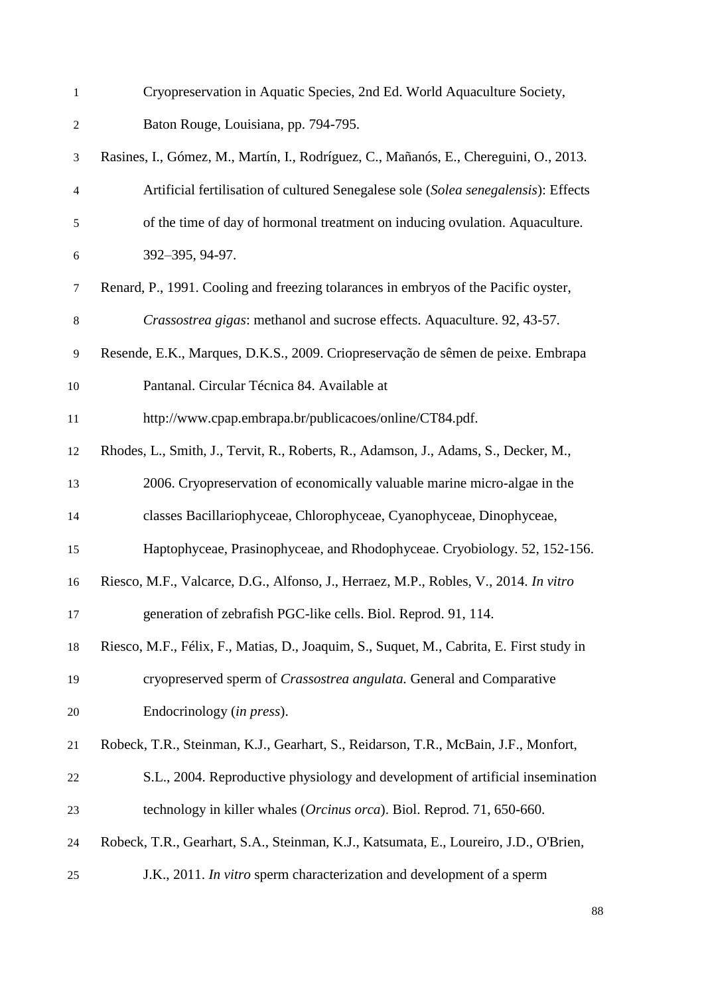| $\mathbf{1}$   | Cryopreservation in Aquatic Species, 2nd Ed. World Aquaculture Society,                  |
|----------------|------------------------------------------------------------------------------------------|
| $\mathfrak{2}$ | Baton Rouge, Louisiana, pp. 794-795.                                                     |
| 3              | Rasines, I., Gómez, M., Martín, I., Rodríguez, C., Mañanós, E., Chereguini, O., 2013.    |
| 4              | Artificial fertilisation of cultured Senegalese sole (Solea senegalensis): Effects       |
| 5              | of the time of day of hormonal treatment on inducing ovulation. Aquaculture.             |
| 6              | 392-395, 94-97.                                                                          |
| $\tau$         | Renard, P., 1991. Cooling and freezing tolarances in embryos of the Pacific oyster,      |
| $8\,$          | Crassostrea gigas: methanol and sucrose effects. Aquaculture. 92, 43-57.                 |
| 9              | Resende, E.K., Marques, D.K.S., 2009. Criopreservação de sêmen de peixe. Embrapa         |
| 10             | Pantanal. Circular Técnica 84. Available at                                              |
| 11             | http://www.cpap.embrapa.br/publicacoes/online/CT84.pdf.                                  |
| 12             | Rhodes, L., Smith, J., Tervit, R., Roberts, R., Adamson, J., Adams, S., Decker, M.,      |
| 13             | 2006. Cryopreservation of economically valuable marine micro-algae in the                |
| 14             | classes Bacillariophyceae, Chlorophyceae, Cyanophyceae, Dinophyceae,                     |
| 15             | Haptophyceae, Prasinophyceae, and Rhodophyceae. Cryobiology. 52, 152-156.                |
| 16             | Riesco, M.F., Valcarce, D.G., Alfonso, J., Herraez, M.P., Robles, V., 2014. In vitro     |
| 17             | generation of zebrafish PGC-like cells. Biol. Reprod. 91, 114.                           |
| 18             | Riesco, M.F., Félix, F., Matias, D., Joaquim, S., Suquet, M., Cabrita, E. First study in |
| 19             | cryopreserved sperm of Crassostrea angulata. General and Comparative                     |
| 20             | Endocrinology (in press).                                                                |
| 21             | Robeck, T.R., Steinman, K.J., Gearhart, S., Reidarson, T.R., McBain, J.F., Monfort,      |
| 22             | S.L., 2004. Reproductive physiology and development of artificial insemination           |
| 23             | technology in killer whales (Orcinus orca). Biol. Reprod. 71, 650-660.                   |
| 24             | Robeck, T.R., Gearhart, S.A., Steinman, K.J., Katsumata, E., Loureiro, J.D., O'Brien,    |
| 25             | J.K., 2011. In vitro sperm characterization and development of a sperm                   |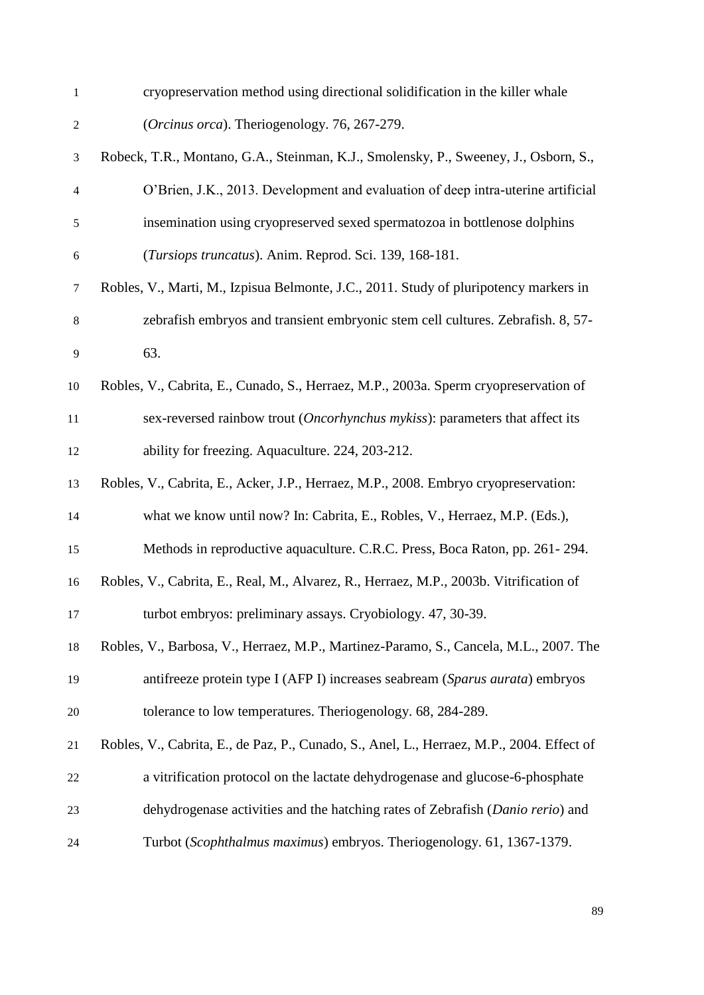| $\mathbf{1}$             | cryopreservation method using directional solidification in the killer whale              |
|--------------------------|-------------------------------------------------------------------------------------------|
| $\boldsymbol{2}$         | (Orcinus orca). Theriogenology. 76, 267-279.                                              |
| 3                        | Robeck, T.R., Montano, G.A., Steinman, K.J., Smolensky, P., Sweeney, J., Osborn, S.,      |
| $\overline{\mathcal{A}}$ | O'Brien, J.K., 2013. Development and evaluation of deep intra-uterine artificial          |
| $\mathfrak s$            | insemination using cryopreserved sexed spermatozoa in bottlenose dolphins                 |
| 6                        | (Tursiops truncatus). Anim. Reprod. Sci. 139, 168-181.                                    |
| $\boldsymbol{7}$         | Robles, V., Marti, M., Izpisua Belmonte, J.C., 2011. Study of pluripotency markers in     |
| $\,8\,$                  | zebrafish embryos and transient embryonic stem cell cultures. Zebrafish. 8, 57-           |
| 9                        | 63.                                                                                       |
| 10                       | Robles, V., Cabrita, E., Cunado, S., Herraez, M.P., 2003a. Sperm cryopreservation of      |
| 11                       | sex-reversed rainbow trout (Oncorhynchus mykiss): parameters that affect its              |
| 12                       | ability for freezing. Aquaculture. 224, 203-212.                                          |
| 13                       | Robles, V., Cabrita, E., Acker, J.P., Herraez, M.P., 2008. Embryo cryopreservation:       |
| 14                       | what we know until now? In: Cabrita, E., Robles, V., Herraez, M.P. (Eds.),                |
| 15                       | Methods in reproductive aquaculture. C.R.C. Press, Boca Raton, pp. 261-294.               |
| 16                       | Robles, V., Cabrita, E., Real, M., Alvarez, R., Herraez, M.P., 2003b. Vitrification of    |
| 17                       | turbot embryos: preliminary assays. Cryobiology. 47, 30-39.                               |
| 18                       | Robles, V., Barbosa, V., Herraez, M.P., Martinez-Paramo, S., Cancela, M.L., 2007. The     |
| 19                       | antifreeze protein type I (AFP I) increases seabream (Sparus aurata) embryos              |
| 20                       | tolerance to low temperatures. Theriogenology. 68, 284-289.                               |
| 21                       | Robles, V., Cabrita, E., de Paz, P., Cunado, S., Anel, L., Herraez, M.P., 2004. Effect of |
| 22                       | a vitrification protocol on the lactate dehydrogenase and glucose-6-phosphate             |
| 23                       | dehydrogenase activities and the hatching rates of Zebrafish (Danio rerio) and            |
| 24                       | Turbot (Scophthalmus maximus) embryos. Theriogenology. 61, 1367-1379.                     |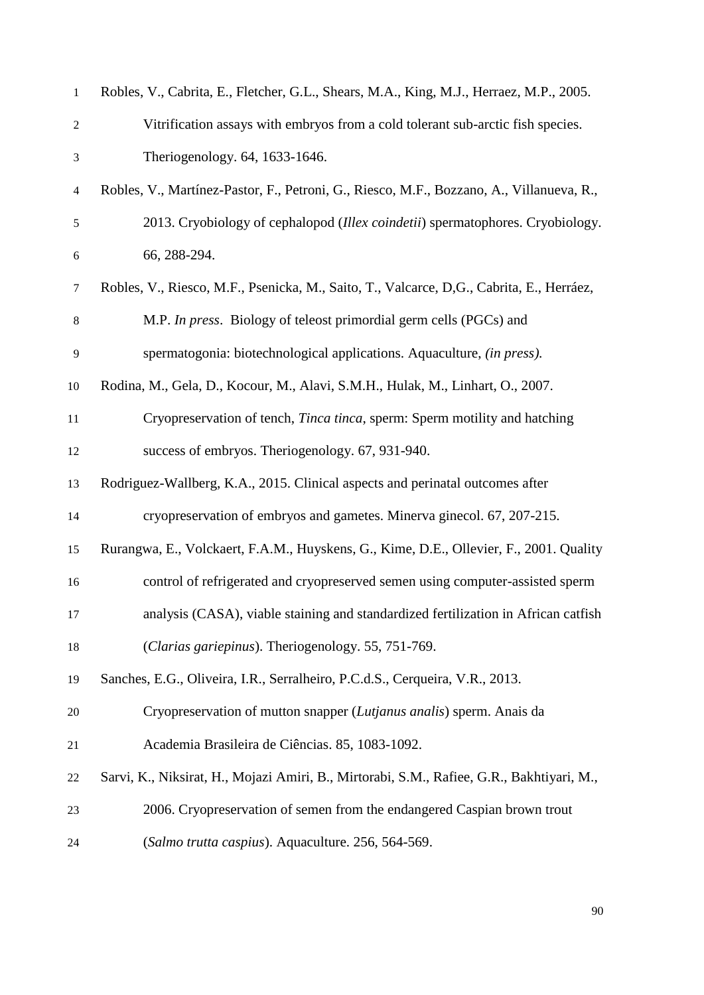| $\mathbf{1}$             | Robles, V., Cabrita, E., Fletcher, G.L., Shears, M.A., King, M.J., Herraez, M.P., 2005.   |
|--------------------------|-------------------------------------------------------------------------------------------|
| $\mathfrak{2}$           | Vitrification assays with embryos from a cold tolerant sub-arctic fish species.           |
| 3                        | Theriogenology. 64, 1633-1646.                                                            |
| $\overline{\mathcal{A}}$ | Robles, V., Martínez-Pastor, F., Petroni, G., Riesco, M.F., Bozzano, A., Villanueva, R.,  |
| 5                        | 2013. Cryobiology of cephalopod (Illex coindetii) spermatophores. Cryobiology.            |
| 6                        | 66, 288-294.                                                                              |
| 7                        | Robles, V., Riesco, M.F., Psenicka, M., Saito, T., Valcarce, D,G., Cabrita, E., Herráez,  |
| $8\,$                    | M.P. In press. Biology of teleost primordial germ cells (PGCs) and                        |
| 9                        | spermatogonia: biotechnological applications. Aquaculture, <i>(in press)</i> .            |
| 10                       | Rodina, M., Gela, D., Kocour, M., Alavi, S.M.H., Hulak, M., Linhart, O., 2007.            |
| $11\,$                   | Cryopreservation of tench, <i>Tinca tinca</i> , sperm: Sperm motility and hatching        |
| 12                       | success of embryos. Theriogenology. 67, 931-940.                                          |
| 13                       | Rodriguez-Wallberg, K.A., 2015. Clinical aspects and perinatal outcomes after             |
| 14                       | cryopreservation of embryos and gametes. Minerva ginecol. 67, 207-215.                    |
| 15                       | Rurangwa, E., Volckaert, F.A.M., Huyskens, G., Kime, D.E., Ollevier, F., 2001. Quality    |
| 16                       | control of refrigerated and cryopreserved semen using computer-assisted sperm             |
| 17                       | analysis (CASA), viable staining and standardized fertilization in African catfish        |
| 18                       | (Clarias gariepinus). Theriogenology. 55, 751-769.                                        |
| 19                       | Sanches, E.G., Oliveira, I.R., Serralheiro, P.C.d.S., Cerqueira, V.R., 2013.              |
| 20                       | Cryopreservation of mutton snapper (Lutjanus analis) sperm. Anais da                      |
| 21                       | Academia Brasileira de Ciências. 85, 1083-1092.                                           |
| 22                       | Sarvi, K., Niksirat, H., Mojazi Amiri, B., Mirtorabi, S.M., Rafiee, G.R., Bakhtiyari, M., |
| 23                       | 2006. Cryopreservation of semen from the endangered Caspian brown trout                   |
| 24                       | (Salmo trutta caspius). Aquaculture. 256, 564-569.                                        |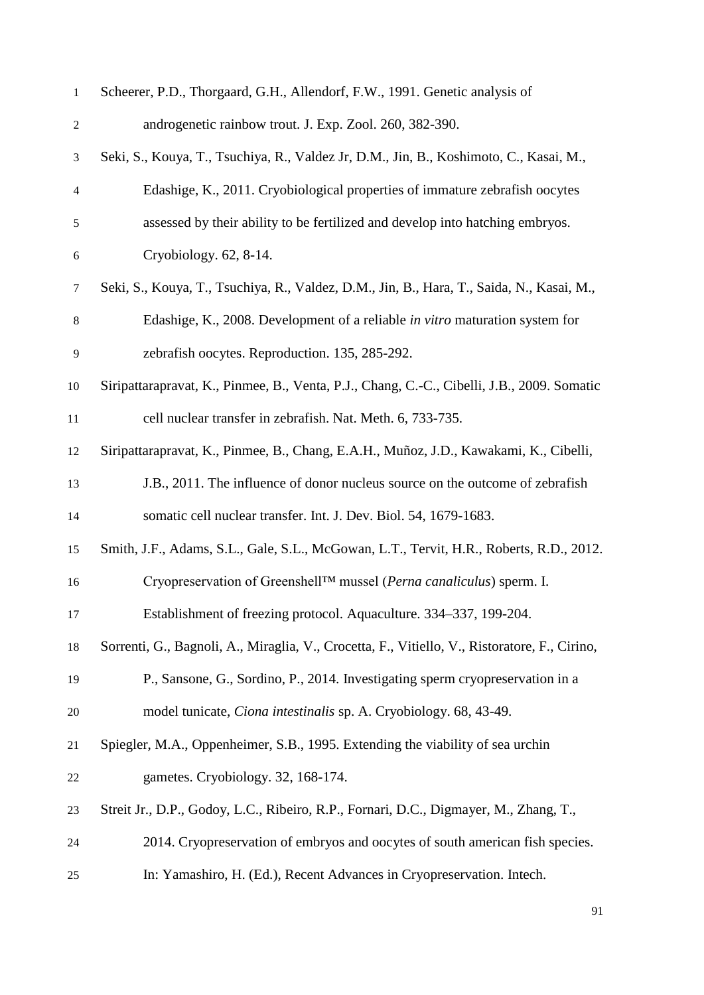| $\mathbf{1}$     | Scheerer, P.D., Thorgaard, G.H., Allendorf, F.W., 1991. Genetic analysis of                   |
|------------------|-----------------------------------------------------------------------------------------------|
| $\boldsymbol{2}$ | androgenetic rainbow trout. J. Exp. Zool. 260, 382-390.                                       |
| 3                | Seki, S., Kouya, T., Tsuchiya, R., Valdez Jr, D.M., Jin, B., Koshimoto, C., Kasai, M.,        |
| $\overline{4}$   | Edashige, K., 2011. Cryobiological properties of immature zebrafish oocytes                   |
| $\mathfrak s$    | assessed by their ability to be fertilized and develop into hatching embryos.                 |
| $\boldsymbol{6}$ | Cryobiology. $62, 8-14$ .                                                                     |
| $\tau$           | Seki, S., Kouya, T., Tsuchiya, R., Valdez, D.M., Jin, B., Hara, T., Saida, N., Kasai, M.,     |
| $8\,$            | Edashige, K., 2008. Development of a reliable in vitro maturation system for                  |
| 9                | zebrafish oocytes. Reproduction. 135, 285-292.                                                |
| 10               | Siripattarapravat, K., Pinmee, B., Venta, P.J., Chang, C.-C., Cibelli, J.B., 2009. Somatic    |
| 11               | cell nuclear transfer in zebrafish. Nat. Meth. 6, 733-735.                                    |
| 12               | Siripattarapravat, K., Pinmee, B., Chang, E.A.H., Muñoz, J.D., Kawakami, K., Cibelli,         |
| 13               | J.B., 2011. The influence of donor nucleus source on the outcome of zebrafish                 |
| 14               | somatic cell nuclear transfer. Int. J. Dev. Biol. 54, 1679-1683.                              |
| 15               | Smith, J.F., Adams, S.L., Gale, S.L., McGowan, L.T., Tervit, H.R., Roberts, R.D., 2012.       |
| 16               | Cryopreservation of Greenshell™ mussel (Perna canaliculus) sperm. I.                          |
| 17               | Establishment of freezing protocol. Aquaculture. 334–337, 199-204.                            |
| 18               | Sorrenti, G., Bagnoli, A., Miraglia, V., Crocetta, F., Vitiello, V., Ristoratore, F., Cirino, |
| 19               | P., Sansone, G., Sordino, P., 2014. Investigating sperm cryopreservation in a                 |
| 20               | model tunicate, <i>Ciona intestinalis</i> sp. A. Cryobiology. 68, 43-49.                      |
| 21               | Spiegler, M.A., Oppenheimer, S.B., 1995. Extending the viability of sea urchin                |
| 22               | gametes. Cryobiology. 32, 168-174.                                                            |
| 23               | Streit Jr., D.P., Godoy, L.C., Ribeiro, R.P., Fornari, D.C., Digmayer, M., Zhang, T.,         |
| 24               | 2014. Cryopreservation of embryos and oocytes of south american fish species.                 |
| 25               | In: Yamashiro, H. (Ed.), Recent Advances in Cryopreservation. Intech.                         |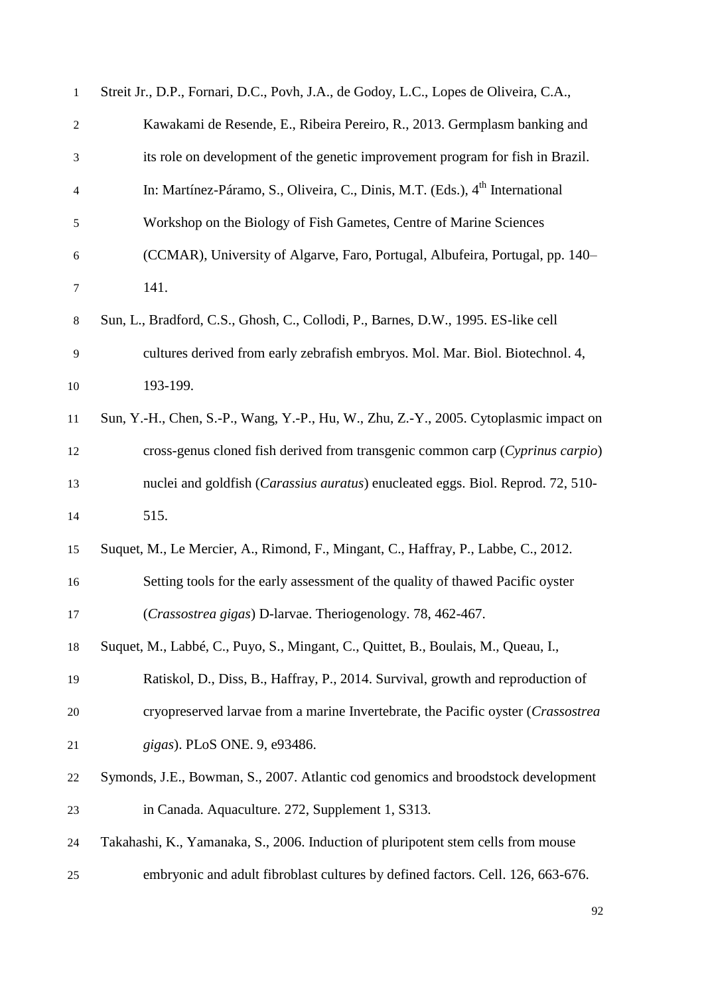| $\mathbf{1}$     | Streit Jr., D.P., Fornari, D.C., Povh, J.A., de Godoy, L.C., Lopes de Oliveira, C.A.,    |
|------------------|------------------------------------------------------------------------------------------|
| $\overline{c}$   | Kawakami de Resende, E., Ribeira Pereiro, R., 2013. Germplasm banking and                |
| $\mathfrak{Z}$   | its role on development of the genetic improvement program for fish in Brazil.           |
| 4                | In: Martínez-Páramo, S., Oliveira, C., Dinis, M.T. (Eds.), 4 <sup>th</sup> International |
| $\sqrt{5}$       | Workshop on the Biology of Fish Gametes, Centre of Marine Sciences                       |
| $\boldsymbol{6}$ | (CCMAR), University of Algarve, Faro, Portugal, Albufeira, Portugal, pp. 140–            |
| $\tau$           | 141.                                                                                     |
| $\,8\,$          | Sun, L., Bradford, C.S., Ghosh, C., Collodi, P., Barnes, D.W., 1995. ES-like cell        |
| 9                | cultures derived from early zebrafish embryos. Mol. Mar. Biol. Biotechnol. 4,            |
| 10               | 193-199.                                                                                 |
| 11               | Sun, Y.-H., Chen, S.-P., Wang, Y.-P., Hu, W., Zhu, Z.-Y., 2005. Cytoplasmic impact on    |
| 12               | cross-genus cloned fish derived from transgenic common carp (Cyprinus carpio)            |
| 13               | nuclei and goldfish (Carassius auratus) enucleated eggs. Biol. Reprod. 72, 510-          |
| 14               | 515.                                                                                     |
| 15               | Suquet, M., Le Mercier, A., Rimond, F., Mingant, C., Haffray, P., Labbe, C., 2012.       |
| 16               | Setting tools for the early assessment of the quality of thawed Pacific oyster           |
| 17               | (Crassostrea gigas) D-larvae. Theriogenology. 78, 462-467.                               |
| 18               | Suquet, M., Labbé, C., Puyo, S., Mingant, C., Quittet, B., Boulais, M., Queau, I.,       |
| 19               | Ratiskol, D., Diss, B., Haffray, P., 2014. Survival, growth and reproduction of          |
| 20               | cryopreserved larvae from a marine Invertebrate, the Pacific oyster (Crassostrea         |
| 21               | gigas). PLoS ONE. 9, e93486.                                                             |
| 22               | Symonds, J.E., Bowman, S., 2007. Atlantic cod genomics and broodstock development        |
| 23               | in Canada. Aquaculture. 272, Supplement 1, S313.                                         |
| 24               | Takahashi, K., Yamanaka, S., 2006. Induction of pluripotent stem cells from mouse        |
| 25               | embryonic and adult fibroblast cultures by defined factors. Cell. 126, 663-676.          |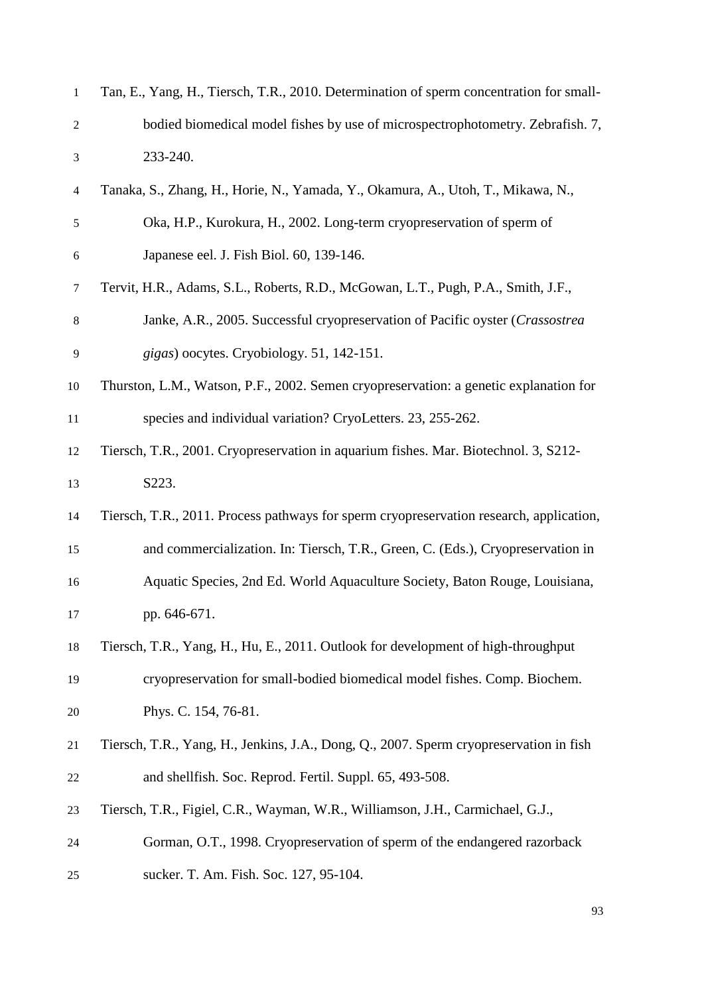| $\mathbf{1}$   | Tan, E., Yang, H., Tiersch, T.R., 2010. Determination of sperm concentration for small- |
|----------------|-----------------------------------------------------------------------------------------|
| $\mathfrak{2}$ | bodied biomedical model fishes by use of microspectrophotometry. Zebrafish. 7,          |
| $\mathfrak{Z}$ | 233-240.                                                                                |
| $\overline{4}$ | Tanaka, S., Zhang, H., Horie, N., Yamada, Y., Okamura, A., Utoh, T., Mikawa, N.,        |
| 5              | Oka, H.P., Kurokura, H., 2002. Long-term cryopreservation of sperm of                   |
| $\sqrt{6}$     | Japanese eel. J. Fish Biol. 60, 139-146.                                                |
| $\tau$         | Tervit, H.R., Adams, S.L., Roberts, R.D., McGowan, L.T., Pugh, P.A., Smith, J.F.,       |
| $\,8\,$        | Janke, A.R., 2005. Successful cryopreservation of Pacific oyster (Crassostrea           |
| $\mathbf{9}$   | gigas) oocytes. Cryobiology. 51, 142-151.                                               |
| 10             | Thurston, L.M., Watson, P.F., 2002. Semen cryopreservation: a genetic explanation for   |
| 11             | species and individual variation? CryoLetters. 23, 255-262.                             |
| 12             | Tiersch, T.R., 2001. Cryopreservation in aquarium fishes. Mar. Biotechnol. 3, S212-     |
| 13             | S223.                                                                                   |
| 14             | Tiersch, T.R., 2011. Process pathways for sperm cryopreservation research, application, |
| 15             | and commercialization. In: Tiersch, T.R., Green, C. (Eds.), Cryopreservation in         |
| 16             | Aquatic Species, 2nd Ed. World Aquaculture Society, Baton Rouge, Louisiana,             |
| 17             | pp. 646-671.                                                                            |
| 18             | Tiersch, T.R., Yang, H., Hu, E., 2011. Outlook for development of high-throughput       |
| 19             | cryopreservation for small-bodied biomedical model fishes. Comp. Biochem.               |
| 20             | Phys. C. 154, 76-81.                                                                    |
| 21             | Tiersch, T.R., Yang, H., Jenkins, J.A., Dong, Q., 2007. Sperm cryopreservation in fish  |
| 22             | and shellfish. Soc. Reprod. Fertil. Suppl. 65, 493-508.                                 |
| 23             | Tiersch, T.R., Figiel, C.R., Wayman, W.R., Williamson, J.H., Carmichael, G.J.,          |
| 24             | Gorman, O.T., 1998. Cryopreservation of sperm of the endangered razorback               |
| 25             | sucker. T. Am. Fish. Soc. 127, 95-104.                                                  |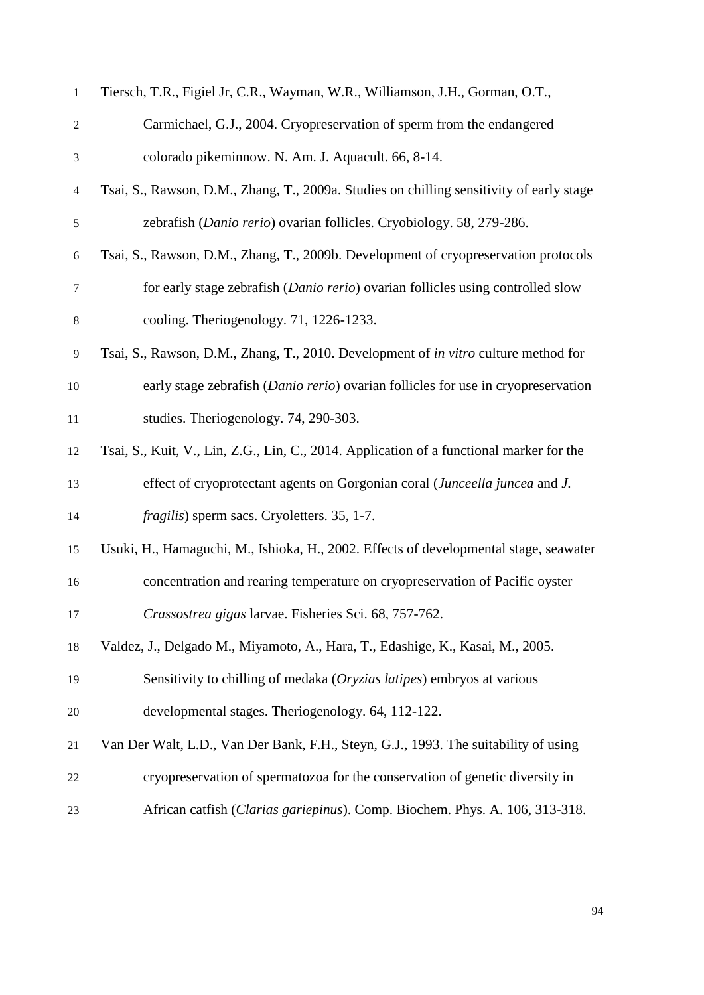| $\mathbf{1}$             | Tiersch, T.R., Figiel Jr, C.R., Wayman, W.R., Williamson, J.H., Gorman, O.T.,            |
|--------------------------|------------------------------------------------------------------------------------------|
| $\mathfrak{2}$           | Carmichael, G.J., 2004. Cryopreservation of sperm from the endangered                    |
| 3                        | colorado pikeminnow. N. Am. J. Aquacult. 66, 8-14.                                       |
| $\overline{\mathcal{A}}$ | Tsai, S., Rawson, D.M., Zhang, T., 2009a. Studies on chilling sensitivity of early stage |
| 5                        | zebrafish (Danio rerio) ovarian follicles. Cryobiology. 58, 279-286.                     |
| 6                        | Tsai, S., Rawson, D.M., Zhang, T., 2009b. Development of cryopreservation protocols      |
| 7                        | for early stage zebrafish (Danio rerio) ovarian follicles using controlled slow          |
| $8\,$                    | cooling. Theriogenology. 71, 1226-1233.                                                  |
| 9                        | Tsai, S., Rawson, D.M., Zhang, T., 2010. Development of in vitro culture method for      |
| 10                       | early stage zebrafish (Danio rerio) ovarian follicles for use in cryopreservation        |
| $11\,$                   | studies. Theriogenology. 74, 290-303.                                                    |
| 12                       | Tsai, S., Kuit, V., Lin, Z.G., Lin, C., 2014. Application of a functional marker for the |
| 13                       | effect of cryoprotectant agents on Gorgonian coral (Junceella juncea and J.              |
| 14                       | <i>fragilis</i> ) sperm sacs. Cryoletters. 35, 1-7.                                      |
| 15                       | Usuki, H., Hamaguchi, M., Ishioka, H., 2002. Effects of developmental stage, seawater    |
| 16                       | concentration and rearing temperature on cryopreservation of Pacific oyster              |
| 17                       | Crassostrea gigas larvae. Fisheries Sci. 68, 757-762.                                    |
| 18                       | Valdez, J., Delgado M., Miyamoto, A., Hara, T., Edashige, K., Kasai, M., 2005.           |
| 19                       | Sensitivity to chilling of medaka (Oryzias latipes) embryos at various                   |
| 20                       | developmental stages. Theriogenology. 64, 112-122.                                       |
| 21                       | Van Der Walt, L.D., Van Der Bank, F.H., Steyn, G.J., 1993. The suitability of using      |
| 22                       | cryopreservation of spermatozoa for the conservation of genetic diversity in             |
| 23                       | African catfish (Clarias gariepinus). Comp. Biochem. Phys. A. 106, 313-318.              |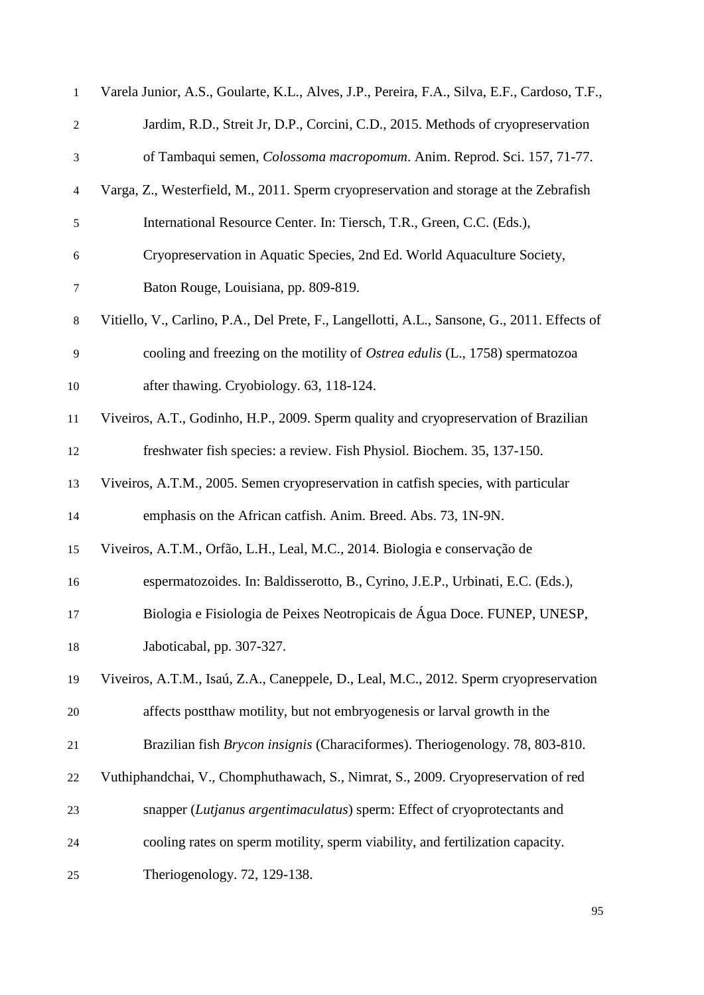| $\mathbf{1}$   | Varela Junior, A.S., Goularte, K.L., Alves, J.P., Pereira, F.A., Silva, E.F., Cardoso, T.F., |
|----------------|----------------------------------------------------------------------------------------------|
| $\sqrt{2}$     | Jardim, R.D., Streit Jr, D.P., Corcini, C.D., 2015. Methods of cryopreservation              |
| 3              | of Tambaqui semen, Colossoma macropomum. Anim. Reprod. Sci. 157, 71-77.                      |
| $\overline{4}$ | Varga, Z., Westerfield, M., 2011. Sperm cryopreservation and storage at the Zebrafish        |
| 5              | International Resource Center. In: Tiersch, T.R., Green, C.C. (Eds.),                        |
| $\sqrt{6}$     | Cryopreservation in Aquatic Species, 2nd Ed. World Aquaculture Society,                      |
| $\tau$         | Baton Rouge, Louisiana, pp. 809-819.                                                         |
| $8\,$          | Vitiello, V., Carlino, P.A., Del Prete, F., Langellotti, A.L., Sansone, G., 2011. Effects of |
| 9              | cooling and freezing on the motility of <i>Ostrea edulis</i> (L., 1758) spermatozoa          |
| 10             | after thawing. Cryobiology. 63, 118-124.                                                     |
| 11             | Viveiros, A.T., Godinho, H.P., 2009. Sperm quality and cryopreservation of Brazilian         |
| 12             | freshwater fish species: a review. Fish Physiol. Biochem. 35, 137-150.                       |
| 13             | Viveiros, A.T.M., 2005. Semen cryopreservation in catfish species, with particular           |
| 14             | emphasis on the African catfish. Anim. Breed. Abs. 73, 1N-9N.                                |
| 15             | Viveiros, A.T.M., Orfão, L.H., Leal, M.C., 2014. Biologia e conservação de                   |
| 16             | espermatozoides. In: Baldisserotto, B., Cyrino, J.E.P., Urbinati, E.C. (Eds.),               |
| 17             | Biologia e Fisiologia de Peixes Neotropicais de Água Doce. FUNEP, UNESP,                     |
| 18             | Jaboticabal, pp. 307-327.                                                                    |
| 19             | Viveiros, A.T.M., Isaú, Z.A., Caneppele, D., Leal, M.C., 2012. Sperm cryopreservation        |
| 20             | affects post thaw motility, but not embryogenesis or larval growth in the                    |
| 21             | Brazilian fish <i>Brycon insignis</i> (Characiformes). Theriogenology. 78, 803-810.          |
| 22             | Vuthiphandchai, V., Chomphuthawach, S., Nimrat, S., 2009. Cryopreservation of red            |
| 23             | snapper (Lutjanus argentimaculatus) sperm: Effect of cryoprotectants and                     |
| 24             | cooling rates on sperm motility, sperm viability, and fertilization capacity.                |
| 25             | Theriogenology. 72, 129-138.                                                                 |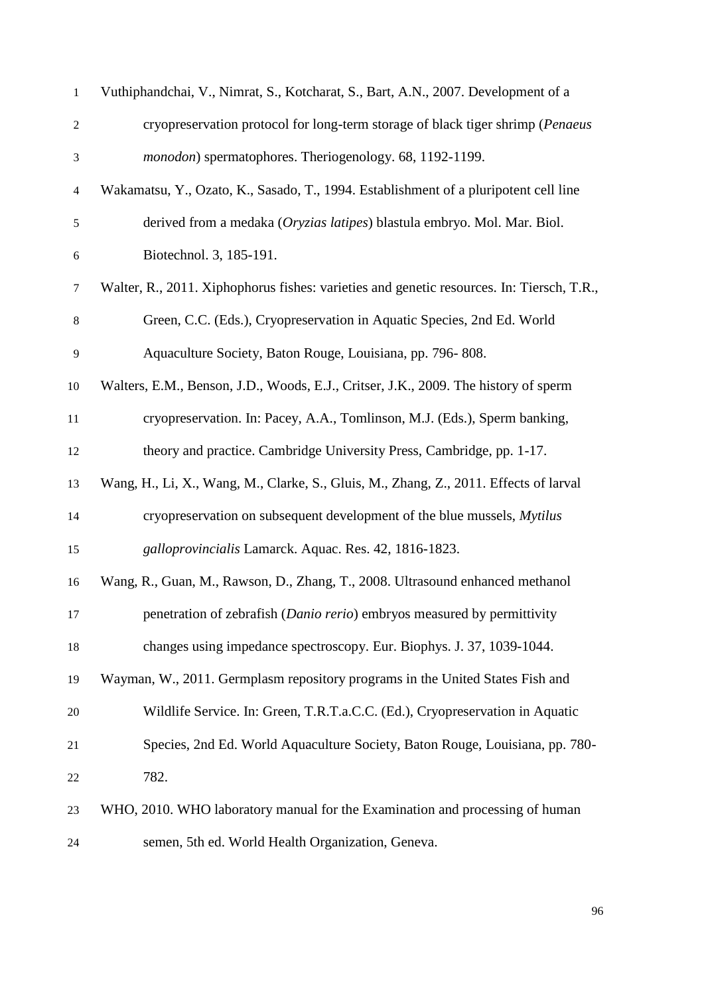| $\mathbf{1}$     | Vuthiphandchai, V., Nimrat, S., Kotcharat, S., Bart, A.N., 2007. Development of a         |
|------------------|-------------------------------------------------------------------------------------------|
| $\boldsymbol{2}$ | cryopreservation protocol for long-term storage of black tiger shrimp (Penaeus            |
| 3                | monodon) spermatophores. Theriogenology. 68, 1192-1199.                                   |
| $\overline{4}$   | Wakamatsu, Y., Ozato, K., Sasado, T., 1994. Establishment of a pluripotent cell line      |
| 5                | derived from a medaka (Oryzias latipes) blastula embryo. Mol. Mar. Biol.                  |
| $\sqrt{6}$       | Biotechnol. 3, 185-191.                                                                   |
| $\tau$           | Walter, R., 2011. Xiphophorus fishes: varieties and genetic resources. In: Tiersch, T.R., |
| $8\,$            | Green, C.C. (Eds.), Cryopreservation in Aquatic Species, 2nd Ed. World                    |
| 9                | Aquaculture Society, Baton Rouge, Louisiana, pp. 796-808.                                 |
| 10               | Walters, E.M., Benson, J.D., Woods, E.J., Critser, J.K., 2009. The history of sperm       |
| 11               | cryopreservation. In: Pacey, A.A., Tomlinson, M.J. (Eds.), Sperm banking,                 |
| 12               | theory and practice. Cambridge University Press, Cambridge, pp. 1-17.                     |
| 13               | Wang, H., Li, X., Wang, M., Clarke, S., Gluis, M., Zhang, Z., 2011. Effects of larval     |
| 14               | cryopreservation on subsequent development of the blue mussels, Mytilus                   |
| 15               | galloprovincialis Lamarck. Aquac. Res. 42, 1816-1823.                                     |
| 16               | Wang, R., Guan, M., Rawson, D., Zhang, T., 2008. Ultrasound enhanced methanol             |
| 17               | penetration of zebrafish (Danio rerio) embryos measured by permittivity                   |
| 18               | changes using impedance spectroscopy. Eur. Biophys. J. 37, 1039-1044.                     |
| 19               | Wayman, W., 2011. Germplasm repository programs in the United States Fish and             |
| 20               | Wildlife Service. In: Green, T.R.T.a.C.C. (Ed.), Cryopreservation in Aquatic              |
| 21               | Species, 2nd Ed. World Aquaculture Society, Baton Rouge, Louisiana, pp. 780-              |
| 22               | 782.                                                                                      |
| 23               | WHO, 2010. WHO laboratory manual for the Examination and processing of human              |
| 24               | semen, 5th ed. World Health Organization, Geneva.                                         |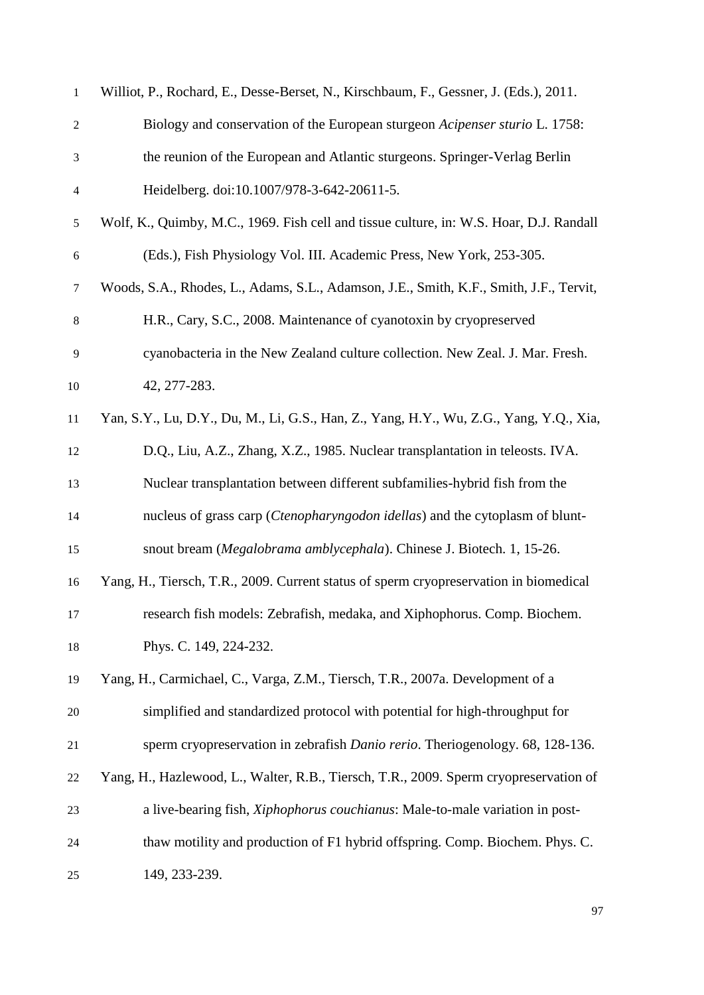| $\mathbf{1}$   | Williot, P., Rochard, E., Desse-Berset, N., Kirschbaum, F., Gessner, J. (Eds.), 2011.   |
|----------------|-----------------------------------------------------------------------------------------|
| $\sqrt{2}$     | Biology and conservation of the European sturgeon Acipenser sturio L. 1758:             |
| 3              | the reunion of the European and Atlantic sturgeons. Springer-Verlag Berlin              |
| $\overline{4}$ | Heidelberg. doi:10.1007/978-3-642-20611-5.                                              |
| $\sqrt{5}$     | Wolf, K., Quimby, M.C., 1969. Fish cell and tissue culture, in: W.S. Hoar, D.J. Randall |
| 6              | (Eds.), Fish Physiology Vol. III. Academic Press, New York, 253-305.                    |
| $\tau$         | Woods, S.A., Rhodes, L., Adams, S.L., Adamson, J.E., Smith, K.F., Smith, J.F., Tervit,  |
| 8              | H.R., Cary, S.C., 2008. Maintenance of cyanotoxin by cryopreserved                      |
| 9              | cyanobacteria in the New Zealand culture collection. New Zeal. J. Mar. Fresh.           |
| 10             | 42, 277-283.                                                                            |
| 11             | Yan, S.Y., Lu, D.Y., Du, M., Li, G.S., Han, Z., Yang, H.Y., Wu, Z.G., Yang, Y.Q., Xia,  |
| 12             | D.Q., Liu, A.Z., Zhang, X.Z., 1985. Nuclear transplantation in teleosts. IVA.           |
| 13             | Nuclear transplantation between different subfamilies-hybrid fish from the              |
| 14             | nucleus of grass carp (Ctenopharyngodon idellas) and the cytoplasm of blunt-            |
| 15             | snout bream (Megalobrama amblycephala). Chinese J. Biotech. 1, 15-26.                   |
| 16             | Yang, H., Tiersch, T.R., 2009. Current status of sperm cryopreservation in biomedical   |
| 17             | research fish models: Zebrafish, medaka, and Xiphophorus. Comp. Biochem.                |
| 18             | Phys. C. 149, 224-232.                                                                  |
| 19             | Yang, H., Carmichael, C., Varga, Z.M., Tiersch, T.R., 2007a. Development of a           |
| 20             | simplified and standardized protocol with potential for high-throughput for             |
| 21             | sperm cryopreservation in zebrafish Danio rerio. Theriogenology. 68, 128-136.           |
| 22             | Yang, H., Hazlewood, L., Walter, R.B., Tiersch, T.R., 2009. Sperm cryopreservation of   |
| 23             | a live-bearing fish, <i>Xiphophorus couchianus</i> : Male-to-male variation in post-    |
| 24             | thaw motility and production of F1 hybrid offspring. Comp. Biochem. Phys. C.            |
| 25             | 149, 233-239.                                                                           |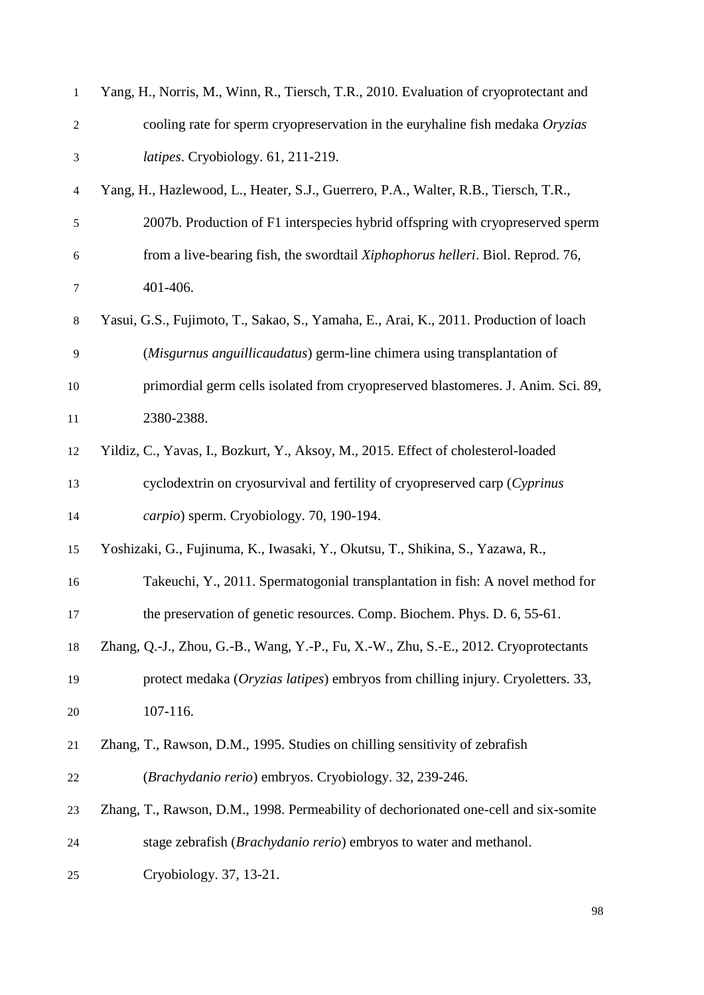| $\mathbf{1}$   | Yang, H., Norris, M., Winn, R., Tiersch, T.R., 2010. Evaluation of cryoprotectant and  |
|----------------|----------------------------------------------------------------------------------------|
| $\overline{c}$ | cooling rate for sperm cryopreservation in the euryhaline fish medaka Oryzias          |
| 3              | latipes. Cryobiology. 61, 211-219.                                                     |
| 4              | Yang, H., Hazlewood, L., Heater, S.J., Guerrero, P.A., Walter, R.B., Tiersch, T.R.,    |
| 5              | 2007b. Production of F1 interspecies hybrid offspring with cryopreserved sperm         |
| 6              | from a live-bearing fish, the swordtail <i>Xiphophorus helleri</i> . Biol. Reprod. 76, |
| 7              | 401-406.                                                                               |
| $8\,$          | Yasui, G.S., Fujimoto, T., Sakao, S., Yamaha, E., Arai, K., 2011. Production of loach  |
| 9              | (Misgurnus anguillicaudatus) germ-line chimera using transplantation of                |
| 10             | primordial germ cells isolated from cryopreserved blastomeres. J. Anim. Sci. 89,       |
| 11             | 2380-2388.                                                                             |
| 12             | Yildiz, C., Yavas, I., Bozkurt, Y., Aksoy, M., 2015. Effect of cholesterol-loaded      |
| 13             | cyclodextrin on cryosurvival and fertility of cryopreserved carp (Cyprinus             |
| 14             | carpio) sperm. Cryobiology. 70, 190-194.                                               |
| 15             | Yoshizaki, G., Fujinuma, K., Iwasaki, Y., Okutsu, T., Shikina, S., Yazawa, R.,         |
| 16             | Takeuchi, Y., 2011. Spermatogonial transplantation in fish: A novel method for         |
| 17             | the preservation of genetic resources. Comp. Biochem. Phys. D. 6, 55-61.               |
| 18             | Zhang, Q.-J., Zhou, G.-B., Wang, Y.-P., Fu, X.-W., Zhu, S.-E., 2012. Cryoprotectants   |
| 19             | protect medaka (Oryzias latipes) embryos from chilling injury. Cryoletters. 33,        |
| 20             | 107-116.                                                                               |
| 21             | Zhang, T., Rawson, D.M., 1995. Studies on chilling sensitivity of zebrafish            |
| 22             | (Brachydanio rerio) embryos. Cryobiology. 32, 239-246.                                 |
| 23             | Zhang, T., Rawson, D.M., 1998. Permeability of dechorionated one-cell and six-somite   |
| 24             | stage zebrafish (Brachydanio rerio) embryos to water and methanol.                     |
| 25             | Cryobiology. 37, 13-21.                                                                |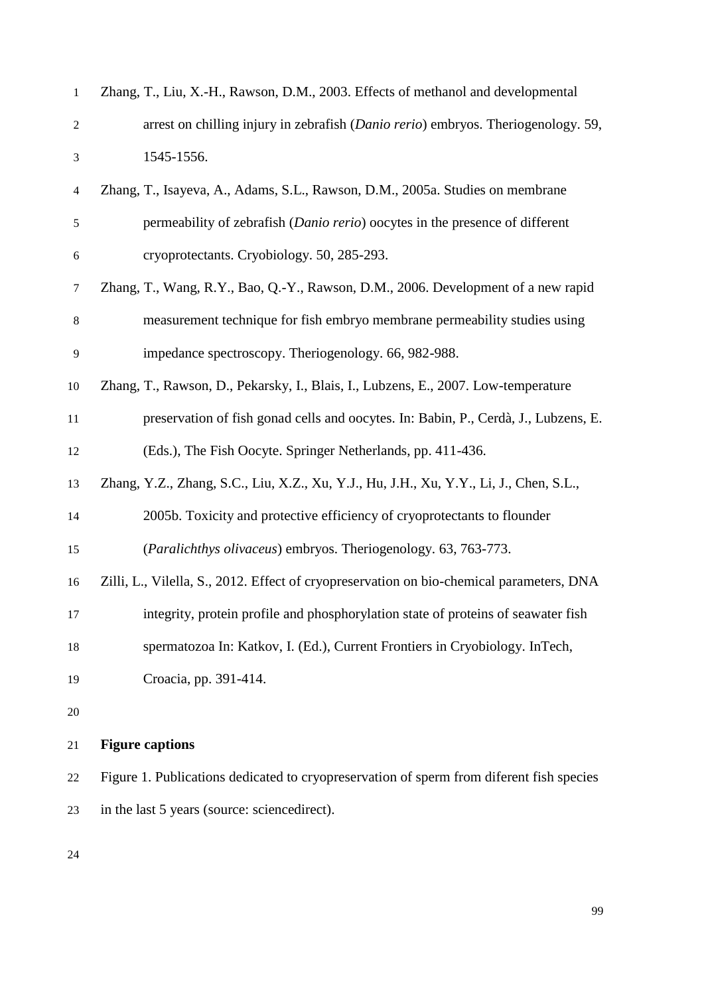| 1                | Zhang, T., Liu, X.-H., Rawson, D.M., 2003. Effects of methanol and developmental           |
|------------------|--------------------------------------------------------------------------------------------|
| $\mathfrak{2}$   | arrest on chilling injury in zebrafish ( <i>Danio rerio</i> ) embryos. Theriogenology. 59, |
| 3                | 1545-1556.                                                                                 |
| 4                | Zhang, T., Isayeva, A., Adams, S.L., Rawson, D.M., 2005a. Studies on membrane              |
| $\mathfrak s$    | permeability of zebrafish (Danio rerio) oocytes in the presence of different               |
| $\boldsymbol{6}$ | cryoprotectants. Cryobiology. 50, 285-293.                                                 |
| 7                | Zhang, T., Wang, R.Y., Bao, Q.-Y., Rawson, D.M., 2006. Development of a new rapid          |
| 8                | measurement technique for fish embryo membrane permeability studies using                  |
| 9                | impedance spectroscopy. Theriogenology. 66, 982-988.                                       |
| 10               | Zhang, T., Rawson, D., Pekarsky, I., Blais, I., Lubzens, E., 2007. Low-temperature         |
| 11               | preservation of fish gonad cells and oocytes. In: Babin, P., Cerdà, J., Lubzens, E.        |
| 12               | (Eds.), The Fish Oocyte. Springer Netherlands, pp. 411-436.                                |
| 13               | Zhang, Y.Z., Zhang, S.C., Liu, X.Z., Xu, Y.J., Hu, J.H., Xu, Y.Y., Li, J., Chen, S.L.,     |
| 14               | 2005b. Toxicity and protective efficiency of cryoprotectants to flounder                   |
| 15               | (Paralichthys olivaceus) embryos. Theriogenology. 63, 763-773.                             |
| 16               | Zilli, L., Vilella, S., 2012. Effect of cryopreservation on bio-chemical parameters, DNA   |
| 17               | integrity, protein profile and phosphorylation state of proteins of seawater fish          |
| 18               | spermatozoa In: Katkov, I. (Ed.), Current Frontiers in Cryobiology. InTech,                |
| 19               | Croacia, pp. 391-414.                                                                      |
| 20               |                                                                                            |
| 21               | <b>Figure captions</b>                                                                     |
| 22               | Figure 1. Publications dedicated to cryopreservation of sperm from diferent fish species   |
| 23               | in the last 5 years (source: sciencedirect).                                               |